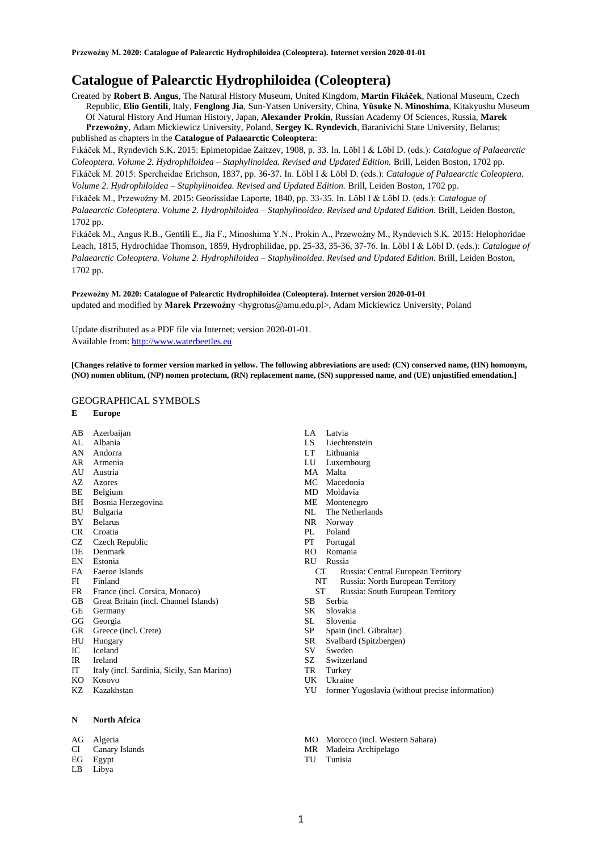# **Catalogue of Palearctic Hydrophiloidea (Coleoptera)**

Created by **Robert B. Angus**, The Natural History Museum, United Kingdom, **Martin Fikáček**, National Museum, Czech Republic, **Elio Gentili**, Italy, **Fenglong Jia**, Sun-Yatsen University, China, **Yûsuke N. Minoshima**, Kitakyushu Museum Of Natural History And Human History, Japan, **Alexander Prokin**, Russian Academy Of Sciences, Russia, **Marek Przewoźny**, Adam Mickiewicz University, Poland, **Sergey K. Ryndevich**, Baranivichi State University, Belarus; published as chapters in the **Catalogue of Palaearctic Coleoptera**:

Fikáček M., Ryndevich S.K. 2015: Epimetopidae Zaitzev, 1908, p. 33. In. Löbl I & Löbl D. (eds.): *Catalogue of Palaearctic Coleoptera. Volume 2. Hydrophiloidea – Staphylinoidea. Revised and Updated Edition.* Brill, Leiden Boston, 1702 pp. Fikáček M. 2015: Spercheidae Erichson, 1837, pp. 36-37. In. Löbl I & Löbl D. (eds.): *Catalogue of Palaearctic Coleoptera. Volume 2. Hydrophiloidea – Staphylinoidea. Revised and Updated Edition.* Brill, Leiden Boston, 1702 pp.

Fikáček M., Przewoźny M. 2015: Georissidae Laporte, 1840, pp. 33-35. In. Löbl I & Löbl D. (eds.): *Catalogue of Palaearctic Coleoptera. Volume 2. Hydrophiloidea – Staphylinoidea. Revised and Updated Edition.* Brill, Leiden Boston, 1702 pp.

Fikáček M., Angus R.B., Gentili E., Jia F., Minoshima Y.N., Prokin A., Przewoźny M., Ryndevich S.K. 2015: Helophoridae Leach, 1815, Hydrochidae Thomson, 1859, Hydrophilidae, pp. 25-33, 35-36, 37-76. In. Löbl I & Löbl D. (eds.): *Catalogue of Palaearctic Coleoptera. Volume 2. Hydrophiloidea – Staphylinoidea. Revised and Updated Edition.* Brill, Leiden Boston, 1702 pp.

**Przewoźny M. 2020: Catalogue of Palearctic Hydrophiloidea (Coleoptera). Internet version 2020-01-01** updated and modified by Marek Przewoźny <hygrotus@amu.edu.pl>, Adam Mickiewicz University, Poland

Update distributed as a PDF file via Internet; version 2020-01-01. Available from[: http://www.waterbeetles.eu](http://www.waterbeetles.eu/)

**[Changes relative to former version marked in yellow. The following abbreviations are used: (CN) conserved name, (HN) homonym, (NO) nomen oblitum, (NP) nomen protectum, (RN) replacement name, (SN) suppressed name, and (UE) unjustified emendation.]** 

# GEOGRAPHICAL SYMBOLS

- **E Europe**
- AB Azerbaijan
- AL Albania AN Andorra
- AR Armenia
- AU Austria
- AZ Azores
- BE Belgium
- BH Bosnia Herzegovina
- BU Bulgaria
- BY Belarus
- CR Croatia
- CZ Czech Republic<br>DE Denmark
- Denmark
- EN Estonia
- FA Faeroe Islands
- FI Finland<br>FR France
- France (incl. Corsica, Monaco)
- GB Great Britain (incl. Channel Islands)
- GE Germany
- GG Georgia
- GR Greece (incl. Crete)
- 
- 
- 
- 
- 

# **N North Africa**

- AG Algeria
- CI Canary Islands
- EG Egypt
- LB Libya
- LA Latvia
- LS Liechtenstein
- LT Lithuania
- LU Luxembourg
- MA Malta
- MC Macedonia
- MD Moldavia
- ME Montenegro
- NL The Netherlands
- NR Norway
- PL Poland
- PT Portugal
- RO Romania
- RU Russia
	- Russia: Central European Territory
	- NT Russia: North European Territory<br>ST Russia: South European Territory
	- Russia: South European Territory
- SB Serbia
- SK Slovakia
- SL Slovenia
- SP Spain (incl. Gibraltar)
- SR Svalbard (Spitzbergen)
- SV Sweden
- SZ Switzerland
- TR Turkey
- UK Ukraine
- YU former Yugoslavia (without precise information)
- MO Morocco (incl. Western Sahara)
- MR Madeira Archipelago
- TU Tunisia
- 
- 
- HU Hungary
- IC Iceland
- IR Ireland

# IT Italy (incl. Sardinia, Sicily, San Marino)

KO Kosovo KZ Kazakhstan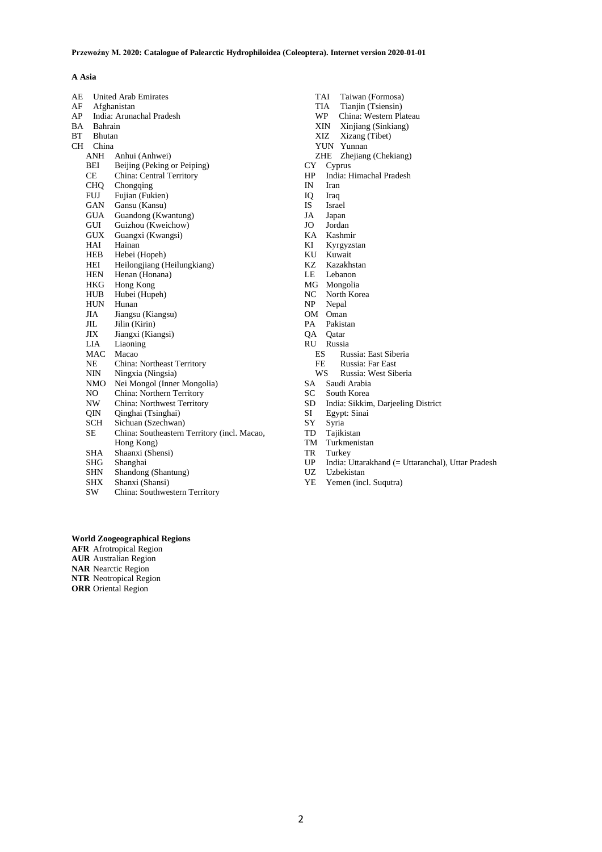# **A Asia**

| AE |               | <b>United Arab Emirates</b>                 |  |
|----|---------------|---------------------------------------------|--|
| AF |               | Afghanistan                                 |  |
| AP |               | India: Arunachal Pradesh                    |  |
| BA | Bahrain       |                                             |  |
| ВT | <b>Bhutan</b> |                                             |  |
| CН | China         |                                             |  |
|    | ANH           | Anhui (Anhwei)                              |  |
|    | BEI           | Beijing (Peking or Peiping)                 |  |
|    | CE            | China: Central Territory                    |  |
|    | CHO.          | Chongqing                                   |  |
|    | <b>FUJ</b>    | Fujian (Fukien)                             |  |
|    | GAN           | Gansu (Kansu)                               |  |
|    | <b>GUA</b>    | Guandong (Kwantung)                         |  |
|    | GUI           | Guizhou (Kweichow)                          |  |
|    | GUX           | Guangxi (Kwangsi)                           |  |
|    | HAI           | Hainan                                      |  |
|    | HEB           | Hebei (Hopeh)                               |  |
|    | HEI           | Heilongjiang (Heilungkiang)                 |  |
|    | HEN           | Henan (Honana)                              |  |
|    | HKG           | Hong Kong                                   |  |
|    | HUB           | Hubei (Hupeh)                               |  |
|    | <b>HUN</b>    | Hunan                                       |  |
|    | JIA           | Jiangsu (Kiangsu)                           |  |
|    | JIL.          | Jilin (Kirin)                               |  |
|    | ЛX            | Jiangxi (Kiangsi)                           |  |
|    | LIA           | Liaoning                                    |  |
|    | MAC           | Macao                                       |  |
|    | NΕ            | China: Northeast Territory                  |  |
|    | NIN           | Ningxia (Ningsia)                           |  |
|    | NMO           | Nei Mongol (Inner Mongolia)                 |  |
|    | NO            | China: Northern Territory                   |  |
|    | NW.           | China: Northwest Territory                  |  |
|    | OIN.          | Qinghai (Tsinghai)                          |  |
|    | SCH           | Sichuan (Szechwan)                          |  |
|    | SE            | China: Southeastern Territory (incl. Macao, |  |
|    |               | Hong Kong)                                  |  |
|    | SHA           | Shaanxi (Shensi)                            |  |
|    | SHG           | Shanghai                                    |  |
|    | <b>SHN</b>    | Shandong (Shantung)                         |  |
|    | <b>SHX</b>    | Shanxi (Shansi)                             |  |

SW China: Southwestern Territory

**World Zoogeographical Regions AFR** Afrotropical Region **AUR** Australian Region **NAR** Nearctic Region **NTR** Neotropical Region **ORR** Oriental Region

TAI Taiwan (Formosa)<br>TIA Tianjin (Tsiensin)

- TIA Tianjin (Tsiensin)<br>WP China: Western Pla
- WP China: Western Plateau<br>XIN Xinjiang (Sinkiang)<br>XIZ Xizang (Tibet)
- Xinjiang (Sinkiang)
- Xizang (Tibet) YUN Yunnan
- ZHE Zhejiang (Chekiang)
- CY Cyprus
- 
- HP India: Himachal Pradesh<br>IN Iran Iran
- 
- IQ Iraq IS Israel
- JA Japan
- JO Jordan
- 
- KA Kashmir Kyrgyzstan
- 
- KU Kuwait<br>KZ Kazakh Kazakhstan
- LE Lebanon
- 
- MG Mongolia<br>NC North Kor
- NC North Korea<br>NP Nepal Nepal
- 
- OM Oman<br>PA Pakist Pakistan
- QA Qatar
- 
- RU Russia
	- ES Russia: East Siberia<br>FE Russia: Far East
	- FE Russia: Far East<br>WS Russia: West Sib Russia: West Siberia
- 
- SA Saudi Arabia<br>SC South Korea
- SC South Korea<br>SD India: Sikkin SD India: Sikkim, Darjeeling District
- Egypt: Sinai
- SY Syria
- TD Tajikistan
- TM Turkmenistan
- TR Turkey
- UP India: Uttarakhand (= Uttaranchal), Uttar Pradesh
- UZ Uzbekistan
- YE Yemen (incl. Suqutra)

2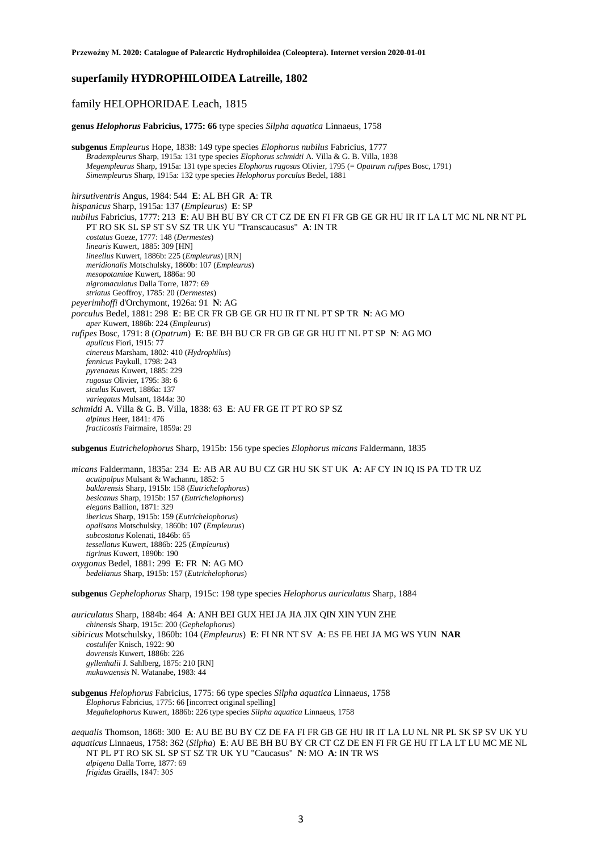# **superfamily HYDROPHILOIDEA Latreille, 1802**

# family HELOPHORIDAE Leach, 1815

**genus** *Helophorus* **Fabricius, 1775: 66** type species *Silpha aquatica* Linnaeus, 1758

**subgenus** *Empleurus* Hope, 1838: 149 type species *Elophorus nubilus* Fabricius, 1777 *Bradempleurus* Sharp, 1915a: 131 type species *Elophorus schmidti* A. Villa & G. B. Villa, 1838 *Megempleurus* Sharp, 1915a: 131 type species *Elophorus rugosus* Olivier, 1795 (= *Opatrum rufipes* Bosc, 1791) *Simempleurus* Sharp, 1915a: 132 type species *Helophorus porculus* Bedel, 1881

*hirsutiventris* Angus, 1984: 544 **E**: AL BH GR **A**: TR *hispanicus* Sharp, 1915a: 137 (*Empleurus*) **E**: SP *nubilus* Fabricius, 1777: 213 **E**: AU BH BU BY CR CT CZ DE EN FI FR GB GE GR HU IR IT LA LT MC NL NR NT PL PT RO SK SL SP ST SV SZ TR UK YU "Transcaucasus" **A**: IN TR *costatus* Goeze, 1777: 148 (*Dermestes*) *linearis* Kuwert, 1885: 309 [HN] *lineellus* Kuwert, 1886b: 225 (*Empleurus*) [RN] *meridionalis* Motschulsky, 1860b: 107 (*Empleurus*) *mesopotamiae* Kuwert, 1886a: 90 *nigromaculatus* Dalla Torre, 1877: 69 *striatus* Geoffroy, 1785: 20 (*Dermestes*) *peyerimhoffi* d'Orchymont, 1926a: 91 **N**: AG *porculus* Bedel, 1881: 298 **E**: BE CR FR GB GE GR HU IR IT NL PT SP TR **N**: AG MO *aper* Kuwert, 1886b: 224 (*Empleurus*) *rufipes* Bosc, 1791: 8 (*Opatrum*) **E**: BE BH BU CR FR GB GE GR HU IT NL PT SP **N**: AG MO *apulicus* Fiori, 1915: 77 *cinereus* Marsham, 1802: 410 (*Hydrophilus*) *fennicus* Paykull, 1798: 243 *pyrenaeus* Kuwert, 1885: 229 *rugosus* Olivier, 1795: 38: 6 *siculus* Kuwert, 1886a: 137 *variegatus* Mulsant, 1844a: 30 *schmidti* A. Villa & G. B. Villa, 1838: 63 **E**: AU FR GE IT PT RO SP SZ *alpinus* Heer, 1841: 476 *fracticostis* Fairmaire, 1859a: 29

**subgenus** *Eutrichelophorus* Sharp, 1915b: 156 type species *Elophorus micans* Faldermann, 1835

*micans* Faldermann, 1835a: 234 **E**: AB AR AU BU CZ GR HU SK ST UK **A**: AF CY IN IQ IS PA TD TR UZ *acutipalpus* Mulsant & Wachanru, 1852: 5 *baklarensis* Sharp, 1915b: 158 (*Eutrichelophorus*) *besicanus* Sharp, 1915b: 157 (*Eutrichelophorus*) *elegans* Ballion, 1871: 329 *ibericus* Sharp, 1915b: 159 (*Eutrichelophorus*) *opalisans* Motschulsky, 1860b: 107 (*Empleurus*) *subcostatus* Kolenati, 1846b: 65 *tessellatus* Kuwert, 1886b: 225 (*Empleurus*) *tigrinus* Kuwert, 1890b: 190 *oxygonus* Bedel, 1881: 299 **E**: FR **N**: AG MO *bedelianus* Sharp, 1915b: 157 (*Eutrichelophorus*)

**subgenus** *Gephelophorus* Sharp, 1915c: 198 type species *Helophorus auriculatus* Sharp, 1884

*auriculatus* Sharp, 1884b: 464 **A**: ANH BEI GUX HEI JA JIA JIX QIN XIN YUN ZHE *chinensis* Sharp, 1915c: 200 (*Gephelophorus*) *sibiricus* Motschulsky, 1860b: 104 (*Empleurus*) **E**: FI NR NT SV **A**: ES FE HEI JA MG WS YUN **NAR** *costulifer* Knisch, 1922: 90 *dovrensis* Kuwert, 1886b: 226 *gyllenhalii* J. Sahlberg, 1875: 210 [RN] *mukawaensis* N. Watanabe, 1983: 44

**subgenus** *Helophorus* Fabricius, 1775: 66 type species *Silpha aquatica* Linnaeus, 1758 *Elophorus* Fabricius, 1775: 66 [incorrect original spelling] *Megahelophorus* Kuwert, 1886b: 226 type species *Silpha aquatica* Linnaeus, 1758

*aequalis* Thomson, 1868: 300 **E**: AU BE BU BY CZ DE FA FI FR GB GE HU IR IT LA LU NL NR PL SK SP SV UK YU *aquaticus* Linnaeus, 1758: 362 (*Silpha*) **E**: AU BE BH BU BY CR CT CZ DE EN FI FR GE HU IT LA LT LU MC ME NL NT PL PT RO SK SL SP ST SZ TR UK YU "Caucasus" **N**: MO **A**: IN TR WS *alpigena* Dalla Torre, 1877: 69 *frigidus* Graëlls, 1847: 305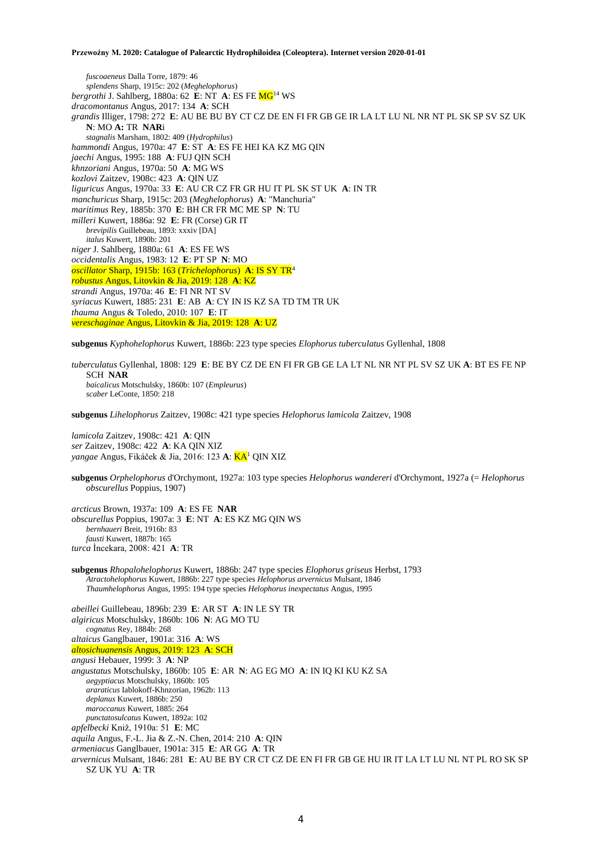*fuscoaeneus* Dalla Torre, 1879: 46 *splendens* Sharp, 1915c: 202 (*Meghelophorus*) *bergrothi* J. Sahlberg, 1880a: 62 **E**: NT **A**: ES FE MG<sup>14</sup> WS *dracomontanus* Angus, 2017: 134 **A**: SCH *grandis* Illiger, 1798: 272 **E**: AU BE BU BY CT CZ DE EN FI FR GB GE IR LA LT LU NL NR NT PL SK SP SV SZ UK **N**: MO **A:** TR **NAR**i *stagnalis* Marsham, 1802: 409 (*Hydrophilus*) *hammondi* Angus, 1970a: 47 **E**: ST **A**: ES FE HEI KA KZ MG QIN *jaechi* Angus, 1995: 188 **A**: FUJ QIN SCH *khnzoriani* Angus, 1970a: 50 **A**: MG WS *kozlovi* Zaitzev, 1908c: 423 **A**: QIN UZ *liguricus* Angus, 1970a: 33 **E**: AU CR CZ FR GR HU IT PL SK ST UK **A**: IN TR *manchuricus* Sharp, 1915c: 203 (*Meghelophorus*) **A**: "Manchuria" *maritimus* Rey, 1885b: 370 **E**: BH CR FR MC ME SP **N**: TU *milleri* Kuwert, 1886a: 92 **E**: FR (Corse) GR IT *brevipilis* Guillebeau, 1893: xxxiv [DA] *italus* Kuwert, 1890b: 201 *niger* J. Sahlberg, 1880a: 61 **A**: ES FE WS *occidentalis* Angus, 1983: 12 **E**: PT SP **N**: MO *oscillator* Sharp, 1915b: 163 (*Trichelophorus*) **A**: IS SY TR<sup>4</sup> *robustus* Angus, Litovkin & Jia, 2019: 128 **A**: KZ *strandi* Angus, 1970a: 46 **E**: FI NR NT SV *syriacus* Kuwert, 1885: 231 **E**: AB **A**: CY IN IS KZ SA TD TM TR UK *thauma* Angus & Toledo, 2010: 107 **E**: IT *vereschaginae* Angus, Litovkin & Jia, 2019: 128 **A**: UZ

**subgenus** *Kyphohelophorus* Kuwert, 1886b: 223 type species *Elophorus tuberculatus* Gyllenhal, 1808

*tuberculatus* Gyllenhal, 1808: 129 **E**: BE BY CZ DE EN FI FR GB GE LA LT NL NR NT PL SV SZ UK **A**: BT ES FE NP SCH **NAR** *baicalicus* Motschulsky, 1860b: 107 (*Empleurus*) *scaber* LeConte, 1850: 218

**subgenus** *Lihelophorus* Zaitzev, 1908c: 421 type species *Helophorus lamicola* Zaitzev, 1908

*lamicola* Zaitzev, 1908c: 421 **A**: QIN *ser* Zaitzev, 1908c: 422 **A**: KA QIN XIZ *yangae* Angus, Fikáček & Jia, 2016: 123 **A**: KA<sup>1</sup> QIN XIZ

**subgenus** *Orphelophorus* d'Orchymont, 1927a: 103 type species *Helophorus wandereri* d'Orchymont, 1927a (= *Helophorus obscurellus* Poppius, 1907)

*arcticus* Brown, 1937a: 109 **A**: ES FE **NAR** *obscurellus* Poppius, 1907a: 3 **E**: NT **A**: ES KZ MG QIN WS *bernhaueri* Breit, 1916b: 83 *fausti* Kuwert, 1887b: 165 *turca* İncekara, 2008: 421 **A**: TR

**subgenus** *Rhopalohelophorus* Kuwert, 1886b: 247 type species *Elophorus griseus* Herbst, 1793 *Atractohelophorus* Kuwert, 1886b: 227 type species *Helophorus arvernicus* Mulsant, 1846 *Thaumhelophorus* Angus, 1995: 194 type species *Helophorus inexpectatus* Angus, 1995

*abeillei* Guillebeau, 1896b: 239 **E**: AR ST **A**: IN LE SY TR *algiricus* Motschulsky, 1860b: 106 **N**: AG MO TU *cognatus* Rey, 1884b: 268 *altaicus* Ganglbauer, 1901a: 316 **A**: WS *altosichuanensis* Angus, 2019: 123 **A**: SCH *angusi* Hebauer, 1999: 3 **A**: NP *angustatus* Motschulsky, 1860b: 105 **E**: AR **N**: AG EG MO **A**: IN IQ KI KU KZ SA *aegyptiacus* Motschulsky, 1860b: 105 *araraticus* Iablokoff-Khnzorian, 1962b: 113 *deplanus* Kuwert, 1886b: 250 *maroccanus* Kuwert, 1885: 264 *punctatosulcatus* Kuwert, 1892a: 102 *apfelbecki* Kniž, 1910a: 51 **E**: MC *aquila* Angus, F.-L. Jia & Z.-N. Chen, 2014: 210 **A**: QIN *armeniacus* Ganglbauer, 1901a: 315 **E**: AR GG **A**: TR *arvernicus* Mulsant, 1846: 281 **E**: AU BE BY CR CT CZ DE EN FI FR GB GE HU IR IT LA LT LU NL NT PL RO SK SP SZ UK YU **A**: TR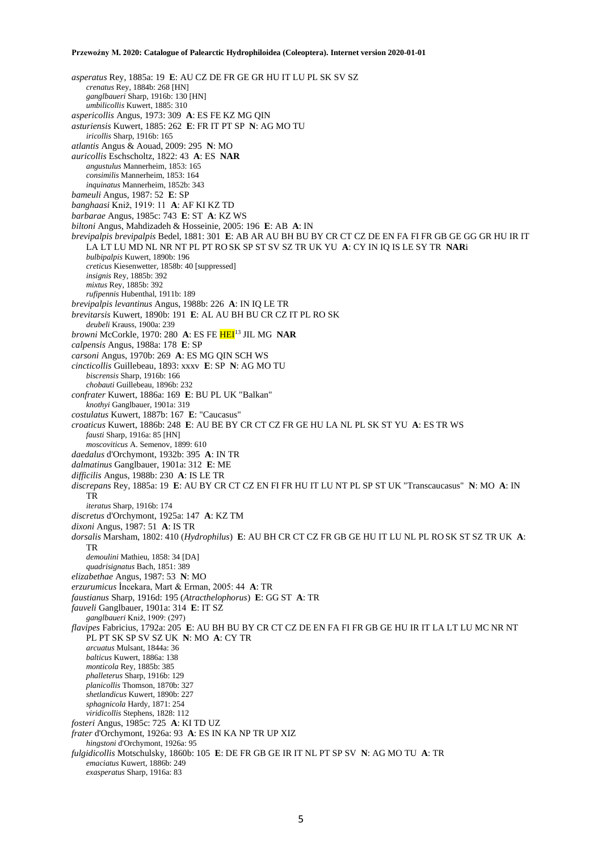*asperatus* Rey, 1885a: 19 **E**: AU CZ DE FR GE GR HU IT LU PL SK SV SZ *crenatus* Rey, 1884b: 268 [HN] *ganglbaueri* Sharp, 1916b: 130 [HN] *umbilicollis* Kuwert, 1885: 310 *aspericollis* Angus, 1973: 309 **A**: ES FE KZ MG QIN *asturiensis* Kuwert, 1885: 262 **E**: FR IT PT SP **N**: AG MO TU *iricollis* Sharp, 1916b: 165 *atlantis* Angus & Aouad, 2009: 295 **N**: MO *auricollis* Eschscholtz, 1822: 43 **A**: ES **NAR** *angustulus* Mannerheim, 1853: 165 *consimilis* Mannerheim, 1853: 164 *inquinatus* Mannerheim, 1852b: 343 *bameuli* Angus, 1987: 52 **E**: SP *banghaasi* Kniž, 1919: 11 **A**: AF KI KZ TD *barbarae* Angus, 1985c: 743 **E**: ST **A**: KZ WS *biltoni* Angus, Mahdizadeh & Hosseinie, 2005: 196 **E**: AB **A**: IN *brevipalpis brevipalpis* Bedel, 1881: 301 **E**: AB AR AU BH BU BY CR CT CZ DE EN FA FI FR GB GE GG GR HU IR IT LA LT LU MD NL NR NT PL PT RO SK SP ST SV SZ TR UK YU **A**: CY IN IQ IS LE SY TR **NAR**i *bulbipalpis* Kuwert, 1890b: 196 *creticus* Kiesenwetter, 1858b: 40 [suppressed] *insignis* Rey, 1885b: 392 *mixtus* Rey, 1885b: 392 *rufipennis* Hubenthal, 1911b: 189 *brevipalpis levantinus* Angus, 1988b: 226 **A**: IN IQ LE TR *brevitarsis* Kuwert, 1890b: 191 **E**: AL AU BH BU CR CZ IT PL RO SK *deubeli* Krauss, 1900a: 239 *browni* McCorkle, 1970: 280 **A**: ES FE HEI<sup>13</sup> JIL MG **NAR** *calpensis* Angus, 1988a: 178 **E**: SP *carsoni* Angus, 1970b: 269 **A**: ES MG QIN SCH WS *cincticollis* Guillebeau, 1893: xxxv **E**: SP **N**: AG MO TU *biscrensis* Sharp, 1916b: 166 *chobauti* Guillebeau, 1896b: 232 *confrater* Kuwert, 1886a: 169 **E**: BU PL UK "Balkan" *knothyi* Ganglbauer, 1901a: 319 *costulatus* Kuwert, 1887b: 167 **E**: "Caucasus" *croaticus* Kuwert, 1886b: 248 **E**: AU BE BY CR CT CZ FR GE HU LA NL PL SK ST YU **A**: ES TR WS *fausti* Sharp, 1916a: 85 [HN] *moscoviticus* A. Semenov, 1899: 610 *daedalus* d'Orchymont, 1932b: 395 **A**: IN TR *dalmatinus* Ganglbauer, 1901a: 312 **E**: ME *difficilis* Angus, 1988b: 230 **A**: IS LE TR *discrepans* Rey, 1885a: 19 **E**: AU BY CR CT CZ EN FI FR HU IT LU NT PL SP ST UK "Transcaucasus" **N**: MO **A**: IN TR *iteratus* Sharp, 1916b: 174 *discretus* d'Orchymont, 1925a: 147 **A**: KZ TM *dixoni* Angus, 1987: 51 **A**: IS TR *dorsalis* Marsham, 1802: 410 (*Hydrophilus*) **E**: AU BH CR CT CZ FR GB GE HU IT LU NL PL RO SK ST SZ TR UK **A**: TR *demoulini* Mathieu, 1858: 34 [DA] *quadrisignatus* Bach, 1851: 389 *elizabethae* Angus, 1987: 53 **N**: MO *erzurumicus* İncekara, Mart & Erman, 2005: 44 **A**: TR *faustianus* Sharp, 1916d: 195 (*Atracthelophorus*) **E**: GG ST **A**: TR *fauveli* Ganglbauer, 1901a: 314 **E**: IT SZ *ganglbaueri* Kniž, 1909: (297) *flavipes* Fabricius, 1792a: 205 **E**: AU BH BU BY CR CT CZ DE EN FA FI FR GB GE HU IR IT LA LT LU MC NR NT PL PT SK SP SV SZ UK **N**: MO **A**: CY TR *arcuatus* Mulsant, 1844a: 36 *balticus* Kuwert, 1886a: 138 *monticola* Rey, 1885b: 385 *phalleterus* Sharp, 1916b: 129 *planicollis* Thomson, 1870b: 327 *shetlandicus* Kuwert, 1890b: 227 *sphagnicola* Hardy, 1871: 254 *viridicollis* Stephens, 1828: 112 *fosteri* Angus, 1985c: 725 **A**: KI TD UZ *frater* d'Orchymont, 1926a: 93 **A**: ES IN KA NP TR UP XIZ *hingstoni* d'Orchymont, 1926a: 95 *fulgidicollis* Motschulsky, 1860b: 105 **E**: DE FR GB GE IR IT NL PT SP SV **N**: AG MO TU **A**: TR *emaciatus* Kuwert, 1886b: 249 *exasperatus* Sharp, 1916a: 83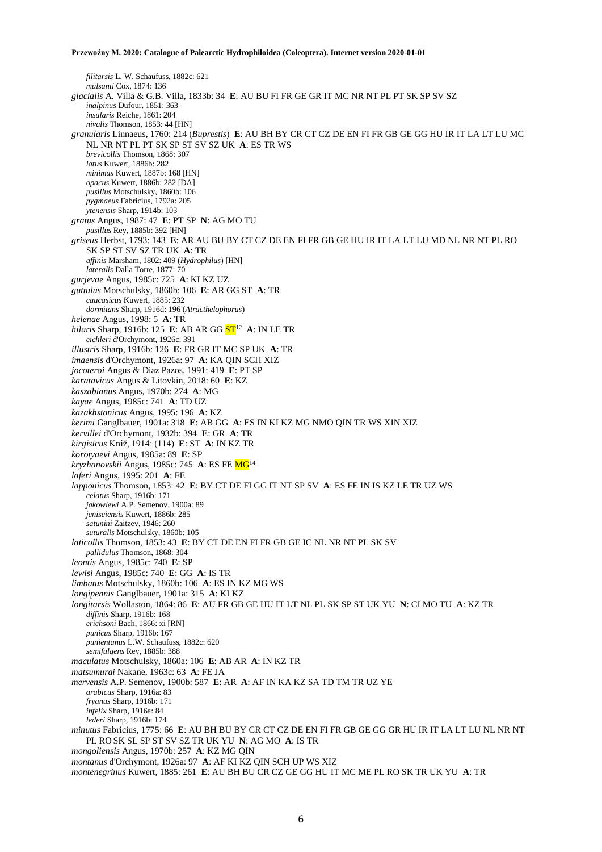*filitarsis* L. W. Schaufuss, 1882c: 621 *mulsanti* Cox, 1874: 136 *glacialis* A. Villa & G.B. Villa, 1833b: 34 **E**: AU BU FI FR GE GR IT MC NR NT PL PT SK SP SV SZ *inalpinus* Dufour, 1851: 363 *insularis* Reiche, 1861: 204 *nivalis* Thomson, 1853: 44 [HN] *granularis* Linnaeus, 1760: 214 (*Buprestis*) **E**: AU BH BY CR CT CZ DE EN FI FR GB GE GG HU IR IT LA LT LU MC NL NR NT PL PT SK SP ST SV SZ UK **A**: ES TR WS *brevicollis* Thomson, 1868: 307 *latus* Kuwert, 1886b: 282 *minimus* Kuwert, 1887b: 168 [HN] *opacus* Kuwert, 1886b: 282 [DA] *pusillus* Motschulsky, 1860b: 106 *pygmaeus* Fabricius, 1792a: 205 *ytenensis* Sharp, 1914b: 103 *gratus* Angus, 1987: 47 **E**: PT SP **N**: AG MO TU *pusillus* Rey, 1885b: 392 [HN] *griseus* Herbst, 1793: 143 **E**: AR AU BU BY CT CZ DE EN FI FR GB GE HU IR IT LA LT LU MD NL NR NT PL RO SK SP ST SV SZ TR UK **A**: TR *affinis* Marsham, 1802: 409 (*Hydrophilus*) [HN] *lateralis* Dalla Torre, 1877: 70 *gurjevae* Angus, 1985c: 725 **A**: KI KZ UZ *guttulus* Motschulsky, 1860b: 106 **E**: AR GG ST **A**: TR *caucasicus* Kuwert, 1885: 232 *dormitans* Sharp, 1916d: 196 (*Atracthelophorus*) *helenae* Angus, 1998: 5 **A**: TR hilaris Sharp, 1916b: 125 E: AB AR GG <mark>ST</mark><sup>12</sup> A: IN LE TR *eichleri* d'Orchymont, 1926c: 391 *illustris* Sharp, 1916b: 126 **E**: FR GR IT MC SP UK **A**: TR *imaensis* d'Orchymont, 1926a: 97 **A**: KA QIN SCH XIZ *jocoteroi* Angus & Diaz Pazos, 1991: 419 **E**: PT SP *karatavicus* Angus & Litovkin, 2018: 60 **E**: KZ *kaszabianus* Angus, 1970b: 274 **A**: MG *kayae* Angus, 1985c: 741 **A**: TD UZ *kazakhstanicus* Angus, 1995: 196 **A**: KZ *kerimi* Ganglbauer, 1901a: 318 **E**: AB GG **A**: ES IN KI KZ MG NMO QIN TR WS XIN XIZ *kervillei* d'Orchymont, 1932b: 394 **E**: GR **A**: TR *kirgisicus* Kniž, 1914: (114) **E**: ST **A**: IN KZ TR *korotyaevi* Angus, 1985a: 89 **E**: SP *kryzhanovskii* Angus, 1985c: 745 **A**: ES FE MG<sup>14</sup> *laferi* Angus, 1995: 201 **A**: FE *lapponicus* Thomson, 1853: 42 **E**: BY CT DE FI GG IT NT SP SV **A**: ES FE IN IS KZ LE TR UZ WS *celatus* Sharp, 1916b: 171 *jakowlewi* A.P. Semenov, 1900a: 89 *jeniseiensis* Kuwert, 1886b: 285 *satunini* Zaitzev, 1946: 260 *suturalis* Motschulsky, 1860b: 105 *laticollis* Thomson, 1853: 43 **E**: BY CT DE EN FI FR GB GE IC NL NR NT PL SK SV *pallidulus* Thomson, 1868: 304 *leontis* Angus, 1985c: 740 **E**: SP *lewisi* Angus, 1985c: 740 **E**: GG **A**: IS TR *limbatus* Motschulsky, 1860b: 106 **A**: ES IN KZ MG WS *longipennis* Ganglbauer, 1901a: 315 **A**: KI KZ *longitarsis* Wollaston, 1864: 86 **E**: AU FR GB GE HU IT LT NL PL SK SP ST UK YU **N**: CI MO TU **A**: KZ TR *diffinis* Sharp, 1916b: 168 *erichsoni* Bach, 1866: xi [RN] *punicus* Sharp, 1916b: 167 *punientanus* L.W. Schaufuss, 1882c: 620 *semifulgens* Rey, 1885b: 388 *maculatus* Motschulsky, 1860a: 106 **E**: AB AR **A**: IN KZ TR *matsumurai* Nakane, 1963c: 63 **A**: FE JA *mervensis* A.P. Semenov, 1900b: 587 **E**: AR **A**: AF IN KA KZ SA TD TM TR UZ YE *arabicus* Sharp, 1916a: 83 *fryanus* Sharp, 1916b: 171 *infelix* Sharp, 1916a: 84 *lederi* Sharp, 1916b: 174 *minutus* Fabricius, 1775: 66 **E**: AU BH BU BY CR CT CZ DE EN FI FR GB GE GG GR HU IR IT LA LT LU NL NR NT PL RO SK SL SP ST SV SZ TR UK YU **N**: AG MO **A**: IS TR *mongoliensis* Angus, 1970b: 257 **A**: KZ MG QIN *montanus* d'Orchymont, 1926a: 97 **A**: AF KI KZ QIN SCH UP WS XIZ *montenegrinus* Kuwert, 1885: 261 **E**: AU BH BU CR CZ GE GG HU IT MC ME PL RO SK TR UK YU **A**: TR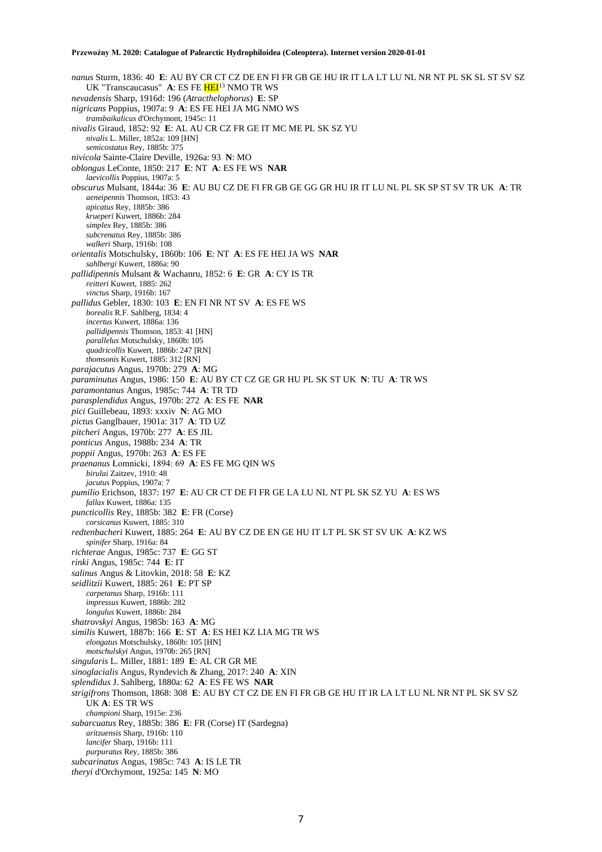*nanus* Sturm, 1836: 40 **E**: AU BY CR CT CZ DE EN FI FR GB GE HU IR IT LA LT LU NL NR NT PL SK SL ST SV SZ UK "Transcaucasus" **A**: ES FE **HEI**<sup>13</sup> NMO TR WS *nevadensis* Sharp, 1916d: 196 (*Atracthelophorus*) **E**: SP *nigricans* Poppius, 1907a: 9 **A**: ES FE HEI JA MG NMO WS *transbaikalicus* d'Orchymont, 1945c: 11 *nivalis* Giraud, 1852: 92 **E**: AL AU CR CZ FR GE IT MC ME PL SK SZ YU *nivalis* L. Miller, 1852a: 109 [HN] *semicostatus* Rey, 1885b: 375 *nivicola* Sainte-Claire Deville, 1926a: 93 **N**: MO *oblongus* LeConte, 1850: 217 **E**: NT **A**: ES FE WS **NAR** *laevicollis* Poppius, 1907a: 5 *obscurus* Mulsant, 1844a: 36 **E**: AU BU CZ DE FI FR GB GE GG GR HU IR IT LU NL PL SK SP ST SV TR UK **A**: TR *aeneipennis* Thomson, 1853: 43 *apicatus* Rey, 1885b: 386 *krueperi* Kuwert, 1886b: 284 *simplex* Rey, 1885b: 386 *subcrenatus* Rey, 1885b: 386 *walkeri* Sharp, 1916b: 108 *orientalis* Motschulsky, 1860b: 106 **E**: NT **A**: ES FE HEI JA WS **NAR** *sahlbergi* Kuwert, 1886a: 90 *pallidipennis* Mulsant & Wachanru, 1852: 6 **E**: GR **A**: CY IS TR *reitteri* Kuwert, 1885: 262 *vinctus* Sharp, 1916b: 167 *pallidus* Gebler, 1830: 103 **E**: EN FI NR NT SV **A**: ES FE WS *borealis* R.F. Sahlberg, 1834: 4 *incertus* Kuwert, 1886a: 136 *pallidipennis* Thomson, 1853: 41 [HN] *parallelus* Motschulsky, 1860b: 105 *quadricollis* Kuwert, 1886b: 247 [RN] *thomsonis* Kuwert, 1885: 312 [RN] *parajacutus* Angus, 1970b: 279 **A**: MG *paraminutus* Angus, 1986: 150 **E**: AU BY CT CZ GE GR HU PL SK ST UK **N**: TU **A**: TR WS *paramontanus* Angus, 1985c: 744 **A**: TR TD *parasplendidus* Angus, 1970b: 272 **A**: ES FE **NAR** *pici* Guillebeau, 1893: xxxiv **N**: AG MO *pictus* Ganglbauer, 1901a: 317 **A**: TD UZ *pitcheri* Angus, 1970b: 277 **A**: ES JIL *ponticus* Angus, 1988b: 234 **A**: TR *poppii* Angus, 1970b: 263 **A**: ES FE *praenanus* Łomnicki, 1894: 69 **A**: ES FE MG QIN WS *birulai* Zaitzev, 1910: 48 *jacutus* Poppius, 1907a: 7 *pumilio* Erichson, 1837: 197 **E**: AU CR CT DE FI FR GE LA LU NL NT PL SK SZ YU **A**: ES WS *fallax* Kuwert, 1886a: 135 *puncticollis* Rey, 1885b: 382 **E**: FR (Corse) *corsicanus* Kuwert, 1885: 310 *redtenbacheri* Kuwert, 1885: 264 **E**: AU BY CZ DE EN GE HU IT LT PL SK ST SV UK **A**: KZ WS *spinifer* Sharp, 1916a: 84 *richterae* Angus, 1985c: 737 **E**: GG ST *rinki* Angus, 1985c: 744 **E**: IT *salinus* Angus & Litovkin, 2018: 58 **E**: KZ *seidlitzii* Kuwert, 1885: 261 **E**: PT SP *carpetanus* Sharp, 1916b: 111 *impressus* Kuwert, 1886b: 282 *longulus* Kuwert, 1886b: 284 *shatrovskyi* Angus, 1985b: 163 **A**: MG *similis* Kuwert, 1887b: 166 **E**: ST **A**: ES HEI KZ LIA MG TR WS *elongatus* Motschulsky, 1860b: 105 [HN] *motschulskyi* Angus, 1970b: 265 [RN] *singularis* L. Miller, 1881: 189 **E**: AL CR GR ME *sinoglacialis* Angus, Ryndevich & Zhang, 2017: 240 **A**: XIN *splendidus* J. Sahlberg, 1880a: 62 **A**: ES FE WS **NAR** *strigifrons* Thomson, 1868: 308 **E**: AU BY CT CZ DE EN FI FR GB GE HU IT IR LA LT LU NL NR NT PL SK SV SZ UK **A**: ES TR WS *championi* Sharp, 1915e: 236 *subarcuatus* Rey, 1885b: 386 **E**: FR (Corse) IT (Sardegna) *aritzuensis* Sharp, 1916b: 110 *lancifer* Sharp, 1916b: 111 *purpuratus* Rey, 1885b: 386 *subcarinatus* Angus, 1985c: 743 **A**: IS LE TR *theryi* d'Orchymont, 1925a: 145 **N**: MO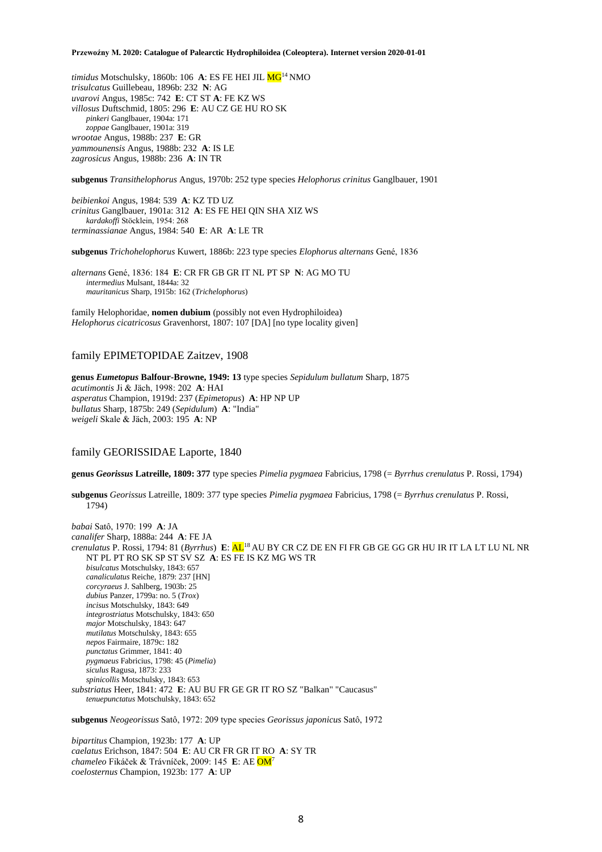*timidus* Motschulsky, 1860b: 106 A: ES FE HEI JIL MG<sup>14</sup> NMO *trisulcatus* Guillebeau, 1896b: 232 **N**: AG *uvarovi* Angus, 1985c: 742 **E**: CT ST **A**: FE KZ WS *villosus* Duftschmid, 1805: 296 **E**: AU CZ GE HU RO SK *pinkeri* Ganglbauer, 1904a: 171 *zoppae* Ganglbauer, 1901a: 319 *wrootae* Angus, 1988b: 237 **E**: GR *yammounensis* Angus, 1988b: 232 **A**: IS LE *zagrosicus* Angus, 1988b: 236 **A**: IN TR

**subgenus** *Transithelophorus* Angus, 1970b: 252 type species *Helophorus crinitus* Ganglbauer, 1901

*beibienkoi* Angus, 1984: 539 **A**: KZ TD UZ *crinitus* Ganglbauer, 1901a: 312 **A**: ES FE HEI QIN SHA XIZ WS *kardakoffi* Stöcklein, 1954: 268 *terminassianae* Angus, 1984: 540 **E**: AR **A**: LE TR

**subgenus** *Trichohelophorus* Kuwert, 1886b: 223 type species *Elophorus alternans* Gené, 1836

*alternans* Gené, 1836: 184 **E**: CR FR GB GR IT NL PT SP **N**: AG MO TU *intermedius* Mulsant, 1844a: 32 *mauritanicus* Sharp, 1915b: 162 (*Trichelophorus*)

family Helophoridae, **nomen dubium** (possibly not even Hydrophiloidea) *Helophorus cicatricosus* Gravenhorst, 1807: 107 [DA] [no type locality given]

# family EPIMETOPIDAE Zaitzev, 1908

**genus** *Eumetopus* **Balfour-Browne, 1949: 13** type species *Sepidulum bullatum* Sharp, 1875 *acutimontis* Ji & Jäch, 1998: 202 **A**: HAI *asperatus* Champion, 1919d: 237 (*Epimetopus*) **A**: HP NP UP *bullatus* Sharp, 1875b: 249 (*Sepidulum*) **A**: "India" *weigeli* Skale & Jäch, 2003: 195 **A**: NP

# family GEORISSIDAE Laporte, 1840

**genus** *Georissus* **Latreille, 1809: 377** type species *Pimelia pygmaea* Fabricius, 1798 (= *Byrrhus crenulatus* P. Rossi, 1794)

**subgenus** *Georissus* Latreille, 1809: 377 type species *Pimelia pygmaea* Fabricius, 1798 (= *Byrrhus crenulatus* P. Rossi, 1794)

*babai* Satô, 1970: 199 **A**: JA *canalifer* Sharp, 1888a: 244 **A**: FE JA *crenulatus* P. Rossi, 1794: 81 (*Byrrhus*) **E**: AL<sup>18</sup> AU BY CR CZ DE EN FI FR GB GE GG GR HU IR IT LA LT LU NL NR NT PL PT RO SK SP ST SV SZ **A**: ES FE IS KZ MG WS TR *bisulcatus* Motschulsky, 1843: 657 *canaliculatus* Reiche, 1879: 237 [HN] *corcyraeus* J. Sahlberg, 1903b: 25 *dubius* Panzer, 1799a: no. 5 (*Trox*) *incisus* Motschulsky, 1843: 649 *integrostriatus* Motschulsky, 1843: 650 *major* Motschulsky, 1843: 647 *mutilatus* Motschulsky, 1843: 655 *nepos* Fairmaire, 1879c: 182 *punctatus* Grimmer, 1841: 40 *pygmaeus* Fabricius, 1798: 45 (*Pimelia*) *siculus* Ragusa, 1873: 233 *spinicollis* Motschulsky, 1843: 653 *substriatus* Heer, 1841: 472 **E**: AU BU FR GE GR IT RO SZ "Balkan" "Caucasus" *tenuepunctatus* Motschulsky, 1843: 652

**subgenus** *Neogeorissus* Satô, 1972: 209 type species *Georissus japonicus* Satô, 1972

*bipartitus* Champion, 1923b: 177 **A**: UP *caelatus* Erichson, 1847: 504 **E**: AU CR FR GR IT RO **A**: SY TR *chameleo* Fikáček & Trávníček, 2009: 145 **E**: AE OM<sup>7</sup> *coelosternus* Champion, 1923b: 177 **A**: UP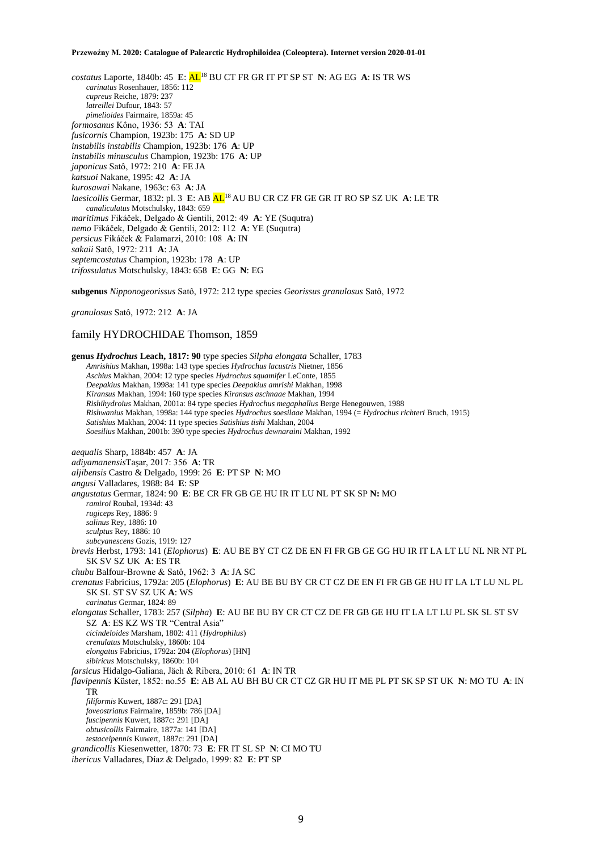*costatus* Laporte, 1840b: 45 **E**: AL<sup>18</sup> BU CT FR GR IT PT SP ST **N**: AG EG **A**: IS TR WS *carinatus* Rosenhauer, 1856: 112 *cupreus* Reiche, 1879: 237 *latreillei* Dufour, 1843: 57 *pimelioides* Fairmaire, 1859a: 45 *formosanus* Kôno, 1936: 53 **A**: TAI *fusicornis* Champion, 1923b: 175 **A**: SD UP *instabilis instabilis* Champion, 1923b: 176 **A**: UP *instabilis minusculus* Champion, 1923b: 176 **A**: UP *japonicus* Satô, 1972: 210 **A**: FE JA *katsuoi* Nakane, 1995: 42 **A**: JA *kurosawai* Nakane, 1963c: 63 **A**: JA *laesicollis* Germar, 1832: pl. 3 **E**: AB AL<sup>18</sup> AU BU CR CZ FR GE GR IT RO SP SZ UK **A**: LE TR *canaliculatus* Motschulsky, 1843: 659 *maritimus* Fikáček, Delgado & Gentili, 2012: 49 **A**: YE (Suqutra) *nemo* Fikáček, Delgado & Gentili, 2012: 112 **A**: YE (Suqutra) *persicus* Fikáček & Falamarzi, 2010: 108 **A**: IN *sakaii* Satô, 1972: 211 **A**: JA *septemcostatus* Champion, 1923b: 178 **A**: UP *trifossulatus* Motschulsky, 1843: 658 **E**: GG **N**: EG

**subgenus** *Nipponogeorissus* Satô, 1972: 212 type species *Georissus granulosus* Satô, 1972

*granulosus* Satô, 1972: 212 **A**: JA

# family HYDROCHIDAE Thomson, 1859

**genus** *Hydrochus* **Leach, 1817: 90** type species *Silpha elongata* Schaller, 1783 *Amrishius* Makhan, 1998a: 143 type species *Hydrochus lacustris* Nietner, 1856 *Aschius* Makhan, 2004: 12 type species *Hydrochus squamifer* LeConte, 1855 *Deepakius* Makhan, 1998a: 141 type species *Deepakius amrishi* Makhan, 1998 *Kiransus* Makhan, 1994: 160 type species *Kiransus aschnaae* Makhan, 1994 *Rishihydroius* Makhan, 2001a: 84 type species *Hydrochus megaphallus* Berge Henegouwen, 1988 *Rishwanius* Makhan, 1998a: 144 type species *Hydrochus soesilaae* Makhan, 1994 (= *Hydrochus richteri* Bruch, 1915) *Satishius* Makhan, 2004: 11 type species *Satishius tishi* Makhan, 2004 *Soesilius* Makhan, 2001b: 390 type species *Hydrochus dewnaraini* Makhan, 1992 *aequalis* Sharp, 1884b: 457 **A**: JA *adiyamanensis*Taşar, 2017: 356 **A**: TR *aljibensis* Castro & Delgado, 1999: 26 **E**: PT SP **N**: MO *angusi* Valladares, 1988: 84 **E**: SP *angustatus* Germar, 1824: 90 **E**: BE CR FR GB GE HU IR IT LU NL PT SK SP **N:** MO *ramiroi* Roubal, 1934d: 43 *rugiceps* Rey, 1886: 9 *salinus* Rey, 1886: 10 *sculptus* Rey, 1886: 10 *subcyanescens* Gozis, 1919: 127 *brevis* Herbst, 1793: 141 (*Elophorus*) **E**: AU BE BY CT CZ DE EN FI FR GB GE GG HU IR IT LA LT LU NL NR NT PL SK SV SZ UK **A**: ES TR *chubu* Balfour-Browne & Satô, 1962: 3 **A**: JA SC *crenatus* Fabricius, 1792a: 205 (*Elophorus*) **E**: AU BE BU BY CR CT CZ DE EN FI FR GB GE HU IT LA LT LU NL PL SK SL ST SV SZ UK **A**: WS *carinatus* Germar, 1824: 89 *elongatus* Schaller, 1783: 257 (*Silpha*) **E**: AU BE BU BY CR CT CZ DE FR GB GE HU IT LA LT LU PL SK SL ST SV SZ **A**: ES KZ WS TR "Central Asia" *cicindeloides* Marsham, 1802: 411 (*Hydrophilus*) *crenulatus* Motschulsky, 1860b: 104 *elongatus* Fabricius, 1792a: 204 (*Elophorus*) [HN] *sibiricus* Motschulsky, 1860b: 104 *farsicus* Hidalgo-Galiana, Jäch & Ribera, 2010: 61 **A**: IN TR *flavipennis* Küster, 1852: no.55 **E**: AB AL AU BH BU CR CT CZ GR HU IT ME PL PT SK SP ST UK **N**: MO TU **A**: IN TR *filiformis* Kuwert, 1887c: 291 [DA] *foveostriatus* Fairmaire, 1859b: 786 [DA] *fuscipennis* Kuwert, 1887c: 291 [DA] *obtusicollis* Fairmaire, 1877a: 141 [DA] *testaceipennis* Kuwert, 1887c: 291 [DA] *grandicollis* Kiesenwetter, 1870: 73 **E**: FR IT SL SP **N**: CI MO TU *ibericus* Valladares, Díaz & Delgado, 1999: 82 **E**: PT SP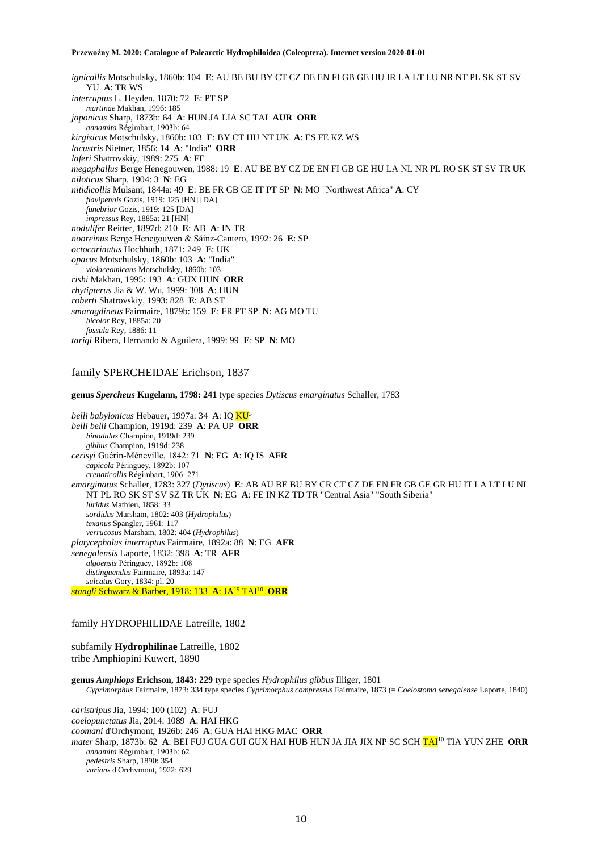*ignicollis* Motschulsky, 1860b: 104 **E**: AU BE BU BY CT CZ DE EN FI GB GE HU IR LA LT LU NR NT PL SK ST SV YU **A**: TR WS *interruptus* L. Heyden, 1870: 72 **E**: PT SP *martinae* Makhan, 1996: 185 *japonicus* Sharp, 1873b: 64 **A**: HUN JA LIA SC TAI **AUR ORR** *annamita* Régimbart, 1903b: 64 *kirgisicus* Motschulsky, 1860b: 103 **E**: BY CT HU NT UK **A**: ES FE KZ WS *lacustris* Nietner, 1856: 14 **A**: "India" **ORR** *laferi* Shatrovskiy, 1989: 275 **A**: FE *megaphallus* Berge Henegouwen, 1988: 19 **E**: AU BE BY CZ DE EN FI GB GE HU LA NL NR PL RO SK ST SV TR UK *niloticus* Sharp, 1904: 3 **N**: EG *nitidicollis* Mulsant, 1844a: 49 **E**: BE FR GB GE IT PT SP **N**: MO "Northwest Africa" **A**: CY *flavipennis* Gozis, 1919: 125 [HN] [DA] *funebrior* Gozis, 1919: 125 [DA] *impressus* Rey, 1885a: 21 [HN] *nodulifer* Reitter, 1897d: 210 **E**: AB **A**: IN TR *nooreinus* Berge Henegouwen & Sáinz-Cantero, 1992: 26 **E**: SP *octocarinatus* Hochhuth, 1871: 249 **E**: UK *opacus* Motschulsky, 1860b: 103 **A**: "India" *violaceomicans* Motschulsky, 1860b: 103 *rishi* Makhan, 1995: 193 **A**: GUX HUN **ORR** *rhytipterus* Jia & W. Wu, 1999: 308 **A**: HUN *roberti* Shatrovskiy, 1993: 828 **E**: AB ST *smaragdineus* Fairmaire, 1879b: 159 **E**: FR PT SP **N**: AG MO TU *bicolor* Rey, 1885a: 20 *fossula* Rey, 1886: 11 *tariqi* Ribera, Hernando & Aguilera, 1999: 99 **E**: SP **N**: MO

# family SPERCHEIDAE Erichson, 1837

**genus** *Spercheus* **Kugelann, 1798: 241** type species *Dytiscus emarginatus* Schaller, 1783

*belli babylonicus* Hebauer, 1997a: 34 **A**: IQ KU<sup>3</sup> *belli belli* Champion, 1919d: 239 **A**: PA UP **ORR** *binodulus* Champion, 1919d: 239 *gibbus* Champion, 1919d: 238 *cerisyi* Guérin-Méneville, 1842: 71 **N**: EG **A**: IQ IS **AFR** *capicola* Péringuey, 1892b: 107 *crenaticollis* Régimbart, 1906: 271 *emarginatus* Schaller, 1783: 327 (*Dytiscus*) **E**: AB AU BE BU BY CR CT CZ DE EN FR GB GE GR HU IT LA LT LU NL NT PL RO SK ST SV SZ TR UK **N**: EG **A**: FE IN KZ TD TR "Central Asia" "South Siberia" *luridus* Mathieu, 1858: 33 *sordidus* Marsham, 1802: 403 (*Hydrophilus*) *texanus* Spangler, 1961: 117 *verrucosus* Marsham, 1802: 404 (*Hydrophilus*) *platycephalus interruptus* Fairmaire, 1892a: 88 **N**: EG **AFR** *senegalensis* Laporte, 1832: 398 **A**: TR **AFR** *algoensis* Péringuey, 1892b: 108 *distinguendus* Fairmaire, 1893a: 147 *sulcatus* Gory, 1834: pl. 20 *stangli* Schwarz & Barber, 1918: 133 **A**: JA<sup>19</sup> TAI<sup>10</sup> **ORR**

# family HYDROPHILIDAE Latreille, 1802

subfamily **Hydrophilinae** Latreille, 1802 tribe Amphiopini Kuwert, 1890

**genus** *Amphiops* **Erichson, 1843: 229** type species *Hydrophilus gibbus* Illiger, 1801 *Cyprimorphus* Fairmaire, 1873: 334 type species *Cyprimorphus compressus* Fairmaire, 1873 (= *Coelostoma senegalense* Laporte, 1840)

*caristripus* Jia, 1994: 100 (102) **A**: FUJ *coelopunctatus* Jia, 2014: 1089 **A**: HAI HKG *coomani* d'Orchymont, 1926b: 246 **A**: GUA HAI HKG MAC **ORR** *mater* Sharp, 1873b: 62 **A**: BEI FUJ GUA GUI GUX HAI HUB HUN JA JIA JIX NP SC SCH TAI<sup>10</sup> TIA YUN ZHE **ORR** *annamita* Régimbart, 1903b: 62 *pedestris* Sharp, 1890: 354 *varians* d'Orchymont, 1922: 629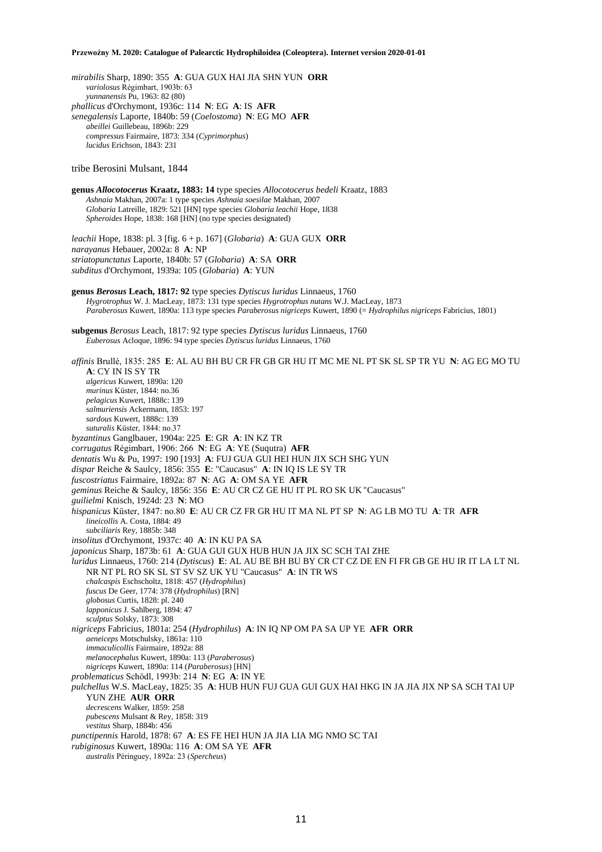*mirabilis* Sharp, 1890: 355 **A**: GUA GUX HAI JIA SHN YUN **ORR** *variolosus* Régimbart, 1903b: 63 *yunnanensis* Pu, 1963: 82 (80) *phallicus* d'Orchymont, 1936c: 114 **N**: EG **A**: IS **AFR** *senegalensis* Laporte, 1840b: 59 (*Coelostoma*) **N**: EG MO **AFR** *abeillei* Guillebeau, 1896b: 229 *compressus* Fairmaire, 1873: 334 (*Cyprimorphus*) *lucidus* Erichson, 1843: 231 tribe Berosini Mulsant, 1844 **genus** *Allocotocerus* **Kraatz, 1883: 14** type species *Allocotocerus bedeli* Kraatz, 1883 *Ashnaia* Makhan, 2007a: 1 type species *Ashnaia soesilae* Makhan, 2007 *Globaria* Latreille, 1829: 521 [HN] type species *Globaria leachii* Hope, 1838 *Spheroides* Hope, 1838: 168 [HN] (no type species designated) *leachii* Hope, 1838: pl. 3 [fig. 6 + p. 167] (*Globaria*) **A**: GUA GUX **ORR** *narayanus* Hebauer, 2002a: 8 **A**: NP *striatopunctatus* Laporte, 1840b: 57 (*Globaria*) **A**: SA **ORR** *subditus* d'Orchymont, 1939a: 105 (*Globaria*) **A**: YUN **genus** *Berosus* **Leach, 1817: 92** type species *Dytiscus luridus* Linnaeus, 1760 *Hygrotrophus* W. J. MacLeay, 1873: 131 type species *Hygrotrophus nutans* W.J. MacLeay, 1873 *Paraberosus* Kuwert, 1890a: 113 type species *Paraberosus nigriceps* Kuwert, 1890 (= *Hydrophilus nigriceps* Fabricius, 1801) **subgenus** *Berosus* Leach, 1817: 92 type species *Dytiscus luridus* Linnaeus, 1760 *Euberosus* Acloque, 1896: 94 type species *Dytiscus luridus* Linnaeus, 1760 *affinis* Brullé, 1835: 285 **E**: AL AU BH BU CR FR GB GR HU IT MC ME NL PT SK SL SP TR YU **N**: AG EG MO TU **A**: CY IN IS SY TR *algericus* Kuwert, 1890a: 120 *murinus* Küster, 1844: no.36 *pelagicus* Kuwert, 1888c: 139 *salmuriensis* Ackermann, 1853: 197 *sardous* Kuwert, 1888c: 139 *suturalis* Küster, 1844: no.37 *byzantinus* Ganglbauer, 1904a: 225 **E**: GR **A**: IN KZ TR *corrugatus* Régimbart, 1906: 266 **N**: EG **A**: YE (Suqutra) **AFR** *dentatis* Wu & Pu, 1997: 190 [193] **A**: FUJ GUA GUI HEI HUN JIX SCH SHG YUN *dispar* Reiche & Saulcy, 1856: 355 **E**: "Caucasus" **A**: IN IQ IS LE SY TR *fuscostriatus* Fairmaire, 1892a: 87 **N**: AG **A**: OM SA YE **AFR** *geminus* Reiche & Saulcy, 1856: 356 **E**: AU CR CZ GE HU IT PL RO SK UK "Caucasus" *guilielmi* Knisch, 1924d: 23 **N**: MO *hispanicus* Küster, 1847: no.80 **E**: AU CR CZ FR GR HU IT MA NL PT SP **N**: AG LB MO TU **A**: TR **AFR** *lineicollis* A. Costa, 1884: 49 *subciliaris* Rey, 1885b: 348 *insolitus* d'Orchymont, 1937c: 40 **A**: IN KU PA SA *japonicus* Sharp, 1873b: 61 **A**: GUA GUI GUX HUB HUN JA JIX SC SCH TAI ZHE *luridus* Linnaeus, 1760: 214 (*Dytiscus*) **E**: AL AU BE BH BU BY CR CT CZ DE EN FI FR GB GE HU IR IT LA LT NL NR NT PL RO SK SL ST SV SZ UK YU "Caucasus" **A**: IN TR WS *chalcaspis* Eschscholtz, 1818: 457 (*Hydrophilus*) *fuscus* De Geer, 1774: 378 (*Hydrophilus*) [RN] *globosus* Curtis, 1828: pl. 240 *lapponicus* J. Sahlberg, 1894: 47 *sculptus* Solsky, 1873: 308 *nigriceps* Fabricius, 1801a: 254 (*Hydrophilus*) **A**: IN IQ NP OM PA SA UP YE **AFR ORR** *aeneiceps* Motschulsky, 1861a: 110 *immaculicollis* Fairmaire, 1892a: 88 *melanocephalus* Kuwert, 1890a: 113 (*Paraberosus*) *nigriceps* Kuwert, 1890a: 114 (*Paraberosus*) [HN] *problematicus* Schödl, 1993b: 214 **N**: EG **A**: IN YE *pulchellus* W.S. MacLeay, 1825: 35 **A**: HUB HUN FUJ GUA GUI GUX HAI HKG IN JA JIA JIX NP SA SCH TAI UP YUN ZHE **AUR ORR** *decrescens* Walker, 1859: 258 *pubescens* Mulsant & Rey, 1858: 319 *vestitus* Sharp, 1884b: 456 *punctipennis* Harold, 1878: 67 **A**: ES FE HEI HUN JA JIA LIA MG NMO SC TAI *rubiginosus* Kuwert, 1890a: 116 **A**: OM SA YE **AFR** *australis* Péringuey, 1892a: 23 (*Spercheus*)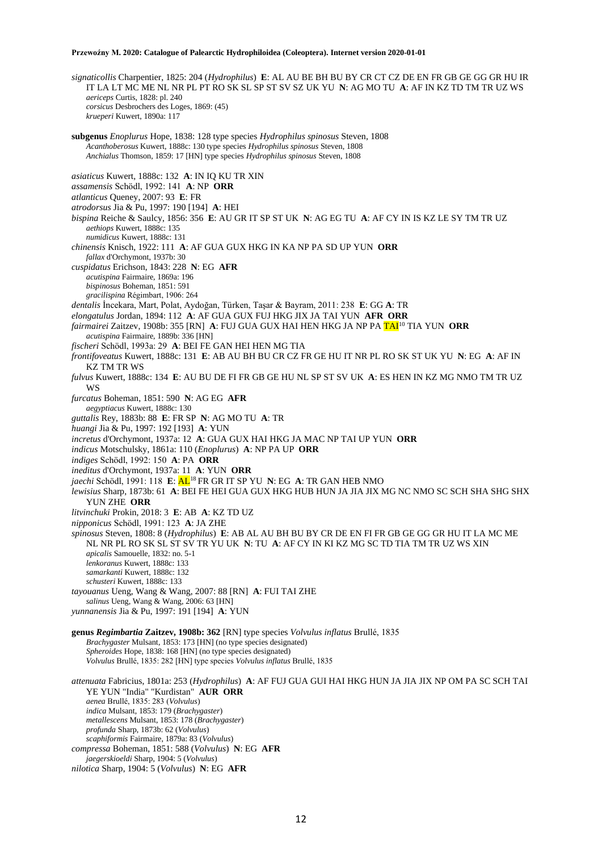*signaticollis* Charpentier, 1825: 204 (*Hydrophilus*) **E**: AL AU BE BH BU BY CR CT CZ DE EN FR GB GE GG GR HU IR IT LA LT MC ME NL NR PL PT RO SK SL SP ST SV SZ UK YU **N**: AG MO TU **A**: AF IN KZ TD TM TR UZ WS *aericeps* Curtis, 1828: pl. 240 *corsicus* Desbrochers des Loges, 1869: (45) *krueperi* Kuwert, 1890a: 117 **subgenus** *Enoplurus* Hope, 1838: 128 type species *Hydrophilus spinosus* Steven, 1808 *Acanthoberosus* Kuwert, 1888c: 130 type species *Hydrophilus spinosus* Steven, 1808 *Anchialus* Thomson, 1859: 17 [HN] type species *Hydrophilus spinosus* Steven, 1808 *asiaticus* Kuwert, 1888c: 132 **A**: IN IQ KU TR XIN *assamensis* Schödl, 1992: 141 **A**: NP **ORR** *atlanticus* Queney, 2007: 93 **E**: FR *atrodorsus* Jia & Pu, 1997: 190 [194] **A**: HEI *bispina* Reiche & Saulcy, 1856: 356 **E**: AU GR IT SP ST UK **N**: AG EG TU **A**: AF CY IN IS KZ LE SY TM TR UZ *aethiops* Kuwert, 1888c: 135 *numidicus* Kuwert, 1888c: 131 *chinensis* Knisch, 1922: 111 **A**: AF GUA GUX HKG IN KA NP PA SD UP YUN **ORR** *fallax* d'Orchymont, 1937b: 30 *cuspidatus* Erichson, 1843: 228 **N**: EG **AFR** *acutispina* Fairmaire, 1869a: 196 *bispinosus* Boheman, 1851: 591 *gracilispina* Régimbart, 1906: 264 *dentalis* İncekara, Mart, Polat, Aydoğan, Türken, Taşar & Bayram, 2011: 238 **E**: GG **A**: TR *elongatulus* Jordan, 1894: 112 **A**: AF GUA GUX FUJ HKG JIX JA TAI YUN **AFR ORR** *fairmairei* Zaitzev, 1908b: 355 [RN] **A**: FUJ GUA GUX HAI HEN HKG JA NP PA TAI<sup>10</sup> TIA YUN **ORR** *acutispina* Fairmaire, 1889b: 336 [HN] *fischeri* Schödl, 1993a: 29 **A**: BEI FE GAN HEI HEN MG TIA *frontifoveatus* Kuwert, 1888c: 131 **E**: AB AU BH BU CR CZ FR GE HU IT NR PL RO SK ST UK YU **N**: EG **A**: AF IN KZ TM TR WS *fulvus* Kuwert, 1888c: 134 **E**: AU BU DE FI FR GB GE HU NL SP ST SV UK **A**: ES HEN IN KZ MG NMO TM TR UZ **WS** *furcatus* Boheman, 1851: 590 **N**: AG EG **AFR** *aegyptiacus* Kuwert, 1888c: 130 *guttalis* Rey, 1883b: 88 **E**: FR SP **N**: AG MO TU **A**: TR *huangi* Jia & Pu, 1997: 192 [193] **A**: YUN *incretus* d'Orchymont, 1937a: 12 **A**: GUA GUX HAI HKG JA MAC NP TAI UP YUN **ORR** *indicus* Motschulsky, 1861a: 110 (*Enoplurus*) **A**: NP PA UP **ORR** *indiges* Schödl, 1992: 150 **A**: PA **ORR** *ineditus* d'Orchymont, 1937a: 11 **A**: YUN **ORR** *jaechi* Schödl, 1991: 118 **E**: AL<sup>18</sup> FR GR IT SP YU **N**: EG **A**: TR GAN HEB NMO *lewisius* Sharp, 1873b: 61 **A**: BEI FE HEI GUA GUX HKG HUB HUN JA JIA JIX MG NC NMO SC SCH SHA SHG SHX YUN ZHE **ORR** *litvinchuki* Prokin, 2018: 3 **E**: AB **A**: KZ TD UZ *nipponicus* Schödl, 1991: 123 **A**: JA ZHE *spinosus* Steven, 1808: 8 (*Hydrophilus*) **E**: AB AL AU BH BU BY CR DE EN FI FR GB GE GG GR HU IT LA MC ME NL NR PL RO SK SL ST SV TR YU UK **N**: TU **A**: AF CY IN KI KZ MG SC TD TIA TM TR UZ WS XIN *apicalis* Samouelle, 1832: no. 5-1 *lenkoranus* Kuwert, 1888c: 133 *samarkanti* Kuwert, 1888c: 132 *schusteri* Kuwert, 1888c: 133 *tayouanus* Ueng, Wang & Wang, 2007: 88 [RN] **A**: FUI TAI ZHE *salinus* Ueng, Wang & Wang, 2006: 63 [HN] *yunnanensis* Jia & Pu, 1997: 191 [194] **A**: YUN **genus** *Regimbartia* **Zaitzev, 1908b: 362** [RN] type species *Volvulus inflatus* Brullé, 1835 *Brachygaster* Mulsant, 1853: 173 [HN] (no type species designated) *Spheroides* Hope, 1838: 168 [HN] (no type species designated) *Volvulus* Brullé, 1835: 282 [HN] type species *Volvulus inflatus* Brullé, 1835 *attenuata* Fabricius, 1801a: 253 (*Hydrophilus*) **A**: AF FUJ GUA GUI HAI HKG HUN JA JIA JIX NP OM PA SC SCH TAI YE YUN "India" "Kurdistan" **AUR ORR** *aenea* Brullé, 1835: 283 (*Volvulus*) *indica* Mulsant, 1853: 179 (*Brachygaster*) *metallescens* Mulsant, 1853: 178 (*Brachygaster*) *profunda* Sharp, 1873b: 62 (*Volvulus*)

- *scaphiformis* Fairmaire, 1879a: 83 (*Volvulus*)
- *compressa* Boheman, 1851: 588 (*Volvulus*) **N**: EG **AFR**
- *jaegerskioeldi* Sharp, 1904: 5 (*Volvulus*)
- *nilotica* Sharp, 1904: 5 (*Volvulus*) **N**: EG **AFR**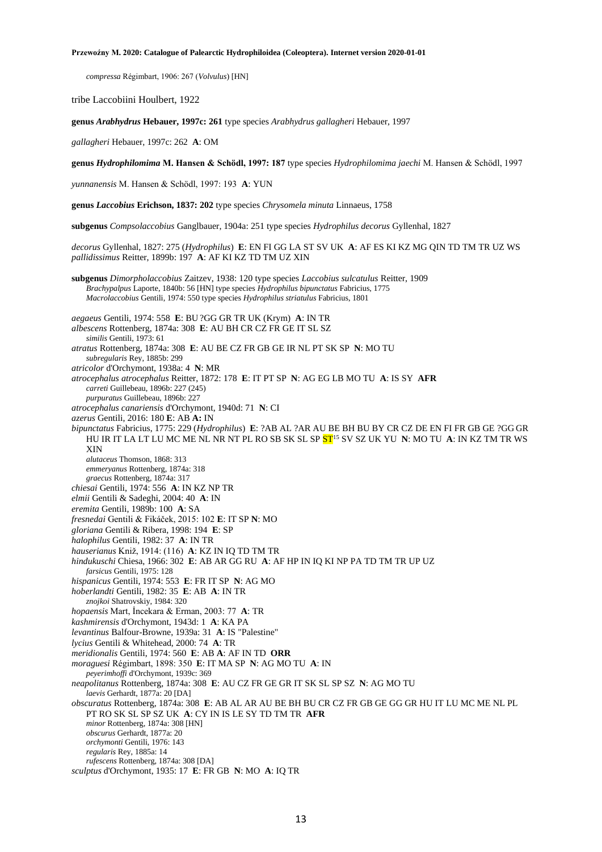*compressa* Régimbart, 1906: 267 (*Volvulus*) [HN]

tribe Laccobiini Houlbert, 1922

**genus** *Arabhydrus* **Hebauer, 1997c: 261** type species *Arabhydrus gallagheri* Hebauer, 1997

*gallagheri* Hebauer, 1997c: 262 **A**: OM

**genus** *Hydrophilomima* **M. Hansen & Schödl, 1997: 187** type species *Hydrophilomima jaechi* M. Hansen & Schödl, 1997

*yunnanensis* M. Hansen & Schödl, 1997: 193 **A**: YUN

**genus** *Laccobius* **Erichson, 1837: 202** type species *Chrysomela minuta* Linnaeus, 1758

**subgenus** *Compsolaccobius* Ganglbauer, 1904a: 251 type species *Hydrophilus decorus* Gyllenhal, 1827

*decorus* Gyllenhal, 1827: 275 (*Hydrophilus*) **E**: EN FI GG LA ST SV UK **A**: AF ES KI KZ MG QIN TD TM TR UZ WS *pallidissimus* Reitter, 1899b: 197 **A**: AF KI KZ TD TM UZ XIN

**subgenus** *Dimorpholaccobius* Zaitzev, 1938: 120 type species *Laccobius sulcatulus* Reitter, 1909 *Brachypalpus* Laporte, 1840b: 56 [HN] type species *Hydrophilus bipunctatus* Fabricius, 1775 *Macrolaccobius* Gentili, 1974: 550 type species *Hydrophilus striatulus* Fabricius, 1801

*aegaeus* Gentili, 1974: 558 **E**: BU ?GG GR TR UK (Krym) **A**: IN TR

*albescens* Rottenberg, 1874a: 308 **E**: AU BH CR CZ FR GE IT SL SZ

*similis* Gentili, 1973: 61

*atratus* Rottenberg, 1874a: 308 **E**: AU BE CZ FR GB GE IR NL PT SK SP **N**: MO TU

*subregularis* Rey, 1885b: 299

*atricolor* d'Orchymont, 1938a: 4 **N**: MR

- *atrocephalus atrocephalus* Reitter, 1872: 178 **E**: IT PT SP **N**: AG EG LB MO TU **A**: IS SY **AFR** *carreti* Guillebeau, 1896b: 227 (245)
- *purpuratus* Guillebeau, 1896b: 227

*atrocephalus canariensis* d'Orchymont, 1940d: 71 **N**: CI

*azerus* Gentili, 2016: 180 **E**: AB **A:** IN

*bipunctatus* Fabricius, 1775: 229 (*Hydrophilus*) **E**: ?AB AL ?AR AU BE BH BU BY CR CZ DE EN FI FR GB GE ?GG GR HU IR IT LA LT LU MC ME NL NR NT PL RO SB SK SL SP ST<sup>15</sup> SV SZ UK YU **N**: MO TU **A**: IN KZ TM TR WS XIN

*alutaceus* Thomson, 1868: 313

*emmeryanus* Rottenberg, 1874a: 318

*graecus* Rottenberg, 1874a: 317 *chiesai* Gentili, 1974: 556 **A**: IN KZ NP TR

*elmii* Gentili & Sadeghi, 2004: 40 **A**: IN

- *eremita* Gentili, 1989b: 100 **A**: SA
- 

*fresnedai* Gentili & Fikáček, 2015: 102 **E**: IT SP **N**: MO

- *gloriana* Gentili & Ribera, 1998: 194 **E**: SP *halophilus* Gentili, 1982: 37 **A**: IN TR
- *hauserianus* Kniž, 1914: (116) **A**: KZ IN IQ TD TM TR

*hindukuschi* Chiesa, 1966: 302 **E**: AB AR GG RU **A**: AF HP IN IQ KI NP PA TD TM TR UP UZ

- *farsicus* Gentili, 1975: 128
- *hispanicus* Gentili, 1974: 553 **E**: FR IT SP **N**: AG MO
- *hoberlandti* Gentili, 1982: 35 **E**: AB **A**: IN TR
- *znojkoi* Shatrovskiy, 1984: 320
- *hopaensis* Mart, İncekara & Erman, 2003: 77 **A**: TR
- *kashmirensis* d'Orchymont, 1943d: 1 **A**: KA PA
- *levantinus* Balfour-Browne, 1939a: 31 **A**: IS "Palestine"
- *lycius* Gentili & Whitehead, 2000: 74 **A**: TR
- *meridionalis* Gentili, 1974: 560 **E**: AB **A**: AF IN TD **ORR**
- *moraguesi* Régimbart, 1898: 350 **E**: IT MA SP **N**: AG MO TU **A**: IN
- *peyerimhoffi* d'Orchymont, 1939c: 369

*neapolitanus* Rottenberg, 1874a: 308 **E**: AU CZ FR GE GR IT SK SL SP SZ **N**: AG MO TU *laevis* Gerhardt, 1877a: 20 [DA]

*obscuratus* Rottenberg, 1874a: 308 **E**: AB AL AR AU BE BH BU CR CZ FR GB GE GG GR HU IT LU MC ME NL PL PT RO SK SL SP SZ UK **A**: CY IN IS LE SY TD TM TR **AFR** *minor* Rottenberg, 1874a: 308 [HN]

- *obscurus* Gerhardt, 1877a: 20 *orchymonti* Gentili, 1976: 143
- *regularis* Rey, 1885a: 14
- *rufescens* Rottenberg, 1874a: 308 [DA]
- *sculptus* d'Orchymont, 1935: 17 **E**: FR GB **N**: MO **A**: IQ TR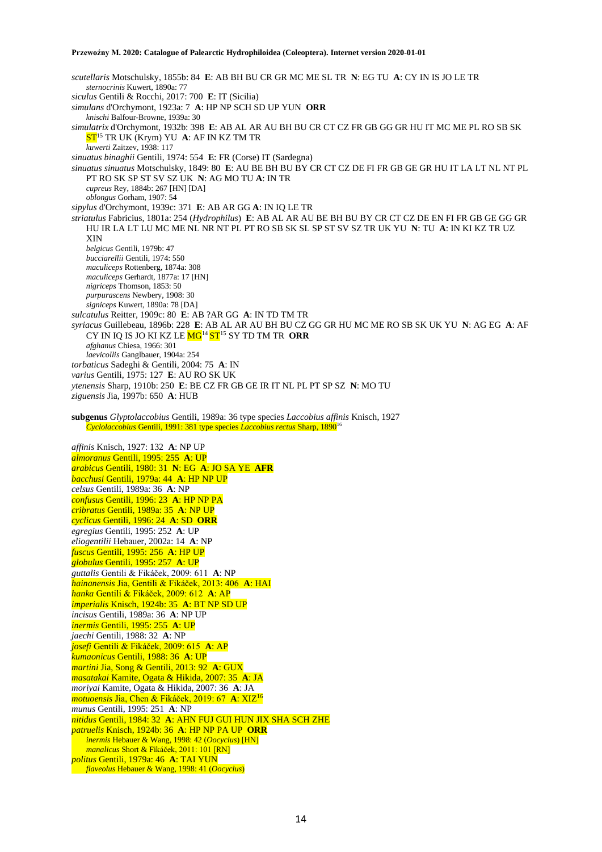*scutellaris* Motschulsky, 1855b: 84 **E**: AB BH BU CR GR MC ME SL TR **N**: EG TU **A**: CY IN IS JO LE TR *sternocrinis* Kuwert, 1890a: 77 *siculus* Gentili & Rocchi, 2017: 700 **E**: IT (Sicilia) *simulans* d'Orchymont, 1923a: 7 **A**: HP NP SCH SD UP YUN **ORR** *knischi* Balfour-Browne, 1939a: 30 *simulatrix* d'Orchymont, 1932b: 398 **E**: AB AL AR AU BH BU CR CT CZ FR GB GG GR HU IT MC ME PL RO SB SK ST<sup>15</sup> TR UK (Krym) YU **A**: AF IN KZ TM TR *kuwerti* Zaitzev, 1938: 117 *sinuatus binaghii* Gentili, 1974: 554 **E**: FR (Corse) IT (Sardegna) *sinuatus sinuatus* Motschulsky, 1849: 80 **E**: AU BE BH BU BY CR CT CZ DE FI FR GB GE GR HU IT LA LT NL NT PL PT RO SK SP ST SV SZ UK **N**: AG MO TU **A**: IN TR *cupreus* Rey, 1884b: 267 [HN] [DA] *oblongus* Gorham, 1907: 54 *sipylus* d'Orchymont, 1939c: 371 **E**: AB AR GG **A**: IN IQ LE TR *striatulus* Fabricius, 1801a: 254 (*Hydrophilus*) **E**: AB AL AR AU BE BH BU BY CR CT CZ DE EN FI FR GB GE GG GR HU IR LA LT LU MC ME NL NR NT PL PT RO SB SK SL SP ST SV SZ TR UK YU **N**: TU **A**: IN KI KZ TR UZ XIN *belgicus* Gentili, 1979b: 47 *bucciarellii* Gentili, 1974: 550 *maculiceps* Rottenberg, 1874a: 308 *maculiceps* Gerhardt, 1877a: 17 [HN] *nigriceps* Thomson, 1853: 50 *purpurascens* Newbery, 1908: 30 *signiceps* Kuwert, 1890a: 78 [DA] *sulcatulus* Reitter, 1909c: 80 **E**: AB ?AR GG **A**: IN TD TM TR *syriacus* Guillebeau, 1896b: 228 **E**: AB AL AR AU BH BU CZ GG GR HU MC ME RO SB SK UK YU **N**: AG EG **A**: AF CY IN IQ IS JO KI KZ LE MG<sup>14</sup> ST<sup>15</sup> SY TD TM TR **ORR** *afghanus* Chiesa, 1966: 301 *laevicollis* Ganglbauer, 1904a: 254 *torbaticus* Sadeghi & Gentili, 2004: 75 **A**: IN *varius* Gentili, 1975: 127 **E**: AU RO SK UK *ytenensis* Sharp, 1910b: 250 **E**: BE CZ FR GB GE IR IT NL PL PT SP SZ **N**: MO TU *ziguensis* Jia, 1997b: 650 **A**: HUB **subgenus** *Glyptolaccobius* Gentili, 1989a: 36 type species *Laccobius affinis* Knisch, 1927 *Cyclolaccobius* Gentili, 1991: 381 type species *Laccobius rectus* Sharp, 1890<sup>16</sup> *affinis* Knisch, 1927: 132 **A**: NP UP *almoranus* Gentili, 1995: 255 **A**: UP *arabicus* Gentili, 1980: 31 **N**: EG **A**: JO SA YE **AFR** *bacchusi* Gentili, 1979a: 44 **A**: HP NP UP *celsus* Gentili, 1989a: 36 **A**: NP *confusus* Gentili, 1996: 23 **A**: HP NP PA *cribratus* Gentili, 1989a: 35 **A**: NP UP *cyclicus* Gentili, 1996: 24 **A**: SD **ORR** *egregius* Gentili, 1995: 252 **A**: UP *eliogentilii* Hebauer, 2002a: 14 **A**: NP *fuscus* Gentili, 1995: 256 **A**: HP UP *globulus* Gentili, 1995: 257 **A**: UP *guttalis* Gentili & Fikáček, 2009: 611 **A**: NP *hainanensis* Jia, Gentili & Fikáček, 2013: 406 **A**: HAI *hanka* Gentili & Fikáček, 2009: 612 **A**: AP *imperialis* Knisch, 1924b: 35 **A**: BT NP SD UP *incisus* Gentili, 1989a: 36 **A**: NP UP *inermis* Gentili, 1995: 255 **A**: UP *jaechi* Gentili, 1988: 32 **A**: NP *josefi* Gentili & Fikáček, 2009: 615 **A**: AP *kumaonicus* Gentili, 1988: 36 **A**: UP *martini* Jia, Song & Gentili, 2013: 92 **A**: GUX *masatakai* Kamite, Ogata & Hikida, 2007: 35 **A**: JA *moriyai* Kamite, Ogata & Hikida, 2007: 36 **A**: JA *motuoensis* Jia, Chen & Fikáček, 2019: 67 **A**: XIZ<sup>16</sup> *munus* Gentili, 1995: 251 **A**: NP *nitidus* Gentili, 1984: 32 **A**: AHN FUJ GUI HUN JIX SHA SCH ZHE *patruelis* Knisch, 1924b: 36 **A**: HP NP PA UP **ORR** *inermis* Hebauer & Wang, 1998: 42 (*Oocyclus*) [HN] *manalicus* Short & Fikáček, 2011: 101 [RN] *politus* Gentili, 1979a: 46 **A**: TAI YUN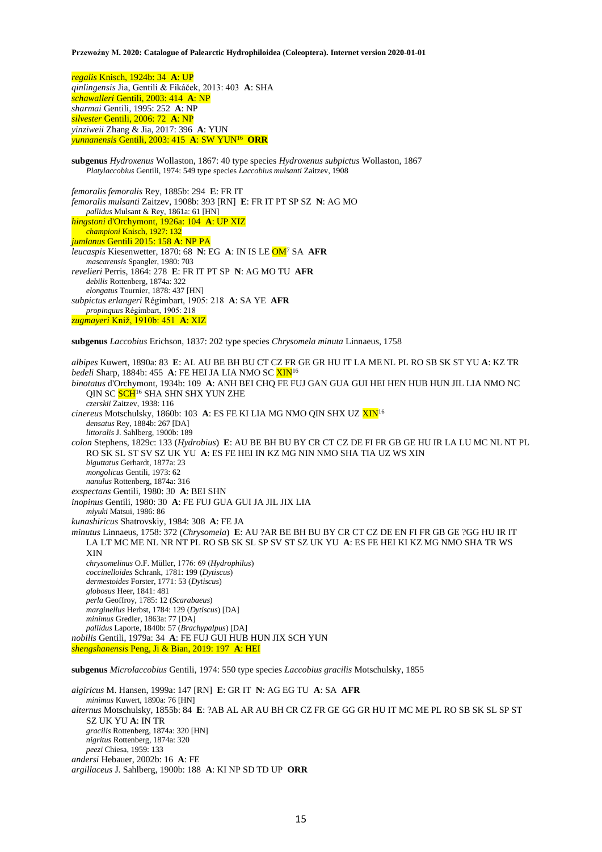*regalis* Knisch, 1924b: 34 **A**: UP *qinlingensis* Jia, Gentili & Fikáček, 2013: 403 **A**: SHA *schawalleri* Gentili, 2003: 414 **A**: NP *sharmai* Gentili, 1995: 252 **A**: NP *silvester* Gentili, 2006: 72 **A**: NP *yinziweii* Zhang & Jia, 2017: 396 **A**: YUN *yunnanensis* Gentili, 2003: 415 **A**: SW YUN<sup>16</sup> **ORR**

**subgenus** *Hydroxenus* Wollaston, 1867: 40 type species *Hydroxenus subpictus* Wollaston, 1867 *Platylaccobius* Gentili, 1974: 549 type species *Laccobius mulsanti* Zaitzev, 1908

*femoralis femoralis* Rey, 1885b: 294 **E**: FR IT *femoralis mulsanti* Zaitzev, 1908b: 393 [RN] **E**: FR IT PT SP SZ **N**: AG MO *pallidus* Mulsant & Rey, 1861a: 61 [HN] *hingstoni* d'Orchymont, 1926a: 104 **A**: UP XIZ *championi* Knisch, 1927: 132 *jumlanus* Gentili 2015: 158 **A**: NP PA *leucaspis* Kiesenwetter, 1870: 68 **N**: EG **A**: IN IS LE OM<sup>7</sup> SA **AFR** *mascarensis* Spangler, 1980: 703 *revelieri* Perris, 1864: 278 **E**: FR IT PT SP **N**: AG MO TU **AFR** *debilis* Rottenberg, 1874a: 322 *elongatus* Tournier, 1878: 437 [HN] *subpictus erlangeri* Régimbart, 1905: 218 **A**: SA YE **AFR** *propinquus* Régimbart, 1905: 218 *zugmayeri* Kniž, 1910b: 451 **A**: XIZ

**subgenus** *Laccobius* Erichson, 1837: 202 type species *Chrysomela minuta* Linnaeus, 1758

*albipes* Kuwert, 1890a: 83 **E**: AL AU BE BH BU CT CZ FR GE GR HU IT LA ME NL PL RO SB SK ST YU **A**: KZ TR *bedeli* Sharp, 1884b: 455 **A**: FE HEI JA LIA NMO SC XIN<sup>16</sup> *binotatus* d'Orchymont, 1934b: 109 **A**: ANH BEI CHQ FE FUJ GAN GUA GUI HEI HEN HUB HUN JIL LIA NMO NC QIN SC SCH<sup>16</sup> SHA SHN SHX YUN ZHE *czerskii* Zaitzev, 1938: 116 *cinereus* Motschulsky, 1860b: 103 A: ES FE KI LIA MG NMO QIN SHX UZ XIN<sup>16</sup> *densatus* Rey, 1884b: 267 [DA] *littoralis* J. Sahlberg, 1900b: 189 *colon* Stephens, 1829c: 133 (*Hydrobius*) **E**: AU BE BH BU BY CR CT CZ DE FI FR GB GE HU IR LA LU MC NL NT PL RO SK SL ST SV SZ UK YU **A**: ES FE HEI IN KZ MG NIN NMO SHA TIA UZ WS XIN *biguttatus* Gerhardt, 1877a: 23 *mongolicus* Gentili, 1973: 62 *nanulus* Rottenberg, 1874a: 316 *exspectans* Gentili, 1980: 30 **A**: BEI SHN *inopinus* Gentili, 1980: 30 **A**: FE FUJ GUA GUI JA JIL JIX LIA *miyuki* Matsui, 1986: 86 *kunashiricus* Shatrovskiy, 1984: 308 **A**: FE JA *minutus* Linnaeus, 1758: 372 (*Chrysomela*) **E**: AU ?AR BE BH BU BY CR CT CZ DE EN FI FR GB GE ?GG HU IR IT LA LT MC ME NL NR NT PL RO SB SK SL SP SV ST SZ UK YU **A**: ES FE HEI KI KZ MG NMO SHA TR WS XIN *chrysomelinus* O.F. Müller, 1776: 69 (*Hydrophilus*) *coccinelloides* Schrank, 1781: 199 (*Dytiscus*) *dermestoides* Forster, 1771: 53 (*Dytiscus*) *globosus* Heer, 1841: 481 *perla* Geoffroy, 1785: 12 (*Scarabaeus*) *marginellus* Herbst, 1784: 129 (*Dytiscus*) [DA] *minimus* Gredler, 1863a: 77 [DA] *pallidus* Laporte, 1840b: 57 (*Brachypalpus*) [DA] *nobilis* Gentili, 1979a: 34 **A**: FE FUJ GUI HUB HUN JIX SCH YUN *shengshanensis* Peng, Ji & Bian, 2019: 197 **A**: HEI **subgenus** *Microlaccobius* Gentili, 1974: 550 type species *Laccobius gracilis* Motschulsky, 1855

*algiricus* M. Hansen, 1999a: 147 [RN] **E**: GR IT **N**: AG EG TU **A**: SA **AFR** *minimus* Kuwert, 1890a: 76 [HN] *alternus* Motschulsky, 1855b: 84 **E**: ?AB AL AR AU BH CR CZ FR GE GG GR HU IT MC ME PL RO SB SK SL SP ST SZ UK YU **A**: IN TR *gracilis* Rottenberg, 1874a: 320 [HN] *nigritus* Rottenberg, 1874a: 320 *peezi* Chiesa, 1959: 133 *andersi* Hebauer, 2002b: 16 **A**: FE *argillaceus* J. Sahlberg, 1900b: 188 **A**: KI NP SD TD UP **ORR**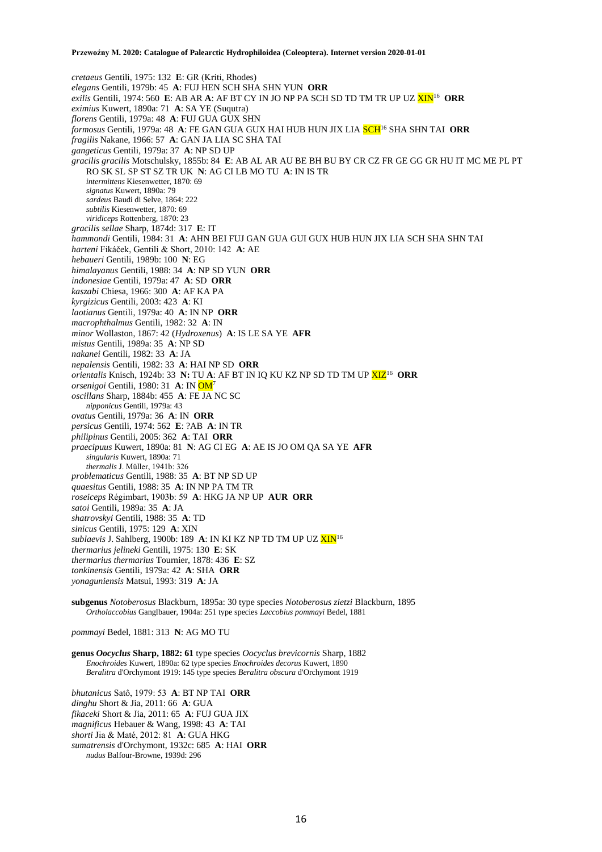*cretaeus* Gentili, 1975: 132 **E**: GR (Kríti, Rhodes) *elegans* Gentili, 1979b: 45 **A**: FUJ HEN SCH SHA SHN YUN **ORR** *exilis* Gentili, 1974: 560 **E**: AB AR **A**: AF BT CY IN JO NP PA SCH SD TD TM TR UP UZ XIN<sup>16</sup> **ORR** *eximius* Kuwert, 1890a: 71 **A**: SA YE (Suqutra) *florens* Gentili, 1979a: 48 **A**: FUJ GUA GUX SHN *formosus* Gentili, 1979a: 48 **A**: FE GAN GUA GUX HAI HUB HUN JIX LIA SCH<sup>16</sup> SHA SHN TAI **ORR** *fragilis* Nakane, 1966: 57 **A**: GAN JA LIA SC SHA TAI *gangeticus* Gentili, 1979a: 37 **A**: NP SD UP *gracilis gracilis* Motschulsky, 1855b: 84 **E**: AB AL AR AU BE BH BU BY CR CZ FR GE GG GR HU IT MC ME PL PT RO SK SL SP ST SZ TR UK **N**: AG CI LB MO TU **A**: IN IS TR *intermittens* Kiesenwetter, 1870: 69 *signatus* Kuwert, 1890a: 79 *sardeus* Baudi di Selve, 1864: 222 *subtilis* Kiesenwetter, 1870: 69 *viridiceps* Rottenberg, 1870: 23 *gracilis sellae* Sharp, 1874d: 317 **E**: IT *hammondi* Gentili, 1984: 31 **A**: AHN BEI FUJ GAN GUA GUI GUX HUB HUN JIX LIA SCH SHA SHN TAI *harteni* Fikáček, Gentili & Short, 2010: 142 **A**: AE *hebaueri* Gentili, 1989b: 100 **N**: EG *himalayanus* Gentili, 1988: 34 **A**: NP SD YUN **ORR** *indonesiae* Gentili, 1979a: 47 **A**: SD **ORR** *kaszabi* Chiesa, 1966: 300 **A**: AF KA PA *kyrgizicus* Gentili, 2003: 423 **A**: KI *laotianus* Gentili, 1979a: 40 **A**: IN NP **ORR** *macrophthalmus* Gentili, 1982: 32 **A**: IN *minor* Wollaston, 1867: 42 (*Hydroxenus*) **A**: IS LE SA YE **AFR** *mistus* Gentili, 1989a: 35 **A**: NP SD *nakanei* Gentili, 1982: 33 **A**: JA *nepalensis* Gentili, 1982: 33 **A**: HAI NP SD **ORR** *orientalis* Knisch, 1924b: 33 **N:** TU **A**: AF BT IN IQ KU KZ NP SD TD TM UP XIZ<sup>16</sup> **ORR** *orsenigoi* Gentili, 1980: 31 **A**: IN OM<sup>7</sup> *oscillans* Sharp, 1884b: 455 **A**: FE JA NC SC *nipponicus* Gentili, 1979a: 43 *ovatus* Gentili, 1979a: 36 **A**: IN **ORR** *persicus* Gentili, 1974: 562 **E**: ?AB **A**: IN TR *philipinus* Gentili, 2005: 362 **A**: TAI **ORR** *praecipuus* Kuwert, 1890a: 81 **N**: AG CI EG **A**: AE IS JO OM QA SA YE **AFR** *singularis* Kuwert, 1890a: 71 *thermalis* J. Müller, 1941b: 326 *problematicus* Gentili, 1988: 35 **A**: BT NP SD UP *quaesitus* Gentili, 1988: 35 **A**: IN NP PA TM TR *roseiceps* Régimbart, 1903b: 59 **A**: HKG JA NP UP **AUR ORR** *satoi* Gentili, 1989a: 35 **A**: JA *shatrovskyi* Gentili, 1988: 35 **A**: TD *sinicus* Gentili, 1975: 129 **A**: XIN *sublaevis* J. Sahlberg, 1900b: 189 **A**: IN KI KZ NP TD TM UP UZ XIN<sup>16</sup> *thermarius jelineki* Gentili, 1975: 130 **E**: SK *thermarius thermarius* Tournier, 1878: 436 **E**: SZ *tonkinensis* Gentili, 1979a: 42 **A**: SHA **ORR** *yonaguniensis* Matsui, 1993: 319 **A**: JA **subgenus** *Notoberosus* Blackburn, 1895a: 30 type species *Notoberosus zietzi* Blackburn, 1895

*pommayi* Bedel, 1881: 313 **N**: AG MO TU

**genus** *Oocyclus* **Sharp, 1882: 61** type species *Oocyclus brevicornis* Sharp, 1882 *Enochroides* Kuwert, 1890a: 62 type species *Enochroides decorus* Kuwert, 1890 *Beralitra* d'Orchymont 1919: 145 type species *Beralitra obscura* d'Orchymont 1919

*Ortholaccobius* Ganglbauer, 1904a: 251 type species *Laccobius pommayi* Bedel, 1881

*bhutanicus* Satô, 1979: 53 **A**: BT NP TAI **ORR** *dinghu* Short & Jia, 2011: 66 **A**: GUA *fikaceki* Short & Jia, 2011: 65 **A**: FUJ GUA JIX *magnificus* Hebauer & Wang, 1998: 43 **A**: TAI *shorti* Jia & Maté, 2012: 81 **A**: GUA HKG *sumatrensis* d'Orchymont, 1932c: 685 **A**: HAI **ORR** *nudus* Balfour-Browne, 1939d: 296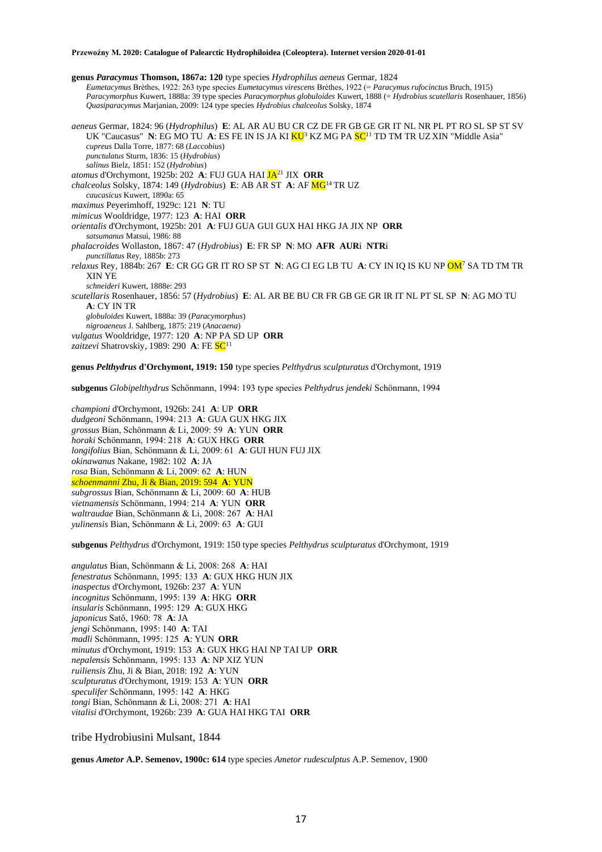**genus** *Paracymus* **Thomson, 1867a: 120** type species *Hydrophilus aeneus* Germar, 1824 *Eumetacymus* Brèthes, 1922: 263 type species *Eumetacymus virescens* Brèthes, 1922 (= *Paracymus rufocinctus* Bruch, 1915) *Paracymorphus* Kuwert, 1888a: 39 type species *Paracymorphus globuloides* Kuwert, 1888 (= *Hydrobius scutellaris* Rosenhauer, 1856) *Quasiparacymus* Marjanian, 2009: 124 type species *Hydrobius chalceolus* Solsky, 1874 *aeneus* Germar, 1824: 96 (*Hydrophilus*) **E**: AL AR AU BU CR CZ DE FR GB GE GR IT NL NR PL PT RO SL SP ST SV UK "Caucasus" **N**: EG MO TU **A**: ES FE IN IS JA KI <mark>KU<sup>3</sup> KZ MG PA SC<sup>11</sup> TD TM TR UZ XIN "Middle Asia"</mark> *cupreus* Dalla Torre, 1877: 68 (*Laccobius*) *punctulatus* Sturm, 1836: 15 (*Hydrobius*) *salinus* Bielz, 1851: 152 (*Hydrobius*) *atomus* d'Orchymont, 1925b: 202 **A**: FUJ GUA HAI JA<sup>21</sup> JIX **ORR** *chalceolus* Solsky, 1874: 149 (*Hydrobius*) **E**: AB AR ST **A**: AF MG<sup>14</sup> TR UZ *caucasicus* Kuwert, 1890a: 65 *maximus* Peyerimhoff, 1929c: 121 **N**: TU *mimicus* Wooldridge, 1977: 123 **A**: HAI **ORR** *orientalis* d'Orchymont, 1925b: 201 **A**: FUJ GUA GUI GUX HAI HKG JA JIX NP **ORR** *satsumanus* Matsui, 1986: 88 *phalacroides* Wollaston, 1867: 47 (*Hydrobius*) **E**: FR SP **N**: MO **AFR AUR**i **NTR**i *punctillatus* Rey, 1885b: 273 *relaxus* Rey, 1884b: 267 **E**: CR GG GR IT RO SP ST **N**: AG CI EG LB TU **A**: CY IN IQ IS KU NP OM<sup>7</sup> SA TD TM TR XIN YE *schneideri* Kuwert, 1888e: 293 *scutellaris* Rosenhauer, 1856: 57 (*Hydrobius*) **E**: AL AR BE BU CR FR GB GE GR IR IT NL PT SL SP **N**: AG MO TU **A**: CY IN TR *globuloides* Kuwert, 1888a: 39 (*Paracymorphus*) *nigroaeneus* J. Sahlberg, 1875: 219 (*Anacaena*) *vulgatus* Wooldridge, 1977: 120 **A**: NP PA SD UP **ORR** zaitzevi Shatrovskiy, 1989: 290 A: FE SC<sup>11</sup> **genus** *Pelthydrus* **d'Orchymont, 1919: 150** type species *Pelthydrus sculpturatus* d'Orchymont, 1919

**subgenus** *Globipelthydrus* Schönmann, 1994: 193 type species *Pelthydrus jendeki* Schönmann, 1994

*championi* d'Orchymont, 1926b: 241 **A**: UP **ORR** *dudgeoni* Schönmann, 1994: 213 **A**: GUA GUX HKG JIX *grossus* Bian, Schönmann & Li, 2009: 59 **A**: YUN **ORR** *horaki* Schönmann, 1994: 218 **A**: GUX HKG **ORR** *longifolius* Bian, Schönmann & Li, 2009: 61 **A**: GUI HUN FUJ JIX *okinawanus* Nakane, 1982: 102 **A**: JA *rosa* Bian, Schönmann & Li, 2009: 62 **A**: HUN *schoenmanni* Zhu, Ji & Bian, 2019: 594 **A**: YUN *subgrossus* Bian, Schönmann & Li, 2009: 60 **A**: HUB *vietnamensis* Schönmann, 1994: 214 **A**: YUN **ORR** *waltraudae* Bian, Schönmann & Li, 2008: 267 **A**: HAI *yulinensis* Bian, Schönmann & Li, 2009: 63 **A**: GUI

**subgenus** *Pelthydrus* d'Orchymont, 1919: 150 type species *Pelthydrus sculpturatus* d'Orchymont, 1919

*angulatus* Bian, Schönmann & Li, 2008: 268 **A**: HAI *fenestratus* Schönmann, 1995: 133 **A**: GUX HKG HUN JIX *inaspectus* d'Orchymont, 1926b: 237 **A**: YUN *incognitus* Schönmann, 1995: 139 **A**: HKG **ORR** *insularis* Schönmann, 1995: 129 **A**: GUX HKG *japonicus* Satô, 1960: 78 **A**: JA *jengi* Schönmann, 1995: 140 **A**: TAI *madli* Schönmann, 1995: 125 **A**: YUN **ORR** *minutus* d'Orchymont, 1919: 153 **A**: GUX HKG HAI NP TAI UP **ORR** *nepalensis* Schönmann, 1995: 133 **A**: NP XIZ YUN *ruiliensis* Zhu, Ji & Bian, 2018: 192 **A**: YUN *sculpturatus* d'Orchymont, 1919: 153 **A**: YUN **ORR** *speculifer* Schönmann, 1995: 142 **A**: HKG *tongi* Bian, Schönmann & Li, 2008: 271 **A**: HAI *vitalisi* d'Orchymont, 1926b: 239 **A**: GUA HAI HKG TAI **ORR**

tribe Hydrobiusini Mulsant, 1844

**genus** *Ametor* **A.P. Semenov, 1900c: 614** type species *Ametor rudesculptus* A.P. Semenov, 1900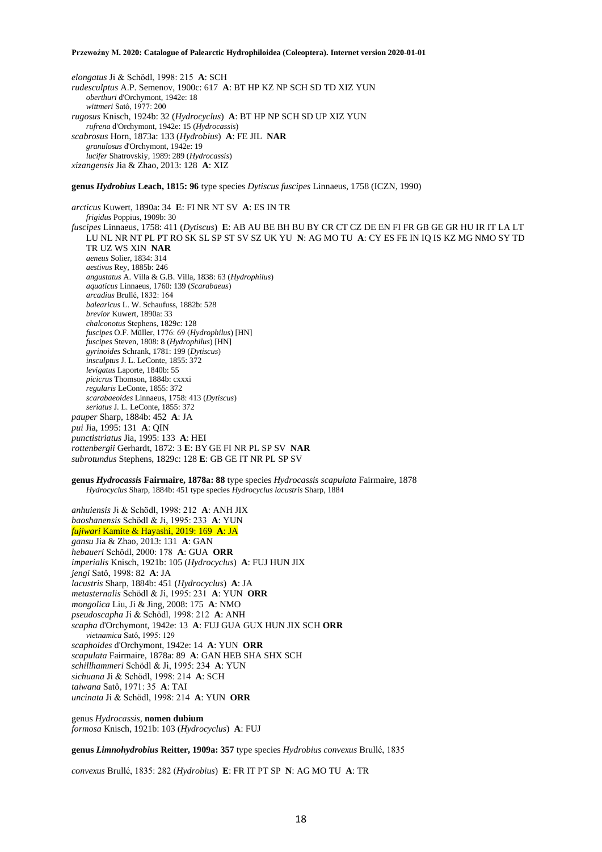*elongatus* Ji & Schödl, 1998: 215 **A**: SCH *rudesculptus* A.P. Semenov, 1900c: 617 **A**: BT HP KZ NP SCH SD TD XIZ YUN *oberthuri* d'Orchymont, 1942e: 18 *wittmeri* Satô, 1977: 200 *rugosus* Knisch, 1924b: 32 (*Hydrocyclus*) **A**: BT HP NP SCH SD UP XIZ YUN *rufrena* d'Orchymont, 1942e: 15 (*Hydrocassis*) *scabrosus* Horn, 1873a: 133 (*Hydrobius*) **A**: FE JIL **NAR** *granulosus* d'Orchymont, 1942e: 19 *lucifer* Shatrovskiy, 1989: 289 (*Hydrocassis*) *xizangensis* Jia & Zhao, 2013: 128 **A**: XIZ

**genus** *Hydrobius* **Leach, 1815: 96** type species *Dytiscus fuscipes* Linnaeus, 1758 (ICZN, 1990)

*arcticus* Kuwert, 1890a: 34 **E**: FI NR NT SV **A**: ES IN TR *frigidus* Poppius, 1909b: 30 *fuscipes* Linnaeus, 1758: 411 (*Dytiscus*) **E**: AB AU BE BH BU BY CR CT CZ DE EN FI FR GB GE GR HU IR IT LA LT LU NL NR NT PL PT RO SK SL SP ST SV SZ UK YU **N**: AG MO TU **A**: CY ES FE IN IQ IS KZ MG NMO SY TD TR UZ WS XIN **NAR** *aeneus* Solier, 1834: 314 *aestivus* Rey, 1885b: 246 *angustatus* A. Villa & G.B. Villa, 1838: 63 (*Hydrophilus*) *aquaticus* Linnaeus, 1760: 139 (*Scarabaeus*) *arcadius* Brullé, 1832: 164 *balearicus* L. W. Schaufuss, 1882b: 528 *brevior* Kuwert, 1890a: 33 *chalconotus* Stephens, 1829c: 128 *fuscipes* O.F. Müller, 1776: 69 (*Hydrophilus*) [HN] *fuscipes* Steven, 1808: 8 (*Hydrophilus*) [HN] *gyrinoides* Schrank, 1781: 199 (*Dytiscus*) *insculptus* J. L. LeConte, 1855: 372 *levigatus* Laporte, 1840b: 55 *picicrus* Thomson, 1884b: cxxxi *regularis* LeConte, 1855: 372 *scarabaeoides* Linnaeus, 1758: 413 (*Dytiscus*) *seriatus* J. L. LeConte, 1855: 372 *pauper* Sharp, 1884b: 452 **A**: JA *pui* Jia, 1995: 131 **A**: QIN *punctistriatus* Jia, 1995: 133 **A**: HEI *rottenbergii* Gerhardt, 1872: 3 **E**: BY GE FI NR PL SP SV **NAR** *subrotundus* Stephens, 1829c: 128 **E**: GB GE IT NR PL SP SV

**genus** *Hydrocassis* **Fairmaire, 1878a: 88** type species *Hydrocassis scapulata* Fairmaire, 1878 *Hydrocyclus* Sharp, 1884b: 451 type species *Hydrocyclus lacustris* Sharp, 1884

*anhuiensis* Ji & Schödl, 1998: 212 **A**: ANH JIX *baoshanensis* Schödl & Ji, 1995: 233 **A**: YUN *fujiwari* Kamite & Hayashi, 2019: 169 **A**: JA *gansu* Jia & Zhao, 2013: 131 **A**: GAN *hebaueri* Schödl, 2000: 178 **A**: GUA **ORR** *imperialis* Knisch, 1921b: 105 (*Hydrocyclus*) **A**: FUJ HUN JIX *jengi* Satô, 1998: 82 **A**: JA *lacustris* Sharp, 1884b: 451 (*Hydrocyclus*) **A**: JA *metasternalis* Schödl & Ji, 1995: 231 **A**: YUN **ORR** *mongolica* Liu, Ji & Jing, 2008: 175 **A**: NMO *pseudoscapha* Ji & Schödl, 1998: 212 **A**: ANH *scapha* d'Orchymont, 1942e: 13 **A**: FUJ GUA GUX HUN JIX SCH **ORR** *vietnamica* Satô, 1995: 129 *scaphoides* d'Orchymont, 1942e: 14 **A**: YUN **ORR** *scapulata* Fairmaire, 1878a: 89 **A**: GAN HEB SHA SHX SCH *schillhammeri* Schödl & Ji, 1995: 234 **A**: YUN *sichuana* Ji & Schödl, 1998: 214 **A**: SCH *taiwana* Satô, 1971: 35 **A**: TAI *uncinata* Ji & Schödl, 1998: 214 **A**: YUN **ORR**

genus *Hydrocassis,* **nomen dubium** *formosa* Knisch, 1921b: 103 (*Hydrocyclus*) **A**: FUJ

**genus** *Limnohydrobius* **Reitter, 1909a: 357** type species *Hydrobius convexus* Brullé, 1835

*convexus* Brullé, 1835: 282 (*Hydrobius*) **E**: FR IT PT SP **N**: AG MO TU **A**: TR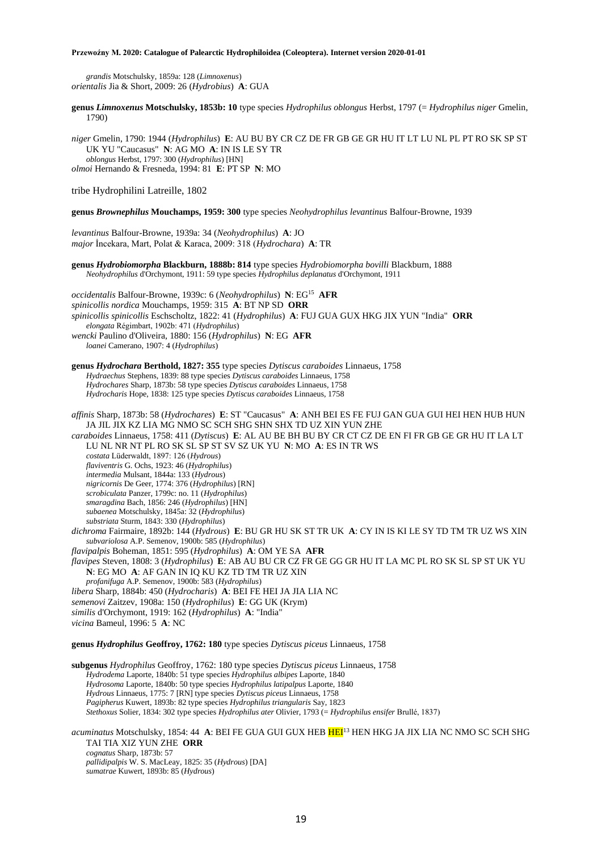*grandis* Motschulsky, 1859a: 128 (*Limnoxenus*) *orientalis* Jia & Short, 2009: 26 (*Hydrobius*) **A**: GUA

**genus** *Limnoxenus* **Motschulsky, 1853b: 10** type species *Hydrophilus oblongus* Herbst, 1797 (= *Hydrophilus niger* Gmelin, 1790)

*niger* Gmelin, 1790: 1944 (*Hydrophilus*) **E**: AU BU BY CR CZ DE FR GB GE GR HU IT LT LU NL PL PT RO SK SP ST UK YU "Caucasus" **N**: AG MO **A**: IN IS LE SY TR *oblongus* Herbst, 1797: 300 (*Hydrophilus*) [HN] *olmoi* Hernando & Fresneda, 1994: 81 **E**: PT SP **N**: MO

tribe Hydrophilini Latreille, 1802

**genus** *Brownephilus* **Mouchamps, 1959: 300** type species *Neohydrophilus levantinus* Balfour-Browne, 1939

*levantinus* Balfour-Browne, 1939a: 34 (*Neohydrophilus*) **A**: JO *major* İncekara, Mart, Polat & Karaca, 2009: 318 (*Hydrochara*) **A**: TR

**genus** *Hydrobiomorpha* **Blackburn, 1888b: 814** type species *Hydrobiomorpha bovilli* Blackburn, 1888 *Neohydrophilus* d'Orchymont, 1911: 59 type species *Hydrophilus deplanatus* d'Orchymont, 1911

*occidentalis* Balfour-Browne, 1939c: 6 (*Neohydrophilus*) **N**: EG<sup>15</sup> **AFR** *spinicollis nordica* Mouchamps, 1959: 315 **A**: BT NP SD **ORR** *spinicollis spinicollis* Eschscholtz, 1822: 41 (*Hydrophilus*) **A**: FUJ GUA GUX HKG JIX YUN "India" **ORR** *elongata* Régimbart, 1902b: 471 (*Hydrophilus*) *wencki* Paulino d'Oliveira, 1880: 156 (*Hydrophilus*) **N**: EG **AFR** *loanei* Camerano, 1907: 4 (*Hydrophilus*)

**genus** *Hydrochara* **Berthold, 1827: 355** type species *Dytiscus caraboides* Linnaeus, 1758 *Hydraechus* Stephens, 1839: 88 type species *Dytiscus caraboides* Linnaeus, 1758 *Hydrochares* Sharp, 1873b: 58 type species *Dytiscus caraboides* Linnaeus, 1758 *Hydrocharis* Hope, 1838: 125 type species *Dytiscus caraboides* Linnaeus, 1758

*affinis* Sharp, 1873b: 58 (*Hydrochares*) **E**: ST "Caucasus" **A**: ANH BEI ES FE FUJ GAN GUA GUI HEI HEN HUB HUN JA JIL JIX KZ LIA MG NMO SC SCH SHG SHN SHX TD UZ XIN YUN ZHE *caraboides* Linnaeus, 1758: 411 (*Dytiscus*) **E**: AL AU BE BH BU BY CR CT CZ DE EN FI FR GB GE GR HU IT LA LT LU NL NR NT PL RO SK SL SP ST SV SZ UK YU **N**: MO **A**: ES IN TR WS *costata* Lüderwaldt, 1897: 126 (*Hydrous*) *flaviventris* G. Ochs, 1923: 46 (*Hydrophilus*) *intermedia* Mulsant, 1844a: 133 (*Hydrous*) *nigricornis* De Geer, 1774: 376 (*Hydrophilus*) [RN] *scrobiculata* Panzer, 1799c: no. 11 (*Hydrophilus*) *smaragdina* Bach, 1856: 246 (*Hydrophilus*) [HN] *subaenea* Motschulsky, 1845a: 32 (*Hydrophilus*) *substriata* Sturm, 1843: 330 (*Hydrophilus*) *dichroma* Fairmaire, 1892b: 144 (*Hydrous*) **E**: BU GR HU SK ST TR UK **A**: CY IN IS KI LE SY TD TM TR UZ WS XIN *subvariolosa* A.P. Semenov, 1900b: 585 (*Hydrophilus*) *flavipalpis* Boheman, 1851: 595 (*Hydrophilus*) **A**: OM YE SA **AFR** *flavipes* Steven, 1808: 3 (*Hydrophilus*) **E**: AB AU BU CR CZ FR GE GG GR HU IT LA MC PL RO SK SL SP ST UK YU **N**: EG MO **A**: AF GAN IN IQ KU KZ TD TM TR UZ XIN *profanifuga* A.P. Semenov, 1900b: 583 (*Hydrophilus*) *libera* Sharp, 1884b: 450 (*Hydrocharis*) **A**: BEI FE HEI JA JIA LIA NC *semenovi* Zaitzev, 1908a: 150 (*Hydrophilus*) **E**: GG UK (Krym) *similis* d'Orchymont, 1919: 162 (*Hydrophilus*) **A**: "India" *vicina* Bameul, 1996: 5 **A**: NC

**genus** *Hydrophilus* **Geoffroy, 1762: 180** type species *Dytiscus piceus* Linnaeus, 1758

**subgenus** *Hydrophilus* Geoffroy, 1762: 180 type species *Dytiscus piceus* Linnaeus, 1758 *Hydrodema* Laporte, 1840b: 51 type species *Hydrophilus albipes* Laporte, 1840 *Hydrosoma* Laporte, 1840b: 50 type species *Hydrophilus latipalpus* Laporte, 1840 *Hydrous* Linnaeus, 1775: 7 [RN] type species *Dytiscus piceus* Linnaeus, 1758 *Pagipherus* Kuwert, 1893b: 82 type species *Hydrophilus triangularis* Say, 1823 *Stethoxus* Solier, 1834: 302 type species *Hydrophilus ater* Olivier, 1793 (= *Hydrophilus ensifer* Brullé, 1837)

*acuminatus* Motschulsky, 1854: 44 **A**: BEI FE GUA GUI GUX HEB HEI<sup>13</sup> HEN HKG JA JIX LIA NC NMO SC SCH SHG TAI TIA XIZ YUN ZHE **ORR** *cognatus* Sharp, 1873b: 57 *pallidipalpis* W. S. MacLeay, 1825: 35 (*Hydrous*) [DA] *sumatrae* Kuwert, 1893b: 85 (*Hydrous*)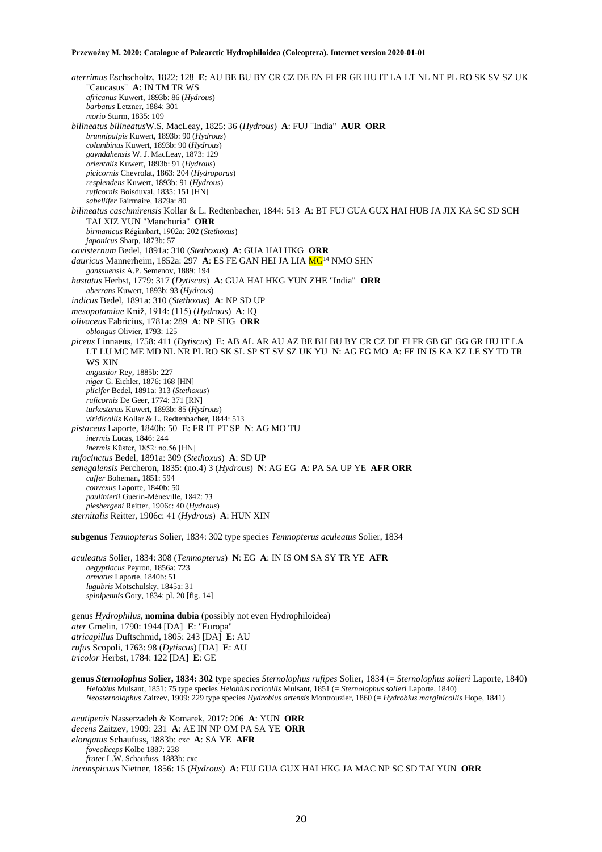*aterrimus* Eschscholtz, 1822: 128 **E**: AU BE BU BY CR CZ DE EN FI FR GE HU IT LA LT NL NT PL RO SK SV SZ UK "Caucasus" **A**: IN TM TR WS *africanus* Kuwert, 1893b: 86 (*Hydrous*) *barbatus* Letzner, 1884: 301 *morio* Sturm, 1835: 109 *bilineatus bilineatus*W.S. MacLeay, 1825: 36 (*Hydrous*) **A**: FUJ "India" **AUR ORR** *brunnipalpis* Kuwert, 1893b: 90 (*Hydrous*) *columbinus* Kuwert, 1893b: 90 (*Hydrous*) *gayndahensis* W. J. MacLeay, 1873: 129 *orientalis* Kuwert, 1893b: 91 (*Hydrous*) *picicornis* Chevrolat, 1863: 204 (*Hydroporus*) *resplendens* Kuwert, 1893b: 91 (*Hydrous*) *ruficornis* Boisduval, 1835: 151 [HN] *sabellifer* Fairmaire, 1879a: 80 *bilineatus caschmirensis* Kollar & L. Redtenbacher, 1844: 513 **A**: BT FUJ GUA GUX HAI HUB JA JIX KA SC SD SCH TAI XIZ YUN "Manchuria" **ORR** *birmanicus* Régimbart, 1902a: 202 (*Stethoxus*) *japonicus* Sharp, 1873b: 57 *cavisternum* Bedel, 1891a: 310 (*Stethoxus*) **A**: GUA HAI HKG **ORR** dauricus Mannerheim, 1852a: 297 A: ES FE GAN HEI JA LIA MG<sup>14</sup> NMO SHN *ganssuensis* A.P. Semenov, 1889: 194 *hastatus* Herbst, 1779: 317 (*Dytiscus*) **A**: GUA HAI HKG YUN ZHE "India" **ORR** *aberrans* Kuwert, 1893b: 93 (*Hydrous*) *indicus* Bedel, 1891a: 310 (*Stethoxus*) **A**: NP SD UP *mesopotamiae* Kniž, 1914: (115) (*Hydrous*) **A**: IQ *olivaceus* Fabricius, 1781a: 289 **A**: NP SHG **ORR** *oblongus* Olivier, 1793: 125 *piceus* Linnaeus, 1758: 411 (*Dytiscus*) **E**: AB AL AR AU AZ BE BH BU BY CR CZ DE FI FR GB GE GG GR HU IT LA LT LU MC ME MD NL NR PL RO SK SL SP ST SV SZ UK YU **N**: AG EG MO **A**: FE IN IS KA KZ LE SY TD TR WS XIN *angustior* Rey, 1885b: 227 *niger* G. Eichler, 1876: 168 [HN] *plicifer* Bedel, 1891a: 313 (*Stethoxus*) *ruficornis* De Geer, 1774: 371 [RN] *turkestanus* Kuwert, 1893b: 85 (*Hydrous*) *viridicollis* Kollar & L. Redtenbacher, 1844: 513 *pistaceus* Laporte, 1840b: 50 **E**: FR IT PT SP **N**: AG MO TU *inermis* Lucas, 1846: 244 *inermis* Küster, 1852: no.56 [HN] *rufocinctus* Bedel, 1891a: 309 (*Stethoxus*) **A**: SD UP *senegalensis* Percheron, 1835: (no.4) 3 (*Hydrous*) **N**: AG EG **A**: PA SA UP YE **AFR ORR** *caffer* Boheman, 1851: 594 *convexus* Laporte, 1840b: 50 *paulinierii* Guérin-Méneville, 1842: 73 *piesbergeni* Reitter, 1906c: 40 (*Hydrous*) *sternitalis* Reitter, 1906c: 41 (*Hydrous*) **A**: HUN XIN

**subgenus** *Temnopterus* Solier, 1834: 302 type species *Temnopterus aculeatus* Solier, 1834

*aculeatus* Solier, 1834: 308 (*Temnopterus*) **N**: EG **A**: IN IS OM SA SY TR YE **AFR** *aegyptiacus* Peyron, 1856a: 723 *armatus* Laporte, 1840b: 51 *lugubris* Motschulsky, 1845a: 31 *spinipennis* Gory, 1834: pl. 20 [fig. 14]

genus *Hydrophilus*, **nomina dubia** (possibly not even Hydrophiloidea) *ater* Gmelin, 1790: 1944 [DA] **E**: "Europa" *atricapillus* Duftschmid, 1805: 243 [DA] **E**: AU *rufus* Scopoli, 1763: 98 (*Dytiscus*) [DA] **E**: AU *tricolor* Herbst, 1784: 122 [DA] **E**: GE

*acutipenis* Nasserzadeh & Komarek, 2017: 206 **A**: YUN **ORR** *decens* Zaitzev, 1909: 231 **A**: AE IN NP OM PA SA YE **ORR** *elongatus* Schaufuss, 1883b: cxc **A**: SA YE **AFR** *foveoliceps* Kolbe 1887: 238 *frater* L.W. Schaufuss, 1883b: cxc *inconspicuus* Nietner, 1856: 15 (*Hydrous*) **A**: FUJ GUA GUX HAI HKG JA MAC NP SC SD TAI YUN **ORR**

**genus** *Sternolophus* **Solier, 1834: 302** type species *Sternolophus rufipes* Solier, 1834 (= *Sternolophus solieri* Laporte, 1840) *Helobius* Mulsant, 1851: 75 type species *Helobius noticollis* Mulsant, 1851 (= *Sternolophus solieri* Laporte, 1840) *Neosternolophus* Zaitzev, 1909: 229 type species *Hydrobius artensis* Montrouzier, 1860 (= *Hydrobius marginicollis* Hope, 1841)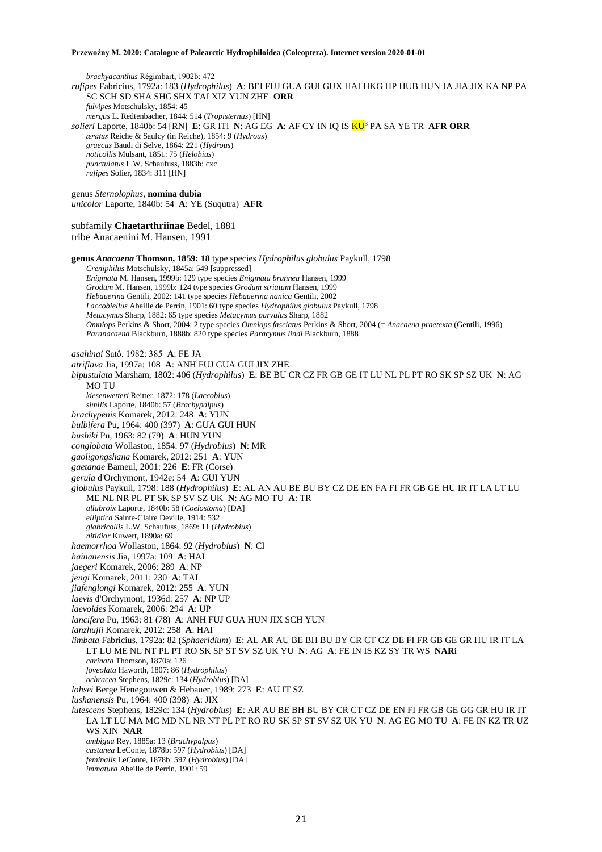*brachyacanthus* Régimbart, 1902b: 472 *rufipes* Fabricius, 1792a: 183 (*Hydrophilus*) **A**: BEI FUJ GUA GUI GUX HAI HKG HP HUB HUN JA JIA JIX KA NP PA SC SCH SD SHA SHG SHX TAI XIZ YUN ZHE **ORR** *fulvipes* Motschulsky, 1854: 45 *mergus* L. Redtenbacher, 1844: 514 (*Tropisternus*) [HN] *solieri* Laporte, 1840b: 54 [RN] **E**: GR ITi **N**: AG EG **A**: AF CY IN IQ IS KU<sup>3</sup> PA SA YE TR **AFR ORR** *æratus* Reiche & Saulcy (in Reiche), 1854: 9 (*Hydrous*) *graecus* Baudi di Selve, 1864: 221 (*Hydrous*) *noticollis* Mulsant, 1851: 75 (*Helobius*) *punctulatus* L.W. Schaufuss, 1883b: cxc *rufipes* Solier, 1834: 311 [HN] genus *Sternolophus*, **nomina dubia** *unicolor* Laporte, 1840b: 54 **A**: YE (Suqutra) **AFR** subfamily **Chaetarthriinae** Bedel, 1881 tribe Anacaenini M. Hansen, 1991 **genus** *Anacaena* **Thomson, 1859: 18** type species *Hydrophilus globulus* Paykull, 1798 *Creniphilus* Motschulsky, 1845a: 549 [suppressed] *Enigmata* M. Hansen, 1999b: 129 type species *Enigmata brunnea* Hansen, 1999 *Grodum* M. Hansen, 1999b: 124 type species *Grodum striatum* Hansen, 1999 *Hebauerina* Gentili, 2002: 141 type species *Hebauerina nanica* Gentili, 2002 *Laccobiellus* Abeille de Perrin, 1901: 60 type species *Hydrophilus globulus* Paykull, 1798 *Metacymus* Sharp, 1882: 65 type species *Metacymus parvulus* Sharp, 1882 *Omniops* Perkins & Short, 2004: 2 type species *Omniops fasciatus* Perkins & Short, 2004 (= *Anacaena praetexta* (Gentili, 1996) *Paranacaena* Blackburn, 1888b: 820 type species *Paracymus lindi* Blackburn, 1888 *asahinai* Satô, 1982: 385 **A**: FE JA *atriflava* Jia, 1997a: 108 **A**: ANH FUJ GUA GUI JIX ZHE *bipustulata* Marsham, 1802: 406 (*Hydrophilus*) **E**: BE BU CR CZ FR GB GE IT LU NL PL PT RO SK SP SZ UK **N**: AG MO TU *kiesenwetteri* Reitter, 1872: 178 (*Laccobius*) *similis* Laporte, 1840b: 57 (*Brachypalpus*) *brachypenis* Komarek, 2012: 248 **A**: YUN *bulbifera* Pu, 1964: 400 (397) **A**: GUA GUI HUN *bushiki* Pu, 1963: 82 (79) **A**: HUN YUN *conglobata* Wollaston, 1854: 97 (*Hydrobius*) **N**: MR *gaoligongshana* Komarek, 2012: 251 **A**: YUN *gaetanae* Bameul, 2001: 226 **E**: FR (Corse) *gerula* d'Orchymont, 1942e: 54 **A**: GUI YUN *globulus* Paykull, 1798: 188 (*Hydrophilus*) **E**: AL AN AU BE BU BY CZ DE EN FA FI FR GB GE HU IR IT LA LT LU ME NL NR PL PT SK SP SV SZ UK **N**: AG MO TU **A**: TR *allabroix* Laporte, 1840b: 58 (*Coelostoma*) [DA] *elliptica* Sainte-Claire Deville, 1914: 532 *glabricollis* L.W. Schaufuss, 1869: 11 (*Hydrobius*) *nitidior* Kuwert, 1890a: 69 *haemorrhoa* Wollaston, 1864: 92 (*Hydrobius*) **N**: CI *hainanensis* Jia, 1997a: 109 **A**: HAI *jaegeri* Komarek, 2006: 289 **A**: NP *jengi* Komarek, 2011: 230 **A**: TAI *jiafenglongi* Komarek, 2012: 255 **A**: YUN *laevis* d'Orchymont, 1936d: 257 **A**: NP UP *laevoides* Komarek, 2006: 294 **A**: UP *lancifera* Pu, 1963: 81 (78) **A**: ANH FUJ GUA HUN JIX SCH YUN *lanzhujii* Komarek, 2012: 258 **A**: HAI *limbata* Fabricius, 1792a: 82 (*Sphaeridium*) **E**: AL AR AU BE BH BU BY CR CT CZ DE FI FR GB GE GR HU IR IT LA LT LU ME NL NT PL PT RO SK SP ST SV SZ UK YU **N**: AG **A**: FE IN IS KZ SY TR WS **NAR**i *carinata* Thomson, 1870a: 126 *foveolata* Haworth, 1807: 86 (*Hydrophilus*) *ochracea* Stephens, 1829c: 134 (*Hydrobius*) [DA] *lohsei* Berge Henegouwen & Hebauer, 1989: 273 **E**: AU IT SZ *lushanensis* Pu, 1964: 400 (398) **A**: JIX *lutescens* Stephens, 1829c: 134 (*Hydrobius*) **E**: AR AU BE BH BU BY CR CT CZ DE EN FI FR GB GE GG GR HU IR IT LA LT LU MA MC MD NL NR NT PL PT RO RU SK SP ST SV SZ UK YU **N**: AG EG MO TU **A**: FE IN KZ TR UZ WS XIN **NAR** *ambigua* Rey, 1885a: 13 (*Brachypalpus*) *castanea* LeConte, 1878b: 597 (*Hydrobius*) [DA] *feminalis* LeConte, 1878b: 597 (*Hydrobius*) [DA] *immatura* Abeille de Perrin, 1901: 59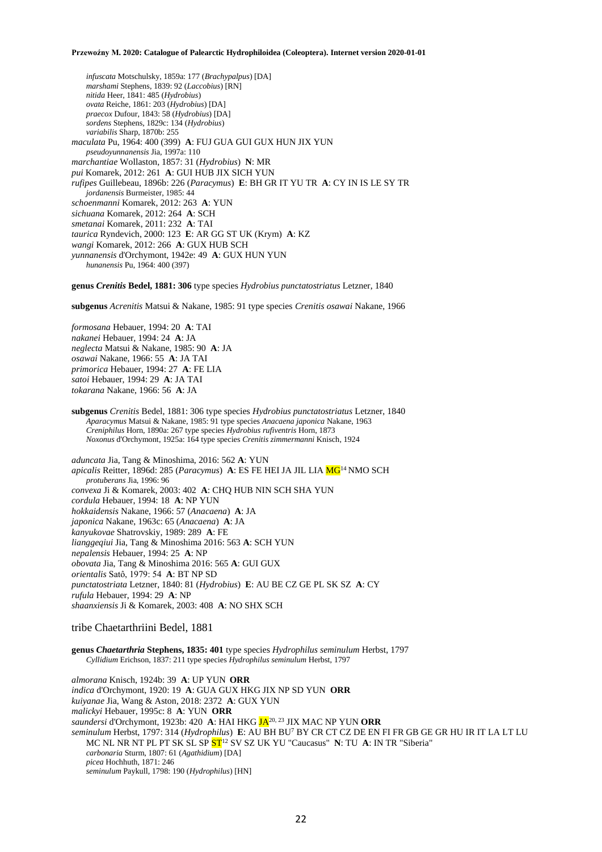*infuscata* Motschulsky, 1859a: 177 (*Brachypalpus*) [DA] *marshami* Stephens, 1839: 92 (*Laccobius*) [RN] *nitida* Heer, 1841: 485 (*Hydrobius*) *ovata* Reiche, 1861: 203 (*Hydrobius*) [DA] *praecox* Dufour, 1843: 58 (*Hydrobius*) [DA] *sordens* Stephens, 1829c: 134 (*Hydrobius*) *variabilis* Sharp, 1870b: 255 *maculata* Pu, 1964: 400 (399) **A**: FUJ GUA GUI GUX HUN JIX YUN *pseudoyunnanensis* Jia, 1997a: 110 *marchantiae* Wollaston, 1857: 31 (*Hydrobius*) **N**: MR *pui* Komarek, 2012: 261 **A**: GUI HUB JIX SICH YUN *rufipes* Guillebeau, 1896b: 226 (*Paracymus*) **E**: BH GR IT YU TR **A**: CY IN IS LE SY TR *jordanensis* Burmeister, 1985: 44 *schoenmanni* Komarek, 2012: 263 **A**: YUN *sichuana* Komarek, 2012: 264 **A**: SCH *smetanai* Komarek, 2011: 232 **A**: TAI *taurica* Ryndevich, 2000: 123 **E**: AR GG ST UK (Krym) **A**: KZ *wangi* Komarek, 2012: 266 **A**: GUX HUB SCH *yunnanensis* d'Orchymont, 1942e: 49 **A**: GUX HUN YUN *hunanensis* Pu, 1964: 400 (397)

**genus** *Crenitis* **Bedel, 1881: 306** type species *Hydrobius punctatostriatus* Letzner, 1840

**subgenus** *Acrenitis* Matsui & Nakane, 1985: 91 type species *Crenitis osawai* Nakane, 1966

*formosana* Hebauer, 1994: 20 **A**: TAI *nakanei* Hebauer, 1994: 24 **A**: JA *neglecta* Matsui & Nakane, 1985: 90 **A**: JA *osawai* Nakane, 1966: 55 **A**: JA TAI *primorica* Hebauer, 1994: 27 **A**: FE LIA *satoi* Hebauer, 1994: 29 **A**: JA TAI *tokarana* Nakane, 1966: 56 **A**: JA

**subgenus** *Crenitis* Bedel, 1881: 306 type species *Hydrobius punctatostriatus* Letzner, 1840 *Aparacymus* Matsui & Nakane, 1985: 91 type species *Anacaena japonica* Nakane, 1963 *Creniphilus* Horn, 1890a: 267 type species *Hydrobius rufiventris* Horn, 1873 *Noxonus* d'Orchymont, 1925a: 164 type species *Crenitis zimmermanni* Knisch, 1924

*aduncata* Jia, Tang & Minoshima, 2016: 562 **A**: YUN *apicalis* Reitter, 1896d: 285 (*Paracymus*) **A**: ES FE HEI JA JIL LIA  $MG<sup>14</sup> NMO SCH$ *protuberans* Jia, 1996: 96 *convexa* Ji & Komarek, 2003: 402 **A**: CHQ HUB NIN SCH SHA YUN *cordula* Hebauer, 1994: 18 **A**: NP YUN *hokkaidensis* Nakane, 1966: 57 (*Anacaena*) **A**: JA *japonica* Nakane, 1963c: 65 (*Anacaena*) **A**: JA *kanyukovae* Shatrovskiy, 1989: 289 **A**: FE *lianggeqiui* Jia, Tang & Minoshima 2016: 563 **A**: SCH YUN *nepalensis* Hebauer, 1994: 25 **A**: NP *obovata* Jia, Tang & Minoshima 2016: 565 **A**: GUI GUX *orientalis* Satô, 1979: 54 **A**: BT NP SD *punctatostriata* Letzner, 1840: 81 (*Hydrobius*) **E**: AU BE CZ GE PL SK SZ **A**: CY *rufula* Hebauer, 1994: 29 **A**: NP *shaanxiensis* Ji & Komarek, 2003: 408 **A**: NO SHX SCH

# tribe Chaetarthriini Bedel, 1881

**genus** *Chaetarthria* **Stephens, 1835: 401** type species *Hydrophilus seminulum* Herbst, 1797 *Cyllidium* Erichson, 1837: 211 type species *Hydrophilus seminulum* Herbst, 1797

*almorana* Knisch, 1924b: 39 **A**: UP YUN **ORR** *indica* d'Orchymont, 1920: 19 **A**: GUA GUX HKG JIX NP SD YUN **ORR** *kuiyanae* Jia, Wang & Aston, 2018: 2372 **A**: GUX YUN *malickyi* Hebauer, 1995c: 8 **A**: YUN **ORR** *saundersi* d'Orchymont, 1923b: 420 **A**: HAI HKG JA20, 23 JIX MAC NP YUN **ORR** *seminulum* Herbst, 1797: 314 (*Hydrophilus*) **E**: AU BH BU<sup>7</sup> BY CR CT CZ DE EN FI FR GB GE GR HU IR IT LA LT LU MC NL NR NT PL PT SK SL SP ST<sup>12</sup> SV SZ UK YU "Caucasus" **N**: TU **A**: IN TR "Siberia" *carbonaria* Sturm, 1807: 61 (*Agathidium*) [DA] *picea* Hochhuth, 1871: 246 *seminulum* Paykull, 1798: 190 (*Hydrophilus*) [HN]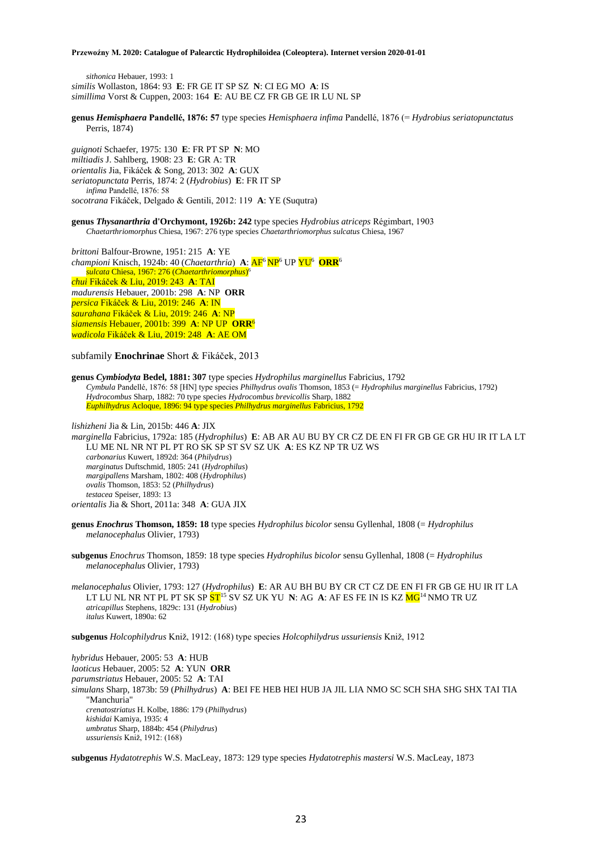*sithonica* Hebauer, 1993: 1 *similis* Wollaston, 1864: 93 **E**: FR GE IT SP SZ **N**: CI EG MO **A**: IS *simillima* Vorst & Cuppen, 2003: 164 **E**: AU BE CZ FR GB GE IR LU NL SP

**genus** *Hemisphaera* **Pandellé, 1876: 57** type species *Hemisphaera infima* Pandellé, 1876 (= *Hydrobius seriatopunctatus* Perris, 1874)

*guignoti* Schaefer, 1975: 130 **E**: FR PT SP **N**: MO *miltiadis* J. Sahlberg, 1908: 23 **E**: GR A: TR *orientalis* Jia, Fikáček & Song, 2013: 302 **A**: GUX *seriatopunctata* Perris, 1874: 2 (*Hydrobius*) **E**: FR IT SP *infima* Pandellé, 1876: 58 *socotrana* Fikáček, Delgado & Gentili, 2012: 119 **A**: YE (Suqutra)

# **genus** *Thysanarthria* **d'Orchymont, 1926b: 242** type species *Hydrobius atriceps* Régimbart, 1903 *Chaetarthriomorphus* Chiesa, 1967: 276 type species *Chaetarthriomorphus sulcatus* Chiesa, 1967

*brittoni* Balfour-Browne, 1951: 215 **A**: YE championi Knisch, 1924b: 40 (Chaetarthria) A: <mark>AF<sup>6</sup>NP</mark><sup>6</sup> UP  $\overline{YU}$ <sup>6</sup> ORR<sup>6</sup> *sulcata* Chiesa, 1967: 276 (*Chaetarthriomorphus*) 6 *chui* Fikáček & Liu, 2019: 243 **A**: TAI *madurensis* Hebauer, 2001b: 298 **A**: NP **ORR** *persica* Fikáček & Liu, 2019: 246 **A**: IN *saurahana* Fikáček & Liu, 2019: 246 **A**: NP *siamensis* Hebauer, 2001b: 399 **A**: NP UP **ORR**<sup>6</sup> *wadicola* Fikáček & Liu, 2019: 248 **A**: AE OM

subfamily **Enochrinae** Short & Fikáček, 2013

**genus** *Cymbiodyta* **Bedel, 1881: 307** type species *Hydrophilus marginellus* Fabricius, 1792 *Cymbula* Pandellé, 1876: 58 [HN] type species *Philhydrus ovalis* Thomson, 1853 (= *Hydrophilus marginellus* Fabricius, 1792) *Hydrocombus* Sharp, 1882: 70 type species *Hydrocombus brevicollis* Sharp, 1882 *Euphilhydrus* Acloque, 1896: 94 type species *Philhydrus marginellus* Fabricius, 1792

*lishizheni* Jia & Lin, 2015b: 446 **A**: JIX *marginella* Fabricius, 1792a: 185 (*Hydrophilus*) **E**: AB AR AU BU BY CR CZ DE EN FI FR GB GE GR HU IR IT LA LT LU ME NL NR NT PL PT RO SK SP ST SV SZ UK **A**: ES KZ NP TR UZ WS *carbonarius* Kuwert, 1892d: 364 (*Philydrus*) *marginatus* Duftschmid, 1805: 241 (*Hydrophilus*) *margipallens* Marsham, 1802: 408 (*Hydrophilus*) *ovalis* Thomson, 1853: 52 (*Philhydrus*) *testacea* Speiser, 1893: 13 *orientalis* Jia & Short, 2011a: 348 **A**: GUA JIX

**genus** *Enochrus* **Thomson, 1859: 18** type species *Hydrophilus bicolor* sensu Gyllenhal, 1808 (= *Hydrophilus melanocephalus* Olivier, 1793)

**subgenus** *Enochrus* Thomson, 1859: 18 type species *Hydrophilus bicolor* sensu Gyllenhal, 1808 (= *Hydrophilus melanocephalus* Olivier, 1793)

*melanocephalus* Olivier, 1793: 127 (*Hydrophilus*) **E**: AR AU BH BU BY CR CT CZ DE EN FI FR GB GE HU IR IT LA LT LU NL NR NT PL PT SK SP <mark>ST</mark><sup>15</sup> SV SZ UK YU **N**: AG **A**: AF ES FE IN IS KZ <mark>MG</mark><sup>14</sup> NMO TR UZ *atricapillus* Stephens, 1829c: 131 (*Hydrobius*) *italus* Kuwert, 1890a: 62

**subgenus** *Holcophilydrus* Kniž, 1912: (168) type species *Holcophilydrus ussuriensis* Kniž, 1912

*hybridus* Hebauer, 2005: 53 **A**: HUB *laoticus* Hebauer, 2005: 52 **A**: YUN **ORR** *parumstriatus* Hebauer, 2005: 52 **A**: TAI *simulans* Sharp, 1873b: 59 (*Philhydrus*) **A**: BEI FE HEB HEI HUB JA JIL LIA NMO SC SCH SHA SHG SHX TAI TIA "Manchuria" *crenatostriatus* H. Kolbe, 1886: 179 (*Philhydrus*) *kishidai* Kamiya, 1935: 4 *umbratus* Sharp, 1884b: 454 (*Philydrus*) *ussuriensis* Kniž, 1912: (168)

**subgenus** *Hydatotrephis* W.S. MacLeay, 1873: 129 type species *Hydatotrephis mastersi* W.S. MacLeay, 1873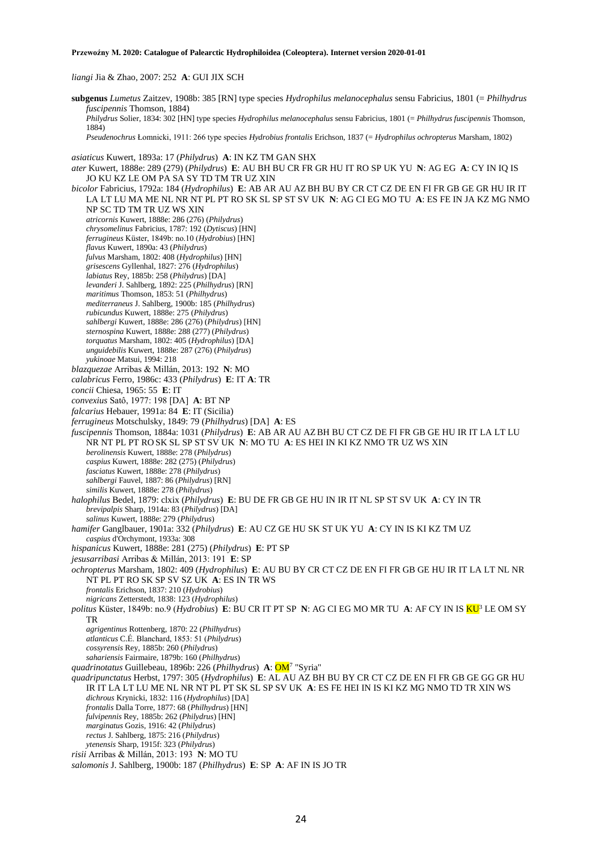*liangi* Jia & Zhao, 2007: 252 **A**: GUI JIX SCH

**subgenus** *Lumetus* Zaitzev, 1908b: 385 [RN] type species *Hydrophilus melanocephalus* sensu Fabricius, 1801 (= *Philhydrus fuscipennis* Thomson, 1884) *Philydrus* Solier, 1834: 302 [HN] type species *Hydrophilus melanocephalus* sensu Fabricius, 1801 (= *Philhydrus fuscipennis* Thomson, 1884) *Pseudenochrus* Łomnicki, 1911: 266 type species *Hydrobius frontalis* Erichson, 1837 (= *Hydrophilus ochropterus* Marsham, 1802) *asiaticus* Kuwert, 1893a: 17 (*Philydrus*) **A**: IN KZ TM GAN SHX *ater* Kuwert, 1888e: 289 (279) (*Philydrus*) **E**: AU BH BU CR FR GR HU IT RO SP UK YU **N**: AG EG **A**: CY IN IQ IS JO KU KZ LE OM PA SA SY TD TM TR UZ XIN *bicolor* Fabricius, 1792a: 184 (*Hydrophilus*) **E**: AB AR AU AZBH BU BY CR CT CZ DE EN FI FR GB GE GR HU IR IT LA LT LU MA ME NL NR NT PL PT RO SK SL SP ST SV UK **N**: AG CI EG MO TU **A**: ES FE IN JA KZ MG NMO NP SC TD TM TR UZ WS XIN *atricornis* Kuwert, 1888e: 286 (276) (*Philydrus*) *chrysomelinus* Fabricius, 1787: 192 (*Dytiscus*) [HN] *ferrugineus* Küster, 1849b: no.10 (*Hydrobius*) [HN] *flavus* Kuwert, 1890a: 43 (*Philydrus*) *fulvus* Marsham, 1802: 408 (*Hydrophilus*) [HN] *grisescens* Gyllenhal, 1827: 276 (*Hydrophilus*) *labiatus* Rey, 1885b: 258 (*Philydrus*) [DA] *levanderi* J. Sahlberg, 1892: 225 (*Philhydrus*) [RN] *maritimus* Thomson, 1853: 51 (*Philhydrus*) *mediterraneus* J. Sahlberg, 1900b: 185 (*Philhydrus*) *rubicundus* Kuwert, 1888e: 275 (*Philydrus*) *sahlbergi* Kuwert, 1888e: 286 (276) (*Philydrus*) [HN] *sternospina* Kuwert, 1888e: 288 (277) (*Philydrus*) *torquatus* Marsham, 1802: 405 (*Hydrophilus*) [DA] *unguidebilis* Kuwert, 1888e: 287 (276) (*Philydrus*) *yukinoae* Matsui, 1994: 218 *blazquezae* Arribas & Millán, 2013: 192 **N**: MO *calabricus* Ferro, 1986c: 433 (*Philydrus*) **E**: IT **A**: TR *concii* Chiesa, 1965: 55 **E**: IT *convexius* Satô, 1977: 198 [DA] **A**: BT NP *falcarius* Hebauer, 1991a: 84 **E**: IT (Sicilia) *ferrugineus* Motschulsky, 1849: 79 (*Philhydrus*) [DA] **A**: ES *fuscipennis* Thomson, 1884a: 1031 (*Philydrus*) **E**: AB AR AU AZBH BU CT CZ DE FI FR GB GE HU IR IT LA LT LU NR NT PL PT RO SK SL SP ST SV UK **N**: MO TU **A**: ES HEI IN KI KZ NMO TR UZ WS XIN *berolinensis* Kuwert, 1888e: 278 (*Philydrus*) *caspius* Kuwert, 1888e: 282 (275) (*Philydrus*) *fasciatus* Kuwert, 1888e: 278 (*Philydrus*) *sahlbergi* Fauvel, 1887: 86 (*Philydrus*) [RN] *similis* Kuwert, 1888e: 278 (*Philydrus*) *halophilus* Bedel, 1879: clxix (*Philydrus*) **E**: BU DE FR GB GE HU IN IR IT NL SP ST SV UK **A**: CY IN TR *brevipalpis* Sharp, 1914a: 83 (*Philydrus*) [DA] *salinus* Kuwert, 1888e: 279 (*Philydrus*) *hamifer* Ganglbauer, 1901a: 332 (*Philydrus*) **E**: AU CZ GE HU SK ST UK YU **A**: CY IN IS KI KZ TM UZ *caspius* d'Orchymont, 1933a: 308 *hispanicus* Kuwert, 1888e: 281 (275) (*Philydrus*) **E**: PT SP *jesusarribasi* Arribas & Millán, 2013: 191 **E**: SP *ochropterus* Marsham, 1802: 409 (*Hydrophilus*) **E**: AU BU BY CR CT CZ DE EN FI FR GB GE HU IR IT LA LT NL NR NT PL PT RO SK SP SV SZ UK **A**: ES IN TR WS *frontalis* Erichson, 1837: 210 (*Hydrobius*) *nigricans* Zetterstedt, 1838: 123 (*Hydrophilus*) *politus* Küster, 1849b: no.9 (*Hydrobius*) **E**: BU CR IT PT SP **N**: AG CI EG MO MR TU **A**: AF CY IN IS KU<sup>3</sup> LE OM SY TR *agrigentinus* Rottenberg, 1870: 22 (*Philhydrus*) *atlanticus* C.É. Blanchard, 1853: 51 (*Philydrus*) *cossyrensis* Rey, 1885b: 260 (*Philydrus*) *sahariensis* Fairmaire, 1879b: 160 (*Philhydrus*) *quadrinotatus* Guillebeau, 1896b: 226 (*Philhydrus*) **A**: OM<sup>7</sup> "Syria" *quadripunctatus* Herbst, 1797: 305 (*Hydrophilus*) **E**: AL AU AZ BH BU BY CR CT CZ DE EN FI FR GB GE GG GR HU IR IT LA LT LU ME NL NR NT PL PT SK SL SP SV UK **A**: ES FE HEI IN IS KI KZ MG NMO TD TR XIN WS *dichrous* Krynicki, 1832: 116 (*Hydrophilus*) [DA] *frontalis* Dalla Torre, 1877: 68 (*Philhydrus*) [HN] *fulvipennis* Rey, 1885b: 262 (*Philydrus*) [HN] *marginatus* Gozis, 1916: 42 (*Philydrus*) *rectus* J. Sahlberg, 1875: 216 (*Philydrus*) *ytenensis* Sharp, 1915f: 323 (*Philydrus*) *risii* Arribas & Millán, 2013: 193 **N**: MO TU *salomonis* J. Sahlberg, 1900b: 187 (*Philhydrus*) **E**: SP **A**: AF IN IS JO TR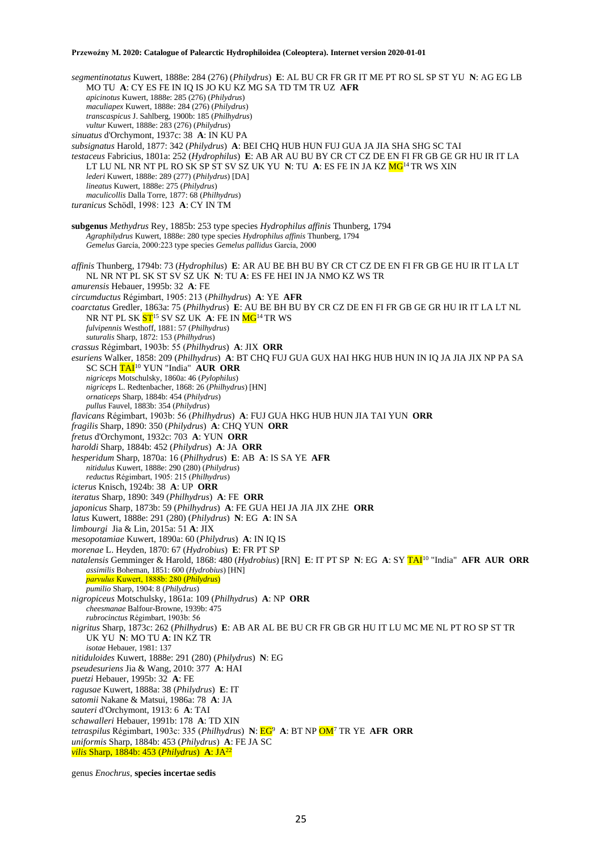*segmentinotatus* Kuwert, 1888e: 284 (276) (*Philydrus*) **E**: AL BU CR FR GR IT ME PT RO SL SP ST YU **N**: AG EG LB MO TU **A**: CY ES FE IN IQ IS JO KU KZ MG SA TD TM TR UZ **AFR** *apicinotus* Kuwert, 1888e: 285 (276) (*Philydrus*) *maculiapex* Kuwert, 1888e: 284 (276) (*Philydrus*) *transcaspicus* J. Sahlberg, 1900b: 185 (*Philhydrus*) *vultur* Kuwert, 1888e: 283 (276) (*Philydrus*) *sinuatus* d'Orchymont, 1937c: 38 **A**: IN KU PA *subsignatus* Harold, 1877: 342 (*Philydrus*) **A**: BEI CHQ HUB HUN FUJ GUA JA JIA SHA SHG SC TAI *testaceus* Fabricius, 1801a: 252 (*Hydrophilus*) **E**: AB AR AU BU BY CR CT CZ DE EN FI FR GB GE GR HU IR IT LA LT LU NL NR NT PL RO SK SP ST SV SZ UK YU **N**: TU **A**: ES FE IN JA KZ MG<sup>14</sup> TR WS XIN *lederi* Kuwert, 1888e: 289 (277) (*Philydrus*) [DA] *lineatus* Kuwert, 1888e: 275 (*Philydrus*) *maculicollis* Dalla Torre, 1877: 68 (*Philhydrus*) *turanicus* Schödl, 1998: 123 **A**: CY IN TM **subgenus** *Methydrus* Rey, 1885b: 253 type species *Hydrophilus affinis* Thunberg, 1794 *Agraphilydrus* Kuwert, 1888e: 280 type species *Hydrophilus affinis* Thunberg, 1794 *Gemelus* García, 2000:223 type species *Gemelus pallidus* García, 2000 *affinis* Thunberg, 1794b: 73 (*Hydrophilus*) **E**: AR AU BE BH BU BY CR CT CZ DE EN FI FR GB GE HU IR IT LA LT NL NR NT PL SK ST SV SZ UK **N**: TU **A**: ES FE HEI IN JA NMO KZ WS TR *amurensis* Hebauer, 1995b: 32 **A**: FE *circumductus* Régimbart, 1905: 213 (*Philhydrus*) **A**: YE **AFR** *coarctatus* Gredler, 1863a: 75 (*Philhydrus*) **E**: AU BE BH BU BY CR CZ DE EN FI FR GB GE GR HU IR IT LA LT NL NR NT PL SK ST<sup>15</sup> SV SZ UK **A**: FE IN MG<sup>14</sup> TR WS *fulvipennis* Westhoff, 1881: 57 (*Philhydrus*) *suturalis* Sharp, 1872: 153 (*Philhydrus*) *crassus* Régimbart, 1903b: 55 (*Philhydrus*) **A**: JIX **ORR** *esuriens* Walker, 1858: 209 (*Philhydrus*) **A**: BT CHQ FUJ GUA GUX HAI HKG HUB HUN IN IQ JA JIA JIX NP PA SA SC SCH TAI<sup>10</sup> YUN "India" **AUR ORR** *nigriceps* Motschulsky, 1860a: 46 (*Pylophilus*) *nigriceps* L. Redtenbacher, 1868: 26 (*Philhydrus*) [HN] *ornaticeps* Sharp, 1884b: 454 (*Philydrus*) *pullus* Fauvel, 1883b: 354 (*Philydrus*) *flavicans* Régimbart, 1903b: 56 (*Philhydrus*) **A**: FUJ GUA HKG HUB HUN JIA TAI YUN **ORR** *fragilis* Sharp, 1890: 350 (*Philydrus*) **A**: CHQ YUN **ORR** *fretus* d'Orchymont, 1932c: 703 **A**: YUN **ORR** *haroldi* Sharp, 1884b: 452 (*Philydrus*) **A**: JA **ORR** *hesperidum* Sharp, 1870a: 16 (*Philhydrus*) **E**: AB **A**: IS SA YE **AFR** *nitidulus* Kuwert, 1888e: 290 (280) (*Philydrus*) *reductus* Régimbart, 1905: 215 (*Philhydrus*) *icterus* Knisch, 1924b: 38 **A**: UP **ORR** *iteratus* Sharp, 1890: 349 (*Philhydrus*) **A**: FE **ORR** *japonicus* Sharp, 1873b: 59 (*Philhydrus*) **A**: FE GUA HEI JA JIA JIX ZHE **ORR** *latus* Kuwert, 1888e: 291 (280) (*Philydrus*) **N**: EG **A**: IN SA *limbourgi* Jia & Lin, 2015a: 51 **A**: JIX *mesopotamiae* Kuwert, 1890a: 60 (*Philydrus*) **A**: IN IQ IS *morenae* L. Heyden, 1870: 67 (*Hydrobius*) **E**: FR PT SP *natalensis* Gemminger & Harold, 1868: 480 (*Hydrobius*) [RN] **E**: IT PT SP **N**: EG **A**: SY TAI<sup>10</sup> "India" **AFR AUR ORR** *assimilis* Boheman, 1851: 600 (*Hydrobius*) [HN] *parvulus* Kuwert, 1888b: 280 (*Philydrus*) *pumilio* Sharp, 1904: 8 (*Philydrus*) *nigropiceus* Motschulsky, 1861a: 109 (*Philhydrus*) **A**: NP **ORR** *cheesmanae* Balfour-Browne, 1939b: 475 *rubrocinctus* Régimbart, 1903b: 56 *nigritus* Sharp, 1873c: 262 (*Philhydrus*) **E**: AB AR AL BE BU CR FR GB GR HU IT LU MC ME NL PT RO SP ST TR UK YU **N**: MO TU **A**: IN KZ TR *isotae* Hebauer, 1981: 137 *nitiduloides* Kuwert, 1888e: 291 (280) (*Philydrus*) **N**: EG *pseudesuriens* Jia & Wang, 2010: 377 **A**: HAI *puetzi* Hebauer, 1995b: 32 **A**: FE *ragusae* Kuwert, 1888a: 38 (*Philydrus*) **E**: IT *satomii* Nakane & Matsui, 1986a: 78 **A**: JA *sauteri* d'Orchymont, 1913: 6 **A**: TAI *schawalleri* Hebauer, 1991b: 178 **A**: TD XIN *tetraspilus* Régimbart, 1903c: 335 (*Philhydrus*) **N**: EG<sup>9</sup> **A**: BT NP OM<sup>7</sup> TR YE **AFR ORR** *uniformis* Sharp, 1884b: 453 (*Philydrus*) **A**: FE JA SC *vilis* Sharp, 1884b: 453 (*Philydrus*) **A**: JA<sup>22</sup>

genus *Enochrus*, **species incertae sedis**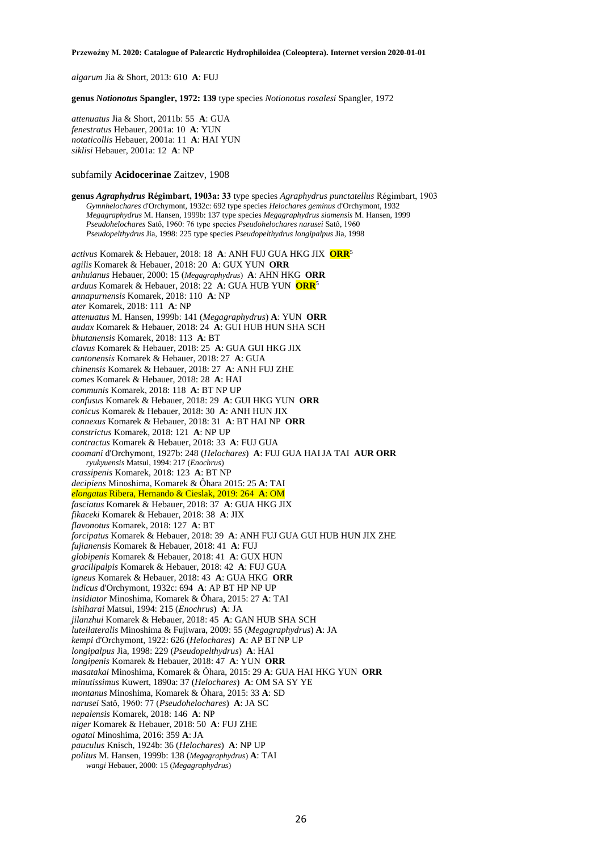*algarum* Jia & Short, 2013: 610 **A**: FUJ

**genus** *Notionotus* **Spangler, 1972: 139** type species *Notionotus rosalesi* Spangler, 1972

*attenuatus* Jia & Short, 2011b: 55 **A**: GUA *fenestratus* Hebauer, 2001a: 10 **A**: YUN *notaticollis* Hebauer, 2001a: 11 **A**: HAI YUN *siklisi* Hebauer, 2001a: 12 **A**: NP

# subfamily **Acidocerinae** Zaitzev, 1908

**genus** *Agraphydrus* **Régimbart, 1903a: 33** type species *Agraphydrus punctatellus* Régimbart, 1903 *Gymnhelochares* d'Orchymont, 1932c: 692 type species *Helochares geminus* d'Orchymont, 1932 *Megagraphydrus* M. Hansen, 1999b: 137 type species *Megagraphydrus siamensis* M. Hansen, 1999 *Pseudohelochares* Satô, 1960: 76 type species *Pseudohelochares narusei* Satô, 1960 *Pseudopelthydrus* Jia, 1998: 225 type species *Pseudopelthydrus longipalpus* Jia, 1998 *activus* Komarek & Hebauer, 2018: 18 **A**: ANH FUJ GUA HKG JIX **ORR**<sup>5</sup> *agilis* Komarek & Hebauer, 2018: 20 **A**: GUX YUN **ORR** *anhuianus* Hebauer, 2000: 15 (*Megagraphydrus*) **A**: AHN HKG **ORR** *arduus* Komarek & Hebauer, 2018: 22 **A**: GUA HUB YUN **ORR**<sup>5</sup> *annapurnensis* Komarek, 2018: 110 **A**: NP *ater* Komarek, 2018: 111 **A**: NP *attenuatus* M. Hansen, 1999b: 141 (*Megagraphydrus*) **A**: YUN **ORR** *audax* Komarek & Hebauer, 2018: 24 **A**: GUI HUB HUN SHA SCH *bhutanensis* Komarek, 2018: 113 **A**: BT *clavus* Komarek & Hebauer, 2018: 25 **A**: GUA GUI HKG JIX *cantonensis* Komarek & Hebauer, 2018: 27 **A**: GUA *chinensis* Komarek & Hebauer, 2018: 27 **A**: ANH FUJ ZHE *comes* Komarek & Hebauer, 2018: 28 **A**: HAI *communis* Komarek, 2018: 118 **A**: BT NP UP *confusus* Komarek & Hebauer, 2018: 29 **A**: GUI HKG YUN **ORR** *conicus* Komarek & Hebauer, 2018: 30 **A**: ANH HUN JIX *connexus* Komarek & Hebauer, 2018: 31 **A**: BT HAI NP **ORR** *constrictus* Komarek, 2018: 121 **A**: NP UP *contractus* Komarek & Hebauer, 2018: 33 **A**: FUJ GUA *coomani* d'Orchymont, 1927b: 248 (*Helochares*) **A**: FUJ GUA HAIJA TAI **AUR ORR** *ryukyuensis* Matsui, 1994: 217 (*Enochrus*) *crassipenis* Komarek, 2018: 123 **A**: BT NP *decipiens* Minoshima, Komarek & Ôhara 2015: 25 **A**: TAI *elongatus* Ribera, Hernando & Cieslak, 2019: 264 **A**: OM *fasciatus* Komarek & Hebauer, 2018: 37 **A**: GUA HKG JIX *fikaceki* Komarek & Hebauer, 2018: 38 **A**: JIX *flavonotus* Komarek, 2018: 127 **A**: BT *forcipatus* Komarek & Hebauer, 2018: 39 **A**: ANH FUJ GUA GUI HUB HUN JIX ZHE *fujianensis* Komarek & Hebauer, 2018: 41 **A**: FUJ *globipenis* Komarek & Hebauer, 2018: 41 **A**: GUX HUN *gracilipalpis* Komarek & Hebauer, 2018: 42 **A**: FUJ GUA *igneus* Komarek & Hebauer, 2018: 43 **A**: GUA HKG **ORR** *indicus* d'Orchymont, 1932c: 694 **A**: AP BT HP NP UP *insidiator* Minoshima, Komarek & Ôhara, 2015: 27 **A**: TAI *ishiharai* Matsui, 1994: 215 (*Enochrus*) **A**: JA *jilanzhui* Komarek & Hebauer, 2018: 45 **A**: GAN HUB SHA SCH *luteilateralis* Minoshima & Fujiwara, 2009: 55 (*Megagraphydrus*) **A**: JA *kempi* d'Orchymont, 1922: 626 (*Helochares*) **A**: AP BT NP UP *longipalpus* Jia, 1998: 229 (*Pseudopelthydrus*) **A**: HAI *longipenis* Komarek & Hebauer, 2018: 47 **A**: YUN **ORR** *masatakai* Minoshima, Komarek & Ôhara, 2015: 29 **A**: GUA HAI HKG YUN **ORR** *minutissimus* Kuwert, 1890a: 37 (*Helochares*) **A**: OM SA SY YE *montanus* Minoshima, Komarek & Ôhara, 2015: 33 **A**: SD *narusei* Satô, 1960: 77 (*Pseudohelochares*) **A**: JA SC *nepalensis* Komarek, 2018: 146 **A**: NP *niger* Komarek & Hebauer, 2018: 50 **A**: FUJ ZHE *ogatai* Minoshima, 2016: 359 **A**: JA *pauculus* Knisch, 1924b: 36 (*Helochares*) **A**: NP UP *politus* M. Hansen, 1999b: 138 (*Megagraphydrus*) **A**: TAI *wangi* Hebauer, 2000: 15 (*Megagraphydrus*)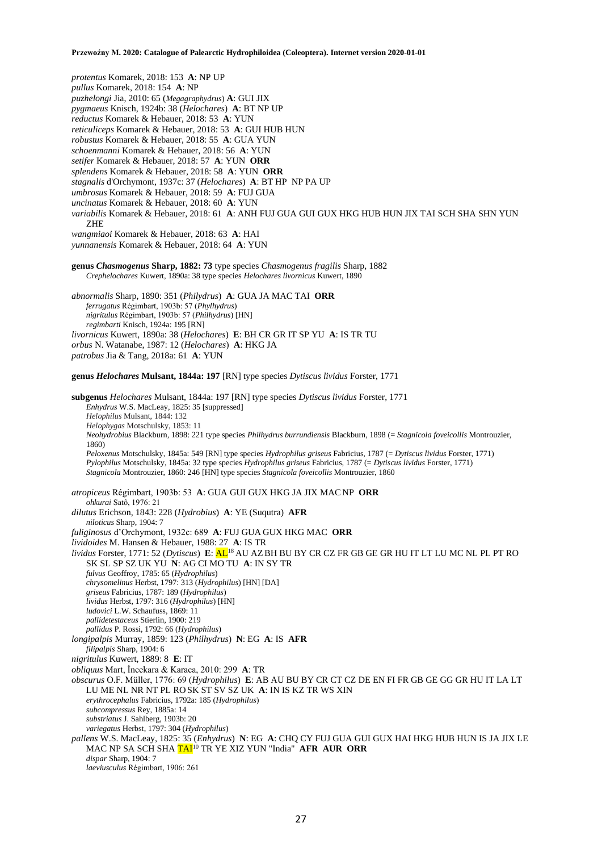*protentus* Komarek, 2018: 153 **A**: NP UP *pullus* Komarek, 2018: 154 **A**: NP *puzhelongi* Jia, 2010: 65 (*Megagraphydrus*) **A**: GUI JIX *pygmaeus* Knisch, 1924b: 38 (*Helochares*) **A**: BT NP UP *reductus* Komarek & Hebauer, 2018: 53 **A**: YUN *reticuliceps* Komarek & Hebauer, 2018: 53 **A**: GUI HUB HUN *robustus* Komarek & Hebauer, 2018: 55 **A**: GUA YUN *schoenmanni* Komarek & Hebauer, 2018: 56 **A**: YUN *setifer* Komarek & Hebauer, 2018: 57 **A**: YUN **ORR** *splendens* Komarek & Hebauer, 2018: 58 **A**: YUN **ORR** *stagnalis* d'Orchymont, 1937c: 37 (*Helochares*) **A**: BT HP NP PA UP *umbrosus* Komarek & Hebauer, 2018: 59 **A**: FUJ GUA *uncinatus* Komarek & Hebauer, 2018: 60 **A**: YUN *variabilis* Komarek & Hebauer, 2018: 61 **A**: ANH FUJ GUA GUI GUX HKG HUB HUN JIX TAI SCH SHA SHN YUN ZHE *wangmiaoi* Komarek & Hebauer, 2018: 63 **A**: HAI *yunnanensis* Komarek & Hebauer, 2018: 64 **A**: YUN **genus** *Chasmogenus* **Sharp, 1882: 73** type species *Chasmogenus fragilis* Sharp, 1882 *Crephelochares* Kuwert, 1890a: 38 type species *Helochares livornicus* Kuwert, 1890 *abnormalis* Sharp, 1890: 351 (*Philydrus*) **A**: GUA JA MAC TAI **ORR** *ferrugatus* Régimbart, 1903b: 57 (*Phylhydrus*) *nigritulus* Régimbart, 1903b: 57 (*Philhydrus*) [HN] *regimbarti* Knisch, 1924a: 195 [RN] *livornicus* Kuwert, 1890a: 38 (*Helochares*) **E**: BH CR GR IT SP YU **A**: IS TR TU *orbus* N. Watanabe, 1987: 12 (*Helochares*) **A**: HKG JA *patrobus* Jia & Tang, 2018a: 61 **A**: YUN **genus** *Helochares* **Mulsant, 1844a: 197** [RN] type species *Dytiscus lividus* Forster, 1771 **subgenus** *Helochares* Mulsant, 1844a: 197 [RN] type species *Dytiscus lividus* Forster, 1771 *Enhydrus* W.S. MacLeay, 1825: 35 [suppressed] *Helophilus* Mulsant, 1844: 132 *Helophygas* Motschulsky, 1853: 11 *Neohydrobius* Blackburn, 1898: 221 type species *Philhydrus burrundiensis* Blackburn, 1898 (= *Stagnicola foveicollis* Montrouzier, 1860) *Peloxenus* Motschulsky, 1845a: 549 [RN] type species *Hydrophilus griseus* Fabricius, 1787 (= *Dytiscus lividus* Forster, 1771) *Pylophilus* Motschulsky, 1845a: 32 type species *Hydrophilus griseus* Fabricius, 1787 (= *Dytiscus lividus* Forster, 1771) *Stagnicola* Montrouzier, 1860: 246 [HN] type species *Stagnicola foveicollis* Montrouzier, 1860 *atropiceus* Régimbart, 1903b: 53 **A**: GUA GUI GUX HKG JA JIX MAC NP **ORR** *ohkurai* Satô, 1976: 21 *dilutus* Erichson, 1843: 228 (*Hydrobius*) **A**: YE (Suqutra) **AFR** *niloticus* Sharp, 1904: 7 *fuliginosus* d'Orchymont, 1932c: 689 **A**: FUJ GUA GUX HKG MAC **ORR** *lividoides* M. Hansen & Hebauer, 1988: 27 **A**: IS TR *lividus* Forster, 1771: 52 (*Dytiscus*) **E**: AL<sup>18</sup> AU AZBH BU BY CR CZ FR GB GE GR HU IT LT LU MC NL PL PT RO SK SL SP SZ UK YU **N**: AG CI MO TU **A**: IN SY TR *fulvus* Geoffroy, 1785: 65 (*Hydrophilus*) *chrysomelinus* Herbst, 1797: 313 (*Hydrophilus*) [HN] [DA] *griseus* Fabricius, 1787: 189 (*Hydrophilus*) *lividus* Herbst, 1797: 316 (*Hydrophilus*) [HN] *ludovici* L.W. Schaufuss, 1869: 11 *pallidetestaceus* Stierlin, 1900: 219 *pallidus* P. Rossi, 1792: 66 (*Hydrophilus*) *longipalpis* Murray, 1859: 123 (*Philhydrus*) **N**: EG **A**: IS **AFR** *filipalpis* Sharp, 1904: 6 *nigritulus* Kuwert, 1889: 8 **E**: IT *obliquus* Mart, İncekara & Karaca, 2010: 299 **A**: TR *obscurus* O.F. Müller, 1776: 69 (*Hydrophilus*) **E**: AB AU BU BY CR CT CZ DE EN FI FR GB GE GG GR HU IT LA LT LU ME NL NR NT PL RO SK ST SV SZ UK **A**: IN IS KZ TR WS XIN *erythrocephalus* Fabricius, 1792a: 185 (*Hydrophilus*) *subcompressus* Rey, 1885a: 14 *substriatus* J. Sahlberg, 1903b: 20 *variegatus* Herbst, 1797: 304 (*Hydrophilus*) *pallens* W.S. MacLeay, 1825: 35 (*Enhydrus*) **N**: EG **A**: CHQ CY FUJ GUA GUI GUX HAI HKG HUB HUN IS JA JIX LE MAC NP SA SCH SHA TAI<sup>10</sup> TR YE XIZ YUN "India" **AFR AUR ORR**

- *dispar* Sharp, 1904: 7
- *laeviusculus* Régimbart, 1906: 261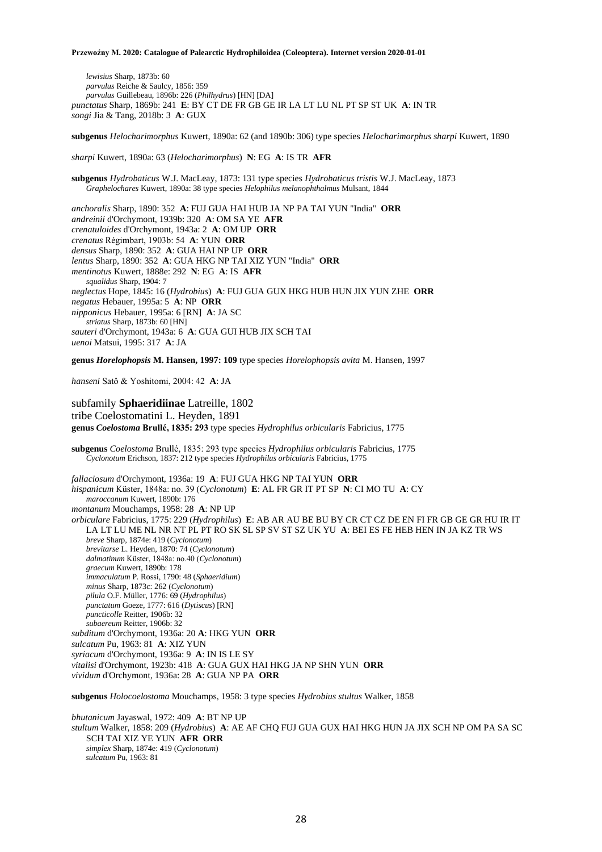*lewisius* Sharp, 1873b: 60 *parvulus* Reiche & Saulcy, 1856: 359 *parvulus* Guillebeau, 1896b: 226 (*Philhydrus*) [HN] [DA] *punctatus* Sharp, 1869b: 241 **E**: BY CT DE FR GB GE IR LA LT LU NL PT SP ST UK **A**: IN TR *songi* Jia & Tang, 2018b: 3 **A**: GUX

**subgenus** *Helocharimorphus* Kuwert, 1890a: 62 (and 1890b: 306) type species *Helocharimorphus sharpi* Kuwert, 1890

*sharpi* Kuwert, 1890a: 63 (*Helocharimorphus*) **N**: EG **A**: IS TR **AFR**

**subgenus** *Hydrobaticus* W.J. MacLeay, 1873: 131 type species *Hydrobaticus tristis* W.J. MacLeay, 1873 *Graphelochares* Kuwert, 1890a: 38 type species *Helophilus melanophthalmus* Mulsant, 1844

*anchoralis* Sharp, 1890: 352 **A**: FUJ GUA HAI HUB JA NP PA TAI YUN "India" **ORR** *andreinii* d'Orchymont, 1939b: 320 **A**: OM SA YE **AFR** *crenatuloides* d'Orchymont, 1943a: 2 **A**: OM UP **ORR** *crenatus* Régimbart, 1903b: 54 **A**: YUN **ORR** *densus* Sharp, 1890: 352 **A**: GUA HAI NP UP **ORR** *lentus* Sharp, 1890: 352 **A**: GUA HKG NP TAI XIZ YUN "India" **ORR** *mentinotus* Kuwert, 1888e: 292 **N**: EG **A**: IS **AFR** *squalidus* Sharp, 1904: 7 *neglectus* Hope, 1845: 16 (*Hydrobius*) **A**: FUJ GUA GUX HKG HUB HUN JIX YUN ZHE **ORR** *negatus* Hebauer, 1995a: 5 **A**: NP **ORR** *nipponicus* Hebauer, 1995a: 6 [RN] **A**: JA SC *striatus* Sharp, 1873b: 60 [HN] *sauteri* d'Orchymont, 1943a: 6 **A**: GUA GUI HUB JIX SCH TAI *uenoi* Matsui, 1995: 317 **A**: JA

**genus** *Horelophopsis* **M. Hansen, 1997: 109** type species *Horelophopsis avita* M. Hansen, 1997

*hanseni* Satô & Yoshitomi, 2004: 42 **A**: JA

subfamily **Sphaeridiinae** Latreille, 1802 tribe Coelostomatini L. Heyden, 1891 **genus** *Coelostoma* **Brullé, 1835: 293** type species *Hydrophilus orbicularis* Fabricius, 1775

**subgenus** *Coelostoma* Brullé, 1835: 293 type species *Hydrophilus orbicularis* Fabricius, 1775 *Cyclonotum* Erichson, 1837: 212 type species *Hydrophilus orbicularis* Fabricius, 1775

*fallaciosum* d'Orchymont, 1936a: 19 **A**: FUJ GUA HKG NP TAI YUN **ORR** *hispanicum* Küster, 1848a: no. 39 (*Cyclonotum*) **E**: AL FR GR IT PT SP **N**: CI MO TU **A**: CY *maroccanum* Kuwert, 1890b: 176 *montanum* Mouchamps, 1958: 28 **A**: NP UP *orbiculare* Fabricius, 1775: 229 (*Hydrophilus*) **E**: AB AR AU BE BU BY CR CT CZ DE EN FI FR GB GE GR HU IR IT LA LT LU ME NL NR NT PL PT RO SK SL SP SV ST SZ UK YU **A**: BEI ES FE HEB HEN IN JA KZ TR WS *breve* Sharp, 1874e: 419 (*Cyclonotum*) *brevitarse* L. Heyden, 1870: 74 (*Cyclonotum*) *dalmatinum* Küster, 1848a: no.40 (*Cyclonotum*) *graecum* Kuwert, 1890b: 178 *immaculatum* P. Rossi, 1790: 48 (*Sphaeridium*) *minus* Sharp, 1873c: 262 (*Cyclonotum*) *pilula* O.F. Müller, 1776: 69 (*Hydrophilus*) *punctatum* Goeze, 1777: 616 (*Dytiscus*) [RN] *puncticolle* Reitter, 1906b: 32 *subaereum* Reitter, 1906b: 32 *subditum* d'Orchymont, 1936a: 20 **A**: HKG YUN **ORR** *sulcatum* Pu, 1963: 81 **A**: XIZ YUN *syriacum* d'Orchymont, 1936a: 9 **A**: IN IS LE SY *vitalisi* d'Orchymont, 1923b: 418 **A**: GUA GUX HAI HKG JA NP SHN YUN **ORR** *vividum* d'Orchymont, 1936a: 28 **A**: GUA NP PA **ORR**

**subgenus** *Holocoelostoma* Mouchamps, 1958: 3 type species *Hydrobius stultus* Walker, 1858

*bhutanicum* Jayaswal, 1972: 409 **A**: BT NP UP *stultum* Walker, 1858: 209 (*Hydrobius*) **A**: AE AF CHQ FUJ GUA GUX HAI HKG HUN JA JIX SCH NP OM PA SA SC SCH TAI XIZ YE YUN **AFR ORR** *simplex* Sharp, 1874e: 419 (*Cyclonotum*) *sulcatum* Pu, 1963: 81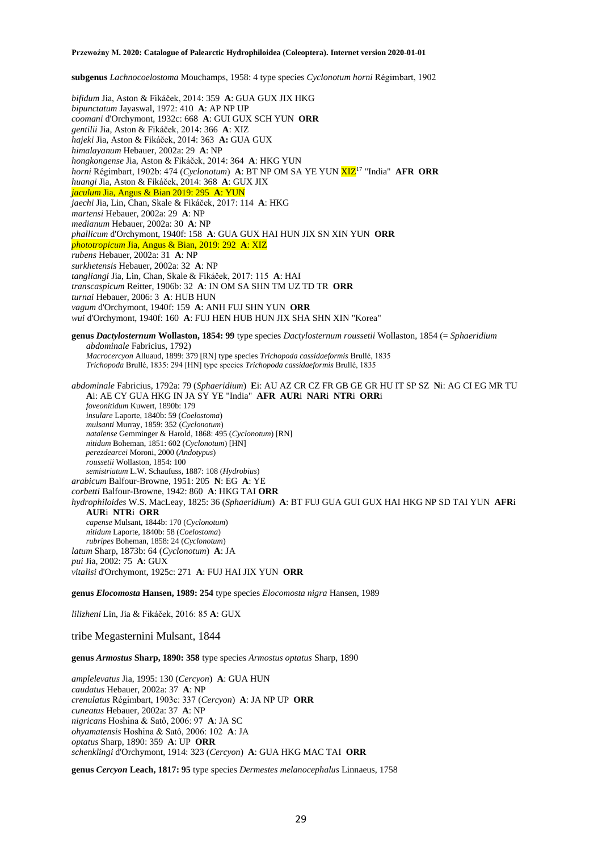**subgenus** *Lachnocoelostoma* Mouchamps, 1958: 4 type species *Cyclonotum horni* Régimbart, 1902

*bifidum* Jia, Aston & Fikáček, 2014: 359 **A**: GUA GUX JIX HKG *bipunctatum* Jayaswal, 1972: 410 **A**: AP NP UP *coomani* d'Orchymont, 1932c: 668 **A**: GUI GUX SCH YUN **ORR** *gentilii* Jia, Aston & Fikáček, 2014: 366 **A**: XIZ *hajeki* Jia, Aston & Fikáček, 2014: 363 **A:** GUA GUX *himalayanum* Hebauer, 2002a: 29 **A**: NP *hongkongense* Jia, Aston & Fikáček, 2014: 364 **A**: HKG YUN *horni* Régimbart, 1902b: 474 (*Cyclonotum*) A: BT NP OM SA YE YUN XIZ<sup>17</sup> "India" AFR ORR *huangi* Jia, Aston & Fikáček, 2014: 368 **A**: GUX JIX *jaculum* Jia, Angus & Bian 2019: 295 **A**: YUN *jaechi* Jia, Lin, Chan, Skale & Fikáček, 2017: 114 **A**: HKG *martensi* Hebauer, 2002a: 29 **A**: NP *medianum* Hebauer, 2002a: 30 **A**: NP *phallicum* d'Orchymont, 1940f: 158 **A**: GUA GUX HAI HUN JIX SN XIN YUN **ORR** *phototropicum* Jia, Angus & Bian, 2019: 292 **A**: XIZ *rubens* Hebauer, 2002a: 31 **A**: NP *surkhetensis* Hebauer, 2002a: 32 **A**: NP *tangliangi* Jia, Lin, Chan, Skale & Fikáček, 2017: 115 **A**: HAI *transcaspicum* Reitter, 1906b: 32 **A**: IN OM SA SHN TM UZ TD TR **ORR** *turnai* Hebauer, 2006: 3 **A**: HUB HUN *vagum* d'Orchymont, 1940f: 159 **A**: ANH FUJ SHN YUN **ORR** *wui* d'Orchymont, 1940f: 160 **A**: FUJ HEN HUB HUN JIX SHA SHN XIN "Korea"

**genus** *Dactylosternum* **Wollaston, 1854: 99** type species *Dactylosternum roussetii* Wollaston, 1854 (= *Sphaeridium abdominale* Fabricius, 1792) *Macrocercyon* Alluaud, 1899: 379 [RN] type species *Trichopoda cassidaeformis* Brullé, 1835 *Trichopoda* Brullé, 1835: 294 [HN] type species *Trichopoda cassidaeformis* Brullé, 1835

*abdominale* Fabricius, 1792a: 79 (*Sphaeridium*) **E**i: AU AZ CR CZ FR GB GE GR HU IT SP SZ **N**i: AG CI EG MR TU **A**i: AE CY GUA HKG IN JA SY YE "India" **AFR AUR**i **NAR**i **NTR**i **ORR**i *foveonitidum* Kuwert, 1890b: 179 *insulare* Laporte, 1840b: 59 (*Coelostoma*) *mulsanti* Murray, 1859: 352 (*Cyclonotum*) *natalense* Gemminger & Harold, 1868: 495 (*Cyclonotum*) [RN] *nitidum* Boheman, 1851: 602 (*Cyclonotum*) [HN] *perezdearcei* Moroni, 2000 (*Andotypus*) *roussetii* Wollaston, 1854: 100 *semistriatum* L.W. Schaufuss, 1887: 108 (*Hydrobius*) *arabicum* Balfour-Browne, 1951: 205 **N**: EG **A**: YE *corbetti* Balfour-Browne, 1942: 860 **A**: HKG TAI **ORR** *hydrophiloides* W.S. MacLeay, 1825: 36 (*Sphaeridium*) **A**: BT FUJ GUA GUI GUX HAI HKG NP SD TAI YUN **AFR**i **AUR**i **NTR**i **ORR** *capense* Mulsant, 1844b: 170 (*Cyclonotum*) *nitidum* Laporte, 1840b: 58 (*Coelostoma*) *rubripes* Boheman, 1858: 24 (*Cyclonotum*) *latum* Sharp, 1873b: 64 (*Cyclonotum*) **A**: JA *pui* Jia, 2002: 75 **A**: GUX *vitalisi* d'Orchymont, 1925c: 271 **A**: FUJ HAI JIX YUN **ORR**

**genus** *Elocomosta* **Hansen, 1989: 254** type species *Elocomosta nigra* Hansen, 1989

*lilizheni* Lin, Jia & Fikáček, 2016: 85 **A**: GUX

tribe Megasternini Mulsant, 1844

**genus** *Armostus* **Sharp, 1890: 358** type species *Armostus optatus* Sharp, 1890

*amplelevatus* Jia, 1995: 130 (*Cercyon*) **A**: GUA HUN *caudatus* Hebauer, 2002a: 37 **A**: NP *crenulatus* Régimbart, 1903c: 337 (*Cercyon*) **A**: JA NP UP **ORR** *cuneatus* Hebauer, 2002a: 37 **A**: NP *nigricans* Hoshina & Satô, 2006: 97 **A**: JA SC *ohyamatensis* Hoshina & Satô, 2006: 102 **A**: JA *optatus* Sharp, 1890: 359 **A**: UP **ORR** *schenklingi* d'Orchymont, 1914: 323 (*Cercyon*) **A**: GUA HKG MAC TAI **ORR**

**genus** *Cercyon* **Leach, 1817: 95** type species *Dermestes melanocephalus* Linnaeus, 1758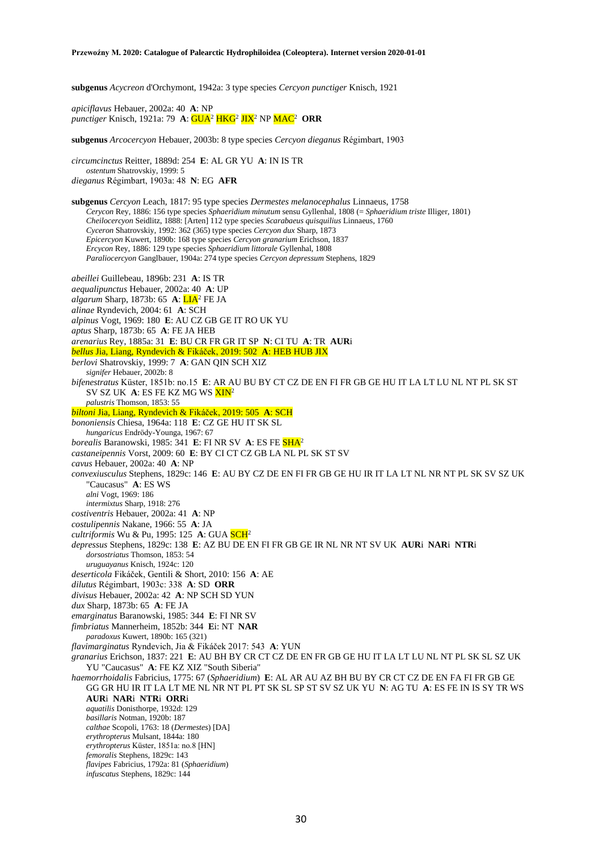**subgenus** *Acycreon* d'Orchymont, 1942a: 3 type species *Cercyon punctiger* Knisch, 1921

*apiciflavus* Hebauer, 2002a: 40 **A**: NP *punctiger* Knisch, 1921a: 79 **A**: GUA<sup>2</sup> HKG<sup>2</sup> JIX<sup>2</sup> NP MAC<sup>2</sup> **ORR**

**subgenus** *Arcocercyon* Hebauer, 2003b: 8 type species *Cercyon dieganus* Régimbart, 1903

*circumcinctus* Reitter, 1889d: 254 **E**: AL GR YU **A**: IN IS TR *ostentum* Shatrovskiy, 1999: 5 *dieganus* Régimbart, 1903a: 48 **N**: EG **AFR**

**subgenus** *Cercyon* Leach, 1817: 95 type species *Dermestes melanocephalus* Linnaeus, 1758 *Cerycon* Rey, 1886: 156 type species *Sphaeridium minutum* sensu Gyllenhal, 1808 (= *Sphaeridium triste* Illiger, 1801) *Cheilocercyon* Seidlitz, 1888: [Arten] 112 type species *Scarabaeus quisquilius* Linnaeus, 1760 *Cyceron* Shatrovskiy, 1992: 362 (365) type species *Cercyon dux* Sharp, 1873 *Epicercyon* Kuwert, 1890b: 168 type species *Cercyon granarium* Erichson, 1837 *Ercycon* Rey, 1886: 129 type species *Sphaeridium littorale* Gyllenhal, 1808 *Paraliocercyon* Ganglbauer, 1904a: 274 type species *Cercyon depressum* Stephens, 1829 *abeillei* Guillebeau, 1896b: 231 **A**: IS TR *aequalipunctus* Hebauer, 2002a: 40 **A**: UP *algarum* Sharp, 1873b: 65 **A**: LIA<sup>2</sup> FE JA *alinae* Ryndevich, 2004: 61 **A**: SCH *alpinus* Vogt, 1969: 180 **E**: AU CZ GB GE IT RO UK YU *aptus* Sharp, 1873b: 65 **A**: FE JA HEB *arenarius* Rey, 1885a: 31 **E**: BU CR FR GR IT SP **N**: CI TU **A**: TR **AUR**i *bellus* Jia, Liang, Ryndevich & Fikáček, 2019: 502 **A**: HEB HUB JIX *berlovi* Shatrovskiy, 1999: 7 **A**: GAN QIN SCH XIZ *signifer* Hebauer, 2002b: 8 *bifenestratus* Küster, 1851b: no.15 **E**: AR AU BU BY CT CZ DE EN FI FR GB GE HU IT LA LT LU NL NT PL SK ST SV SZ UK **A**: ES FE KZ MG WS XIN<sup>2</sup> *palustris* Thomson, 1853: 55 *biltoni* Jia, Liang, Ryndevich & Fikáček, 2019: 505 **A**: SCH *bononiensis* Chiesa, 1964a: 118 **E**: CZ GE HU IT SK SL *hungaricus* Endrödy-Younga, 1967: 67 *borealis* Baranowski, 1985: 341 **E**: FI NR SV **A**: ES FE SHA<sup>2</sup> *castaneipennis* Vorst, 2009: 60 **E**: BY CI CT CZ GB LA NL PL SK ST SV *cavus* Hebauer, 2002a: 40 **A**: NP *convexiusculus* Stephens, 1829c: 146 **E**: AU BY CZ DE EN FI FR GB GE HU IR IT LA LT NL NR NT PL SK SV SZ UK "Caucasus" **A**: ES WS *alni* Vogt, 1969: 186 *intermixtus* Sharp, 1918: 276 *costiventris* Hebauer, 2002a: 41 **A**: NP *costulipennis* Nakane, 1966: 55 **A**: JA *cultriformis* Wu & Pu, 1995: 125 **A**: GUA SCH<sup>2</sup> *depressus* Stephens, 1829c: 138 **E**: AZ BU DE EN FI FR GB GE IR NL NR NT SV UK **AUR**i **NAR**i **NTR**i *dorsostriatus* Thomson, 1853: 54 *uruguayanus* Knisch, 1924c: 120 *deserticola* Fikáček, Gentili & Short, 2010: 156 **A**: AE *dilutus* Régimbart, 1903c: 338 **A**: SD **ORR** *divisus* Hebauer, 2002a: 42 **A**: NP SCH SD YUN *dux* Sharp, 1873b: 65 **A**: FE JA *emarginatus* Baranowski, 1985: 344 **E**: FI NR SV *fimbriatus* Mannerheim, 1852b: 344 **E**i: NT **NAR** *paradoxus* Kuwert, 1890b: 165 (321) *flavimarginatus* Ryndevich, Jia & Fikáček 2017: 543 **A**: YUN *granarius* Erichson, 1837: 221 **E**: AU BH BY CR CT CZ DE EN FR GB GE HU IT LA LT LU NL NT PL SK SL SZ UK YU "Caucasus" **A**: FE KZ XIZ "South Siberia" *haemorrhoidalis* Fabricius, 1775: 67 (*Sphaeridium*) **E**: AL AR AU AZ BH BU BY CR CT CZ DE EN FA FI FR GB GE GG GR HU IR IT LA LT ME NL NR NT PL PT SK SL SP ST SV SZ UK YU **N**: AG TU **A**: ES FE IN IS SY TR WS **AUR**i **NAR**i **NTR**i **ORR**i *aquatilis* Donisthorpe, 1932d: 129 *basillaris* Notman, 1920b: 187 *calthae* Scopoli, 1763: 18 (*Dermestes*) [DA] *erythropterus* Mulsant, 1844a: 180 *erythropterus* Küster, 1851a: no.8 [HN] *femoralis* Stephens, 1829c: 143 *flavipes* Fabricius, 1792a: 81 (*Sphaeridium*) *infuscatus* Stephens, 1829c: 144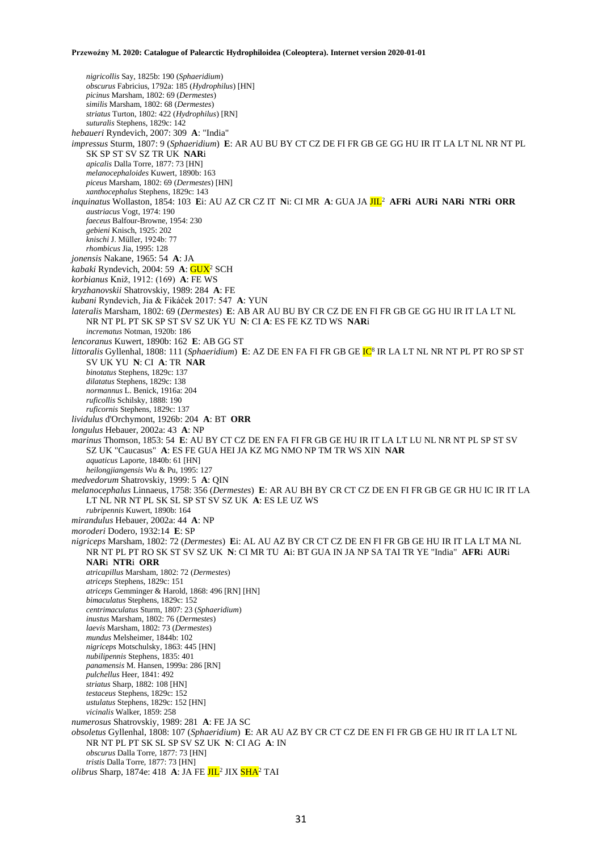*nigricollis* Say, 1825b: 190 (*Sphaeridium*) *obscurus* Fabricius, 1792a: 185 (*Hydrophilus*) [HN] *picinus* Marsham, 1802: 69 (*Dermestes*) *similis* Marsham, 1802: 68 (*Dermestes*) *striatus* Turton, 1802: 422 (*Hydrophilus*) [RN] *suturalis* Stephens, 1829c: 142 *hebaueri* Ryndevich, 2007: 309 **A**: "India" *impressus* Sturm, 1807: 9 (*Sphaeridium*) **E**: AR AU BU BY CT CZ DE FI FR GB GE GG HU IR IT LA LT NL NR NT PL SK SP ST SV SZ TR UK **NAR**i *apicalis* Dalla Torre, 1877: 73 [HN] *melanocephaloides* Kuwert, 1890b: 163 *piceus* Marsham, 1802: 69 (*Dermestes*) [HN] *xanthocephalus* Stephens, 1829c: 143 *inquinatus* Wollaston, 1854: 103 **E**i: AU AZ CR CZ IT **N**i: CI MR **A**: GUA JA JIL<sup>2</sup> **AFRi AURi NARi NTRi ORR** *austriacus* Vogt, 1974: 190 *faeceus* Balfour-Browne, 1954: 230 *gebieni* Knisch, 1925: 202 *knischi* J. Müller, 1924b: 77 *rhombicus* Jia, 1995: 128 *jonensis* Nakane, 1965: 54 **A**: JA *kabaki* Ryndevich, 2004: 59 **A**: GUX<sup>2</sup> SCH *korbianus* Kniž, 1912: (169) **A**: FE WS *kryzhanovskii* Shatrovskiy, 1989: 284 **A**: FE *kubani* Ryndevich, Jia & Fikáček 2017: 547 **A**: YUN *lateralis* Marsham, 1802: 69 (*Dermestes*) **E**: AB AR AU BU BY CR CZ DE EN FI FR GB GE GG HU IR IT LA LT NL NR NT PL PT SK SP ST SV SZ UK YU **N**: CI **A**: ES FE KZ TD WS **NAR**i *incrematus* Notman, 1920b: 186 *lencoranus* Kuwert, 1890b: 162 **E**: AB GG ST *littoralis* Gyllenhal, 1808: 111 (*Sphaeridium*) **E**: AZ DE EN FA FI FR GB GE <mark>IC</mark><sup>8</sup> IR LA LT NL NR NT PL PT RO SP ST SV UK YU **N**: CI **A**: TR **NAR** *binotatus* Stephens, 1829c: 137 *dilatatus* Stephens, 1829c: 138 *normannus* L. Benick, 1916a: 204 *ruficollis* Schilsky, 1888: 190 *ruficornis* Stephens, 1829c: 137 *lividulus* d'Orchymont, 1926b: 204 **A**: BT **ORR** *longulus* Hebauer, 2002a: 43 **A**: NP *marinus* Thomson, 1853: 54 **E**: AU BY CT CZ DE EN FA FI FR GB GE HU IR IT LA LT LU NL NR NT PL SP ST SV SZ UK "Caucasus" **A**: ES FE GUA HEI JA KZ MG NMO NP TM TR WS XIN **NAR** *aquaticus* Laporte, 1840b: 61 [HN] *heilongjiangensis* Wu & Pu, 1995: 127 *medvedorum* Shatrovskiy, 1999: 5 **A**: QIN *melanocephalus* Linnaeus, 1758: 356 (*Dermestes*) **E**: AR AU BH BY CR CT CZ DE EN FI FR GB GE GR HU IC IR IT LA LT NL NR NT PL SK SL SP ST SV SZ UK **A**: ES LE UZ WS *rubripennis* Kuwert, 1890b: 164 *mirandulus* Hebauer, 2002a: 44 **A**: NP *moroderi* Dodero, 1932:14 **E**: SP *nigriceps* Marsham, 1802: 72 (*Dermestes*) **E**i: AL AU AZ BY CR CT CZ DE EN FI FR GB GE HU IR IT LA LT MA NL NR NT PL PT RO SK ST SV SZ UK **N**: CI MR TU **A**i: BT GUA IN JA NP SA TAI TR YE "India" **AFR**i **AUR**i **NAR**i **NTR**i **ORR** *atricapillus* Marsham, 1802: 72 (*Dermestes*) *atriceps* Stephens, 1829c: 151 *atriceps* Gemminger & Harold, 1868: 496 [RN] [HN] *bimaculatus* Stephens, 1829c: 152 *centrimaculatus* Sturm, 1807: 23 (*Sphaeridium*) *inustus* Marsham, 1802: 76 (*Dermestes*) *laevis* Marsham, 1802: 73 (*Dermestes*) *mundus* Melsheimer, 1844b: 102 *nigriceps* Motschulsky, 1863: 445 [HN] *nubilipennis* Stephens, 1835: 401 *panamensis* M. Hansen, 1999a: 286 [RN] *pulchellus* Heer, 1841: 492 *striatus* Sharp, 1882: 108 [HN] *testaceus* Stephens, 1829c: 152 *ustulatus* Stephens, 1829c: 152 [HN] *vicinalis* Walker, 1859: 258 *numerosus* Shatrovskiy, 1989: 281 **A**: FE JA SC *obsoletus* Gyllenhal, 1808: 107 (*Sphaeridium*) **E**: AR AU AZ BY CR CT CZ DE EN FI FR GB GE HU IR IT LA LT NL NR NT PL PT SK SL SP SV SZ UK **N**: CI AG **A**: IN *obscurus* Dalla Torre, 1877: 73 [HN] *tristis* Dalla Torre, 1877: 73 [HN] *olibrus* Sharp, 1874e: 418 **A**: JA FE JIL<sup>2</sup> JIX SHA<sup>2</sup> TAI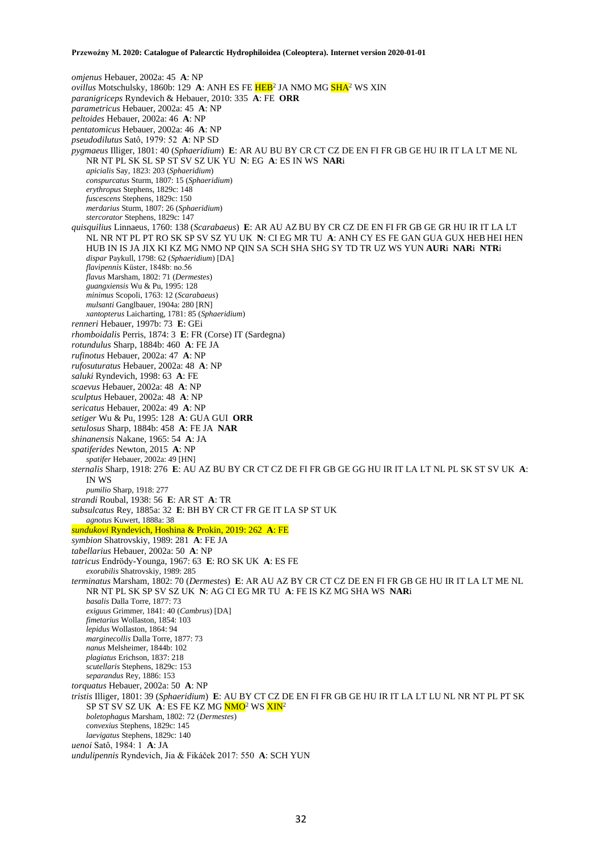*omjenus* Hebauer, 2002a: 45 **A**: NP *ovillus* Motschulsky, 1860b: 129 A: ANH ES FE <mark>HEB</mark><sup>2</sup> JA NMO MG <mark>SHA</mark><sup>2</sup> WS XIN *paranigriceps* Ryndevich & Hebauer, 2010: 335 **A**: FE **ORR** *parametricus* Hebauer, 2002a: 45 **A**: NP *peltoides* Hebauer, 2002a: 46 **A**: NP *pentatomicus* Hebauer, 2002a: 46 **A**: NP *pseudodilutus* Satô, 1979: 52 **A**: NP SD *pygmaeus* Illiger, 1801: 40 (*Sphaeridium*) **E**: AR AU BU BY CR CT CZ DE EN FI FR GB GE HU IR IT LA LT ME NL NR NT PL SK SL SP ST SV SZ UK YU **N**: EG **A**: ES IN WS **NAR**i *apicialis* Say, 1823: 203 (*Sphaeridium*) *conspurcatus* Sturm, 1807: 15 (*Sphaeridium*) *erythropus* Stephens, 1829c: 148 *fuscescens* Stephens, 1829c: 150 *merdarius* Sturm, 1807: 26 (*Sphaeridium*) *stercorator* Stephens, 1829c: 147 *quisquilius* Linnaeus, 1760: 138 (*Scarabaeus*) **E**: AR AU AZ BU BY CR CZ DE EN FI FR GB GE GR HU IR IT LA LT NL NR NT PL PT RO SK SP SV SZ YU UK **N**: CI EG MR TU **A**: ANH CY ES FE GAN GUA GUX HEB HEI HEN HUB IN IS JA JIX KI KZ MG NMO NP QIN SA SCH SHA SHG SY TD TR UZ WS YUN **AUR**i **NAR**i **NTR**i *dispar* Paykull, 1798: 62 (*Sphaeridium*) [DA] *flavipennis* Küster, 1848b: no.56 *flavus* Marsham, 1802: 71 (*Dermestes*) *guangxiensis* Wu & Pu, 1995: 128 *minimus* Scopoli, 1763: 12 (*Scarabaeus*) *mulsanti* Ganglbauer, 1904a: 280 [RN] *xantopterus* Laicharting, 1781: 85 (*Sphaeridium*) *renneri* Hebauer, 1997b: 73 **E**: GEi *rhomboidalis* Perris, 1874: 3 **E**: FR (Corse) IT (Sardegna) *rotundulus* Sharp, 1884b: 460 **A**: FE JA *rufinotus* Hebauer, 2002a: 47 **A**: NP *rufosuturatus* Hebauer, 2002a: 48 **A**: NP *saluki* Ryndevich, 1998: 63 **A**: FE *scaevus* Hebauer, 2002a: 48 **A**: NP *sculptus* Hebauer, 2002a: 48 **A**: NP *sericatus* Hebauer, 2002a: 49 **A**: NP *setiger* Wu & Pu, 1995: 128 **A**: GUA GUI **ORR** *setulosus* Sharp, 1884b: 458 **A**: FE JA **NAR** *shinanensis* Nakane, 1965: 54 **A**: JA *spatiferides* Newton, 2015 **A**: NP *spatifer* Hebauer, 2002a: 49 [HN] *sternalis* Sharp, 1918: 276 **E**: AU AZ BU BY CR CT CZ DE FI FR GB GE GG HU IR IT LA LT NL PL SK ST SV UK **A**: IN WS *pumilio* Sharp, 1918: 277 *strandi* Roubal, 1938: 56 **E**: AR ST **A**: TR *subsulcatus* Rey, 1885a: 32 **E**: BH BY CR CT FR GE IT LA SP ST UK *agnotus* Kuwert, 1888a: 38 *sundukovi* Ryndevich, Hoshina & Prokin, 2019: 262 **A**: FE *symbion* Shatrovskiy, 1989: 281 **A**: FE JA *tabellarius* Hebauer, 2002a: 50 **A**: NP *tatricus* Endrödy-Younga, 1967: 63 **E**: RO SK UK **A**: ES FE *exorabilis* Shatrovskiy, 1989: 285 *terminatus* Marsham, 1802: 70 (*Dermestes*) **E**: AR AU AZ BY CR CT CZ DE EN FI FR GB GE HU IR IT LA LT ME NL NR NT PL SK SP SV SZ UK **N**: AG CI EG MR TU **A**: FE IS KZ MG SHA WS **NAR**i *basalis* Dalla Torre, 1877: 73 *exiguus* Grimmer, 1841: 40 (*Cambrus*) [DA] *fimetarius* Wollaston, 1854: 103 *lepidus* Wollaston, 1864: 94 *marginecollis* Dalla Torre, 1877: 73 *nanus* Melsheimer, 1844b: 102 *plagiatus* Erichson, 1837: 218 *scutellaris* Stephens, 1829c: 153 *separandus* Rey, 1886: 153 *torquatus* Hebauer, 2002a: 50 **A**: NP *tristis* Illiger, 1801: 39 (*Sphaeridium*) **E**: AU BY CT CZ DE EN FI FR GB GE HU IR IT LA LT LU NL NR NT PL PT SK SP ST SV SZ UK **A**: ES FE KZ MG NMO<sup>2</sup> WS XIN<sup>2</sup> *boletophagus* Marsham, 1802: 72 (*Dermestes*) *convexius* Stephens, 1829c: 145 *laevigatus* Stephens, 1829c: 140 *uenoi* Satô, 1984: 1 **A**: JA *undulipennis* Ryndevich, Jia & Fikáček 2017: 550 **A**: SCH YUN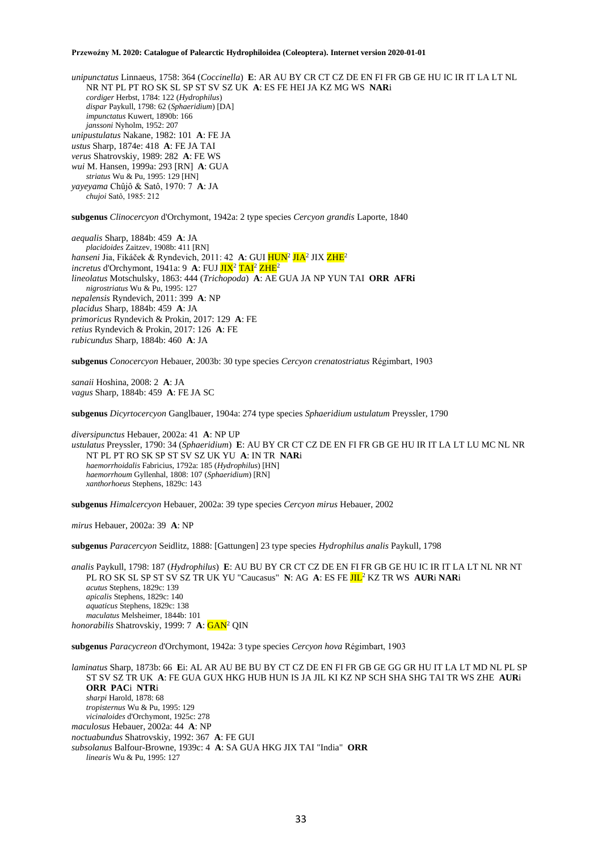*unipunctatus* Linnaeus, 1758: 364 (*Coccinella*) **E**: AR AU BY CR CT CZ DE EN FI FR GB GE HU IC IR IT LA LT NL NR NT PL PT RO SK SL SP ST SV SZ UK **A**: ES FE HEI JA KZ MG WS **NAR**i *cordiger* Herbst, 1784: 122 (*Hydrophilus*) *dispar* Paykull, 1798: 62 (*Sphaeridium*) [DA] *impunctatus* Kuwert, 1890b: 166 *janssoni* Nyholm, 1952: 207 *unipustulatus* Nakane, 1982: 101 **A**: FE JA *ustus* Sharp, 1874e: 418 **A**: FE JA TAI *verus* Shatrovskiy, 1989: 282 **A**: FE WS *wui* M. Hansen, 1999a: 293 [RN] **A**: GUA *striatus* Wu & Pu, 1995: 129 [HN] *yayeyama* Chûjô & Satô, 1970: 7 **A**: JA *chujoi* Satô, 1985: 212

**subgenus** *Clinocercyon* d'Orchymont, 1942a: 2 type species *Cercyon grandis* Laporte, 1840

*aequalis* Sharp, 1884b: 459 **A**: JA *placidoides* Zaitzev, 1908b: 411 [RN] *hanseni* Jia, Fikáček & Ryndevich, 2011: 42 **A**: GUI <mark>HUN<sup>2</sup> JIA</mark><sup>2</sup> JIX <mark>ZHE</mark><sup>2</sup> *incretus* d'Orchymont, 1941a: 9 A: FUJ JIX<sup>2</sup> TAI<sup>2</sup> ZHE<sup>2</sup> *lineolatus* Motschulsky, 1863: 444 (*Trichopoda*) **A**: AE GUA JA NP YUN TAI **ORR AFRi**  *nigrostriatus* Wu & Pu, 1995: 127 *nepalensis* Ryndevich, 2011: 399 **A**: NP *placidus* Sharp, 1884b: 459 **A**: JA *primoricus* Ryndevich & Prokin, 2017: 129 **A**: FE *retius* Ryndevich & Prokin, 2017: 126 **A**: FE *rubicundus* Sharp, 1884b: 460 **A**: JA

**subgenus** *Conocercyon* Hebauer, 2003b: 30 type species *Cercyon crenatostriatus* Régimbart, 1903

*sanaii* Hoshina, 2008: 2 **A**: JA *vagus* Sharp, 1884b: 459 **A**: FE JA SC

**subgenus** *Dicyrtocercyon* Ganglbauer, 1904a: 274 type species *Sphaeridium ustulatum* Preyssler, 1790

*diversipunctus* Hebauer, 2002a: 41 **A**: NP UP *ustulatus* Preyssler, 1790: 34 (*Sphaeridium*) **E**: AU BY CR CT CZ DE EN FI FR GB GE HU IR IT LA LT LU MC NL NR NT PL PT RO SK SP ST SV SZ UK YU **A**: IN TR **NAR**i *haemorrhoidalis* Fabricius, 1792a: 185 (*Hydrophilus*) [HN] *haemorrhoum* Gyllenhal, 1808: 107 (*Sphaeridium*) [RN] *xanthorhoeus* Stephens, 1829c: 143

**subgenus** *Himalcercyon* Hebauer, 2002a: 39 type species *Cercyon mirus* Hebauer, 2002

*mirus* Hebauer, 2002a: 39 **A**: NP

**subgenus** *Paracercyon* Seidlitz, 1888: [Gattungen] 23 type species *Hydrophilus analis* Paykull, 1798

*analis* Paykull, 1798: 187 (*Hydrophilus*) **E**: AU BU BY CR CT CZ DE EN FI FR GB GE HU IC IR IT LA LT NL NR NT PL RO SK SL SP ST SV SZ TR UK YU "Caucasus" **N**: AG **A**: ES FE JIL<sup>2</sup> KZ TR WS **AUR**i **NAR**i *acutus* Stephens, 1829c: 139 *apicalis* Stephens, 1829c: 140 *aquaticus* Stephens, 1829c: 138 *maculatus* Melsheimer, 1844b: 101 *honorabilis* Shatrovskiy, 1999: 7 **A**: GAN<sup>2</sup> QIN

**subgenus** *Paracycreon* d'Orchymont, 1942a: 3 type species *Cercyon hova* Régimbart, 1903

*laminatus* Sharp, 1873b: 66 **E**i: AL AR AU BE BU BY CT CZ DE EN FI FR GB GE GG GR HU IT LA LT MD NL PL SP ST SV SZ TR UK **A**: FE GUA GUX HKG HUB HUN IS JA JIL KI KZ NP SCH SHA SHG TAI TR WS ZHE **AUR**i **ORR PAC**i **NTR**i *sharpi* Harold, 1878: 68 *tropisternus* Wu & Pu, 1995: 129 *vicinaloides* d'Orchymont, 1925c: 278 *maculosus* Hebauer, 2002a: 44 **A**: NP *noctuabundus* Shatrovskiy, 1992: 367 **A**: FE GUI *subsolanus* Balfour-Browne, 1939c: 4 **A**: SA GUA HKG JIX TAI "India" **ORR** *linearis* Wu & Pu, 1995: 127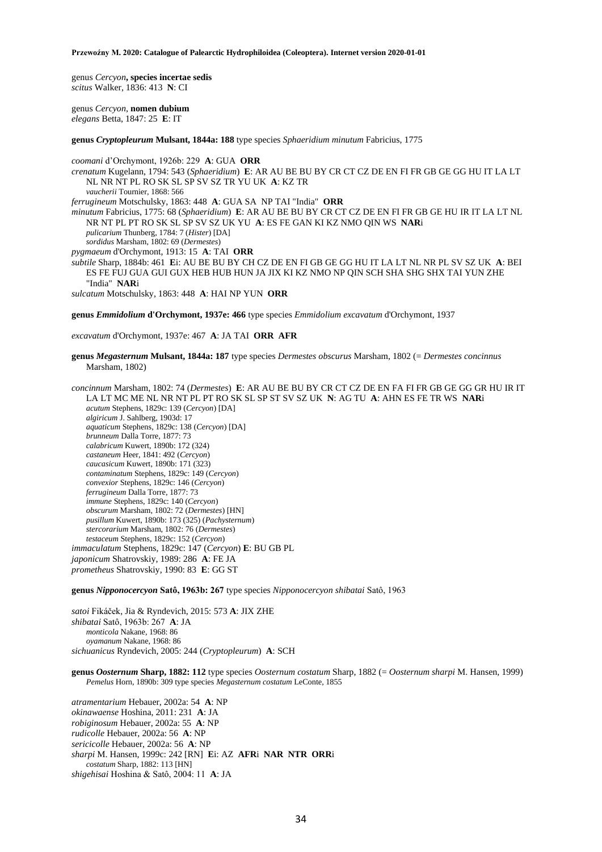genus *Cercyon***, species incertae sedis** *scitus* Walker, 1836: 413 **N**: CI

genus *Cercyon*, **nomen dubium** *elegans* Betta, 1847: 25 **E**: IT

**genus** *Cryptopleurum* **Mulsant, 1844a: 188** type species *Sphaeridium minutum* Fabricius, 1775

*coomani* d'Orchymont, 1926b: 229 **A**: GUA **ORR** *crenatum* Kugelann, 1794: 543 (*Sphaeridium*) **E**: AR AU BE BU BY CR CT CZ DE EN FI FR GB GE GG HU IT LA LT NL NR NT PL RO SK SL SP SV SZ TR YU UK **A**: KZ TR *vaucherii* Tournier, 1868: 566 *ferrugineum* Motschulsky, 1863: 448 **A**: GUA SA NP TAI "India" **ORR** *minutum* Fabricius, 1775: 68 (*Sphaeridium*) **E**: AR AU BE BU BY CR CT CZ DE EN FI FR GB GE HU IR IT LA LT NL NR NT PL PT RO SK SL SP SV SZ UK YU **A**: ES FE GAN KI KZ NMO QIN WS **NAR**i *pulicarium* Thunberg, 1784: 7 (*Hister*) [DA] *sordidus* Marsham, 1802: 69 (*Dermestes*) *pygmaeum* d'Orchymont, 1913: 15 **A**: TAI **ORR** *subtile* Sharp, 1884b: 461 **E**i: AU BE BU BY CH CZ DE EN FI GB GE GG HU IT LA LT NL NR PL SV SZ UK **A**: BEI ES FE FUJ GUA GUI GUX HEB HUB HUN JA JIX KI KZ NMO NP QIN SCH SHA SHG SHX TAI YUN ZHE "India" **NAR**i

*sulcatum* Motschulsky, 1863: 448 **A**: HAI NP YUN **ORR**

**genus** *Emmidolium* **d'Orchymont, 1937e: 466** type species *Emmidolium excavatum* d'Orchymont, 1937

*excavatum* d'Orchymont, 1937e: 467 **A**: JA TAI **ORR AFR**

**genus** *Megasternum* **Mulsant, 1844a: 187** type species *Dermestes obscurus* Marsham, 1802 (= *Dermestes concinnus* Marsham, 1802)

*concinnum* Marsham, 1802: 74 (*Dermestes*) **E**: AR AU BE BU BY CR CT CZ DE EN FA FI FR GB GE GG GR HU IR IT LA LT MC ME NL NR NT PL PT RO SK SL SP ST SV SZ UK **N**: AG TU **A**: AHN ES FE TR WS **NAR**i *acutum* Stephens, 1829c: 139 (*Cercyon*) [DA] *algiricum* J. Sahlberg, 1903d: 17 *aquaticum* Stephens, 1829c: 138 (*Cercyon*) [DA] *brunneum* Dalla Torre, 1877: 73 *calabricum* Kuwert, 1890b: 172 (324) *castaneum* Heer, 1841: 492 (*Cercyon*) *caucasicum* Kuwert, 1890b: 171 (323) *contaminatum* Stephens, 1829c: 149 (*Cercyon*) *convexior* Stephens, 1829c: 146 (*Cercyon*) *ferrugineum* Dalla Torre, 1877: 73 *immune* Stephens, 1829c: 140 (*Cercyon*) *obscurum* Marsham, 1802: 72 (*Dermestes*) [HN] *pusillum* Kuwert, 1890b: 173 (325) (*Pachysternum*) *stercorarium* Marsham, 1802: 76 (*Dermestes*) *testaceum* Stephens, 1829c: 152 (*Cercyon*) *immaculatum* Stephens, 1829c: 147 (*Cercyon*) **E**: BU GB PL *japonicum* Shatrovskiy, 1989: 286 **A**: FE JA *prometheus* Shatrovskiy, 1990: 83 **E**: GG ST

**genus** *Nipponocercyon* **Satô, 1963b: 267** type species *Nipponocercyon shibatai* Satô, 1963

*satoi* Fikáček, Jia & Ryndevich, 2015: 573 **A**: JIX ZHE *shibatai* Satô, 1963b: 267 **A**: JA *monticola* Nakane, 1968: 86 *oyamanum* Nakane, 1968: 86 *sichuanicus* Ryndevich, 2005: 244 (*Cryptopleurum*) **A**: SCH

**genus** *Oosternum* **Sharp, 1882: 112** type species *Oosternum costatum* Sharp, 1882 (= *Oosternum sharpi* M. Hansen, 1999) *Pemelus* Horn, 1890b: 309 type species *Megasternum costatum* LeConte, 1855

*atramentarium* Hebauer, 2002a: 54 **A**: NP *okinawaense* Hoshina, 2011: 231 **A**: JA *robiginosum* Hebauer, 2002a: 55 **A**: NP *rudicolle* Hebauer, 2002a: 56 **A**: NP *sericicolle* Hebauer, 2002a: 56 **A**: NP *sharpi* M. Hansen, 1999c: 242 [RN] **E**i: AZ **AFR**i **NAR NTR ORR**i *costatum* Sharp, 1882: 113 [HN] *shigehisai* Hoshina & Satô, 2004: 11 **A**: JA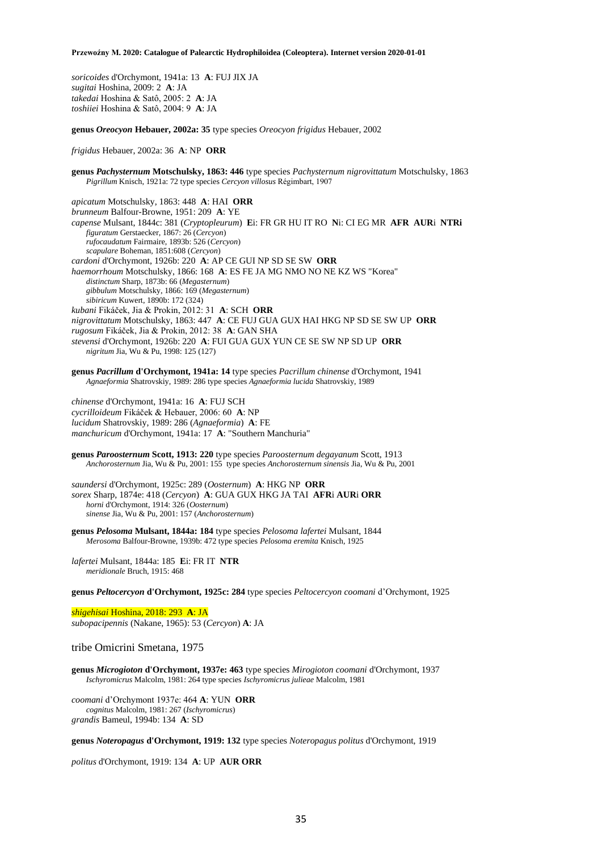*soricoides* d'Orchymont, 1941a: 13 **A**: FUJ JIX JA *sugitai* Hoshina, 2009: 2 **A**: JA *takedai* Hoshina & Satô, 2005: 2 **A**: JA *toshiiei* Hoshina & Satô, 2004: 9 **A**: JA

**genus** *Oreocyon* **Hebauer, 2002a: 35** type species *Oreocyon frigidus* Hebauer, 2002

*frigidus* Hebauer, 2002a: 36 **A**: NP **ORR**

**genus** *Pachysternum* **Motschulsky, 1863: 446** type species *Pachysternum nigrovittatum* Motschulsky, 1863 *Pigrillum* Knisch, 1921a: 72 type species *Cercyon villosus* Régimbart, 1907

*apicatum* Motschulsky, 1863: 448 **A**: HAI **ORR** *brunneum* Balfour-Browne, 1951: 209 **A**: YE *capense* Mulsant, 1844c: 381 (*Cryptopleurum*) **E**i: FR GR HU IT RO **N**i: CI EG MR **AFR AUR**i **NTRi** *figuratum* Gerstaecker, 1867: 26 (*Cercyon*) *rufocaudatum* Fairmaire, 1893b: 526 (*Cercyon*) *scapulare* Boheman, 1851:608 (*Cercyon*) *cardoni* d'Orchymont, 1926b: 220 **A**: AP CE GUI NP SD SE SW **ORR** *haemorrhoum* Motschulsky, 1866: 168 **A**: ES FE JA MG NMO NO NE KZ WS "Korea" *distinctum* Sharp, 1873b: 66 (*Megasternum*) *gibbulum* Motschulsky, 1866: 169 (*Megasternum*) *sibiricum* Kuwert, 1890b: 172 (324) *kubani* Fikáček, Jia & Prokin, 2012: 31 **A**: SCH **ORR**  *nigrovittatum* Motschulsky, 1863: 447 **A**: CE FUJ GUA GUX HAI HKG NP SD SE SW UP **ORR** *rugosum* Fikáček, Jia & Prokin, 2012: 38 **A**: GAN SHA *stevensi* d'Orchymont, 1926b: 220 **A**: FUI GUA GUX YUN CE SE SW NP SD UP **ORR** *nigritum* Jia, Wu & Pu, 1998: 125 (127)

**genus** *Pacrillum* **d'Orchymont, 1941a: 14** type species *Pacrillum chinense* d'Orchymont, 1941 *Agnaeformia* Shatrovskiy, 1989: 286 type species *Agnaeformia lucida* Shatrovskiy, 1989

*chinense* d'Orchymont, 1941a: 16 **A**: FUJ SCH *cycrilloideum* Fikáček & Hebauer, 2006: 60 **A**: NP *lucidum* Shatrovskiy, 1989: 286 (*Agnaeformia*) **A**: FE *manchuricum* d'Orchymont, 1941a: 17 **A**: "Southern Manchuria"

**genus** *Paroosternum* **Scott, 1913: 220** type species *Paroosternum degayanum* Scott, 1913 *Anchorosternum* Jia, Wu & Pu, 2001: 155type species *Anchorosternum sinensis* Jia, Wu & Pu, 2001

*saundersi* d'Orchymont, 1925c: 289 (*Oosternum*) **A**: HKG NP **ORR** *sorex* Sharp, 1874e: 418 (*Cercyon*) **A**: GUA GUX HKG JA TAI **AFR**i **AUR**i **ORR** *horni* d'Orchymont, 1914: 326 (*Oosternum*) *sinense* Jia, Wu & Pu, 2001: 157 (*Anchorosternum*)

**genus** *Pelosoma* **Mulsant, 1844a: 184** type species *Pelosoma lafertei* Mulsant, 1844 *Merosoma* Balfour-Browne, 1939b: 472 type species *Pelosoma eremita* Knisch, 1925

*lafertei* Mulsant, 1844a: 185 **E**i: FR IT **NTR** *meridionale* Bruch, 1915: 468

**genus** *Peltocercyon* **d'Orchymont, 1925c: 284** type species *Peltocercyon coomani* d'Orchymont, 1925

*shigehisai* Hoshina, 2018: 293 **A**: JA *subopacipennis* (Nakane, 1965): 53 (*Cercyon*) **A**: JA

# tribe Omicrini Smetana, 1975

**genus** *Microgioton* **d'Orchymont, 1937e: 463** type species *Mirogioton coomani* d'Orchymont, 1937 *Ischyromicrus* Malcolm, 1981: 264 type species *Ischyromicrus julieae* Malcolm, 1981

*coomani* d'Orchymont 1937e: 464 **A**: YUN **ORR** *cognitus* Malcolm, 1981: 267 (*Ischyromicrus*) *grandis* Bameul, 1994b: 134 **A**: SD

**genus** *Noteropagus* **d'Orchymont, 1919: 132** type species *Noteropagus politus* d'Orchymont, 1919

*politus* d'Orchymont, 1919: 134 **A**: UP **AUR ORR**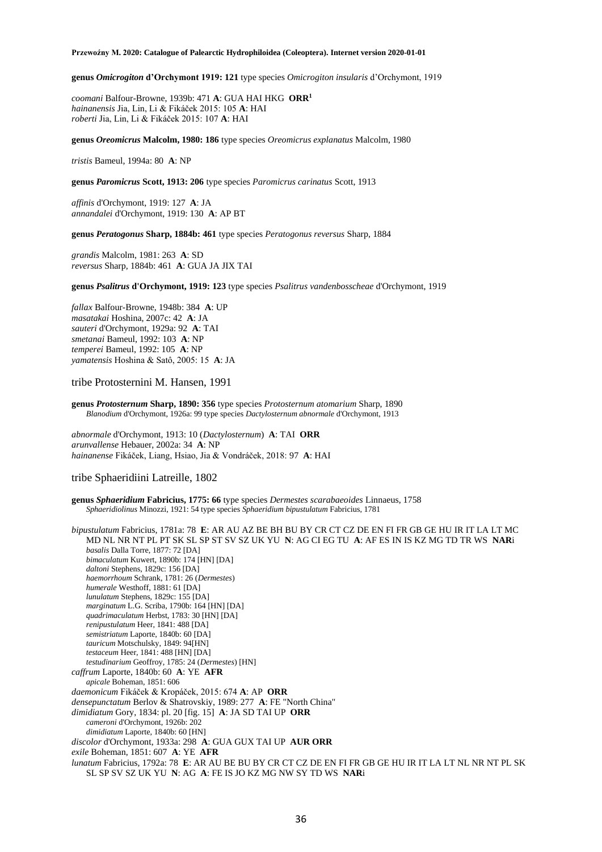**genus** *Omicrogiton* **d'Orchymont 1919: 121** type species *Omicrogiton insularis* d'Orchymont, 1919

*coomani* Balfour-Browne, 1939b: 471 **A**: GUA HAI HKG **ORR<sup>1</sup>** *hainanensis* Jia, Lin, Li & Fikáček 2015: 105 **A**: HAI *roberti* Jia, Lin, Li & Fikáček 2015: 107 **A**: HAI

**genus** *Oreomicrus* **Malcolm, 1980: 186** type species *Oreomicrus explanatus* Malcolm, 1980

*tristis* Bameul, 1994a: 80 **A**: NP

**genus** *Paromicrus* **Scott, 1913: 206** type species *Paromicrus carinatus* Scott, 1913

*affinis* d'Orchymont, 1919: 127 **A**: JA *annandalei* d'Orchymont, 1919: 130 **A**: AP BT

**genus** *Peratogonus* **Sharp, 1884b: 461** type species *Peratogonus reversus* Sharp, 1884

*grandis* Malcolm, 1981: 263 **A**: SD *reversus* Sharp, 1884b: 461 **A**: GUA JA JIX TAI

**genus** *Psalitrus* **d'Orchymont, 1919: 123** type species *Psalitrus vandenbosscheae* d'Orchymont, 1919

*fallax* Balfour-Browne, 1948b: 384 **A**: UP *masatakai* Hoshina, 2007c: 42 **A**: JA *sauteri* d'Orchymont, 1929a: 92 **A**: TAI *smetanai* Bameul, 1992: 103 **A**: NP *temperei* Bameul, 1992: 105 **A**: NP *yamatensis* Hoshina & Satô, 2005: 15 **A**: JA

tribe Protosternini M. Hansen, 1991

**genus** *Protosternum* **Sharp, 1890: 356** type species *Protosternum atomarium* Sharp, 1890 *Blanodium* d'Orchymont, 1926a: 99 type species *Dactylosternum abnormale* d'Orchymont, 1913

*abnormale* d'Orchymont, 1913: 10 (*Dactylosternum*) **A**: TAI **ORR** *arunvallense* Hebauer, 2002a: 34 **A**: NP *hainanense* Fikáček, Liang, Hsiao, Jia & Vondráček, 2018: 97 **A**: HAI

tribe Sphaeridiini Latreille, 1802

**genus** *Sphaeridium* **Fabricius, 1775: 66** type species *Dermestes scarabaeoides* Linnaeus, 1758 *Sphaeridiolinus* Minozzi, 1921: 54 type species *Sphaeridium bipustulatum* Fabricius, 1781

*bipustulatum* Fabricius, 1781a: 78 **E**: AR AU AZ BE BH BU BY CR CT CZ DE EN FI FR GB GE HU IR IT LA LT MC MD NL NR NT PL PT SK SL SP ST SV SZ UK YU **N**: AG CI EG TU **A**: AF ES IN IS KZ MG TD TR WS **NAR**i *basalis* Dalla Torre, 1877: 72 [DA] *bimaculatum* Kuwert, 1890b: 174 [HN] [DA] *daltoni* Stephens, 1829c: 156 [DA] *haemorrhoum* Schrank, 1781: 26 (*Dermestes*) *humerale* Westhoff, 1881: 61 [DA] *lunulatum* Stephens, 1829c: 155 [DA] *marginatum* L.G. Scriba, 1790b: 164 [HN] [DA] *quadrimaculatum* Herbst, 1783: 30 [HN] [DA] *renipustulatum* Heer, 1841: 488 [DA] *semistriatum* Laporte, 1840b: 60 [DA] *tauricum* Motschulsky, 1849: 94[HN] *testaceum* Heer, 1841: 488 [HN] [DA] *testudinarium* Geoffroy, 1785: 24 (*Dermestes*) [HN] *caffrum* Laporte, 1840b: 60 **A**: YE **AFR** *apicale* Boheman, 1851: 606 *daemonicum* Fikáček & Kropáček, 2015: 674 **A**: AP **ORR** *densepunctatum* Berlov & Shatrovskiy, 1989: 277 **A**: FE "North China" *dimidiatum* Gory, 1834: pl. 20 [fig. 15] **A**: JA SD TAI UP **ORR** *cameroni* d'Orchymont, 1926b: 202 *dimidiatum* Laporte, 1840b: 60 [HN] *discolor* d'Orchymont, 1933a: 298 **A**: GUA GUX TAI UP **AUR ORR** *exile* Boheman, 1851: 607 **A**: YE **AFR** *lunatum* Fabricius, 1792a: 78 **E**: AR AU BE BU BY CR CT CZ DE EN FI FR GB GE HU IR IT LA LT NL NR NT PL SK SL SP SV SZ UK YU **N**: AG **A**: FE IS JO KZ MG NW SY TD WS **NAR**i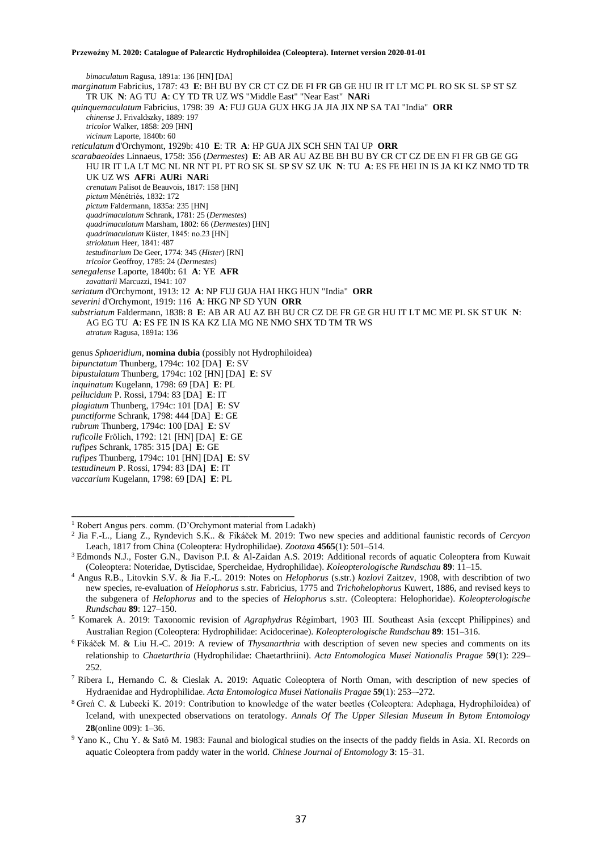*bimaculatum* Ragusa, 1891a: 136 [HN] [DA] *marginatum* Fabricius, 1787: 43 **E**: BH BU BY CR CT CZ DE FI FR GB GE HU IR IT LT MC PL RO SK SL SP ST SZ TR UK **N**: AG TU **A**: CY TD TR UZ WS "Middle East" "Near East" **NAR**i *quinquemaculatum* Fabricius, 1798: 39 **A**: FUJ GUA GUX HKG JA JIA JIX NP SA TAI "India" **ORR** *chinense* J. Frivaldszky, 1889: 197 *tricolor* Walker, 1858: 209 [HN] *vicinum* Laporte, 1840b: 60 *reticulatum* d'Orchymont, 1929b: 410 **E**: TR **A**: HP GUA JIX SCH SHN TAI UP **ORR** *scarabaeoides* Linnaeus, 1758: 356 (*Dermestes*) **E**: AB AR AU AZ BE BH BU BY CR CT CZ DE EN FI FR GB GE GG HU IR IT LA LT MC NL NR NT PL PT RO SK SL SP SV SZ UK **N**: TU **A**: ES FE HEI IN IS JA KI KZ NMO TD TR UK UZ WS **AFR**i **AUR**i **NAR**i *crenatum* Palisot de Beauvois, 1817: 158 [HN] *pictum* Ménétriés, 1832: 172 *pictum* Faldermann, 1835a: 235 [HN] *quadrimaculatum* Schrank, 1781: 25 (*Dermestes*) *quadrimaculatum* Marsham, 1802: 66 (*Dermestes*) [HN] *quadrimaculatum* Küster, 1845: no.23 [HN] *striolatum* Heer, 1841: 487 *testudinarium* De Geer, 1774: 345 (*Hister*) [RN] *tricolor* Geoffroy, 1785: 24 (*Dermestes*) *senegalense* Laporte, 1840b: 61 **A**: YE **AFR** *zavattarii* Marcuzzi, 1941: 107 *seriatum* d'Orchymont, 1913: 12 **A**: NP FUJ GUA HAI HKG HUN "India" **ORR** *severini* d'Orchymont, 1919: 116 **A**: HKG NP SD YUN **ORR** *substriatum* Faldermann, 1838: 8 **E**: AB AR AU AZ BH BU CR CZ DE FR GE GR HU IT LT MC ME PL SK ST UK **N**: AG EG TU **A**: ES FE IN IS KA KZ LIA MG NE NMO SHX TD TM TR WS *atratum* Ragusa, 1891a: 136 genus *Sphaeridium*, **nomina dubia** (possibly not Hydrophiloidea) *bipunctatum* Thunberg, 1794c: 102 [DA] **E**: SV *bipustulatum* Thunberg, 1794c: 102 [HN] [DA] **E**: SV *inquinatum* Kugelann, 1798: 69 [DA] **E**: PL *pellucidum* P. Rossi, 1794: 83 [DA] **E**: IT *plagiatum* Thunberg, 1794c: 101 [DA] **E**: SV *punctiforme* Schrank, 1798: 444 [DA] **E**: GE *rubrum* Thunberg, 1794c: 100 [DA] **E**: SV *ruficolle* Frölich, 1792: 121 [HN] [DA] **E**: GE *rufipes* Schrank, 1785: 315 [DA] **E**: GE

*rufipes* Thunberg, 1794c: 101 [HN] [DA] **E**: SV

*testudineum* P. Rossi, 1794: 83 [DA] **E**: IT

*vaccarium* Kugelann, 1798: 69 [DA] **E**: PL

**\_\_\_\_\_\_\_\_\_\_\_\_\_\_\_\_\_\_\_\_\_\_\_\_\_\_\_\_\_\_\_\_\_\_\_\_\_\_\_\_\_\_\_\_\_\_\_\_\_**

<sup>1</sup> Robert Angus pers. comm. (D'Orchymont material from Ladakh)

<sup>2</sup> Jia F.-L., Liang Z., Ryndevich S.K.. & Fikáček M. 2019: Two new species and additional faunistic records of *Cercyon* Leach, 1817 from China (Coleoptera: Hydrophilidae). *Zootaxa* **4565**(1): 501–514.

<sup>&</sup>lt;sup>3</sup> Edmonds N.J., Foster G.N., Davison P.I. & Al-Zaidan A.S. 2019: Additional records of aquatic Coleoptera from Kuwait (Coleoptera: Noteridae, Dytiscidae, Spercheidae, Hydrophilidae). *Koleopterologische Rundschau* **89**: 11–15.

<sup>4</sup> Angus R.B., Litovkin S.V. & Jia F.-L. 2019: Notes on *Helophorus* (s.str.) *kozlovi* Zaitzev, 1908, with describtion of two new species, re-evaluation of *Helophorus* s.str. Fabricius, 1775 and *Trichohelophorus* Kuwert, 1886, and revised keys to the subgenera of *Helophorus* and to the species of *Helophorus* s.str. (Coleoptera: Helophoridae). *Koleopterologische Rundschau* **89**: 127–150.

<sup>5</sup> Komarek A. 2019: Taxonomic revision of *Agraphydrus* Régimbart, 1903 III. Southeast Asia (except Philippines) and Australian Region (Coleoptera: Hydrophilidae: Acidocerinae). *Koleopterologische Rundschau* **89**: 151–316.

<sup>6</sup>Fikáček M. & Liu H.-C. 2019: A review of *Thysanarthria* with description of seven new species and comments on its relationship to *Chaetarthria* (Hydrophilidae: Chaetarthriini). *Acta Entomologica Musei Nationalis Pragae* **59**(1): 229– 252.

<sup>7</sup>Ribera I., Hernando C. & Cieslak A. 2019: Aquatic Coleoptera of North Oman, with description of new species of Hydraenidae and Hydrophilidae. *Acta Entomologica Musei Nationalis Pragae* **59**(1): 253–-272.

<sup>8</sup>Greń C. & Lubecki K. 2019: Contribution to knowledge of the water beetles (Coleoptera: Adephaga, Hydrophiloidea) of Iceland, with unexpected observations on teratology. *Annals Of The Upper Silesian Museum In Bytom Entomology* **28**(online 009): 1–36.

<sup>9</sup> Yano K., Chu Y. & Satô M. 1983: Faunal and biological studies on the insects of the paddy fields in Asia. XI. Records on aquatic Coleoptera from paddy water in the world. *Chinese Journal of Entomology* **3**: 15–31.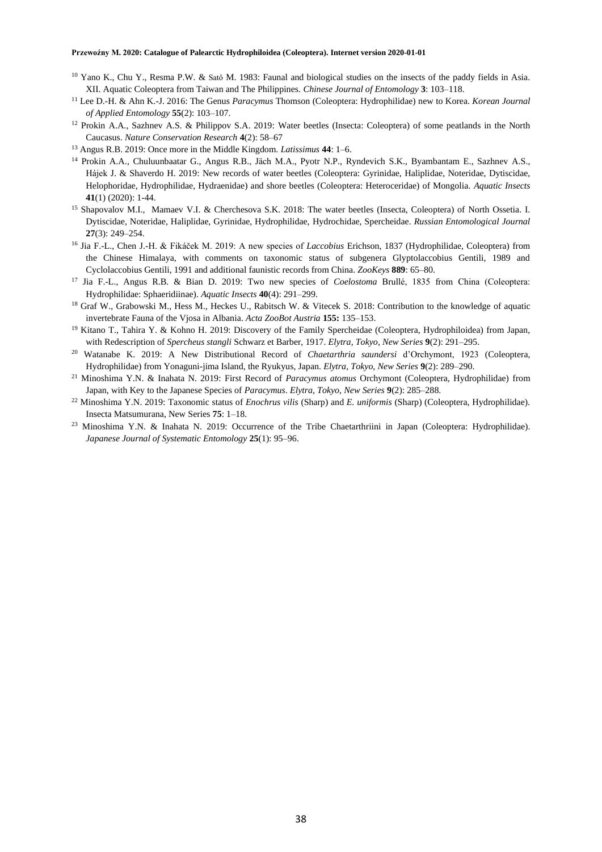- $10$  Yano K., Chu Y., Resma P.W. & Satô M. 1983: Faunal and biological studies on the insects of the paddy fields in Asia. XII. Aquatic Coleoptera from Taiwan and The Philippines. *Chinese Journal of Entomology* **3**: 103–118.
- <sup>11</sup> Lee D.-H. & Ahn K.-J. 2016: The Genus *Paracymus* Thomson (Coleoptera: Hydrophilidae) new to Korea. *Korean Journal of Applied Entomology* **55**(2): 103–107.
- <sup>12</sup> Prokin A.A., Sazhnev A.S. & Philippov S.A. 2019: Water beetles (Insecta: Coleoptera) of some peatlands in the North Caucasus. *Nature Conservation Research* **4**(2): 58–67
- <sup>13</sup> Angus R.B. 2019: Once more in the Middle Kingdom. *Latissimus* **44**: 1–6.
- <sup>14</sup> Prokin A.A., Chuluunbaatar G., Angus R.B., Jäch M.A., Pyotr N.P., Ryndevich S.K., Byambantam E., Sazhnev A.S., Hájek J. & Shaverdo H. 2019: New records of water beetles (Coleoptera: Gyrinidae, Haliplidae, Noteridae, Dytiscidae, Helophoridae, Hydrophilidae, Hydraenidae) and shore beetles (Coleoptera: Heteroceridae) of Mongolia. *Aquatic Insects* **41**(1) (2020): 1-44.
- <sup>15</sup> Shapovalov M.I., Mamaev V.I. & Cherchesova S.K. 2018: The water beetles (Insecta, Coleoptera) of North Ossetia. I. Dytiscidae, Noteridae, Haliplidae, Gyrinidae, Hydrophilidae, Hydrochidae, Spercheidae. *Russian Entomological Journal* **27**(3): 249–254.
- <sup>16</sup> Jia F.-L., Chen J.-H. & Fikáček M. 2019: A new species of *Laccobius* Erichson, 1837 (Hydrophilidae, Coleoptera) from the Chinese Himalaya, with comments on taxonomic status of subgenera Glyptolaccobius Gentili, 1989 and Cyclolaccobius Gentili, 1991 and additional faunistic records from China. *ZooKeys* **889**: 65–80.
- <sup>17</sup> Jia F.-L., Angus R.B. & Bian D. 2019: Two new species of *Coelostoma* Brullé, 1835 from China (Coleoptera: Hydrophilidae: Sphaeridiinae). *Aquatic Insects* **40**(4): 291–299.
- <sup>18</sup> Graf W., Grabowski M., Hess M., Heckes U., Rabitsch W. & Vitecek S. 2018: Contribution to the knowledge of aquatic invertebrate Fauna of the Vjosa in Albania. *Acta ZooBot Austria* **155:** 135–153.
- <sup>19</sup> Kitano T., Tahira Y. & Kohno H. 2019: Discovery of the Family Spercheidae (Coleoptera, Hydrophiloidea) from Japan, with Redescription of *Spercheus stangli* Schwarz et Barber, 1917. *Elytra, Tokyo, New Series* **9**(2): 291–295.
- <sup>20</sup> Watanabe K. 2019: A New Distributional Record of *Chaetarthria saundersi* d'Orchymont, 1923 (Coleoptera, Hydrophilidae) from Yonaguni-jima Island, the Ryukyus, Japan. *Elytra, Tokyo, New Series* **9**(2): 289–290.
- <sup>21</sup> Minoshima Y.N. & Inahata N. 2019: First Record of *Paracymus atomus* Orchymont (Coleoptera, Hydrophilidae) from Japan, with Key to the Japanese Species of *Paracymus*. *Elytra, Tokyo, New Series* **9**(2): 285–288.
- <sup>22</sup> Minoshima Y.N. 2019: Taxonomic status of *Enochrus vilis* (Sharp) and *E. uniformis* (Sharp) (Coleoptera, Hydrophilidae). Insecta Matsumurana, New Series **75**: 1–18.
- <sup>23</sup> Minoshima Y.N. & Inahata N. 2019: Occurrence of the Tribe Chaetarthriini in Japan (Coleoptera: Hydrophilidae). *Japanese Journal of Systematic Entomology* **25**(1): 95–96.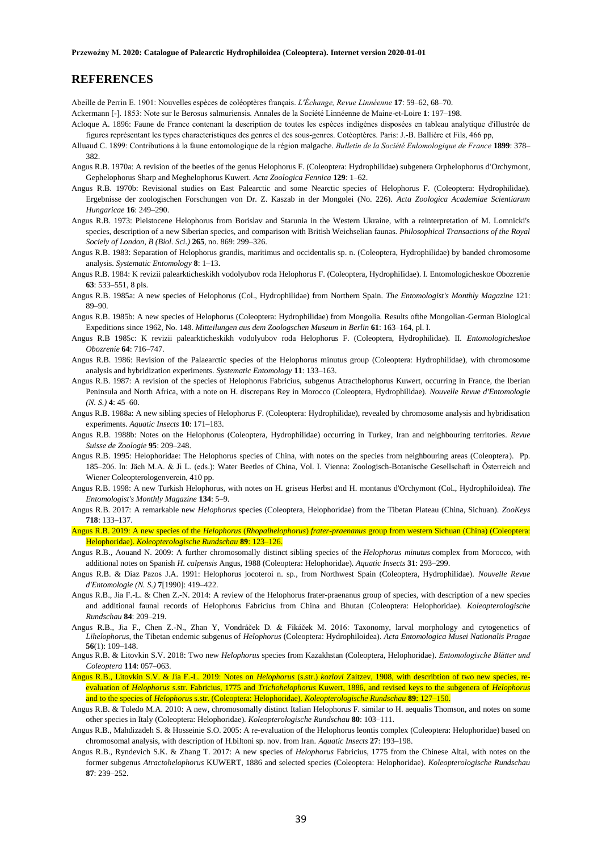# **REFERENCES**

Abeille de Perrin E. 1901: Nouvelles espèces de coléoptères français. *L'Échange, Revue Linnéenne* **17**: 59–62, 68–70.

Ackermann [-]. 1853: Note sur le Berosus salmuriensis. Annales de la Société Linnéenne de Maine-et-Loire **1**: 197–198.

- Acloque A. 1896: Faune de France contenant la description de toutes les espèces indigènes disposées en tableau analytique d'illustrée de figures représentant les types characteristiques des genres el des sous-genres. Cotéoptères. Paris: J.-B. Ballière et Fils, 466 pp,
- Alluaud C. 1899: Contributions à la faune entomologique de la région malgache. *Bulletin de la Société Enlomologique de France* **1899**: 378– 382.
- Angus R.B. 1970a: A revision of the beetles of the genus Helophorus F. (Coleoptera: Hydrophilidae) subgenera Orphelophorus d'Orchymont, Gephelophorus Sharp and Meghelophorus Kuwert. *Acta Zoologica Fennica* **129**: 1–62.
- Angus R.B. 1970b: Revisional studies on East Palearctic and some Nearctic species of Helophorus F. (Coleoptera: Hydrophilidae). Ergebnisse der zoologischen Forschungen von Dr. Z. Kaszab in der Mongolei (No. 226). *Acta Zoologica Academiae Scientiarum Hungaricae* **16**: 249–290.
- Angus R.B. 1973: Pleistocene Helophorus from Borislav and Starunia in the Western Ukraine, with a reinterpretation of M. Lomnicki's species, description of a new Siberian species, and comparison with British Weichselian faunas. *Philosophical Transactions of the Royal Sociely of London, B (Biol. Sci.)* **265**, no. 869: 299–326.
- Angus R.B. 1983: Separation of Helophorus grandis, maritimus and occidentalis sp. n. (Coleoptera, Hydrophilidae) by banded chromosome analysis. *Systematic Entomology* **8**: 1–13.
- Angus R.B. 1984: K revizii palearkticheskikh vodolyubov roda Helophorus F. (Coleoptera, HydrophiIidae). I. Entomologicheskoe Obozrenie **63**: 533–551, 8 pls.
- Angus R.B. 1985a: A new species of Helophorus (Col., Hydrophilidae) from Northern Spain. *The Entomologist's Monthly Magazine* 121: 89–90.
- Angus R.B. 1985b: A new species of Helophorus (Coleoptera: Hydrophilidae) from Mongolia. Results ofthe Mongolian-German Biological Expeditions since 1962, No. 148. *Mitteilungen aus dem Zoologschen Museum in Berlin* **61**: 163–164, pl. I.
- Angus R.B 1985c: K revizii palearkticheskikh vodolyubov roda Helophorus F. (Coleoptera, Hydrophilidae). II. *Entomologicheskoe Obozrenie* **64**: 716–747.
- Angus R.B. 1986: Revision of the Palaearctic species of the Helophorus minutus group (Coleoptera: Hydrophilidae), with chromosome analysis and hybridization experiments. *Systematic Entomology* **11**: 133–163.
- Angus R.B. 1987: A revision of the species of Helophorus Fabricius, subgenus Atracthelophorus Kuwert, occurring in France, the Iberian Peninsula and North Africa, with a note on H. discrepans Rey in Morocco (Coleoptera, Hydrophilidae). *Nouvelle Revue d'Entomologie (N. S.)* **4**: 45–60.
- Angus R.B. 1988a: A new sibling species of Helophorus F. (Coleoptera: Hydrophilidae), revealed by chromosome analysis and hybridisation experiments. *Aquatic Insects* **10**: 171–183.
- Angus R.B. 1988b: Notes on the Helophorus (Coleoptera, Hydrophilidae) occurring in Turkey, Iran and neighbouring territories*. Revue Suisse de Zoologie* **95**: 209–248.
- Angus R.B. 1995: Helophoridae: The Helophorus species of China, with notes on the species from neighbouring areas (Coleoptera). Pp. 185–206. In: Jäch M.A. & Ji L. (eds.): Water Beetles of China, Vol. I. Vienna: Zoologisch-Botanische Gesellschaft in Österreich and Wiener Coleopterologenverein, 410 pp.
- Angus R.B. 1998: A new Turkish Helophorus, with notes on H. griseus Herbst and H. montanus d'Orchymont (Col., Hydrophiloidea). *The Entomologist's Monthly Magazine* **134**: 5–9.
- Angus R.B. 2017: A remarkable new *Helophorus* species (Coleoptera, Helophoridae) from the Tibetan Plateau (China, Sichuan). *ZooKeys*  **718**: 133–137.
- Angus R.B. 2019: A new species of the *Helophorus* (*Rhopalhelophorus*) *frater*-*praenanus* group from western Sichuan (China) (Coleoptera: Helophoridae). *Koleopterologische Rundschau* **89**: 123–126.
- Angus R.B., Aouand N. 2009: A further chromosomally distinct sibling species of the *Helophorus minutus* complex from Morocco, with additional notes on Spanish *H. calpensis* Angus, 1988 (Coleoptera: Helophoridae). *Aquatic Insects* **31**: 293–299.
- Angus R.B. & Diaz Pazos J.A. 1991: Helophorus jocoteroi n. sp., from Northwest Spain (Coleoptera, Hydrophilidae). *Nouvelle Revue d'Entomologie (N. S.)* **7**[1990]: 419–422.
- Angus R.B., Jia F.-L. & Chen Z.-N. 2014: A review of the Helophorus frater-praenanus group of species, with description of a new species and additional faunal records of Helophorus Fabricius from China and Bhutan (Coleoptera: Helophoridae). *Koleopterologische Rundschau* **84**: 209–219.
- Angus R.B., Jia F., Chen Z.-N., Zhan Y, Vondráček D. & Fikáček M. 2016: Taxonomy, larval morphology and cytogenetics of *Lihelophorus*, the Tibetan endemic subgenus of *Helophorus* (Coleoptera: Hydrophiloidea). *Acta Entomologica Musei Nationalis Pragae* **56**(1): 109–148.
- Angus R.B. & Litovkin S.V. 2018: Two new *Helophorus* species from Kazakhstan (Coleoptera, Helophoridae). *Entomologische Blätter und Coleoptera* **114**: 057–063.
- Angus R.B., Litovkin S.V. & Jia F.-L. 2019: Notes on *Helophorus* (s.str.) *kozlovi* Zaitzev, 1908, with describtion of two new species, reevaluation of *Helophorus* s.str. Fabricius, 1775 and *Trichohelophorus* Kuwert, 1886, and revised keys to the subgenera of *Helophorus* and to the species of *Helophorus* s.str. (Coleoptera: Helophoridae). *Koleopterologische Rundschau* **89**: 127–150.
- Angus R.B. & Toledo M.A. 2010: A new, chromosomally distinct Italian Helophorus F. similar to H. aequalis Thomson, and notes on some other species in Italy (Coleoptera: Helophoridae). *Koleopterologische Rundschau* **80**: 103–111.
- Angus R.B., Mahdizadeh S. & Hosseinie S.O. 2005: A re-evaluation of the Helophorus leontis complex (Coleoptera: Helophoridae) based on chromosomal analysis, with description of H.biltoni sp. nov. from Iran. *Aquatic Insects* **27**: 193–198.
- Angus R.B., Ryndevich S.K. & Zhang T. 2017: A new species of *Helophorus* Fabricius, 1775 from the Chinese Altai, with notes on the former subgenus *Atractohelophorus* KUWERT, 1886 and selected species (Coleoptera: Helophoridae). *Koleopterologische Rundschau*  **87**: 239–252.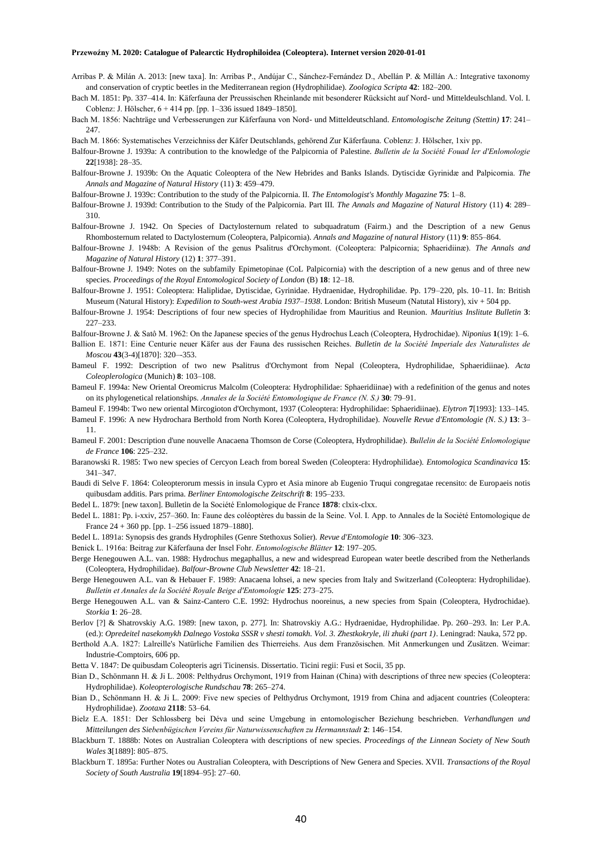- Arribas P. & Milán A. 2013: [new taxa]. In: Arribas P., Andújar C., Sánchez-Fernández D., Abellán P. & Millán A.: Integrative taxonomy and conservation of cryptic beetles in the Mediterranean region (Hydrophilidae). *Zoologica Scripta* **42**: 182–200.
- Bach M. 1851: Pp. 337–414. In: Käferfauna der Preussischen Rheinlande mit besonderer Rücksicht auf Nord- und Mitteldeulschland. Vol. I. Coblenz: J. Hölscher, 6 + 414 pp. [pp. 1–336 issued 1849–1850].
- Bach M. 1856: Nachträge und Verbesserungen zur Käferfauna von Nord- und Mitteldeutschland. *Entomologische Zeitung (Stettin)* **17**: 241– 247.
- Bach M. 1866: Systematisches Verzeichniss der Käfer Deutschlands, gehörend Zur Käferfauna. Coblenz: J. Hölscher, 1xiv pp.
- Balfour-Browne J. 1939a: A contribution to the knowledge of the Palpicornia of Palestine. *Bulletin de la Société Fouad ler d'Enlomologie* **22**[1938]: 28–35.
- Balfour-Browne J. 1939b: On the Aquatic Coleoptera of the New Hebrides and Banks Islands. Dytiscidæ Gyrinidæ and Palpicornia. *The Annals and Magazine of Natural History* (11) **3**: 459–479.
- Balfour-Browne J. 1939c: Contribution to the study of the Palpicornia. II. *The Entomologist's Monthly Magazine* **75**: 1–8.
- Balfour-Browne J. 1939d: Contribution to the Study of the Palpicornia. Part III. *The Annals and Magazine of Natural History* (11) **4**: 289– 310.
- Balfour-Browne J. 1942. On Species of Dactylosternum related to subquadratum (Fairm.) and the Description of a new Genus Rhombosternum related to Dactylosternum (Coleoptera, Palpicornia). *Annals and Magazine of natural History* (11) **9**: 855–864.
- Balfour-Browne J. 1948b: A Revision of the genus Psalitrus d'Orchymont. (Coleoptera: Palpicornia; Sphaeridiinæ). *The Annals and Magazine of Natural History* (12) **1**: 377–391.
- Balfour-Browne J. 1949: Notes on the subfamily Epimetopinae (CoL Palpicornia) with the description of a new genus and of three new species. *Proceedings of the Royal Entomological Society of London* (B) **18**: 12–18.
- Balfour-Browne J. 1951: Coleoptera: Haliplidae, Dytiscidae, Gyrinidae. Hydraenidae, Hydrophilidae. Pp. 179–220, pls. 10–11. In: British Museum (Natural History): *Expedilion to South-west Arabia 1937–1938*. London: British Museum (Natutal History), xiv + 504 pp.
- Balfour-Browne J. 1954: Descriptions of four new species of Hydrophilidae from Mauritius and Reunion. *Mauritius Inslitute Bulletin* **3**: 227–233.
- Balfour-Browne J. & Satô M. 1962: On the Japanese species of the genus Hydrochus Leach (Coleoptera, Hydrochidae). *Niponius* **1**(19): 1–6.
- Ballion E. 1871: Eine Centurie neuer Käfer aus der Fauna des russischen Reiches. *Bulletin de la Société Imperiale des Naturalistes de Moscou* **43**(3-4)[1870]: 320–-353.
- Bameul F. 1992: Description of two new Psalitrus d'Orchymont from Nepal (Coleoptera, Hydrophilidae, Sphaeridiinae). *Acta Coleoplerologica* (Munich) **8**: 103–108.
- Bameul F. 1994a: New Oriental Oreomicrus Malcolm (Coleoptera: Hydrophilidae: Sphaeridiinae) with a redefinition of the genus and notes on its phylogenetical relationships. *Annales de la Société Entomologique de France (N. S.)* **30**: 79–91.

Bameul F. 1994b: Two new oriental Mircogioton d'Orchymont, 1937 (Coleoptera: Hydrophilidae: Sphaeridiinae). *Elytron* **7**[1993]: 133–145.

- Bameul F. 1996: A new Hydrochara Berthold from North Korea (Coleoptera, Hydrophilidae). *Nouvelle Revue d'Entomologie (N. S.)* **13**: 3– 11.
- Bameul F. 2001: Description d'une nouvelle Anacaena Thomson de Corse (Coleoptera, Hydrophilidae). *Bullelin de la Société Enlomologique de France* **106**: 225–232.
- Baranowski R. 1985: Two new species of Cercyon Leach from boreal Sweden (Coleoptera: Hydrophilidae). *Entomologica Scandinavica* **15**: 341–347.
- Baudi di Selve F. 1864: Coleopterorum messis in insula Cypro et Asia minore ab Eugenio Truqui congregatae recensito: de Europaeis notis quibusdam additis. Pars prima. *Berliner Entomologische Zeitschrift* **8**: 195–233.
- Bedel L. 1879: [new taxon]. Bulletin de la Société Enlomologique de France **1878**: clxix-clxx.
- Bedel L. 1881: Pp. i-xxiv, 257–360. In: Faune des coléoptères du bassin de la Seine. Vol. I. App. to Annales de la Société Entomologique de France 24 + 360 pp. [pp. 1–256 issued 1879–1880].
- Bedel L. 1891a: Synopsis des grands Hydrophiles (Genre Stethoxus Solier). *Revue d'Entomologie* **10**: 306–323.
- Benick L. 1916a: Beitrag zur Käferfauna der Insel Fohr. *Entomologische Blätter* **12**: 197–205.
- Berge Henegouwen A.L. van. 1988: Hydrochus megaphallus, a new and widespread European water beetle described from the Netherlands (Coleoptera, Hydrophilidae). *Balfour-Browne Club Newsletter* **42**: 18–21.
- Berge Henegouwen A.L. van & Hebauer F. 1989: Anacaena lohsei, a new species from Italy and Switzerland (Coleoptera: Hydrophilidae). *Bulletin et Annales de la Société Royale Beige d'Entomologie* **125**: 273–275.
- Berge Henegouwen A.L. van & Sainz-Cantero C.E. 1992: Hydrochus nooreinus, a new species from Spain (Coleoptera, Hydrochidae). *Storkia* **1**: 26–28.
- Berlov [?] & Shatrovskiy A.G. 1989: [new taxon, p. 277]. In: Shatrovskiy A.G.: Hydraenidae, Hydrophilidae. Pp. 260–293. In: Ler P.A. (ed.): *Opredeitel nasekomykh Dalnego Vostoka SSSR v shesti tomakh. Vol. 3. Zhestkokryle, ili zhuki (part 1)*. Leningrad: Nauka, 572 pp.
- Berthold A.A. 1827: Lalreille's Natürliche Familien des Thierreiehs. Aus dem Französischen. Mit Anmerkungen und Zusätzen. Weimar: Industrie-Comptoirs, 606 pp.
- Betta V. 1847: De quibusdam Coleopteris agri Ticinensis. Dissertatio. Ticini regii: Fusi et Socii, 35 pp.
- Bian D., Schönmann H. & Ji L. 2008: Pelthydrus Orchymont, 1919 from Hainan (China) with descriptions of three new species (Coleoptera: Hydrophilidae). *Koleopterologische Rundschau* **78**: 265–274.
- Bian D., Schönmann H. & Ji L. 2009: Five new species of Pelthydrus Orchymont, 1919 from China and adjacent countries (Coleoptera: Hydrophilidae). *Zootaxa* **2118**: 53–64.
- Bielz E.A. 1851: Der Schlossberg bei Déva und seine Umgebung in entomologischer Beziehung beschrieben. *Verhandlungen und Mitteilungen des Siebenbügischen Vereins für Naturwissenschaften zu Hermannstadt* **2**: 146–154.
- Blackburn T. 1888b: Notes on Australian Coleoptera with descriptions of new species. *Proceedings of the Linnean Society of New South Wales* **3**[1889]: 805–875.
- Blackburn T. 1895a: Further Notes ou Australian Coleoptera, with Descriptions of New Genera and Species. XVII. *Transactions of the Royal Society of South Australia* **19**[1894–95]: 27–60.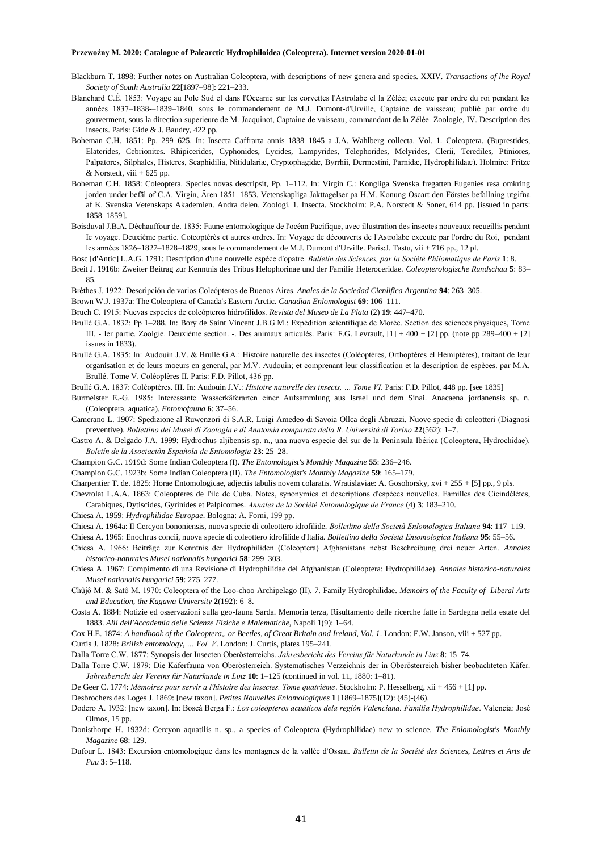- Blackburn T. 1898: Further notes on Australian Coleoptera, with descriptions of new genera and species. XXIV. *Transactions of lhe Royal Society of South Australia* **22**[1897–98]: 221–233.
- Blanchard C.É. 1853: Voyage au Pole Sud el dans l'Oceanie sur les corvettes l'Astrolabe el la Zélée; execute par ordre du roi pendant les années 1837–1838-–1839–1840, sous le commandement de M.J. Dumont-d'Urville, Captaine de vaisseau; publié par ordre du gouverment, sous la direction superieure de M. Jacquinot, Captaine de vaisseau, commandant de la Zélée. Zoologie, IV. Description des insects. Paris: Gide & J. Baudry, 422 pp.
- Boheman C.H. 1851: Pp. 299–625. In: Insecta Caffrarta annis 1838–1845 a J.A. Wahlberg collecta. Vol. 1. Coleoptera. (Buprestides, Elaterides, Cebrionites. Rhipicerides, Cyphonides, Lycides, Lampyrides, Telephorides, Melyrides, Clerii, Terediles, Ptiniores, Palpatores, Silphales, Histeres, Scaphidilia, Nitidulariæ, Cryptophagidæ, Byrrhii, Dermestini, Parnidæ, Hydrophilidaæ). Holmire: Fritze  $&$  Norstedt, viii + 625 pp.
- Boheman C.H. 1858: Coleoptera. Species novas descripsit, Pp. 1–112. In: Virgin C.: Kongliga Svenska fregatten Eugenies resa omkring jorden under befäl of C.A. Virgin, Ären 1851–1853. Vetenskapliga Jakttagelser pa H.M. Konung Oscart den Förstes befallning utgifna af K. Svenska Vetenskaps Akademien. Andra delen. Zoologi. 1. Insecta. Stockholm: P.A. Norstedt & Soner, 614 pp. [issued in parts: 1858–1859].
- Boisduval J.B.A. Déchauffour de. 1835: Faune entomologique de l'océan Pacifique, avec illustration des insectes nouveaux recueillis pendant Ie voyage. Deuxième partie. Coteoptérès et autres ordres. In: Voyage de découverts de l'Astrolabe execute par l'ordre du Roi, pendant les années 1826–1827–1828–1829, sous Ie commandement de M.J. Dumont d'Urville. Paris:J. Tastu, vii + 716 pp., 12 pl.
- Bosc [d'Antic] L.A.G. 1791: Description d'une nouvelle espèce d'opatre. *Bullelin des Sciences, par la Société Philomatique de Paris* **1**: 8.
- Breit J. 1916b: Zweiter Beitrag zur Kenntnis des Tribus Helophorinae und der Familie Heteroceridae. *Coleopterologische Rundschau* **5**: 83– 85.
- Brèthes J. 1922: Descripción de varios Coleópteros de Buenos Aires. *Anales de la Sociedad Cienlifica Argentina* **94**: 263–305.
- Brown W.J. 1937a: The Coleoptera of Canada's Eastern Arctic. *Canadian Enlomologist* **69**: 106–111.
- Bruch C. 1915: Nuevas especies de coleópteros hidrofilidos. *Revista del Museo de La Plata* (2) **19**: 447–470.
- Brullé G.A. 1832: Pp 1–288. In: Bory de Saint Vincent J.B.G.M.: Expédition scientifique de Morée. Section des sciences physiques, Tome III, - Ier partie. Zoolgie. Deuxième section. -. Des animaux articulés. Paris: F.G. Levrault, [1] + 400 + [2] pp. (note pp 289–400 + [2] issues in 1833).
- Brullé G.A. 1835: In: Audouin J.V. & Brullé G.A.: Histoire naturelle des insectes (Coléoptères, Orthoptères el Hemiptères), traitant de leur organisation et de leurs moeurs en general, par M.V. Audouin; et comprenant leur classification et la description de espèces. par M.A. Brullé. Tome V. Coléoplères II. Paris: F.D. Pillot, 436 pp.
- Brullé G.A. 1837: Coléoptères. III. In: Audouin J.V.: *Histoire naturelle des insects, … Tome VI*. Paris: F.D. Pillot, 448 pp. [see 1835]
- Burmeister E.-G. 1985: Interessante Wasserkäferarten einer Aufsammlung aus Israel und dem Sinai. Anacaena jordanensis sp. n. (Coleoptera, aquatica). *Entomofauna* **6**: 37–56.
- Camerano L. 1907: Spedizione al Ruwenzori di S.A.R. Luigi Amedeo di Savoia Ollca degli Abruzzi. Nuove specie di coleotteri (Diagnosi preventive). *Bollettino dei Musei di Zoologia e di Anatomia comparata della R. Università di Torino* **22**(562): 1–7.
- Castro A. & Delgado J.A. 1999: Hydrochus aljibensis sp. n., una nuova especie del sur de la Peninsula Ibérica (Coleoptera, Hydrochidae). *Boletín de la Asociaciòn Española de Entomologia* **23**: 25–28.
- Champion G.C. 1919d: Some Indian Coleoptera (I). *The Entomologist's Monthly Magazine* **55**: 236–246.
- Champion G.C. 1923b: Some Indian Coleoptera (II). *The Entomologist's Monthly Magazine* **59**: 165–179.
- Charpentier T. de. 1825: Horae Entomologicae, adjectis tabulis novem colaratis. Wratislaviae: A. Gosohorsky, xvi + 255 + [5] pp., 9 pls.

Chevrolat L.A.A. 1863: Coleopteres de l'ile de Cuba. Notes, synonymies et descriptions d'espèces nouvelles. Familles des Cicindélètes, Carabiques, Dytiscides, Gyrinides et Palpicornes. *Annales de la Société Entomologique de France* (4) **3**: 183–210.

- Chiesa A. 1959: *Hydrophilidae Europae*. Bologna: A. Forni, 199 pp.
- Chiesa A. 1964a: Il Cercyon bononiensis, nuova specie di coleottero idrofilide. *Bolletlino della Società Enlomologica Italiana* **94**: 117–119.
- Chiesa A. 1965: Enochrus concii, nuova specie di coleottero idrofilide d'Italia. *Bolletlino della Società Entomologica Italiana* **95**: 55–56.
- Chiesa A. 1966: Beiträge zur Kenntnis der Hydrophiliden (Coleoptera) Afghanistans nebst Beschreibung drei neuer Arten. *Annales historico-naturales Musei nationalis hungarici* **58**: 299–303.
- Chiesa A. 1967: Compimento di una Revisione di Hydrophilidae del Afghanistan (Coleoptera: Hydrophilidae). *Annales historico-naturales Musei nationalis hungarici* **59**: 275–277.
- Chûjô M. & Satô M. 1970: Coleoptera of the Loo-choo Archipelago (II), 7. Family Hydrophilidae. *Memoirs of the Faculty of Liberal Arts and Education, the Kagawa University* **2**(192): 6–8.
- Costa A. 1884: Notizie ed osservazioni sulla geo-fauna Sarda. Memoria terza, Risultamento delle ricerche fatte in Sardegna nella estate del 1883. *Alii dell'Accademia delle Scienze Fisiche e Malematiche*, Napoli **1**(9): 1–64.
- Cox H.E. 1874: *A handbook of the Coleoptera,. or Beetles, of Great Britain and Ireland, Vol. 1*. London: E.W. Janson, viii + 527 pp.
- Curtis J. 1828: *Brilish entomology, … Vol. V*. London: J. Curtis, plates 195–241.
- Dalla Torre C.W. 1877: Synopsis der Insecten Oberösterreichs. *Jahresbericht des Vereins für Naturkunde in Linz* **8**: 15–74.
- Dalla Torre C.W. 1879: Die Käferfauna von Oberösterreich. Systematisches Verzeichnis der in Oberösterreich bisher beobachteten Käfer. *Jahresbericht des Vereins für Naturkunde in Linz* **10**: 1–125 (continued in vol. 11, 1880: 1–81).
- De Geer C. 1774: *Mémoires pour servir a l'histoire des insectes. Tome quatrième*. Stockholm: P. Hesselberg, xii + 456 + [1] pp.

Desbrochers des Loges J. 1869: [new taxon]. *Petites Nouvelles Enlomologiques* **1** [1869–1875](12): (45)-(46).

Dodero A. 1932: [new taxon]. In: Boscá Berga F.: *Los coleópteros acuáticos dela región Valenciana. Familia Hydrophilidae*. Valencia: José Olmos, 15 pp.

- Donisthorpe H. 1932d: Cercyon aquatilis n. sp., a species of Coleoptera (Hydrophilidae) new to science. *The Enlomologist's Monthly Magazine* **68**: 129.
- Dufour L. 1843: Excursion entomologique dans les montagnes de la vallée d'Ossau. *Bulletin de la Société des Sciences, Lettres et Arts de Pau* **3**: 5–118.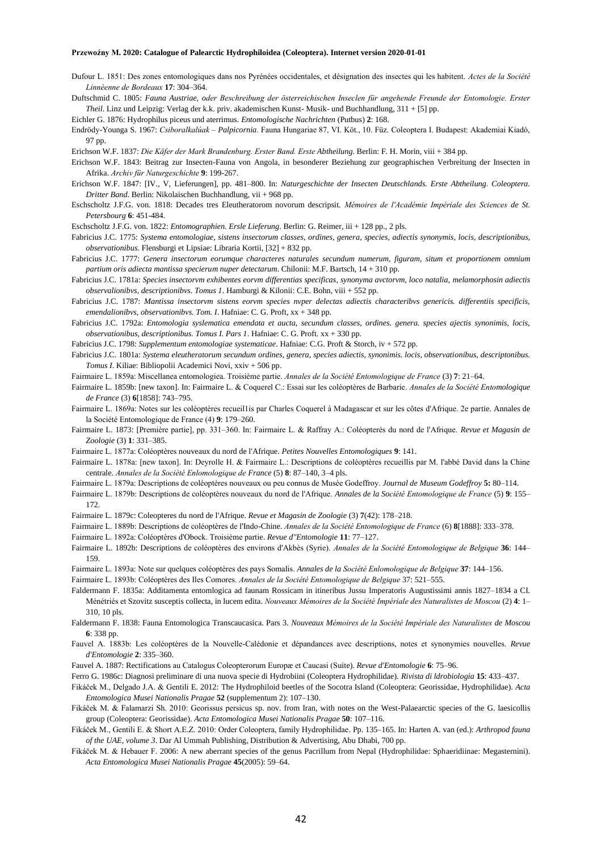Dufour L. 1851: Des zones entomologiques dans nos Pyrénées occidentales, et désignation des insectes qui les habitent. *Actes de la Société Linnéenne de Bordeaux* **17**: 304–364.

Duftschmid C. 1805: *Fauna Austriae, oder Beschreibung der österreichischen Inseclen für angehende Freunde der Entomologie. Erster Theil*. Linz und Leipzig: Verlag der k.k. priv. akademischen Kunst- Musik- und Buchhandlung, 311 + [5] pp.

Eichler G. 1876: Hydrophilus piceus und aterrimus. *Entomologische Nachrichten* (Putbus) **2**: 168.

Endrödy-Younga S. 1967: *Csiboralkalúak – Palpicornia*. Fauna Hungariae 87, VI. Köt., 10. Füz. Coleoptera I. Budapest: Akademiai Kiadó, 97 pp.

Erichson W.F. 1837: *Die Käfer der Mark Brandenburg. Erster Band. Erste Abtheilung*. Berlin: F. H. Morin, viii + 384 pp.

- Erichson W.F. 1843: Beitrag zur Insecten-Fauna von Angola, in besonderer Beziehung zur geographischen Verbreitung der Insecten in Afrika. *Archiv für Naturgeschichte* **9**: 199-267.
- Erichson W.F. 1847: [IV., V, Lieferungen], pp. 481–800. In: *Naturgeschichte der Insecten Deutschlands. Erste Abtheilung. Coleoptera. Dritter Band*. Berlin: Nikolaischen Buchhandlung, vii + 968 pp.
- Eschscholtz J.F.G. von. 1818: Decades tres Eleutheratorom novorum descripsit. *Mémoires de l'Académie Impériale des Sciences de St. Petersbourg* **6**: 451-484.

Eschscholtz J.F.G. von. 1822: *Entomographien. Ersle Lieferung*. Berlin: G. Reimer, iii + 128 pp., 2 pls.

- Fabricius J.C. 1775: *Systema entomologiae, sistens insectorum classes, ordines, genera, species, adiectis synonymis, locis, descriptionibus, observationibus*. Flensburgi et Lipsiae: Libraria Kortii, [32] + 832 pp.
- Fabricius J.C. 1777: *Genera insectorum eorumque characteres naturales secundum numerum, figuram, situm et proportionem omnium partium oris adiecta mantissa specierum nuper detectarum*. Chilonii: M.F. Bartsch, 14 + 310 pp.
- Fabricius J.C. 1781a: *Species insectorvm exhibentes eorvm differentias specificas, synonyma avctorvm, loco natalia, melamorphosin adiectis observalionibvs, descriptionibvs. Tomus 1*. Hamburgi & Kilonii: C.E. Bohn, viii + 552 pp.
- Fabricius J.C. 1787: *Mantissa insectorvm sistens eorvm species nvper delectas adiectis characteribvs genericis. differentiis specificis, emendalionibvs, observationibvs. Tom. I*. Hafniae: C. G. Proft, xx + 348 pp.
- Fabricius J.C. 1792a: *Entomologia syslematica emendata et aucta, secundum classes, ordines. genera. species ajectis synonimis, locis, observationibus, descriptionibus. Tomus I. Pars 1*. Hafniae: C. G. Proft. xx + 330 pp.
- Fabricius J.C. 1798: *Supplementum entomologiae systematicae*. Hafniae: C.G. Proft & Storch, iv + 572 pp.
- Fabricius J.C. 1801a: *Systema eleutheratorum secundum ordines, genera, species adiectis, synonimis. locis, observationibus, descriptonibus. Tomus I*. Kiliae: Bibliopolii Academici Novi, xxiv + 506 pp.
- Fairmaire L. 1859a: Miscellanea entomologiea. Troisième partie. *Annales de la Société Entomologique de France* (3) **7**: 21–64.
- Fairmaire L. 1859b: [new taxon]. In: Fairmaire L. & Coquerel C.: Essai sur les coléoptères de Barbarie. *Annales de la Société Entomologique de France* (3) **6**[1858]: 743–795.
- Fairmaire L. 1869a: Notes sur les coléoptères recueil1is par Charles Coquerel à Madagascar et sur les côtes d'Afrique. 2e partie. Annales de la Société Entomologique de France (4) **9**: 179–260.
- Fairmaire L. 1873: [Première partie], pp. 331–360. In: Fairmaire L. & Raffray A.: Coléopterès du nord de l'Afrique. *Revue et Magasin de Zoologie* (3) **1**: 331–385.
- Fairmaire L. 1877a: Coléoptères nouveaux du nord de l'Afrique. *Petites Nouvelles Entomologiques* **9**: 141.
- Fairmaire L. 1878a: [new taxon]. In: Deyrolle H. & Fairmaire L.: Descriptions de coléoptères recueillis par M. l'abbé David dans la Chine centrale. *Annales de la Société Enlomologique de France* (5) **8**: 87–140, 3–4 pls.
- Fairmaire L. 1879a: Descriptions de coléoptères nouveaux ou peu connus de Musée Godeffroy. *Journal de Museum Godeffroy* **5:** 80–114.
- Fairmaire L. 1879b: Descriptions de coléoptères nouveaux du nord de l'Afrique. *Annales de la Société Entomologique de France* (5) **9**: 155– 172.
- Fairmaire L. 1879c: Coleopteres du nord de l'Afrique. *Revue et Magasin de Zoologie* (3) **7**(42): 178–218.
- Fairmaire L. 1889b: Descriptions de coléoptères de l'Indo-Chine. *Annales de la Société Entomologique de France* (6) **8**[1888]: 333–378.
- Fairmaire L. 1892a: Coléoptères d'Obock. Troisième partie. *Revue d"Entomologie* **11**: 77–127.
- Fairmaire L. 1892b: Descriptions de coléoptères des environs d'Akbès (Syrie). *Annales de la Société Entomologique de Belgique* **36**: 144– 159.
- Fairmaire L. 1893a: Note sur quelques coléoptères des pays Somalis. *Annales de la Société Enlomologique de Belgique* **37**: 144–156.
- Fairmaire L. 1893b: Coléoptères des Iles Comores. *Annales de la Société Entomologique de Belgique* 37: 521–555.
- Faldermann F. 1835a: Additamenta entomlogica ad faunam Rossicam in itineribus Jussu Imperatoris Augustissimi annis 1827–1834 a CI. Ménétriés et Szovitz susceptis collecta, in lucem edita. *Nouveaux Mémoires de la Société Impériale des Naturalistes de Moscou* (2) **4**: 1– 310, 10 pls.
- Faldermann F. 1838: Fauna Entomologica Transcaucasica. Pars 3. *Nouveaux Mémoires de la Société Impériale des Naturalistes de Moscou* **6**: 338 pp.
- Fauvel A. 1883b: Les coléoptères de la Nouvelle-Calédonie et dépandances avec descriptions, notes et synonymies nouvelles. *Revue d'Entomologie* **2**: 335–360.
- Fauvel A. 1887: Rectifications au Catalogus Coleopterorum Europæ et Caucasi (Suite). *Revue d'Entomologie* **6**: 75–96.
- Ferro G. 1986c: Diagnosi preliminare di una nuova specie di Hydrobiini (Coleoptera Hydrophilidae). *Rivista di ldrobiologia* **15**: 433–437.
- Fikáček M., Delgado J.A. & Gentili E. 2012: The Hydrophiloid beetles of the Socotra Island (Coleoptera: Georissidae, Hydrophilidae). *Acta Entomologica Musei Nationalis Pragae* **52** (supplementum 2): 107–130.
- Fikáček M. & Falamarzi Sh. 2010: Georissus persicus sp. nov. from Iran, with notes on the West-Palaearctic species of the G. laesicollis group (Coleoptera: Georissidae). *Acta Entomologica Musei Nationalis Pragae* **50**: 107–116.
- Fikáček M., Gentili E. & Short A.E.Z. 2010: Order Coleoptera, family Hydrophilidae. Pp. 135–165. In: Harten A. van (ed.): *Arthropod fauna of the UAE, volume 3*. Dar Al Ummah Publishing, Distribution & Advertising, Abu Dhabi, 700 pp.
- Fikáček M. & Hebauer F. 2006: A new aberrant species of the genus Pacrillum from Nepal (Hydrophilidae: Sphaeridiinae: Megasternini). *Acta Entomologica Musei Nationalis Pragae* **45**(2005): 59–64.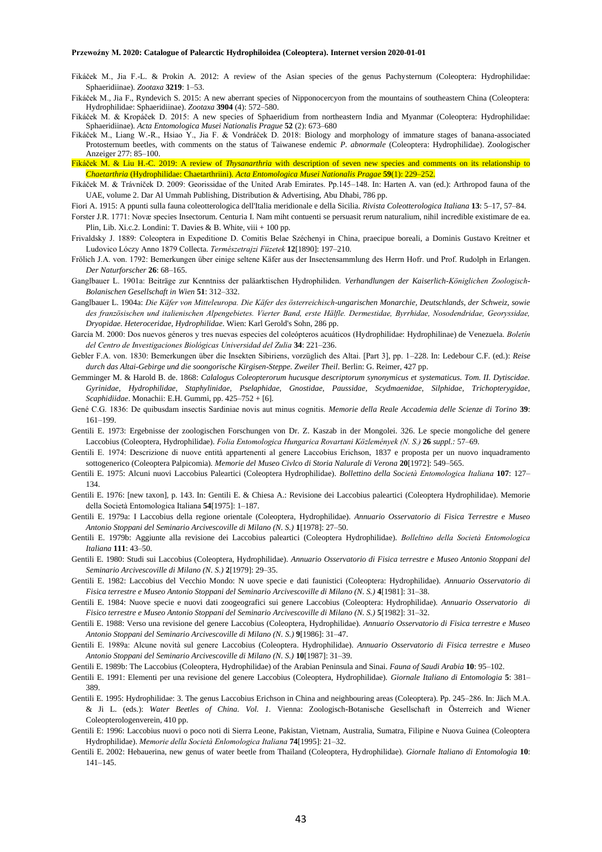- Fikáček M., Jia F.-L. & Prokin A. 2012: A review of the Asian species of the genus Pachysternum (Coleoptera: Hydrophilidae: Sphaeridiinae). *Zootaxa* **3219**: 1–53.
- Fikáček M., Jia F., Ryndevich S. 2015: A new aberrant species of Nipponocercyon from the mountains of southeastern China (Coleoptera: Hydrophilidae: Sphaeridiinae). *Zootaxa* **3904** (4): 572–580.
- Fikáček M. & Kropáček D. 2015: A new species of Sphaeridium from northeastern India and Myanmar (Coleoptera: Hydrophilidae: Sphaeridiinae). *Acta Entomologica Musei Nationalis Prague* **52** (2): 673–680
- Fikáček M., Liang W.-R., Hsiao Y., Jia F. & Vondráček D. 2018: Biology and morphology of immature stages of banana-associated Protosternum beetles, with comments on the status of Taiwanese endemic *P. abnormale* (Coleoptera: Hydrophilidae). Zoologischer Anzeiger 277: 85–100.
- Fikáček M. & Liu H.-C. 2019: A review of *Thysanarthria* with description of seven new species and comments on its relationship to *Chaetarthria* (Hydrophilidae: Chaetarthriini). *Acta Entomologica Musei Nationalis Pragae* **59**(1): 229–252.
- Fikáček M. & Trávníček D. 2009: Georissidae of the United Arab Emirates. Pp.145–148. In: Harten A. van (ed.): Arthropod fauna of the UAE, volume 2. Dar Al Ummah Publishing, Distribution & Advertising, Abu Dhabi, 786 pp.
- Fiori A. 1915: A ppunti sulla fauna coleotterologica dell'Italia meridionale e della Sicilia. *Rivista Coleotterologica Italiana* **13**: 5–17, 57–84.
- Forster J.R. 1771: Novæ species Insectorum. Centuria I. Nam miht contuenti se persuasit rerum naturalium, nihil incredible existimare de ea. Plin, Lib. Xi.c.2. Londini: T. Davies & B. White, viii + 100 pp.
- Frivaldsky J. 1889: Coleoptera in Expeditione D. Comitis Belae Széchenyi in China, praecipue boreali, a Dominis Gustavo Kreitner et Ludovico Lóczy Anno 1879 Collecta. *Természetrajzi Füzetek* **12**[1890]: 197–210.
- Frölich J.A. von. 1792: Bemerkungen über einige seltene Käfer aus der Insectensammlung des Herrn Hofr. und Prof. Rudolph in Erlangen. *Der Naturforscher* **26**: 68–165.
- Ganglbauer L. 1901a: Beiträge zur Kenntniss der paläarktischen Hydrophiliden. *Verhandlungen der Kaiserlich-Königlichen Zoologisch-Bolanischen Gesellschaft in Wien* **51**: 312–332.
- Ganglbauer L. 1904a: *Die Käfer von Mitteleuropa. Die Käfer des österreichisch-ungarischen Monarchie, Deutschlands, der Schweiz, sowie des französischen und italienischen Alpengebietes. Vierter Band, erste Hälfle. Dermestidae, Byrrhidae, Nosodendridae, Georyssidae, Dryopidae. Heteroceridae, Hydrophilidae*. Wien: Karl Gerold's Sohn, 286 pp.
- García M. 2000: Dos nuevos géneros y tres nuevas especies del coleópteros acuáticos (Hydrophilidae: Hydrophilinae) de Venezuela. *Boletín del Centro de Investigaciones Biológicas Universidad del Zulia* **34**: 221–236.
- Gebler F.A. von. 1830: Bemerkungen über die Insekten Sibiriens, vorzüglich des Altai. [Part 3], pp. 1–228. In: Ledebour C.F. (ed.): *Reise durch das Altai-Gebirge und die soongorische Kirgisen-Steppe. Zweiler Theil*. Berlin: G. Reimer, 427 pp.
- Gemminger M. & Harold B. de. 1868: *Calalogus Coleopterorum hucusque descriptorum synonymicus et systematicus. Tom. II. Dytiscidae. Gyrinidae, Hydrophilidae, Staphylinidae, Pselaphidae, Gnostidae, Paussidae, Scydmaenidae, Silphidae, Trichopterygidae, Scaphidiidae*. Monachii: E.H. Gummi, pp. 425–752 + [6].
- Gené C.G. 1836: De quibusdam insectis Sardiniae novis aut minus cognitis. *Memorie della Reale Accademia delle Scienze di Torino* **39**: 161–199.
- Gentili E. 1973: Ergebnisse der zoologischen Forschungen von Dr. Z. Kaszab in der Mongolei. 326. Le specie mongoliche del genere Laccobius (Coleoptera, Hydrophilidae). *Folia Entomologica Hungarica Rovartani Közlemények (N. S.)* **26** *suppl.:* 57–69.
- Gentili E. 1974: Descrizione di nuove entità appartenenti al genere Laccobius Erichson, 1837 e proposta per un nuovo inquadramento sottogenerico (Coleoptera Palpicomia). *Memorie del Museo Civlco di Storia Nalurale di Verona* **20**[1972]: 549–565.
- Gentili E. 1975: Alcuni nuovi Laccobius Paleartici (Coleoptera Hydrophilidae). *Bollettino della Società Entomologica Italiana* **107**: 127– 134.
- Gentili E. 1976: [new taxon], p. 143. In: Gentili E. & Chiesa A.: Revisione dei Laccobius paleartici (Coleoptera Hydrophilidae). Memorie della Società Entomologica Italiana **54**[1975]: 1–187.
- Gentili E. 1979a: I Laccobius della regione orientale (Coleoptera, Hydrophilidae). *Annuario Osservatorio di Fisica Terrestre e Museo Antonio Stoppani del Seminario Arcivescoville di Milano (N. S.)* **1**[1978]: 27–50.
- Gentili E. 1979b: Aggiunte alla revisione dei Laccobius paleartici (Coleoptera Hydrophilidae). *Bolleltino della Società Entomologica Italiana* **111**: 43–50.
- Gentili E. 1980: Studi sui Laccobius (Coleoptera, Hydrophilidae). *Annuario Osservatorio di Fisica terrestre e Museo Antonio Stoppani del Seminario Arcivescoville di Milano (N. S.)* **2**[1979]: 29–35.
- Gentili E. 1982: Laccobius del Vecchio Mondo: N uove specie e dati faunistici (Coleoptera: Hydrophilidae). *Annuario Osservatorio di Fisica terrestre e Museo Antonio Stoppani del Seminario Arcivescoville di Milano (N. S.)* **4**[1981]: 31–38.
- Gentili E. 1984: Nuove specie e nuovi dati zoogeografici sui genere Laccobius (Coleoptera: Hydrophilidae). *Annuario Osservatorio di Fisico terrestre e Museo Antonio Stoppani del Seminario Arcivescoville di Milano (N. S.)* **5**[1982]: 31–32.
- Gentili E. 1988: Verso una revisione del genere Laccobius (Coleoptera, Hydrophilidae). *Annuario Osservatorio di Fisica terrestre e Museo Antonio Stoppani del Seminario Arcivescoville di Milano (N. S.)* **9**[1986]: 31–47.
- Gentili E. 1989a: Alcune novità sul genere Laccobius (Coleoptera. Hydrophilidae). *Annuario Osservatorio di Fisica terrestre e Museo Antonio Stoppani del Seminario Arcivescoville di Milano (N. S.)* **10**[1987]: 31–39.
- Gentili E. 1989b: The Laccobius (Coleoptera, Hydrophilidae) of the Arabian Peninsula and Sinai. *Fauna of Saudi Arabia* **10**: 95–102.
- Gentili E. 1991: Elementi per una revisione del genere Laccobius (Coleoptera, Hydrophilidae). *Giornale Italiano di Entomologia* **5**: 381– 389.
- Gentili E. 1995: Hydrophilidae: 3. The genus Laccobius Erichson in China and neighbouring areas (Coleoptera). Pp. 245–286. In: Jäch M.A. & Ji L. (eds.): *Water Beetles of China. Vol. 1.* Vienna: Zoologisch-Botanische Gesellschaft in Österreich and Wiener Coleopterologenverein, 410 pp.
- Gentili E: 1996: Laccobius nuovi o poco noti di Sierra Leone, Pakistan, Vietnam, Australia, Sumatra, Filipine e Nuova Guinea (Coleoptera Hydrophilidae). *Memorie della Società Enlomologica Italiana* **74**[1995]: 21–32.
- Gentili E. 2002: Hebauerina, new genus of water beetle from Thailand (Coleoptera, Hydrophilidae). *Giornale Italiano di Entomologia* **10**: 141–145.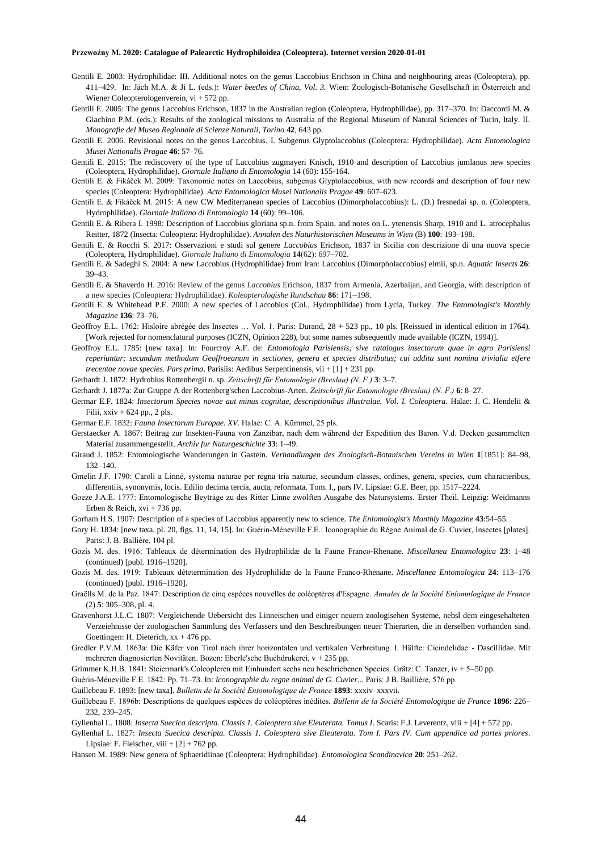- Gentili E. 2003: Hydrophilidae: III. Additional notes on the genus Laccobius Erichson in China and neighbouring areas (Coleoptera), pp. 411–429. In: Jäch M.A. & Ji L. (eds.): *Water beetles of China, Vol. 3.* Wien: Zoologisch-Botanische Gesellschaft in Österreich and Wiener Coleopterologenverein, vi + 572 pp.
- Gentili E. 2005: The genus Laccobius Erichson, 1837 in the Australian region (Coleoptera, Hydrophilidae), pp. 317–370. In: Daccordi M. & Giachino P.M. (eds.): Results of the zoological missions to Australia of the Regional Museum of Natural Sciences of Turin, Italy. II. *Monografie del Museo Regionale di Scienze Naturali, Torino* **42**, 643 pp.
- Gentili E. 2006. Revisional notes on the genus Laccobius. I. Subgenus Glyptolaccobius (Coleoptera: Hydrophilidae). *Acta Entomologica Musei Nationalis Pragae* **46**: 57–76.
- Gentili E. 2015: The rediscovery of the type of Laccobius zugmayeri Knisch, 1910 and description of Laccobius jumlanus new species (Coleoptera, Hydrophilidae). *Giornale Italiano di Entomologia* 14 (60): 155-164.
- Gentili E. & Fikáček M. 2009: Taxonomic notes on Laccobius, subgenus Glyptolaccobius, with new records and description of four new species (Coleoptera: Hydrophilidae). *Acta Entomologica Musei Nationalis Pragae* **49**: 607–623.
- Gentili E. & Fikáček M. 2015: A new CW Mediterranean species of Laccobius (Dimorpholaccobius): L. (D.) fresnedai sp. n. (Coleoptera, Hydrophilidae). *Giornale Italiano di Entomologia* **14** (60): 99–106.
- Gentili E. & Ribera I. 1998: Description of Laccobius gloriana sp.n. from Spain, and notes on L. ytenensis Sharp, 1910 and L. atrocephalus Reitter, 1872 (Insecta: Coleoptera: Hydrophilidae). *Annalen des Naturhistorischen Museums in Wien* (B) **100**: 193–198.
- Gentili E. & Rocchi S. 2017: Osservazioni e studi sul genere *Laccobius* Erichson, 1837 in Sicilia con descrizione di una nuova specie (Coleoptera, Hydrophilidae). *Giornale Italiano di Entomologia* **14**(62): 697–702.
- Gentili E. & Sadeghi S. 2004: A new Laccobius (Hydrophilidae) from Iran: Laccobius (Dimorpholaccobius) elmii, sp.n. *Aquatic Insects* **26**: 39–43.
- Gentili E. & Shaverdo H. 2016: Review of the genus *Laccobius* Erichson, 1837 from Armenia, Azerbaijan, and Georgia, with description of a new species (Coleoptera: Hydrophilidae). *Koleopterologishe Rundschau* **86**: 171–198.
- Gentili E. & Whitehead P.E. 2000: A new species of Laccobius (Col., Hydrophilidae) from Lycia, Turkey. *The Entomologist's Monthly Magazine* **136**: 73–76.
- Geoffroy E.L. 1762: Hisloire abrégée des Insectes … Vol. 1. Paris: Durand, 28 + 523 pp., 10 pls. [Reissued in identical edition in 1764). [Work rejected for nomenclatural purposes (ICZN, Opinion 228), but some names subsequently made available (ICZN, 1994)].
- Geoffroy E.L. 1785: [new taxa]. In: Fourcroy A.F. de: *Entomologia Parisiensis; sive catalogus insectorum quae in agro Parisiensi reperiuntur; secundum methodum Geoffroeanum in sectiones, genera et species distributus; cui addita sunt nomina trivialia etfere trecentae novae species. Pars prima*. Parisiis: Aedibus Serpentinensis, vii + [1] + 231 pp.
- Gerhardt J. 1872: Hydrobius Rottenbergii n. sp. *Zeitschrift für Entomologie (Breslau) (N. F.)* **3**: 3–7.
- Gerhardt J. 1877a: Zur Gruppe A der Rottenberg'schen Laccobius-Arten. *Zeitschrift für Entomologie (Breslau) (N. F.)* **6**: 8–27.
- Germar E.F. 1824: *Insectorum Species novae aut minus cognitae, descriptionibus illustralae. Vol. I. Coleoptera*. Halae: J. C. Hendelii & Filii, xxiv + 624 pp., 2 pls.
- Germar E.F. 1832: *Fauna Insectorum Europae. XV.* Halae: C. A. Kümmel, 25 pls.
- Gerstaecker A. 1867: Beitrag zur Insekten-Fauna von Zanzibar, nach dem während der Expedition des Baron. V.d. Decken gesammelten Material zusammengestellt. *Archiv fur Naturgeschichte* **33**: 1–49.
- Giraud J. 1852: Entomologische Wanderungen in Gastein. *Verhandlungen des Zoologisch-Botanischen Vereins in Wien* **1**[1851]: 84–98, 132–140.
- Gmelin J.F. 1790: Caroli a Linné, systema naturae per regna tria naturae, secundum classes, ordines, genera, species, cum characteribus, differentiis, synonymis, locis. Edilio decima tercia, aucta, reformata. Tom. I., pars IV. Lipsiae: G.E. Beer, pp. 1517–2224.
- Goeze J.A.E. 1777: Entomologische Beyträge zu des Ritter Linne zwölften Ausgabe des Natursystems. Erster Theil. Leipzig: Weidmanns Erben & Reich,  $xvi + 736$  pp.
- Gorham H.S. 1907: Description of a species of Laccobius apparently new to science. *The Enlomologist's Monthly Magazine* **43**:54–55.
- Gory H. 1834: [new taxa, pl. 20, figs. 11, 14, 15]. In: Guérin-Méneville F.E.: Iconographie du Règne Animal de G. Cuvier, Insectes [plates]. Paris: J. B. Ballière, 104 pl.
- Gozis M. des. 1916: Tableaux de détermination des Hydrophilidæ de la Faune Franco-Rhenane. *Miscellanea Entomologica* **23**: 1–48 (continued) [publ. 1916–1920].
- Gozis M. des. 1919: Tableaux détetermination des Hydrophilidæ de la Faune Franco-Rhenane. *Miscellanea Entomologica* **24**: 113–176 (continued) [publ. 1916–1920].
- Graëlls M. de la Paz. 1847: Description de cinq espèces nouvelles de coléoptères d'Espagne. *Annales de la Société Enlomnlogique de France* (2) **5**: 305–308, pl. 4.
- Gravenhorst J.L.C. 1807: Vergleichende Uebersicht des Linneischen und einiger neuern zoologisehen Systeme, nebsl dem eingesehalteten Verzeiehnisse der zoologischen Sammlung des Verfassers und den Beschreibungen neuer Thierarten, die in derselben vorhanden sind. Goettingen: H. Dieterich,  $xx + 476$  pp.
- Gredler P.V.M. 1863a: Die Käfer von Tirol nach ihrer horizontalen und vertikalen Verbreitung. I. Hälfte: Cicindelidae Dascillidae. Mit mehreren diagnosierten Novitäten. Bozen: Eberle'sche Buchdrukerei, v + 235 pp.
- Grimmer K.H.B. 1841: Steiermark's Coleopleren mit Einhundert sechs neu beschriebenen Species. Grätz: C. Tanzer, iv + 5–50 pp.
- Guérin-Méneville F.E. 1842: Pp. 71–73. In: *Iconographie du regne animal de G. Cuvier*... Paris: J.B. Baillière, 576 pp.
- Guillebeau F. 1893: [new taxa]. *Bulletin de la Société Entomologique de France* **1893**: xxxiv–xxxvii.
- Guillebeau F. 1896b: Descriptions de quelques espèces de coléoptères inédites. *Bulletin de la Société Entomologique de France* **1896**: 226– 232, 239–245.
- Gyllenhal L. 1808: *Insecta Suecica descripta. Classis 1. Coleoptera sive Eleuterata. Tomus I*. Scaris: F.J. Leverentz, viii + [4] + 572 pp.
- Gyllenhal L. 1827: *Insecta Suecica descripta. Classis 1. Coleoptera sive Eleuterata. Tom I. Pars IV. Cum appendice ad partes priores*. Lipsiae: F. Fleischer, viii  $+[2]+762$  pp.
- Hansen M. 1989: New genera of Sphaeridiinae (Coleoptera: Hydrophilidae). *Entomologica Scandinavica* **20**: 251–262.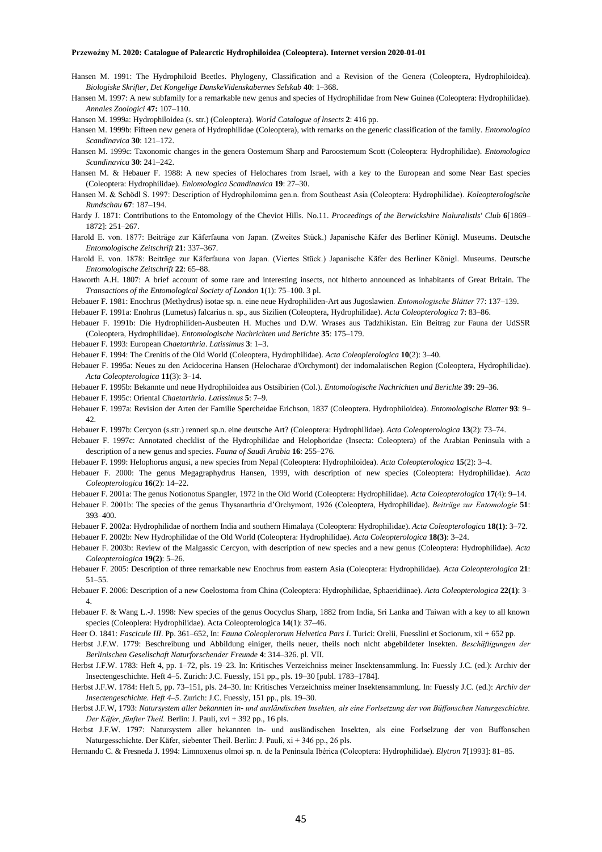- Hansen M. 1991: The Hydrophiloid Beetles. Phylogeny, Classification and a Revision of the Genera (Coleoptera, Hydrophiloidea). *Biologiske Skrifter, Det Kongelige DanskeVidenskabernes Selskab* **40**: 1–368.
- Hansen M. 1997: A new subfamily for a remarkable new genus and species of Hydrophilidae from New Guinea (Coleoptera: Hydrophilidae). *Annales Zoologici* **47:** 107–110.

Hansen M. 1999a: Hydrophiloidea (s. str.) (Coleoptera). *World Catalogue of lnsects* **2**: 416 pp.

- Hansen M. 1999b: Fifteen new genera of Hydrophilidae (Coleoptera), with remarks on the generic classification of the family. *Entomologica Scandinavica* **30**: 121–172.
- Hansen M. 1999c: Taxonomic changes in the genera Oosternum Sharp and Paroosternum Scott (Coleoptera: Hydrophilidae). *Entomologica Scandinavica* **30**: 241–242.
- Hansen M. & Hebauer F. 1988: A new species of Helochares from Israel, with a key to the European and some Near East species (Coleoptera: Hydrophilidae). *Enlomologica Scandinavica* **19**: 27–30.
- Hansen M. & Schödl S. 1997: Description of Hydrophilomima gen.n. from Southeast Asia (Coleoptera: Hydrophilidae). *Koleopterologische Rundschau* **67**: 187–194.
- Hardy J. 1871: Contributions to the Entomology of the Cheviot Hills. No.11. *Proceedings of the Berwickshire Naluralistls' Club* **6**[1869– 1872]: 251–267.
- Harold E. von. 1877: Beiträge zur Käferfauna von Japan. (Zweites Stück.) Japanische Käfer des Berliner Königl. Museums. Deutsche *Entomologische Zeitschrift* **21**: 337–367.
- Harold E. von. 1878: Beiträge zur Käferfauna von Japan. (Viertes Stück.) Japanische Käfer des Berliner Königl. Museums. Deutsche *Entomologische Zeitschrift* **22**: 65–88.
- Haworth A.H. 1807: A brief account of some rare and interesting insects, not hitherto announced as inhabitants of Great Britain. The *Transactions of the Entomological Society of London* **1**(1): 75–100. 3 pl.
- Hebauer F. 1981: Enochrus (Methydrus) isotae sp. n. eine neue Hydrophiliden-Art aus Jugoslawien*. Entomologische Blätter* 77: 137–139.

Hebauer F. 1991a: Enohrus (Lumetus) falcarius n. sp., aus Sizilien (Coleoptera, Hydrophilidae). *Acta Coleopterologica* **7**: 83–86.

- Hebauer F. 1991b: Die Hydrophiliden-Ausbeuten H. Muches und D.W. Wrases aus Tadzhikistan. Ein Beitrag zur Fauna der UdSSR (Coleoptera, Hydrophilidae). *Entomologische Nachrichten und Berichte* **35**: 175–179.
- Hebauer F. 1993: European *Chaetarthria*. *Latissimus* **3**: 1–3.
- Hebauer F. 1994: The Crenitis of the Old World (Coleoptera, Hydrophilidae). *Acta Coleoplerologica* **10**(2): 3–40.
- Hebauer F. 1995a: Neues zu den Acidocerina Hansen (Helocharae d'Orchymont) der indomalaiischen Region (Coleoptera, Hydrophilidae). *Acta Coleopterologica* **11**(3): 3–14.
- Hebauer F. 1995b: Bekannte und neue Hydrophiloidea aus Ostsibirien (Col.). *Entomologische Nachrichten und Berichte* **39**: 29–36.
- Hebauer F. 1995c: Oriental *Chaetarthria*. *Latissimus* **5**: 7–9.

393–400.

- Hebauer F. 1997a: Revision der Arten der Familie Spercheidae Erichson, 1837 (Coleoptera. Hydrophiloidea). *Entomologische Blatter* **93**: 9– 42.
- Hebauer F. 1997b: Cercyon (s.str.) renneri sp.n. eine deutsche Art? (Coleoptera: Hydrophilidae). *Acta Coleopterologica* **13**(2): 73–74.
- Hebauer F. 1997c: Annotated checklist of the Hydrophilidae and Helophoridae (Insecta: Coleoptera) of the Arabian Peninsula with a description of a new genus and species. *Fauna of Saudi Arabia* **16**: 255–276.
- Hebauer F. 1999: Helophorus angusi, a new species from Nepal (Coleoptera: Hydrophiloidea). *Acta Coleopterologica* **15**(2): 3–4.
- Hebauer F. 2000: The genus Megagraphydrus Hansen, 1999, with description of new species (Coleoptera: Hydrophilidae). *Acta Coleopterologica* **16**(2): 14–22.
- Hebauer F. 2001a: The genus Notionotus Spangler, 1972 in the Old World (Coleoptera: Hydrophilidae). *Acta Coleopterologica* **17**(4): 9–14. Hebauer F. 2001b: The species of the genus Thysanarthria d'Orchymont, 1926 (Coleoptera, Hydrophilidae). *Beiträge zur Entomologie* **51**:
- Hebauer F. 2002a: Hydrophilidae of northern India and southern Himalaya (Coleoptera: Hydrophilidae). *Acta Coleopterologica* **18(1)**: 3–72.
- Hebauer F. 2002b: New Hydrophilidae of the Old World (Coleoptera: Hydrophilidae). *Acta Coleopterologica* **18(3)**: 3–24.
- Hebauer F. 2003b: Review of the Malgassic Cercyon, with description of new species and a new genus (Coleoptera: Hydrophilidae). *Acta Coleopterologica* **19(2)**: 5–26.
- Hebauer F. 2005: Description of three remarkable new Enochrus from eastern Asia (Coleoptera: Hydrophilidae). *Acta Coleopterologica* **21**: 51–55.
- Hebauer F. 2006: Description of a new Coelostoma from China (Coleoptera: Hydrophilidae, Sphaeridiinae). *Acta Coleopterologica* **22(1)**: 3– 4.
- Hebauer F. & Wang L.-J. 1998: New species of the genus Oocyclus Sharp, 1882 from India, Sri Lanka and Taiwan with a key to all known species (Coleoplera: Hydrophilidae). Acta Coleopterologica **14**(1): 37–46.
- Heer O. 1841: *Fascicule III*. Pp. 361–652, In: *Fauna Coleoplerorum Helvetica Pars I*. Turici: Orelii, Fuesslini et Sociorum, xii + 652 pp.
- Herbst J.F.W. 1779: Beschreibung und Abbildung einiger, theils neuer, theils noch nicht abgebildeter Insekten. *Beschäftigungen der Berlinischen Gesellschaft Naturforschender Freunde* **4**: 314–326. pl. VII.
- Herbst J.F.W. 1783: Heft 4, pp. 1–72, pls. 19–23. In: Kritisches Verzeichniss meiner Insektensammlung. In: Fuessly J.C. (ed.): Archiv der Insectengeschichte. Heft 4–5. Zurich: J.C. Fuessly, 151 pp., pls. 19–30 [publ. 1783–1784].
- Herbst J.F.W. 1784: Heft 5, pp. 73–151, pls. 24–30. In: Kritisches Verzeichniss meiner Insektensammlung. In: Fuessly J.C. (ed.): *Archiv der Insectengeschichte. Heft 4–5*. Zurich: J.C. Fuessly, 151 pp., pls. 19–30.
- Herbst J.F.W, 1793: *Natursystem aller bekannten in- und ausländischen lnsekten, als eine Forlsetzung der von Büffonschen Naturgeschichte. Der Käfer, fünfter Theil.* Berlin: J. Pauli, xvi + 392 pp., 16 pls.
- Herbst J.F.W. 1797: Natursystem aller hekannten in- und ausländischen Insekten, als eine Forlselzung der von Buffonschen Naturgesschichte. Der Käfer, siebenter Theil. Berlin: J. Pauli, xi + 346 pp., 26 pls.
- Hernando C. & Fresneda J. 1994: Limnoxenus olmoi sp. n. de la Península Ibérica (Coleoptera: Hydrophilidae). *Elytron* **7**[1993]: 81–85.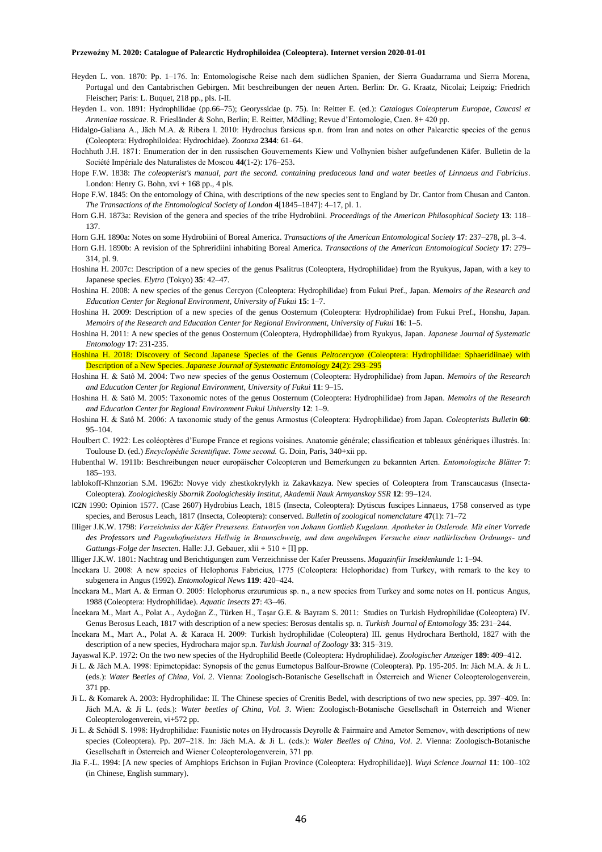- Heyden L. von. 1870: Pp. 1–176. In: Entomologische Reise nach dem südlichen Spanien, der Sierra Guadarrama und Sierra Morena, Portugal und den Cantabrischen Gebirgen. Mit beschreibungen der neuen Arten. Berlin: Dr. G. Kraatz, Nicolai; Leipzig: Friedrich Fleischer; Paris: L. Buquet, 218 pp., pls. I-II.
- Heyden L. von. 1891: Hydrophilidae (pp.66–75); Georyssidae (p. 75). In: Reitter E. (ed.): *Catalogus Coleopterum Europae, Caucasi et Armeniae rossicae*. R. Friesländer & Sohn, Berlin; E. Reitter, Mödling; Revue d'Entomologie, Caen. 8+ 420 pp.

Hidalgo-Galiana A., Jäch M.A. & Ribera I. 2010: Hydrochus farsicus sp.n. from Iran and notes on other Palearctic species of the genus (Coleoptera: Hydrophiloidea: Hydrochidae). *Zootaxa* **2344**: 61–64.

- Hochhuth J.H. 1871: Enumeration der in den russischen Gouvernements Kiew und Volhynien bisher aufgefundenen Käfer. Bulletin de la Société Impériale des Naturalistes de Moscou **44**(1-2): 176–253.
- Hope F.W. 1838: *The coleopterist's manual, part the second. containing predaceous land and water beetles of Linnaeus and Fabricius*. London: Henry G. Bohn,  $xvi + 168$  pp., 4 pls.
- Hope F.W. 1845: On the entomology of China, with descriptions of the new species sent to England by Dr. Cantor from Chusan and Canton. *The Transactions of the Entomological Society of London* **4**[1845–1847]: 4–17, pl. 1.
- Horn G.H. 1873a: Revision of the genera and species of the tribe Hydrobiini. *Proceedings of the American Philosophical Society* **13**: 118– 137.
- Horn G.H. 1890a: Notes on some Hydrobiini of Boreal America. *Transactions of the American Entomological Society* **17**: 237–278, pl. 3–4.
- Horn G.H. 1890b: A revision of the Sphreridiini inhabiting Boreal America. *Transactions of the American Entomological Society* **17**: 279– 314, pl. 9.
- Hoshina H. 2007c: Description of a new species of the genus Psalitrus (Coleoptera, Hydrophilidae) from the Ryukyus, Japan, with a key to Japanese species. *Elytra* (Tokyo) **35**: 42–47.
- Hoshina H. 2008: A new species of the genus Cercyon (Coleoptera: Hydrophilidae) from Fukui Pref., Japan. *Memoirs of the Research and Education Center for Regional Environment, University of Fukui* **15**: 1–7.
- Hoshina H. 2009: Description of a new species of the genus Oosternum (Coleoptera: Hydrophilidae) from Fukui Pref., Honshu, Japan. *Memoirs of the Research and Education Center for Regional Environment, University of Fukui* **16**: 1–5.
- Hoshina H. 2011: A new species of the genus Oosternum (Coleoptera, Hydrophilidae) from Ryukyus, Japan. *Japanese Journal of Systematic Entomology* **17**: 231-235.
- Hoshina H. 2018: Discovery of Second Japanese Species of the Genus *Peltocercyon* (Coleoptera: Hydrophilidae: Sphaeridiinae) with Description of a New Species. *Japanese Journal of Systematic Entomology* **24**(2): 293–295
- Hoshina H. & Satô M. 2004: Two new species of the genus Oosternum (Coleoptera: Hydrophilidae) from Japan. *Memoirs of the Research and Education Center for Regional Environment, University of Fukui* **11**: 9–15.
- Hoshina H. & Satô M. 2005: Taxonomic notes of the genus Oosternum (Coleoptera: Hydrophilidae) from Japan. *Memoirs of the Research and Education Center for Regional Environment Fukui University* **12**: 1–9.
- Hoshina H. & Satô M. 2006: A taxonomic study of the genus Armostus (Coleoptera: Hydrophilidae) from Japan. *Coleopterists Bulletin* **60**: 95–104.
- Houlbert C. 1922: Les coléoptères d'Europe France et regions voisines. Anatomie générale; classification et tableaux génériques illustrés. In: Toulouse D. (ed.) *Encyclopédie Scientifique. Tome second.* G. Doin, Paris, 340+xii pp.
- Hubenthal W. 1911b: Beschreibungen neuer europäischer Coleopteren und Bemerkungen zu bekannten Arten. *Entomologische Blätter* **7**: 185–193.
- lablokoff-Khnzorian S.M. 1962b: Novye vidy zhestkokrylykh iz Zakavkazya. New species of Coleoptera from Transcaucasus (Insecta-Coleoptera). *Zoologicheskiy Sbornik Zoologicheskiy Institut, Akademii Nauk Armyanskoy SSR* **12**: 99–124.
- ICZN 1990: Opinion 1577. (Case 2607) Hydrobius Leach, 1815 (Insecta, Coleoptera): Dytiscus fuscipes Linnaeus, 1758 conserved as type species, and Berosus Leach, 1817 (Insecta, Coleoptera): conserved. *Bulletin of zoological nomenclature* **47**(1): 71–72
- Illiger J.K.W. 1798: *Verzeichniss der Käfer Preussens. Entworfen von Johann Gottlieb Kugelann. Apotheker in Ostlerode. Mit einer Vorrede des Professors und Pagenhofmeisters Hellwig in Braunschweig, und dem angehängen Versuche einer natlürlischen Ordnungs- und Gattungs-Folge der lnsecten*. Halle: J.J. Gebauer, xlii + 510 + [I] pp.
- llliger J.K.W. 1801: Nachtrag und Berichtigungen zum Verzeichnisse der Kafer Preussens. *Magazinfiir Inseklenkunde* 1: 1–94.
- İncekara U. 2008: A new species of Helophorus Fabricius, 1775 (Coleoptera: Helophoridae) from Turkey, with remark to the key to subgenera in Angus (1992). *Entomological News* **119**: 420–424.
- İncekara M., Mart A. & Erman O. 2005: Helophorus erzurumicus sp. n., a new species from Turkey and some notes on H. ponticus Angus, 1988 (Coleoptera: Hydrophilidae). *Aquatic Insects* **27**: 43–46.
- İncekara M., Mart A., Polat A., Aydoğan Z., Türken H., Taşar G.E. & Bayram S. 2011: Studies on Turkish Hydrophilidae (Coleoptera) IV. Genus Berosus Leach, 1817 with description of a new species: Berosus dentalis sp. n. *Turkish Journal of Entomology* **35**: 231–244.
- İncekara M., Mart A., Polat A. & Karaca H. 2009: Turkish hydrophilidae (Coleoptera) III. genus Hydrochara Berthold, 1827 with the description of a new species, Hydrochara major sp.n. *Turkish Journal of Zoology* **33**: 315–319.
- Jayaswal K.P. 1972: On the two new species of the Hydrophilid Beetle (Coleoptera: Hydrophilidae). *Zoologischer Anzeiger* **189**: 409–412.
- Ji L. & Jäch M.A. 1998: Epimetopidae: Synopsis of the genus Eumetopus Balfour-Browne (Coleoptera). Pp. 195-205. In: Jäch M.A. & Ji L. (eds.): *Water Beetles of China*, *Vol. 2*. Vienna: Zoologisch-Botanische Gesellschaft in Österreich and Wiener Coleopterologenverein, 371 pp.
- Ji L. & Komarek A. 2003: Hydrophilidae: II. The Chinese species of Crenitis Bedel, with descriptions of two new species, pp. 397–409. In: Jäch M.A. & Ji L. (eds.): *Water beetles of China, Vol. 3*. Wien: Zoologisch-Botanische Gesellschaft in Österreich and Wiener Coleopterologenverein, vi+572 pp.
- Ji L. & Schödl S. 1998: Hydrophilidae: Faunistic notes on Hydrocassis Deyrolle & Fairmaire and Ametor Semenov, with descriptions of new species (Coleoptera). Pp. 207–218. In: Jäch M.A. & Ji L. (eds.): *Waler Beelles of China, Vol. 2*. Vienna: Zoologisch-Botanische Gesellschaft in Österreich and Wiener Coleopterologenverein, 371 pp.
- Jia F.-L. 1994: [A new species of Amphiops Erichson in Fujian Province (Coleoptera: Hydrophilidae)]. *Wuyi Science Journal* **11**: 100–102 (in Chinese, English summary).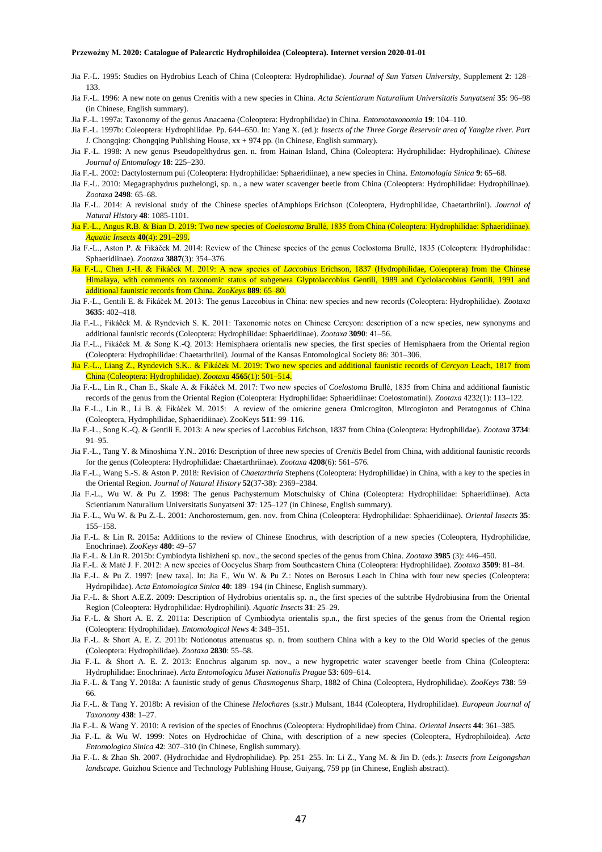- Jia F.-L. 1995: Studies on Hydrobius Leach of China (Coleoptera: Hydrophilidae). *Journal of Sun Yatsen University*, Supplement **2**: 128– 133.
- Jia F.-L. 1996: A new note on genus Crenitis with a new species in China. *Acta Scientiarum Naturalium Universitatis Sunyatseni* **35**: 96–98 (in Chinese, English summary).
- Jia F.-L. 1997a: Taxonomy of the genus Anacaena (Coleoptera: Hydrophilidae) in China. *Entomotaxonomia* **19**: 104–110.
- Jia F.-L. 1997b: Coleoptera: Hydrophilidae. Pp. 644–650. In: Yang X. (ed.): *Insects of the Three Gorge Reservoir area of Yanglze river. Part I*. Chongqing: Chongqing Publishing House,  $xx + 974$  pp. (in Chinese, English summary).
- Jia F.-L. 1998: A new genus Pseudopelthydrus gen. n. from Hainan Island, China (Coleoptera: Hydrophilidae: Hydrophilinae). *Chinese Journal of Entomalogy* **18**: 225–230.
- Jia F.-L. 2002: Dactylosternum pui (Coleoptera: Hydrophilidae: Sphaeridiinae), a new species in China. *Entomologia Sinica* **9**: 65–68.
- Jia F.-L. 2010: Megagraphydrus puzhelongi, sp. n., a new water scavenger beetle from China (Coleoptera: Hydrophilidae: Hydrophilinae). *Zootaxa* **2498**: 65–68.
- Jia F.-L. 2014: A revisional study of the Chinese species ofAmphiops Erichson (Coleoptera, Hydrophilidae, Chaetarthriini). *Journal of Natural History* **48**: 1085-1101.
- Jia F.-L., Angus R.B. & Bian D. 2019: Two new species of *Coelostoma* Brullé, 1835 from China (Coleoptera: Hydrophilidae: Sphaeridiinae). *Aquatic Insects* **40**(4): 291–299.
- Jia F.-L., Aston P. & Fikáček M. 2014: Review of the Chinese species of the genus Coelostoma Brullé, 1835 (Coleoptera: Hydrophilidae: Sphaeridiinae). *Zootaxa* **3887**(3): 354–376.
- Jia F.-L., Chen J.-H. & Fikáček M. 2019: A new species of *Laccobius* Erichson, 1837 (Hydrophilidae, Coleoptera) from the Chinese Himalaya, with comments on taxonomic status of subgenera Glyptolaccobius Gentili, 1989 and Cyclolaccobius Gentili, 1991 and additional faunistic records from China. *ZooKeys* **889**: 65–80.
- Jia F.-L., Gentili E. & Fikáček M. 2013: The genus Laccobius in China: new species and new records (Coleoptera: Hydrophilidae). *Zootaxa* **3635**: 402–418.
- Jia F.-L., Fikáček M. & Ryndevich S. K. 2011: Taxonomic notes on Chinese Cercyon: description of a new species, new synonyms and additional faunistic records (Coleoptera: Hydrophilidae: Sphaeridiinae). *Zootaxa* **3090**: 41–56.
- Jia F.-L., Fikáček M. & Song K.-Q. 2013: Hemisphaera orientalis new species, the first species of Hemisphaera from the Oriental region (Coleoptera: Hydrophilidae: Chaetarthriini). Journal of the Kansas Entomological Society 86: 301–306.
- Jia F.-L., Liang Z., Ryndevich S.K.. & Fikáček M. 2019: Two new species and additional faunistic records of *Cercyon* Leach, 1817 from China (Coleoptera: Hydrophilidae). *Zootaxa* **4565**(1): 501–514.
- Jia F.-L., Lin R., Chan E., Skale A. & Fikáček M. 2017: Two new species of *Coelostoma* Brullé, 1835 from China and additional faunistic records of the genus from the Oriental Region (Coleoptera: Hydrophilidae: Sphaeridiinae: Coelostomatini). *Zootaxa* 4232(1): 113–122.
- Jia F.-L., Lin R., Li B. & Fikáček M. 2015: A review of the omicrine genera Omicrogiton, Mircogioton and Peratogonus of China (Coleoptera, Hydrophilidae, Sphaeridiinae). ZooKeys **511**: 99–116.
- Jia F.-L., Song K.-Q. & Gentili E. 2013: A new species of Laccobius Erichson, 1837 from China (Coleoptera: Hydrophilidae). *Zootaxa* **3734**: 91–95.
- Jia F.-L., Tang Y. & Minoshima Y.N.. 2016: Description of three new species of *Crenitis* Bedel from China, with additional faunistic records for the genus (Coleoptera: Hydrophilidae: Chaetarthriinae). *Zootaxa* **4208**(6): 561–576.
- Jia F.-L., Wang S.-S. & Aston P. 2018: Revision of *Chaetarthria* Stephens (Coleoptera: Hydrophilidae) in China, with a key to the species in the Oriental Region. *Journal of Natural History* **52**(37-38): 2369–2384.
- Jia F.-L., Wu W. & Pu Z. 1998: The genus Pachysternum Motschulsky of China (Coleoptera: Hydrophilidae: Sphaeridiinae). Acta Scientiarum Naturalium Universitatis Sunyatseni **37**: 125–127 (in Chinese, English summary).
- Jia F.-L., Wu W. & Pu Z.-L. 2001: Anchorosternum, gen. nov. from China (Coleoptera: Hydrophilidae: Sphaeridiinae). *Oriental Insects* **35**: 155–158.
- Jia F.-L. & Lin R. 2015a: Additions to the review of Chinese Enochrus, with description of a new species (Coleoptera, Hydrophilidae, Enochrinae). *ZooKeys* **480**: 49–57
- Jia F.-L. & Lin R. 2015b: Cymbiodyta lishizheni sp. nov., the second species of the genus from China. *Zootaxa* **3985** (3): 446–450.
- Jia F.-L. & Maté J. F. 2012: A new species of Oocyclus Sharp from Southeastern China (Coleoptera: Hydrophilidae). *Zootaxa* **3509**: 81–84.
- Jia F.-L. & Pu Z. 1997: [new taxa]. In: Jia F., Wu W. & Pu Z.: Notes on Berosus Leach in China with four new species (Coleoptera: Hydropilidae). *Acta Entomologica Sinica* **40**: 189–194 (in Chinese, English summary).
- Jia F.-L. & Short A.E.Z. 2009: Description of Hydrobius orientalis sp. n., the first species of the subtribe Hydrobiusina from the Oriental Region (Coleoptera: Hydrophilidae: Hydrophilini). *Aquatic Insects* **31**: 25–29.
- Jia F.-L. & Short A. E. Z. 2011a: Description of Cymbiodyta orientalis sp.n., the first species of the genus from the Oriental region (Coleoptera: Hydrophilidae). *Entomological News* **4**: 348–351.
- Jia F.-L. & Short A. E. Z. 2011b: Notionotus attenuatus sp. n. from southern China with a key to the Old World species of the genus (Coleoptera: Hydrophilidae). *Zootaxa* **2830**: 55–58.
- Jia F.-L. & Short A. E. Z. 2013: Enochrus algarum sp. nov., a new hygropetric water scavenger beetle from China (Coleoptera: Hydrophilidae: Enochrinae). *Acta Entomologica Musei Nationalis Pragae* **53**: 609–614.
- Jia F.-L. & Tang Y. 2018a: A faunistic study of genus *Chasmogenus* Sharp, 1882 of China (Coleoptera, Hydrophilidae). *ZooKeys* **738**: 59– 66.
- Jia F.-L. & Tang Y. 2018b: A revision of the Chinese *Helochares* (s.str.) Mulsant, 1844 (Coleoptera, Hydrophilidae). *European Journal of Taxonomy* **438**: 1–27.
- Jia F.-L. & Wang Y. 2010: A revision of the species of Enochrus (Coleoptera: Hydrophilidae) from China. *Oriental Insects* **44**: 361–385.
- Jia F.-L. & Wu W. 1999: Notes on Hydrochidae of China, with description of a new species (Coleoptera, Hydrophiloidea). *Acta Entomologica Sinica* **42**: 307–310 (in Chinese, English summary).
- Jia F.-L. & Zhao Sh. 2007. (Hydrochidae and Hydrophilidae). Pp. 251–255. In: Li Z., Yang M. & Jin D. (eds.): *Insects from Leigongshan landscape.* Guizhou Science and Technology Publishing House, Guiyang, 759 pp (in Chinese, English abstract).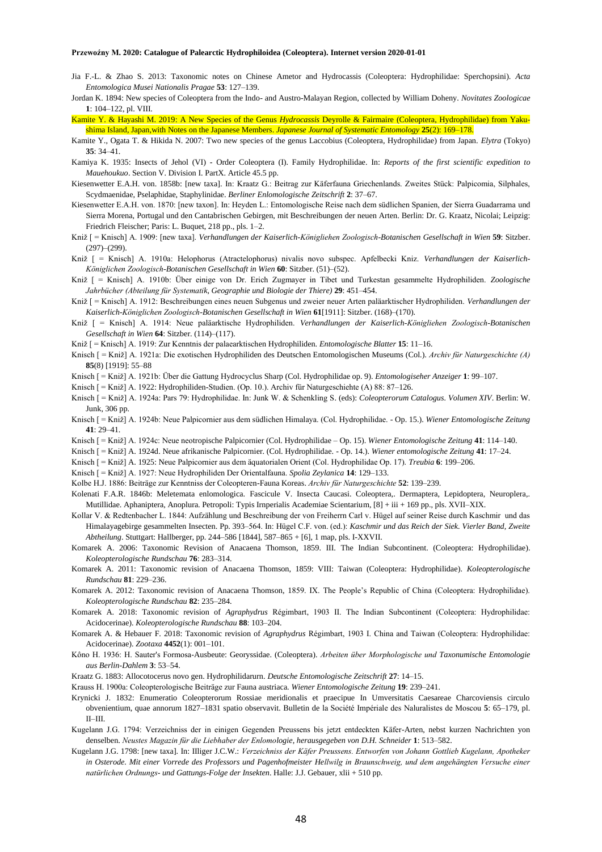- Jia F.-L. & Zhao S. 2013: Taxonomic notes on Chinese Ametor and Hydrocassis (Coleoptera: Hydrophilidae: Sperchopsini). *Acta Entomologica Musei Nationalis Pragae* **53**: 127–139.
- Jordan K. 1894: New species of Coleoptera from the Indo- and Austro-Malayan Region, collected by William Doheny. *Novitates Zoologicae* **1**: 104–122, pl. VIII.
- Kamite Y. & Hayashi M. 2019: A New Species of the Genus *Hydrocassis* Deyrolle & Fairmaire (Coleoptera, Hydrophilidae) from Yakushima Island, Japan,with Notes on the Japanese Members. *Japanese Journal of Systematic Entomology* **25**(2): 169–178.
- Kamite Y., Ogata T. & Hikida N. 2007: Two new species of the genus Laccobius (Coleoptera, Hydrophilidae) from Japan. *Elytra* (Tokyo) **35**: 34–41.
- Kamiya K. 1935: Insects of Jehol (VI) Order Coleoptera (I). Family Hydrophilidae. In: *Reports of the first scientific expedition to Mauehoukuo*. Section V. Division I. PartX. Article 45.5 pp.
- Kiesenwetter E.A.H. von. 1858b: [new taxa]. In: Kraatz G.: Beitrag zur Käferfauna Griechenlands. Zweites Stück: Palpicomia, Silphales, Scydmaenidae, Pselaphidae, Staphylinidae. *Berliner Enlomologische Zeitschrift* **2**: 37–67.
- Kiesenwetter E.A.H. von. 1870: [new taxon]. In: Heyden L.: Entomologische Reise nach dem südlichen Spanien, der Sierra Guadarrama und Sierra Morena, Portugal und den Cantabrischen Gebirgen, mit Beschreibungen der neuen Arten. Berlin: Dr. G. Kraatz, Nicolai; Leipzig: Friedrich Fleischer; Paris: L. Buquet, 218 pp., pls. 1–2.
- Kniž [ = Knisch] A. 1909: [new taxa]. *Verhandlungen der Kaiserlich-Königliehen Zoologisch-Botanischen Gesellschaft in Wien* **59**: Sitzber.  $(297)–(299)$ .
- Kniž [ = Knisch] A. 1910a: Helophorus (Atractelophorus) nivalis novo subspec. Apfelbecki Kniz. *Verhandlungen der Kaiserlich-Königlichen Zoologisch-Botanischen Gesellschaft in Wien* **60**: Sitzber. (51)–(52).
- Kniž [ = Knisch] A. 1910b: Über einige von Dr. Erich Zugmayer in Tibet und Turkestan gesammelte Hydrophiliden. *Zoologische Jahrbücher (Abteilung für Systematik, Geographie und Biologie der Thiere)* **29**: 451–454.
- Kniž [ = Knisch] A. 1912: Beschreibungen eines neuen Subgenus und zweier neuer Arten paläarktischer Hydrophiliden. *Verhandlungen der Kaiserlich-Königlichen Zoologisch-Botanischen Gesellschaft in Wien* **61**[1911]: Sitzber. (168)–(170).
- Kniž [ = Knisch] A. 1914: Neue paläarktische Hydrophiliden. *Verhandlungen der Kaiserlich-Königliehen Zoologisch-Botanischen Gesellschaft in Wien* **64**: Sitzber. (114)–(117).
- Kniž [ = Knisch] A. 1919: Zur Kenntnis der palaearktischen Hydrophiliden. *Entomologische Blatter* **15**: 11–16.
- Knisch [ = Kniž] A. 1921a: Die exotischen Hydrophiliden des Deutschen Entomologischen Museums (Col.). *Archiv für Naturgeschichte (A)* **85**(8) [1919]: 55–88
- Knisch [ = Kniž] A. 1921b: Über die Gattung Hydrocyclus Sharp (Col. Hydrophilidae op. 9). *Entomologiseher Anzeiger* **1**: 99–107.
- Knisch [ = Kniž] A. 1922: Hydrophiliden-Studien. (Op. 10.). Archiv für Naturgeschiehte (A) 88: 87–126.
- Knisch [ = Kniž] A. 1924a: Pars 79: Hydrophilidae. In: Junk W. & Schenkling S. (eds): *Coleopterorum Catalogus. Volumen XIV*. Berlin: W. Junk, 306 pp.
- Knisch [ = Kniž] A. 1924b: Neue Palpicornier aus dem südlichen Himalaya. (Col. Hydrophilidae. Op. 15.). *Wiener Entomologische Zeitung*  $41 \cdot 29 - 41$
- Knisch [ = Kniž] A. 1924c: Neue neotropische Palpicornier (Col. Hydrophilidae Op. 15). *Wiener Entomologische Zeitung* **41**: 114–140.
- Knisch [ = Kniž] A. 1924d. Neue afrikanische Palpicornier. (Col. Hydrophilidae. Op. 14.). *Wiener entomologische Zeitung* **41**: 17–24.
- Knisch [ = Kniž] A. 1925: Neue Palpicornier aus dem äquatorialen Orient (Col. Hydrophilidae Op. 17). *Treubia* **6**: 199–206.
- Knisch [ = Kniž] A. 1927: Neue Hydrophiliden Der Orientalfauna. *Spolia Zeylanica* **14**: 129–133.
- Kolbe H.J. 1886: Beiträge zur Kenntniss der Coleopteren-Fauna Koreas. *Archiv für Naturgeschichte* **52**: 139–239.
- Kolenati F.A.R. 1846b: Meletemata enlomologica. Fascicule V. Insecta Caucasi. Coleoptera,. Dermaptera, Lepidoptera, Neuroplera,. Mutillidae. Aphaniptera, Anoplura. Petropoli: Typis Irnperialis Academiae Scientarium, [8] + iii + 169 pp., pls. XVII–XIX.
- Kollar V. & Redtenbacher L. 1844: Aufzählung und Beschreibung der von Freiherrn Carl v. Hügel auf seiner Reise durch Kaschmir und das Himalayagebirge gesammelten Insecten. Pp. 393–564. In: Hügel C.F. von. (ed.): *Kaschmir und das Reich der Siek. Vierler Band, Zweite Abtheilung*. Stuttgart: Hallberger, pp. 244–586 [1844], 587–865 + [6], 1 map, pls. I-XXVII.
- Komarek A. 2006: Taxonomic Revision of Anacaena Thomson, 1859. III. The Indian Subcontinent. (Coleoptera: Hydrophilidae). *Koleopterologische Rundschau* **76**: 283–314.
- Komarek A. 2011: Taxonomic revision of Anacaena Thomson, 1859: VIII: Taiwan (Coleoptera: Hydrophilidae). *Koleopterologische Rundschau* **81**: 229–236.
- Komarek A. 2012: Taxonomic revision of Anacaena Thomson, 1859. IX. The People's Republic of China (Coleoptera: Hydrophilidae). *Koleopterologische Rundschau* **82**: 235–284.
- Komarek A. 2018: Taxonomic revision of *Agraphydrus* Régimbart, 1903 II. The Indian Subcontinent (Coleoptera: Hydrophilidae: Acidocerinae). *Koleopterologische Rundschau* **88**: 103–204.
- Komarek A. & Hebauer F. 2018: Taxonomic revision of *Agraphydrus* Régimbart, 1903 I. China and Taiwan (Coleoptera: Hydrophilidae: Acidocerinae). *Zootaxa* **4452**(1): 001–101.
- Kôno H. 1936: H. Sauter's Formosa-Ausbeute: Georyssidae. (Coleoptera). *Arbeiten über Morphologische und Taxonumische Entomologie aus Berlin-Dahlem* **3**: 53–54.
- Kraatz G. 1883: Allocotocerus novo gen. Hydrophilidarurn. *Deutsche Entomologische Zeitschrift* **27**: 14–15.
- Krauss H. 1900a: Coleopterologische Beiträge zur Fauna austriaca. *Wiener Entomologische Zeitung* **19**: 239–241.
- Krynicki J. 1832: Enumeratio Coleopterorum Rossiae meridionalis et praecipue In Umversitatis Caesareae Charcoviensis circulo obvenientium, quae annorum 1827–1831 spatio observavit. Bulletin de la Société Impériale des Naluralistes de Moscou **5**: 65–179, pl. II–III.
- Kugelann J.G. 1794: Verzeichniss der in einigen Gegenden Preussens bis jetzt entdeckten Käfer-Arten, nebst kurzen Nachrichten yon denselben. *Neustes Magazin für die Liebhaber der Enlomologie, herausgegeben von D.H. Schneider* **1**: 513–582.
- Kugelann J.G. 1798: [new taxa]. In: IIliger J.C.W.: *Verzeichniss der Käfer Preussens. Entworfen von Johann Gottlieb Kugelann, Apotheker in Osterode. Mit einer Vorrede des Professors und Pagenhofmeister Hellwilg in Braunschweig, und dem angehängten Versuche einer natürlichen Ordnungs- und Gattungs-Folge der Insekten*. Halle: J.J. Gebauer, xlii + 510 pp.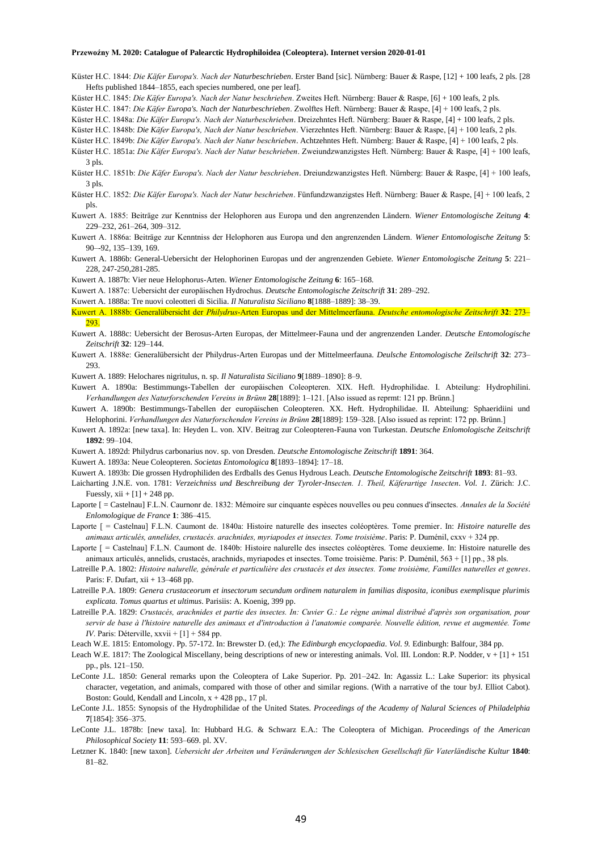- Küster H.C. 1844: *Die Käfer Europa's. Nach der Naturbeschrieben*. Erster Band [sic]. Nürnberg: Bauer & Raspe, [12] + 100 leafs, 2 pls. [28 Hefts published 1844–1855, each species numbered, one per leaf].
- Küster H.C. 1845: *Die Käfer Europa's. Nach der Natur beschrieben*. Zweites Heft. Nürnberg: Bauer & Raspe, [6] + 100 leafs, 2 pls.

Küster H.C. 1847: *Die Käfer Europa's. Nach der Naturbeschrieben*. Zwolftes Heft. Nürnberg: Bauer & Raspe, [4] + 100 leafs, 2 pls.

Küster H.C. 1848a: *Die Käfer Europa's. Nach der Naturbeschrieben*. Dreizehntes Heft. Nürnberg: Bauer & Raspe, [4] + 100 leafs, 2 pls.

Küster H.C. 1848b: *Die Käfer Europa's, Nach der Natur beschrieben*. Vierzehntes Heft. Nürnberg: Bauer & Raspe, [4] + 100 leafs, 2 pls.

Küster H.C. 1849b: *Die Käfer Europa's. Nach der Natur beschrieben*. Achtzehntes Heft. Nürnberg: Bauer & Raspe, [4] + 100 leafs, 2 pls.

- Küster H.C. 1851a: *Die Käfer Europa's. Nach der Natur beschrieben*. Zweiundzwanzigstes Heft. Nürnberg: Bauer & Raspe, [4] + 100 leafs, 3 pls.
- Küster H.C. 1851b: *Die Käfer Europa's. Nach der Natur beschrieben*. Dreiundzwanzigstes Heft. Nürnberg: Bauer & Raspe, [4] + 100 leafs, 3 pls.
- Küster H.C. 1852: *Die Käfer Europa's. Nach der Natur beschrieben*. Fünfundzwanzigstes Heft. Nürnberg: Bauer & Raspe, [4] + 100 leafs, 2 pls.
- Kuwert A. 1885: Beiträge zur Kenntniss der Helophoren aus Europa und den angrenzenden Ländern. *Wiener Entomologische Zeitung* **4**: 229–232, 261–264, 309–312.
- Kuwert A. 1886a: Beiträge zur Kenntniss der Helophoren aus Europa und den angrenzenden Ländern. *Wiener Entomologische Zeitung* **5**: 90–-92, 135–139, 169.
- Kuwert A. 1886b: General-Uebersicht der Helophorinen Europas und der angrenzenden Gebiete. *Wiener Entomologische Zeitung* **5**: 221– 228, 247-250,281-285.
- Kuwert A. 1887b: Vier neue Helophorus-Arten. *Wiener Entomologische Zeitung* **6**: 165–168.
- Kuwert A. 1887c: Uebersicht der europäischen Hydrochus. *Deutsche Entomologische Zeitschrift* **31**: 289–292.

Kuwert A. 1888a: Tre nuovi coleotteri di Sicilia. *Il Naturalista Siciliano* **8**[1888–1889]: 38–39.

- Kuwert A. 1888b: Generalübersicht der *Philydrus*-Arten Europas und der Mittelmeerfauna. *Deutsche entomologische Zeitschrift* **32**: 273– 293.
- Kuwert A. 1888c: Uebersicht der Berosus-Arten Europas, der Mittelmeer-Fauna und der angrenzenden Lander. *Deutsche Entomologische Zeitschrift* **32**: 129–144.
- Kuwert A. 1888e: Generalübersicht der Philydrus-Arten Europas und der Mittelmeerfauna. *Deulsche Entomologische Zeilschrift* **32**: 273– 293.
- Kuwert A. 1889: Helochares nigritulus, n. sp. *Il Naturalista Siciliano* **9**[1889–1890]: 8–9.
- Kuwert A. 1890a: Bestimmungs-Tabellen der europäischen Coleopteren. XIX. Heft. Hydrophilidae. I. Abteilung: Hydrophilini. *Verhandlungen des Naturforschenden Vereins in Brünn* **28**[1889]: 1–121. [Also issued as reprmt: 121 pp. Brünn.]
- Kuwert A. 1890b: Bestimmungs-Tabellen der europäischen Coleopteren. XX. Heft. Hydrophilidae. II. Abteilung: Sphaeridiini und Helophorini. *Verhandlungen des Naturforschenden Vereins in Brünn* **28**[1889]: 159–328. [Also issued as reprint: 172 pp. Brünn.]
- Kuwert A. 1892a: [new taxa]. In: Heyden L. von. XIV. Beitrag zur Coleopteren-Fauna von Turkestan. *Deutsche Enlomologische Zeitschrift* **1892**: 99–104.
- Kuwert A. 1892d: Philydrus carbonarius nov. sp. von Dresden. *Deutsche Entomologische Zeitschrift* **1891**: 364.
- Kuwert A. 1893a: Neue Coleopteren. *Societas Entomologica* **8**[1893–1894]: 17–18.
- Kuwert A. 1893b: Die grossen Hydrophiliden des Erdballs des Genus Hydrous Leach. *Deutsche Entomologische Zeitschrift* **1893**: 81–93.
- Laicharting J.N.E. von. 1781: *Verzeichniss und Beschreibung der Tyroler-Insecten. 1. Theil, Käferartige 1nsecten*. *Vol. 1.* Zürich: J.C. Fuessly,  $xii + [1] + 248$  pp.
- Laporte [ = Castelnau] F.L.N. Caurnonr de. 1832: Mémoire sur cinquante espèces nouvelles ou peu connues d'insectes. *Annales de la Société Enlomologique de France* **1**: 386–415.
- Laporte [ = Castelnau] F.L.N. Caumont de. 1840a: Histoire naturelle des insectes coléoptères. Tome premier. In: *Histoire naturelle des animaux articulés, annelides, crustacés. arachnides, myriapodes et insectes. Tome troisième*. Paris: P. Duménil, cxxv + 324 pp.
- Laporte [ = Castelnau] F.L.N. Caumont de. 1840b: Histoire nalurelle des insectes coléoptères. Tome deuxieme. In: Histoire naturelle des animaux articulés, annelids, crustacés, arachnids, myriapodes et insectes. Tome troisième. Paris: P. Duménil, 563 + [1] pp., 38 pls.
- Latreille P.A. 1802: *Histoire nalurelle, générale et particulière des crustacés et des insectes. Tome troisième, FamilIes naturelles et genres*. Paris: F. Dufart, xii + 13–468 pp.
- Latreille P.A. 1809: *Genera crustaceorum et insectorum secundum ordinem naturalem in familias disposita, iconibus exemplisque plurimis explicata. Tomus quartus et ultimus*. Parisiis: A. Koenig, 399 pp.
- Latreille P.A. 1829: *Crustacés, arachnides et partie des insectes. In: Cuvier G.: Le règne animal distribué d'après son organisation, pour servir de base à l'histoire naturelle des animaux et d'introduction à l'anatomie comparée. Nouvelle édition, revue et augmentée. Tome IV*. Paris: Déterville, xxvii + [1] + 584 pp.
- Leach W.E. 1815: Entomology. Pp. 57-172. In: Brewster D. (ed,): *The Edinburgh encyclopaedia*. *Vol. 9.* Edinburgh: Balfour, 384 pp.
- Leach W.E. 1817: The Zoological Miscellany, being descriptions of new or interesting animals. Vol. III. London: R.P. Nodder, v + [1] + 151 pp., pls. 121–150.
- LeConte J.L. 1850: General remarks upon the Coleoptera of Lake Superior. Pp. 201–242. In: Agassiz L.: Lake Superior: its physical character, vegetation, and animals, compared with those of other and similar regions. (With a narrative of the tour byJ. Elliot Cabot). Boston: Gould, Kendall and Lincoln,  $x + 428$  pp., 17 pl.
- LeConte J.L. 1855: Synopsis of the Hydrophilidae of the United States. *Proceedings of the Academy of Nalural Sciences of Philadelphia* **7**[1854]: 356–375.
- LeConte J.L. 1878b: [new taxa]. In: Hubbard H.G. & Schwarz E.A.: The Coleoptera of Michigan. *Proceedings of the American Philosophical Society* **11**: 593–669. pl. XV.
- Letzner K. 1840: [new taxon]. *Uebersicht der Arbeiten und Veränderungen der Schlesischen Gesellschaft für Vaterländische Kultur* **1840**: 81–82.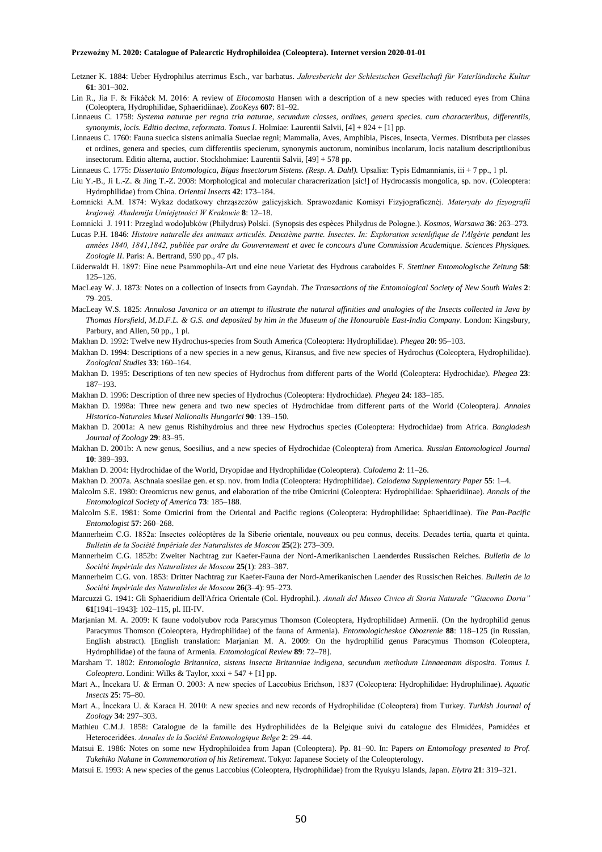- Letzner K. 1884: Ueber Hydrophilus aterrimus Esch., var barbatus. *Jahresbericht der Schlesischen Gesellschaft für Vaterländische Kultur* **61**: 301–302.
- Lin R., Jia F. & Fikáček M. 2016: A review of *Elocomosta* Hansen with a description of a new species with reduced eyes from China (Coleoptera, Hydrophilidae, Sphaeridiinae). *ZooKeys* **607**: 81–92.
- Linnaeus C. 1758: *Systema naturae per regna tria naturae, secundum classes, ordines, genera species. cum characteribus, differentiis, synonymis, locis. Editio decima, reformata. Tomus I*. Holmiae: Laurentii Salvii, [4] + 824 + [1] pp.
- Linnaeus C. 1760: Fauna suecica sistens animalia Sueciae regni; Mammalia, Aves, Amphibia, Pisces, Insecta, Vermes. Distributa per classes et ordines, genera and species, cum differentiis specierum, synonymis auctorum, nominibus incolarum, locis natalium descriptlionibus insectorum. Editio alterna, auctior. Stockhohmiae: Laurentii Salvii, [49] + 578 pp.
- Linnaeus C. 1775: *Dissertatio Entomologica, Bigas Insectorum Sistens. (Resp. A. Dahl).* Upsaliæ: Typis Edmannianis, iii + 7 pp., 1 pl.
- Liu Y.-B., Ji L.-Z. & Jing T.-Z. 2008: Morphological and molecular characrerization [sic!] of Hydrocassis mongolica, sp. nov. (Coleoptera: Hydrophilidae) from China. *Oriental Insects* **42**: 173–184.
- Łomnicki A.M. 1874: Wykaz dodatkowy chrząszczów galicyjskich. Sprawozdanie Komisyi Fizyjograficznéj. *Materyały do fizyografii krajowéj. Akademija Umiejętności W Krakowie* **8**: 12–18.
- Łomnicki J. 1911: Przeglad wodo]ubków (Philydrus) Polski. (Synopsis des espèces Philydrus de Pologne.). *Kosmos, Warsawa* **36**: 263–273.
- Lucas P.H. 1846: *Histoire naturelle des animaux articulés. Deuxième partie. Insectes. In: Exploration scienlifique de l'Algérie pendant les années 1840, 1841,1842, publiée par ordre du Gouvernement et avec le concours d'une Commission Academique. Sciences Physiques. Zoologie II*. Paris: A. Bertrand, 590 pp., 47 pls.
- Lüderwaldt H. 1897: Eine neue Psammophila-Art und eine neue Varietat des Hydrous caraboides F. *Stettiner Entomologische Zeitung* **58**: 125–126.
- MacLeay W. J. 1873: Notes on a collection of insects from Gayndah. *The Transactions of the Entomological Society of New South Wales* **2**: 79–205.
- MacLeay W.S. 1825: *Annulosa Javanica or an attempt to illustrate the natural affinities and analogies of the Insects collected in Java by Thomas Horsfield, M.D.F.L. & G.S. and deposited by him in the Museum of the Honourable East-India Company*. London: Kingsbury, Parbury, and Allen, 50 pp., 1 pl.
- Makhan D. 1992: Twelve new Hydrochus-species from South America (Coleoptera: Hydrophilidae). *Phegea* **20**: 95–103.
- Makhan D. 1994: Descriptions of a new species in a new genus, Kiransus, and five new species of Hydrochus (Coleoptera, Hydrophilidae). *Zoological Studies* **33**: 160–164.
- Makhan D. 1995: Descriptions of ten new species of Hydrochus from different parts of the World (Coleoptera: Hydrochidae). *Phegea* **23**: 187–193.
- Makhan D. 1996: Description of three new species of Hydrochus (Coleoptera: Hydrochidae). *Phegea* **24**: 183–185.
- Makhan D. 1998a: Three new genera and two new species of Hydrochidae from different parts of the World (Coleoptera*). Annales Historico-Naturales Musei Nalionalis Hungarici* **90**: 139–150.
- Makhan D. 2001a: A new genus Rishihydroius and three new Hydrochus species (Coleoptera: Hydrochidae) from Africa. *Bangladesh Journal of Zoology* **29**: 83–95.
- Makhan D. 2001b: A new genus, Soesilius, and a new species of Hydrochidae (Coleoptera) from America. *Russian Entomological Journal* **10**: 389–393.
- Makhan D. 2004: Hydrochidae of the World, Dryopidae and Hydrophilidae (Coleoptera). *Calodema* **2**: 11–26.
- Makhan D. 2007a. Aschnaia soesilae gen. et sp. nov. from India (Coleoptera: Hydrophilidae). *Calodema Supplementary Paper* **55**: 1–4.
- Malcolm S.E. 1980: Oreomicrus new genus, and elaboration of the tribe Omicrini (Coleoptera: Hydrophilidae: Sphaeridiinae). *Annals of the Entomologlcal Society of America* **73**: 185–188.
- Malcolm S.E. 1981: Some Omicrini from the Oriental and Pacific regions (Coleoptera: Hydrophilidae: Sphaeridiinae). *The Pan-Pacific Entomologist* **57**: 260–268.
- Mannerheim C.G. 1852a: Insectes coléoptères de la Siberie orientale, nouveaux ou peu connus, deceits. Decades tertia, quarta et quinta. *Bulletin de la Société Impériale des Naturalistes de Moscou* **25**(2): 273–309.
- Mannerheim C.G. 1852b: Zweiter Nachtrag zur Kaefer-Fauna der Nord-Amerikanischen Laenderdes Russischen Reiches. *Bulletin de la Société Impériale des Naturalistes de Moscou* **25**(1): 283–387.
- Mannerheim C.G. von. 1853: Dritter Nachtrag zur Kaefer-Fauna der Nord-Amerikanischen Laender des Russischen Reiches. *Bulletin de la Société Impériale des Naturalisles de Moscou* **26**(3–4): 95–273.
- Marcuzzi G. 1941: Gli Sphaeridium dell'Africa Orientale (Col. Hydrophil.). *Annali del Museo Civico di Storia Naturale "Giacomo Doria"* **61**[1941–1943]: 102–115, pl. III-IV.
- Marjanian M. A. 2009: K faune vodolyubov roda Paracymus Thomson (Coleoptera, Hydrophilidae) Armenii. (On the hydrophilid genus Paracymus Thomson (Coleoptera, Hydrophilidae) of the fauna of Armenia). *Entomologicheskoe Obozrenie* **88**: 118–125 (in Russian, English abstract). [English translation: Marjanian M. A. 2009: On the hydrophilid genus Paracymus Thomson (Coleoptera, Hydrophilidae) of the fauna of Armenia. *Entomological Review* **89**: 72–78].
- Marsham T. 1802: *Entomologia Britannica, sistens insecta Britanniae indigena, secundum methodum Linnaeanam disposita. Tomus I. Coleoptera*. Londini: Wilks & Taylor, xxxi + 547 + [1] pp.
- Mart A., İncekara U. & Erman O. 2003: A new species of Laccobius Erichson, 1837 (Coleoptera: Hydrophilidae: Hydrophilinae). *Aquatic Insects* **25**: 75–80.
- Mart A., İncekara U. & Karaca H. 2010: A new species and new records of Hydrophilidae (Coleoptera) from Turkey. *Turkish Journal of Zoology* **34**: 297–303.
- Mathieu C.M.J. 1858: Catalogue de la famille des Hydrophilidées de la Belgique suivi du catalogue des Elmidées, Parnidées et Heteroceridées. *Annales de la Société Entomologique Belge* **2**: 29–44.
- Matsui E. 1986: Notes on some new Hydrophiloidea from Japan (Coleoptera). Pp. 81–90. In: Papers *on Entomology presented to Prof. Takehiko Nakane in Commemoration of his Retirement*. Tokyo: Japanese Society of the Coleopterology.
- Matsui E. 1993: A new species of the genus Laccobius (Coleoptera, Hydrophilidae) from the Ryukyu Islands, Japan. *Elytra* **21**: 319–321.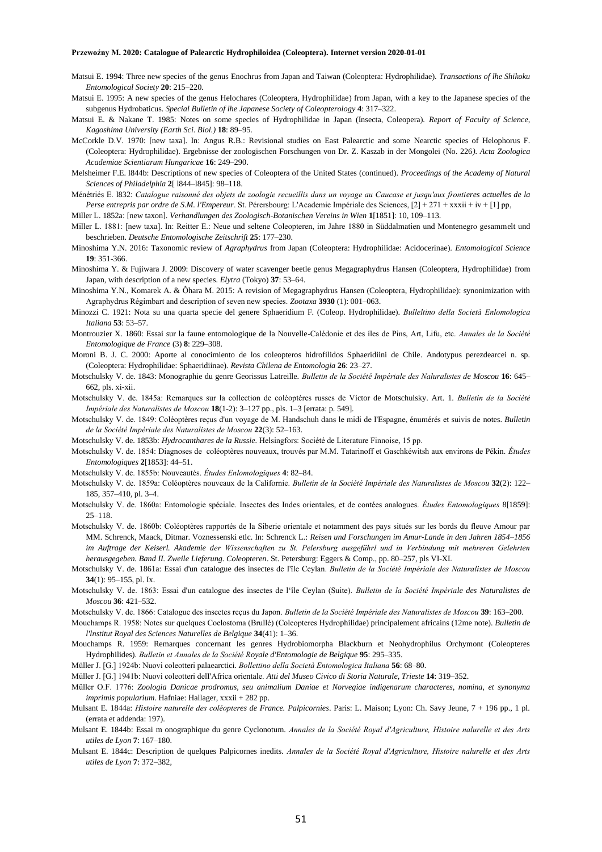- Matsui E. 1994: Three new species of the genus Enochrus from Japan and Taiwan (Coleoptera: Hydrophilidae). *Transactions of lhe Shikoku Entomological Society* **20**: 215–220.
- Matsui E. 1995: A new species of the genus Helochares (Coleoptera, Hydrophilidae) from Japan, with a key to the Japanese species of the subgenus Hydrobaticus. *Special Bulletin of lhe Japanese Society of Coleopterology* **4**: 317–322.
- Matsui E. & Nakane T. 1985: Notes on some species of Hydrophilidae in Japan (Insecta, Coleopera). *Report of Faculty of Science, Kagoshima University (Earth Sci. Biol.)* **18**: 89–95.
- McCorkle D.V. 1970: [new taxa]. In: Angus R.B.: Revisional studies on East Palearctic and some Nearctic species of Helophorus F. (Coleoptera: Hydrophilidae). Ergebnisse der zoologischen Forschungen von Dr. Z. Kaszab in der Mongolei (No. 226*). Acta Zoologica Academiae Scientiarum Hungaricae* **16**: 249–290.
- Melsheimer F.E. l844b: Descriptions of new species of Coleoptera of the United States (continued). *Proceedings of the Academy of Natural Sciences of Philadelphia* **2**[ l844–l845]: 98–118.
- Ménétriés E. l832: *Catalogue raisonné des objets de zoologie recueillis dans un voyage au Caucase et jusqu'aux frontieres actuelles de la Perse entrepris par ordre de S.M. l'Empereur*. St. Pérersbourg: L'Academie Impériale des Sciences, [2] + 271 + xxxii + iv + [1] pp,
- Miller L. 1852a: [new taxon]. *Verhandlungen des Zoologisch-Botanischen Vereins in Wien* **1**[1851]: 10, 109–113.
- Miller L. 1881: [new taxa]. In: Reitter E.: Neue und seltene Coleopteren, im Jahre 1880 in Süddalmatien und Montenegro gesammelt und beschrieben. *Deutsche Entomologische Zeitschrift* **25**: 177–230.
- Minoshima Y.N. 2016: Taxonomic review of *Agraphydrus* from Japan (Coleoptera: Hydrophilidae: Acidocerinae). *Entomological Science* **19**: 351-366.
- Minoshima Y. & Fujiwara J. 2009: Discovery of water scavenger beetle genus Megagraphydrus Hansen (Coleoptera, Hydrophilidae) from Japan, with description of a new species. *Elytra* (Tokyo) **37**: 53–64.
- Minoshima Y.N., Komarek A. & Ôhara M. 2015: A revision of Megagraphydrus Hansen (Coleoptera, Hydrophilidae): synonimization with Agraphydrus Régimbart and description of seven new species. *Zootaxa* **3930** (1): 001–063.
- Minozzi C. 1921: Nota su una quarta specie del genere Sphaeridium F. (Coleop. Hydrophilidae). *Bulleltino della Società Enlomologica Italiana* **53**: 53–57.
- Montrouzier X. 1860: Essai sur la faune entomologique de la Nouvelle-Calédonie et des íles de Pins, Art, Lifu, etc. *Annales de la Société Entomologique de France* (3) **8**: 229–308.
- Moroni B. J. C. 2000: Aporte al conocimiento de los coleopteros hidrofilidos Sphaeridiini de Chile. Andotypus perezdearcei n. sp. (Coleoptera: Hydrophilidae: Sphaeridiinae). *Revista Chilena de Entomologia* **26**: 23–27.
- Motschulsky V. de. 1843: Monographie du genre Georissus Latreille. *Bulletin de la Société Impériale des Naluralistes de Moscou* **16**: 645– 662, pls. xi-xii.
- Motschulsky V. de. 1845a: Remarques sur la collection de coléoptères russes de Victor de Motschulsky. Art. 1. *Bulletin de la Société Impériale des Naturalistes de Moscou* **18**(1-2): 3–127 pp., pls. 1–3 [errata: p. 549].
- Motschulsky V. de. 1849: Coléoptères reçus d'un voyage de M. Handschuh dans le midi de I'Espagne, énumérés et suivis de notes. *Bulletin de la Société Impériale des Naturalistes de Moscou* **22**(3): 52–163.
- Motschulsky V. de. 1853b: *Hydrocanthares de la Russie*. Helsingfors: Société de Literature Finnoise, 15 pp.
- Motschulsky V. de. 1854: Diagnoses de coléoptères nouveaux, trouvés par M.M. Tatarinoff et Gaschkéwitsh aux environs de Pékin. *Études Entomologiques* **2**[1853]: 44–51.
- Motschulsky V. de. 1855b: Nouveautés. *Études Enlomologiques* **4**: 82–84.
- Motschulsky V. de. 1859a: Coléoptères nouveaux de la Californie. *Bulletin de la Société Impériale des Naturalistes de Moscou* **32**(2): 122– 185, 357–410, pl. 3–4.
- Motschulsky V. de. 1860a: Entomologie spéciale. Insectes des Indes orientales, et de contées analogues. *Études Entomologiques* 8[1859]: 25–118.
- Motschulsky V. de. 1860b: Coléoptères rapportés de la Siberie orientale et notamment des pays situés sur les bords du fleuve Amour par MM. Schrenck, Maack, Ditmar. Voznessenski etlc. In: Schrenck L.: *Reisen und Forschungen im Amur-Lande in den Jahren 1854–1856 im Auftrage der Keiserl. Akademie der Wissenschaften zu St. Pelersburg ausgeführl und in Verbindung mit mehreren Gelehrten herausgegeben. Band II. Zweile Lieferung. Coleopteren*. St. Petersburg: Eggers & Comp., pp. 80–257, pls VI-XL
- Motschulsky V. de. 1861a: Essai d'un catalogue des insectes de I'île Ceylan. *Bulletin de la Société Impériale des Naturalistes de Moscou* **34**(1): 95–155, pl. Ix.
- Motschulsky V. de. 1863: Essai d'un catalogue des insectes de l'île Ceylan (Suite). *Bulletin de la Société Impériale des Naturalistes de Moscou* **36**: 421–532.
- Motschulsky V. de. 1866: Catalogue des insectes reçus du Japon. *Bulletin de la Société Impériale des Naturalistes de Moscou* **39**: 163–200.
- Mouchamps R. 1958: Notes sur quelques Coelostoma (Brullé) (Coleopteres Hydrophilidae) principalement africains (12me note). *Bulletin de l'lnstitut Royal des Sciences Naturelles de Belgique* **34**(41): 1–36.
- Mouchamps R. 1959: Remarques concernant les genres Hydrobiomorpha Blackburn et Neohydrophilus Orchymont (Coleopteres Hydrophilides). *Bulletin et Annales de la Société Royale d'Entomologie de Belgique* **95**: 295–335.
- Müller J. [G.] 1924b: Nuovi coleotteri palaearctici. *Bollettino della Società Entomologica Italiana* **56**: 68–80.
- Müller J. [G.] 1941b: Nuovi coleotteri delI'Africa orientale. *Atti del Museo Civico di Storia Naturale, Trieste* **14**: 319*–*352.
- Müller O.F. 1776: *Zoologia Danicae prodromus, seu animalium Daniae et Norvegiae indigenarum characteres, nomina, et synonyma imprimis popularium*. Hafniae: Hallager, xxxii + 282 pp.
- Mulsant E. 1844a: *Histoire naturelle des coléopteres de France. Palpicornies*. Paris: L. Maison; Lyon: Ch. Savy Jeune, 7 + 196 pp., 1 pl. (errata et addenda: 197).
- Mulsant E. 1844b: Essai m onographique du genre Cyclonotum. *Annales de la Société Royal d'Agriculture, Histoire nalurelle et des Arts utiles de Lyon* **7**: 167–180.
- Mulsant E. 1844c: Description de quelques Palpicornes inedits. *Annales de la Société Royal d'Agriculture, Histoire nalurelle et des Arts utiles de Lyon* **7**: 372–382,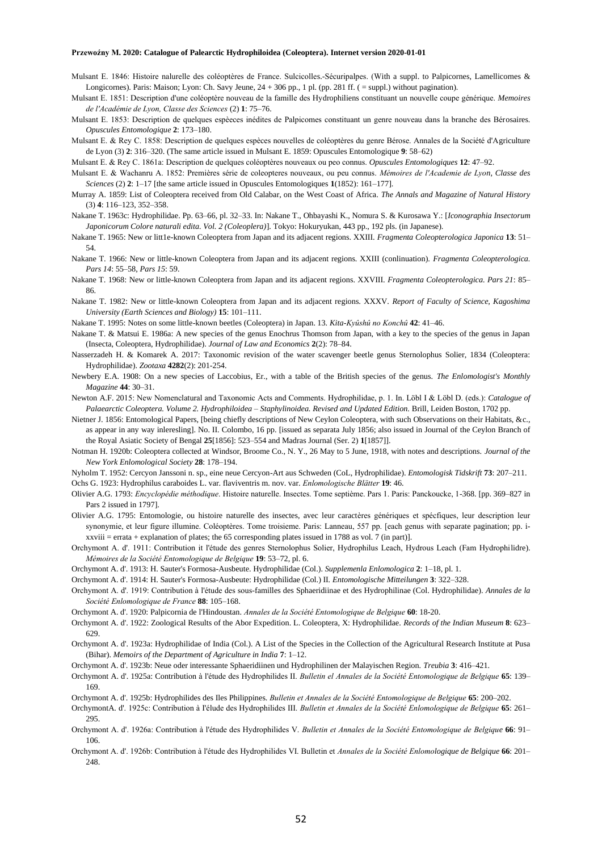- Mulsant E. 1846: Histoire nalurelle des coléoptères de France. Sulcicolles.-Sécuripalpes. (With a suppl. to Palpicornes, Lamellicornes & Longicornes). Paris: Maison; Lyon: Ch. Savy Jeune, 24 + 306 pp., 1 pl. (pp. 281 ff. ( = suppl.) without pagination).
- Mulsant E. 1851: Description d'une coléoptère nouveau de la famille des Hydrophiliens constituant un nouvelle coupe générique. *Memoires de l'Académie de Lyon, Classe des Sciences* (2) **1**: 75–76.
- Mulsant E. 1853: Description de quelques espèeces inédites de Palpicomes constituant un genre nouveau dans la branche des Bérosaires. *Opuscules Entomologique* **2**: 173–180.
- Mulsant E. & Rey C. 1858: Description de quelques espèces nouvelles de coléoptères du genre Bérose. Annales de la Société d'Agriculture de Lyon (3) **2**: 316–320. (The same article issued in Mulsant E. 1859: Opuscules Entomologique **9**: 58–62)
- Mulsant E. & Rey C. 1861a: Description de quelques coléoptères nouveaux ou peo connus. *Opuscules Entomologiques* **12**: 47–92.
- Mulsant E. & Wachanru A. 1852: Premières série de coleopteres nouveaux, ou peu connus. *Mémoires de l'Academie de Lyon, Classe des Sciences* (2) **2**: 1–17 [the same article issued in Opuscules Entomologiques **1**(1852): 161–177].
- Murray A. 1859: List of Coleoptera received from Old Calabar, on the West Coast of Africa. *The Annals and Magazine of Natural History* (3) **4**: 116–123, 352–358.
- Nakane T. 1963c: Hydrophilidae. Pp. 63–66, pl. 32–33. In: Nakane T., Ohbayashi K., Nomura S. & Kurosawa Y.: [*Iconographia Insectorum Japonicorum Colore naturali edita. Vol. 2 (Coleoplera)*]. Tokyo: Hokuryukan, 443 pp., 192 pls. (in Japanese).
- Nakane T. 1965: New or litt1e-known Coleoptera from Japan and its adjacent regions. XXIII. *Fragmenta Coleopterologica Japonica* **13**: 51– 54.
- Nakane T. 1966: New or little-known Coleoptera from Japan and its adjacent regions. XXIII (conlinuation). *Fragmenta Coleopterologica. Pars 14*: 55–58, *Pars 15*: 59.
- Nakane T. 1968: New or little-known Coleoptera from Japan and its adjacent regions. XXVIII. *Fragmenta Coleopterologica. Pars 21*: 85– 86.
- Nakane T. 1982: New or little-known Coleoptera from Japan and its adjacent regions. XXXV. *Report of Faculty of Science, Kagoshima University (Earth Sciences and Biology)* **15**: 101–111.
- Nakane T. 1995: Notes on some little-known beetles (Coleoptera) in Japan. 13. *Kita-Kyûshû no Konchû* **42**: 41–46.
- Nakane T. & Matsui E. 1986a: A new species of the genus Enochrus Thomson from Japan, with a key to the species of the genus in Japan (Insecta, Coleoptera, Hydrophilidae). *Journal of Law and Economics* **2**(2): 78–84.
- Nasserzadeh H. & Komarek A. 2017: Taxonomic revision of the water scavenger beetle genus Sternolophus Solier, 1834 (Coleoptera: Hydrophilidae). *Zootaxa* **4282**(2): 201-254.
- Newbery E.A. 1908: On a new species of Laccobius, Er., with a table of the British species of the genus. *The Enlomologist's Monthly Magazine* **44**: 30–31.
- Newton A.F. 2015: New Nomenclatural and Taxonomic Acts and Comments. Hydrophilidae, p. 1. In. Löbl I & Löbl D. (eds.): *Catalogue of Palaearctic Coleoptera. Volume 2. Hydrophiloidea – Staphylinoidea. Revised and Updated Edition.* Brill, Leiden Boston, 1702 pp.
- Nietner J. 1856: Entomological Papers, [being chiefly descriptions of New Ceylon Coleoptera, with such Observations on their Habitats, &c., as appear in any way inleresling]. No. II. Colombo, 16 pp. [issued as separata July 1856; also issued in Journal of the Ceylon Branch of the Royal Asiatic Society of Bengal **25**[1856]: 523–554 and Madras Journal (Ser. 2) **1**[1857]].
- Notman H. 1920b: Coleoptera collected at Windsor, Broome Co., N. Y., 26 May to 5 June, 1918, with notes and descriptions. *Journal of the New York Enlomological Society* **28**: 178–194.
- Nyholm T. 1952: Cercyon Janssoni n. sp., eine neue Cercyon-Art aus Schweden (CoL, Hydrophilidae). *Entomologisk Tidskrift* **73**: 207–211.

Ochs G. 1923: Hydrophilus caraboides L. var. flaviventris m. nov. var. *Enlomologische Blätter* **19**: 46.

Olivier A.G. 1793: *Encyclopédie méthodique*. Histoire naturelle. Insectes. Tome septième. Pars 1. Paris: Panckoucke, 1-368. [pp. 369–827 in Pars 2 issued in 1797].

- Olivier A.G. 1795: Entomologie, ou histoire naturelle des insectes, avec leur caractères génériques et spécfiques, leur description leur synonymie, et leur figure illumine. Coléoptères. Tome troisieme. Paris: Lanneau, 557 pp. [each genus with separate pagination; pp. ixxviii = errata + explanation of plates; the 65 corresponding plates issued in 1788 as vol. 7 (in part)].
- Orchymont A. d'. 1911: Contribution it l'étude des genres Sternolophus Solier, Hydrophilus Leach, Hydrous Leach (Fam Hydrophilidre). *Mémoires de la Société Entomologique de Belgique* **19**: 53–72, pl. 6.
- Orchymont A. d'. 1913: H. Sauter's Formosa-Ausbeute. Hydrophilidae (Col.). *Supplemenla Enlomologica* **2**: 1–18, pl. 1.
- Orchymont A. d'. 1914: H. Sauter's Formosa-Ausbeute: Hydrophilidae (Col.) II*. Entomologische Mitteilungen* **3**: 322–328.
- Orchymont A. d'. 1919: Contribution à l'étude des sous-familles des Sphaeridiinae et des Hydrophilinae (Col. Hydrophilidae). *Annales de la Société Enlomologique de France* **88**: 105–168.
- Orchymont A. d'. 1920: Palpicornia de l'Hindoustan. *Annales de la Société Entomologique de Belgique* **60**: 18-20.
- Orchymont A. d'. 1922: Zoological Results of the Abor Expedition. L. Coleoptera, X: Hydrophilidae. *Records of the Indian Museum* **8**: 623– 629.
- Orchymont A. d'. 1923a: Hydrophilidae of India (Col.). A List of the Species in the Collection of the Agricultural Research Institute at Pusa (Bihar). *Memoirs of the Department of Agriculture in India* **7**: 1–12.
- Orchymont A. d'. 1923b: Neue oder interessante Sphaeridiinen und Hydrophilinen der Malayischen Region. *Treubia* **3**: 416–421.
- Orchymont A. d'. 1925a: Contribution à l'étude des Hydrophilides II. *Bulletin el Annales de la Société Entomologique de Belgique* **65**: 139– 169.
- Orchymont A. d'. 1925b: Hydrophilides des Iles Philippines. *Bulletin et Annales de la Société Entomologique de Belgique* **65**: 200–202.
- OrchymontA. d'. 1925c: Contribution à I'élude des Hydrophilides III. *Bulletin et Annales de la Société Enlomologique de Belgique* **65**: 261– 295
- Orchymont A. d'. 1926a: Contribution à l'étude des Hydrophilides V. *Bulletin et Annales de la Société Entomologique de Belgique* **66**: 91– 106.
- Orchymont A. d'. 1926b: Contribution à l'étude des Hydrophilides VI. Bulletin et *Annales de la Société Enlomologique de Belgique* **66**: 201– 248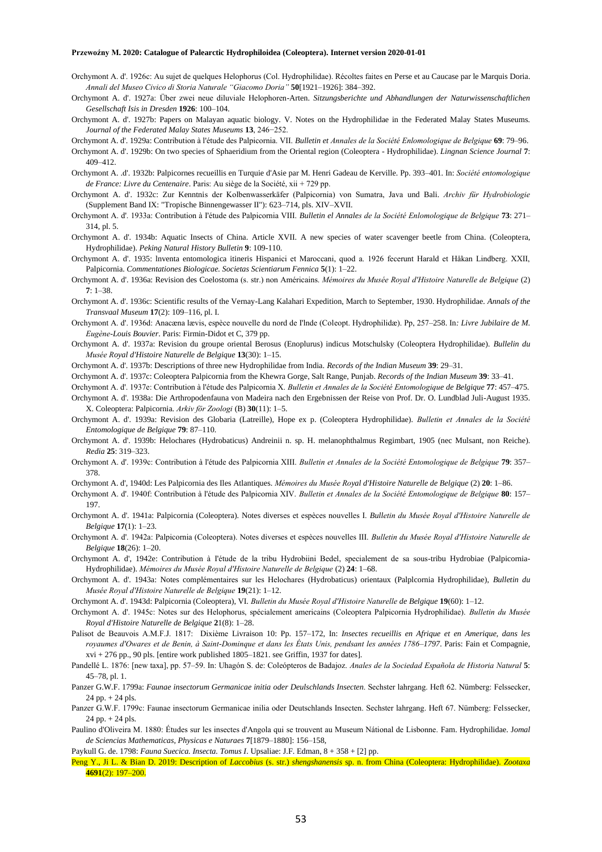- Orchymont A. d'. 1926c: Au sujet de quelques Helophorus (Col. Hydrophilidae). Récoltes faites en Perse et au Caucase par le Marquis Doria. *Annali del Museo Civico di Storia Naturale "Giacomo Doria"* **50**[1921–1926]: 384–392.
- Orchymont A. d'. 1927a: Über zwei neue diluviale Helophoren-Arten. *Sitzungsberichte und Abhandlungen der Naturwissenschaftlichen Gesellschaft Isis in Dresden* **1926**: 100–104.
- Orchymont A. d'. 1927b: Papers on Malayan aquatic biology. V. Notes on the Hydrophilidae in the Federated Malay States Museums. *Journal of the Federated Malay States Museums* **13**, 246−252.
- Orchymont A. d'. 1929a: Contribution à l'étude des Palpicornia. VII. *Bulletin et Annales de la Société Enlomologique de Belgique* **69**: 79–96.
- Orchymont A. d'. 1929b: On two species of Sphaeridium from the Oriental region (Coleoptera Hydrophilidae). *Lingnan Science Journal* **7**: 409–412.
- Orchymont A. .d'. 1932b: Palpicornes recueillis en Turquie d'Asie par M. Henri Gadeau de Kerville. Pp. 393–401. In: *Société entomologique de France: Livre du Centenaire*. Paris: Au siège de la Société, xii + 729 pp.
- Orchymont A. d'. 1932c: Zur Kenntnis der Kolbenwasserkäfer (Palpicornia) von Sumatra, Java und Bali. *Archiv für Hydrobiologie* (Supplement Band IX: "Tropische Binnengewasser II"): 623–714, pls. XIV–XVII.
- Orchymont A. d'. 1933a: Contribution à I'étude des Palpicornia VIII. *Bulletin el Annales de la Société Enlomologique de Belgique* **73**: 271– 314, pl. 5.
- Orchymont A. d'. 1934b: Aquatic Insects of China. Article XVII. A new species of water scavenger beetle from China. (Coleoptera, Hydrophilidae). *Peking Natural History Bulletin* **9**: 109-110.
- Orchymont A. d'. 1935: lnventa entomologica itineris Hispanici et Maroccani, quod a. 1926 fecerunt Harald et Håkan Lindberg. XXII, Palpicornia. *Commentationes Biologicae. Societas Scientiarum Fennica* **5**(1): 1–22.
- Orchymont A. d'. 1936a: Revision des Coelostoma (s. str.) non Américains. *Mémoires du Musée Royal d'Histoire Naturelle de Belgique* (2) **7**: 1–38.
- Orchymont A. d'. 1936c: Scientific results of the Vernay-Lang Kalahari Expedition, March to September, 1930. Hydrophilidae. *Annals of the Transvaal Museum* **17**(2): 109–116, pl. I.
- Orchymont A. d'. 1936d: Anacæna lævis, espèce nouvelle du nord de I'lnde (Coleopt. Hydrophilidæ). Pp, 257–258. In*: Livre Jubilaire de M. Eugène-Louis Bouvier*. Paris: Firmin-Didot et C, 379 pp.
- Orchymont A. d'. 1937a: Revision du groupe oriental Berosus (Enoplurus) indicus Motschulsky (Coleoptera Hydrophilidae). *Bullelin du Musée Royal d'Histoire Naturelle de Belgique* **13**(30): 1–15.
- Orchymont A. d'. 1937b: Descriptions of three new Hydrophilidae from India. *Records of the Indian Museum* **39**: 29–31.
- Orchymont A. d'. 1937c: Coleoptera Palpicornia from the Khewra Gorge, Salt Range, Punjab. *Records of the Indian Museum* **39**: 33–41.
- Orchymont A. d'. 1937e: Contribution à l'étude des Palpicornia X. *Bulletin et Annales de la Société Entomologique de Belgique* **77**: 457–475.
- Orchymont A. d'. 1938a: Die Arthropodenfauna von Madeira nach den Ergebnissen der Reise von Prof. Dr. O. Lundblad Juli-August 1935. X. Coleoptera: Palpicornia. *Arkiv för Zoologi* (B) **30**(11): 1–5.
- Orchymont A. d'. 1939a: Revision des Globaria (Latreille), Hope ex p. (Coleoptera Hydrophilidae). *Bulletin et Annales de la Société Entomologique de Belgique* **79**: 87–110.
- Orchymont A. d'. 1939b: Helochares (Hydrobaticus) Andreinii n. sp. H. melanophthalmus Regimbart, 1905 (nec Mulsant, non Reiche). *Redia* **25**: 319–323.
- Orchymont A. d'. 1939c: Contribution à l'étude des Palpicornia XIII. *Bulletin et Annales de la Société Entomologique de Belgique* **79**: 357– 378.
- Orchymont A. d', 1940d: Les Palpicornia des Iles Atlantiques. *Mémoires du Musée Royal d'Histoire Naturelle de Belgique* (2) **20**: 1–86.
- Orchymont A. d'. 1940f: Contribution à l'étude des Palpicornia XIV. *Bulletin et Annales de la Société Entomologique de Belgique* **80**: 157– 197.
- Orchymont A. d'. 1941a: Palpicornia (Coleoptera). Notes diverses et espèces nouvelles I. *Bulletin du Musée Royal d'Histoire Naturelle de Belgique* **17**(1): 1–23.
- Orchymont A. d'. 1942a: Palpicornia (Coleoptera). Notes diverses et espèces nouvelles III. *Bulletin du Musée Royal d'Histoire Naturelle de Belgique* **18**(26): 1–20.
- Orchymont A. d', 1942e: Contribution à I'étude de la tribu Hydrobiini Bedel, specialement de sa sous-tribu Hydrobiae (Palpicornia-Hydrophilidae). *Mémoires du Musée Royal d'Histoire Naturelle de Belgique* (2) **24**: 1–68.
- Orchymont A. d'. 1943a: Notes complémentaires sur les Helochares (Hydrobaticus) orientaux (Palplcornia Hydrophilidae), *Bulletin du Musée Royal d'Histoire Naturelle de Belgique* **19**(21): 1–12.
- Orchymont A. d'. 1943d: Palpicornia (Coleoptera), VI. *Bulletin du Musée Royal d'Histoire Naturelle de Belgique* **19**(60): 1–12.
- Orchymont A. d'. 1945c: Notes sur des Helophorus, spécialement americains (Coleoptera Palpicornia Hydrophilidae). *Bulletin du Musée Royal d'Histoire Naturelle de Belgique* **2**1(8): 1–28.
- Palisot de Beauvois A.M.F.J. 1817: Dixième Livraison 10: Pp. 157–172, In: *Insectes recueillis en Afrique et en Amerique, dans les royaumes d'Owares et de Benin, à Saint-Dominque et dans les États Unis, pendsant les années 1786–1797*. Paris: Fain et Compagnie,  $xvi + 276$  pp., 90 pls. [entire work published  $1805-1821$ . see Griffin, 1937 for dates].
- Pandellé L. 1876: [new taxa], pp. 57–59. In: Uhagón S. de: Coleópteros de Badajoz. *Anales de la Sociedad Española de Historia Natural* **5**: 45–78, pl. 1.
- Panzer G.W.F. 1799a: *Faunae insectorum Germanicae initia oder Deulschlands Insecten*. Sechster lahrgang. Heft 62. Nümberg: Felssecker,  $24$  pp.  $+ 24$  pls.
- Panzer G.W.F. 1799c: Faunae insectorum Germanicae inilia oder Deutschlands Insecten. Sechster lahrgang. Heft 67. Nümberg: Felssecker,  $24$  pp.  $+ 24$  pls.
- Paulino d'Oliveira M. 1880: Études sur les insectes d'Angola qui se trouvent au Museum Nátional de Lisbonne. Fam. Hydrophilidae. J*omal de Sciencias Mathematicas, Physicas e Naturaes* **7**[1879–1880]: 156–158,
- Paykull G. de. 1798: *Fauna Suecica. Insecta. Tomus I*. Upsaliae: J.F. Edman, 8 + 358 + [2] pp.
- Peng Y., Ji L. & Bian D. 2019: Description of *Laccobius* (s. str.) *shengshanensis* sp. n. from China (Coleoptera: Hydrophilidae). *Zootaxa* **4691**(2): 197–200.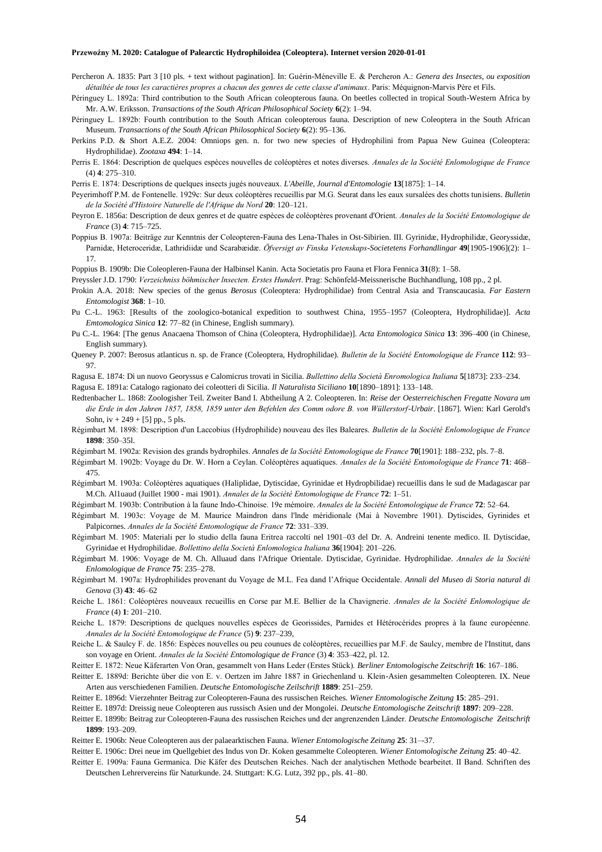- Percheron A. 1835: Part 3 [10 pls. + text without pagination]. In: Guérin-Méneville E. & Percheron A.: *Genera des Insectes, ou exposition détailtée de tous les caractières propres a chacun des genres de cette classe d'animaux*. Paris: Méquignon-Marvis Père et Fils.
- Péringuey L. 1892a: Third contribution to the South African coleopterous fauna. On beetles collected in tropical South-Western Africa by Mr. A.W. Eriksson. *Transactions of the South African Philosophical Society* **6**(2): 1–94.
- Péringuey L. 1892b: Fourth contribution to the South African coleopterous fauna. Description of new Coleoptera in the South African Museum. *Transactions of the South African Philosophical Society* **6**(2): 95–136.
- Perkins P.D. & Short A.E.Z. 2004: Omniops gen. n. for two new species of Hydrophilini from Papua New Guinea (Coleoptera: Hydrophilidae). *Zootaxa* **494**: 1–14.
- Perris E. 1864: Description de quelques espèces nouvelles de coléoptères et notes diverses. *Annales de la Société Enlomologique de France* (4) **4**: 275–310.
- Perris E. 1874: Descriptions de quelques insects jugés nouveaux. *L'Abeille, Journal d'Entomologie* **13**[1875]: 1–14.
- Peyerimhoff P.M. de Fontenelle. 1929c: Sur deux coléoptères recueillis par M.G. Seurat dans les eaux sursalées des chotts tunisiens. *Bulletin de la Société d'Histoire Naturelle de l'Afrique du Nord* **20**: 120–121.
- Peyron E. 1856a: Description de deux genres et de quatre espèces de coléoptères provenant d'Orient. *Annales de la Société Entomologique de France* (3) **4**: 715–725.
- Poppius B. 1907a: Beiträge zur Kenntnis der Coleopteren-Fauna des Lena-Thales in Ost-Sibirien. III. Gyrinidæ, Hydrophilidæ, Georyssidæ, Parnidæ, Heteroceridæ, Lathridiidæ und Scarabæidæ. *Öfversigt av Finska Vetenskaps-Societetens Forhandlingar* **49**[1905-1906](2): 1– 17.
- Poppius B. 1909b: Die Coleopleren-Fauna der Halbinsel Kanin. Acta Societatis pro Fauna et Flora Fennica **31**(8): 1–58.
- Preyssler J.D. 1790: *Verzeichniss böhmischer lnsecten. Erstes Hundert*. Prag: Schönfeld-Meissnerische Buchhandlung, 108 pp., 2 pl.
- Prokin A.A. 2018: New species of the genus *Berosus* (Coleoptera: Hydrophilidae) from Central Asia and Transcaucasia. *Far Eastern Entomologist* **368**: 1–10.
- Pu C.-L. 1963: [Results of the zoologico-botanical expedition to southwest China, 1955–1957 (Coleoptera, Hydrophilidae)]. *Acta Emtomologica Sinica* **12**: 77–82 (in Chinese, English summary).
- Pu C.-L. 1964: [The genus Anacaena Thomson of China (Coleoptera, Hydrophilidae)]. *Acta Entomologica Sinica* **13**: 396–400 (in Chinese, English summary).
- Queney P. 2007: Berosus atlanticus n. sp. de France (Coleoptera, Hydrophilidae). *Bulletin de la Société Entomologique de France* **112**: 93– 97.
- Ragusa E. 1874: Di un nuovo Georyssus e Calomicrus trovati in Sicilia. *Bullettino della Società Enromologica Italiana* **5**[1873]: 233–234.
- Ragusa E. 1891a: Catalogo ragionato dei coleotteri di Sicilia. *Il Naturalista Siciliano* **10**[1890–1891]: 133–148.
- Redtenbacher L. 1868: Zoologisher Teil. Zweiter Band I. Abtheilung A 2. Coleopteren. In: *Reise der Oesterreichischen Fregatte Novara um die Erde in den Jahren 1857, 1858, 1859 unter den Befehlen des Comm odore B. von Wüllerstorf-Urbair*. [1867]. Wien: Karl Gerold's Sohn,  $iv + 249 + [5]$  pp., 5 pls.
- Régimbart M. 1898: Description d'un Laccobius (Hydrophilide) nouveau des îles Baleares. *Bulletin de la Société Enlomologique de France* **1898**: 350–35l.
- Régimbart M. 1902a: Revision des grands bydrophiles. *Annales de la Société Entomologique de France* **70**[1901]: 188–232, pls. 7–8.
- Régimbart M. 1902b: Voyage du Dr. W. Horn a Ceylan. Coléoptères aquatiques. *Annales de la Société Entomologique de France* **71**: 468– 475.
- Régimbart M. 1903a: Coléoptères aquatiques (Haliplidae, Dytiscidae, Gyrinidae et Hydropbilidae) recueillis dans le sud de Madagascar par M.Ch. Al1uaud (Juillet 1900 - mai 1901). *Annales de la Société Entomologique de France* **72**: 1–51.
- Régimbart M. 1903b: Contribution à la faune Indo-Chinoise. 19e mémoire. *Annales de la Société Entomologique de France* **72**: 52–64.
- Régimbart M. 1903c: Voyage de M. Maurice Maindron dans l'lnde méridionale (Mai à Novembre 1901). Dytiscides, Gyrinides et Palpicornes. *Annales de la Société Entomologique de France* **72**: 331–339.
- Régimbart M. 1905: Materiali per lo studio della fauna Eritrea raccolti nel 1901–03 del Dr. A. Andreini tenente medico. II. Dytiscidae, Gyrinidae et Hydrophilidae. *Bollettino della Società Enlomologica Italiana* **36**[1904]: 201–226.
- Régimbart M. 1906: Voyage de M. Ch. Alluaud dans l'Afrique Orientale. Dytiscidae, Gyrinidae. Hydrophilidae. *Annales de la Société Enlomologique de France* **75**: 235–278.
- Régimbart M. 1907a: Hydrophilides provenant du Voyage de M.L. Fea dand l'Afrique Occidentale. *Annali del Museo di Storia natural di Genova* (3) **43**: 46–62
- Reiche L. 1861: Coléoptères nouveaux recueillis en Corse par M.E. Bellier de la Chavignerie. *Annales de la Société Enlomologique de France* (4) **1**: 201–210.
- Reiche L. 1879: Descriptions de quelques nouvelles espèces de Georissides, Parnides et Hétérocérides propres à la faune européenne. *Annales de la Société Entomologique de France* (5) **9**: 237–239,
- Reiche L. & Saulcy F. de. 1856: Espèces nouvelles ou peu counues de coléoptères, recueillies par M.F. de Saulcy, membre de l'Institut, dans son voyage en Orient. *Annales de la Société Entomologique de France* (3) **4**: 353–422, pl. 12.
- Reitter E. 1872: Neue Käferarten Von Oran, gesammelt von Hans Leder (Erstes Stück). *Berliner Entomologische Zeitschrift* **16**: 167–186.
- Reitter E. 1889d: Berichte über die von E. v. Oertzen im Jahre 1887 in Griechenland u. Klein-Asien gesammelten Coleopteren. IX. Neue Arten aus verschiedenen Familien. *Deutsche Entomologische Zeilschrift* **1889**: 251–259.
- Reitter E. 1896d: Vierzehnter Beitrag zur Coleopteren-Fauna des russischen Reiches. *Wiener Entomologische Zeitung* **15**: 285–291.
- Reitter E. 1897d: Dreissig neue Coleopteren aus russisch Asien und der Mongolei. *Deutsche Entomologische Zeitschrift* **1897**: 209–228.
- Reitter E. 1899b: Beitrag zur Coleopteren-Fauna des russischen Reiches und der angrenzenden Länder. *Deutsche Entomologische Zeitschrift*  **1899**: 193–209.
- Reitter E. 1906b: Neue Coleopteren aus der palaearktischen Fauna. *Wiener Entomologische Zeitung* **25**: 31–-37.
- Reitter E. 1906c: Drei neue im Quellgebiet des Indus von Dr. Koken gesammelte Coleopteren. *Wiener Entomologische Zeitung* **25**: 40–42.
- Reitter E. 1909a: Fauna Germanica. Die Käfer des Deutschen Reiches. Nach der analytischen Methode bearbeitet. II Band. Schriften des Deutschen Lehrervereins für Naturkunde. 24. Stuttgart: K.G. Lutz, 392 pp., pls. 41–80.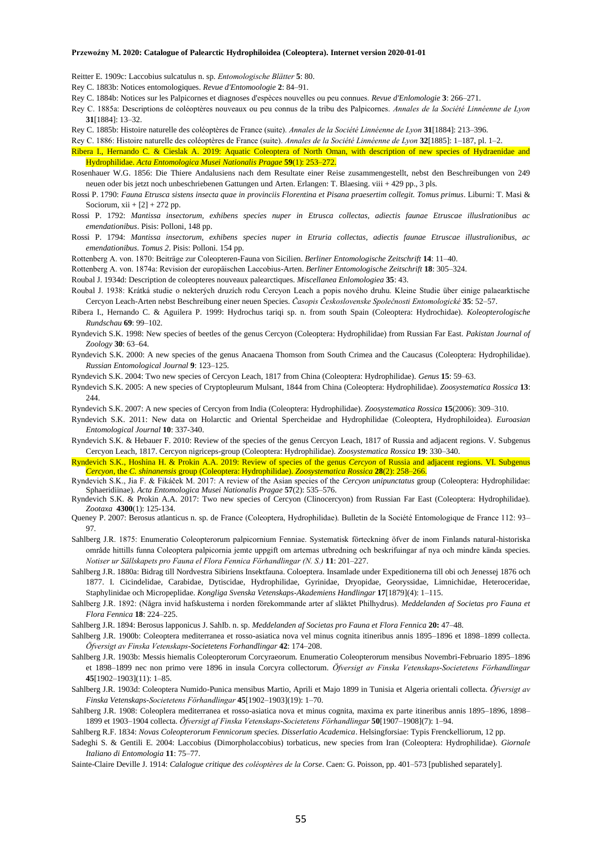Reitter E. 1909c: Laccobius sulcatulus n. sp. *Entomologische Blätter* **5**: 80.

Rey C. 1883b: Notices entomologiques. *Revue d'Entomoologie* **2**: 84–91.

- Rey C. 1884b: Notices sur les Palpicornes et diagnoses d'espèces nouvelles ou peu connues. *Revue d'Enlomologie* **3**: 266–271.
- Rey C. 1885a: Descriptions de coléoptères nouveaux ou peu connus de la tribu des Palpicornes. *Annales de la Société Linnéenne de Lyon* **31**[1884]: 13–32.
- Rey C. 1885b: Histoire naturelle des coléoptères de France (suite). *Annales de la Société Linnéenne de Lyon* **31**[1884]: 213–396.

Rey C. 1886: Histoire naturelle des coléoptères de France (suite). *Annales de la Société Linnéenne de Lyon* **32**[1885]: 1–187, pl. 1–2.

Ribera I., Hernando C. & Cieslak A. 2019: Aquatic Coleoptera of North Oman, with description of new species of Hydraenidae and Hydrophilidae. *Acta Entomologica Musei Nationalis Pragae* **59**(1): 253–272.

- Rosenhauer W.G. 1856: Die Thiere Andalusiens nach dem Resultate einer Reise zusammengestellt, nebst den Beschreibungen von 249 neuen oder bis jetzt noch unbeschriebenen Gattungen und Arten. Erlangen: T. Blaesing. viii + 429 pp., 3 pls.
- Rossi P. 1790: *Fauna Etrusca sistens insecta quae in provinciis Florentina et Pisana praesertim collegit. Tomus primus*. Liburni: T. Masi & Sociorum,  $xii + [2] + 272$  pp.
- Rossi P. 1792: *Mantissa insectorum, exhibens species nuper in Etrusca collectas, adiectis faunae Etruscae illuslrationibus ac emendationibus*. Pisis: Polloni, 148 pp.
- Rossi P. 1794: *Mantissa insectorum, exhibens species nuper in Etruria collectas, adiectis faunae Etruscae illustralionibus, ac emendationibus. Tomus 2*. Pisis: Polloni. 154 pp.

Rottenberg A. von. 1870: Beiträge zur Coleopteren-Fauna von Sicilien. *Berliner Entomologische Zeitschrift* **14**: 11–40.

Rottenberg A. von. 1874a: Revision der europäischen Laccobius-Arten. *Berliner Entomologische Zeitschrift* **18**: 305–324.

Roubal J. 1934d: Description de coleopteres nouveaux palearctiques. *Miscellanea Enlomologiea* **35**: 43.

- Roubal J. 1938: Krátká studie o nekterých druzích rodu Cercyon Leach a popis nového druhu. Kleine Studie über einige palaearktische Cercyon Leach-Arten nebst Beschreibung einer neuen Species. *Časopis Československe Společnosti Entomologické* **35**: 52–57.
- Ribera I., Hernando C. & Aguilera P. 1999: Hydrochus tariqi sp. n. from south Spain (Coleoptera: Hydrochidae). *Koleopterologische Rundschau* **69**: 99–102.
- Ryndevich S.K. 1998: New species of beetles of the genus Cercyon (Coleoptera: Hydrophilidae) from Russian Far East. *Pakistan Journal of Zoology* **30**: 63–64.
- Ryndevich S.K. 2000: A new species of the genus Anacaena Thomson from South Crimea and the Caucasus (Coleoptera: Hydrophilidae). *Russian Entomological Journal* **9**: 123–125.
- Ryndevich S.K. 2004: Two new species of Cercyon Leach, 1817 from China (Coleoptera: Hydrophilidae). *Genus* **15**: 59–63.
- Ryndevich S.K. 2005: A new species of Cryptopleurum Mulsant, 1844 from China (Coleoptera: Hydrophilidae). *Zoosystematica Rossica* **13**: 244
- Ryndevich S.K. 2007: A new species of Cercyon from India (Coleoptera: Hydrophilidae). *Zoosystematica Rossica* **15**(2006): 309–310.
- Ryndevich S.K. 2011: New data on Holarctic and Oriental Spercheidae and Hydrophilidae (Coleoptera, Hydrophiloidea). *Euroasian Entomological Journal* **10**: 337-340.
- Ryndevich S.K. & Hebauer F. 2010: Review of the species of the genus Cercyon Leach, 1817 of Russia and adjacent regions. V. Subgenus Cercyon Leach, 1817. Cercyon nigriceps-group (Coleoptera: Hydrophilidae). *Zoosystematica Rossica* **19**: 330–340.
- Ryndevich S.K., Hoshina H. & Prokin A.A. 2019: Review of species of the genus *Cercyon* of Russia and adjacent regions. VI. Subgenus *Cercyon*, the *C. shinanensis* group (Coleoptera: Hydrophilidae). *Zoosystematica Rossica* **28**(2): 258–266.
- Ryndevich S.K., Jia F. & Fikáček M. 2017: A review of the Asian species of the *Cercyon unipunctatus* group (Coleoptera: Hydrophilidae: Sphaeridiinae). *Acta Entomologica Musei Nationalis Pragae* **57**(2): 535–576.
- Ryndevich S.K. & Prokin A.A. 2017: Two new species of Cercyon (Clinocercyon) from Russian Far East (Coleoptera: Hydrophilidae). *Zootaxa* **4300**(1): 125-134.
- Queney P. 2007: Berosus atlanticus n. sp. de France (Coleoptera, Hydrophilidae). Bulletin de la Société Entomologique de France 112: 93– 97.
- Sahlberg J.R. 1875: Enumeratio Coleopterorum palpicornium Fenniae. Systematisk förteckning öfver de inom Finlands natural-historiska område hittills funna Coleoptera palpicornia jemte uppgift om arternas utbredning och beskrifuingar af nya och mindre kända species. *Notiser ur Sällskapets pro Fauna el Flora Fennica Förhandlingar (N. S.)* **11**: 201–227.
- Sahlberg J.R. 1880a: Bidrag till Nordvestra Sibiriens Insektfauna. Coloeptera. Insamlade under Expeditionerna till obi och Jenessej 1876 och 1877. I. Cicindelidae, Carabidae, Dytiscidae, Hydrophilidae, Gyrinidae, Dryopidae, Georyssidae, Limnichidae, Heteroceridae, Staphylinidae och Micropeplidae. *Kongliga Svenska Vetenskaps-Akademiens Handlingar* **17**[1879](4): 1–115.
- Sahlberg J.R. 1892: (Några invid hafskusterna i norden förekommande arter af släktet Philhydrus). *Meddelanden af Societas pro Fauna et Flora Fennica* **18**: 224–225.
- Sahlberg J.R. 1894: Berosus lapponicus J. SahIb. n. sp. *Meddelanden af Societas pro Fauna et Flora Fennica* **20:** 47–48.
- Sahlberg J.R. 1900b: Coleoptera mediterranea et rosso-asiatica nova vel minus cognita itineribus annis 1895–1896 et 1898–1899 collecta. *Öfversigt av Finska Vetenskaps-Societetens Forhandlingar* **42**: 174–208.
- Sahlberg J.R. 1903b: Messis hiemalis Coleopterorum Corcyraeorum. Enumeratio Coleopterorum mensibus Novembri-Februario 1895–1896 et 1898–1899 nec non primo vere 1896 in insula Corcyra collectorum. *Öfversigt av Finska Vetenskaps-Societetens Förhandlingar* **45**[1902–1903](11): 1–85.
- Sahlberg J.R. 1903d: Coleoptera Numido-Punica mensibus Martio, Aprili et Majo 1899 in Tunisia et Algeria orientali collecta. *Öfversigt av Finska Vetenskaps-Societetens Förhandlingar* **45**[1902–1903](19): 1–70.
- SahIberg J.R. 1908: Coleoplera mediterranea et rosso-asiatica nova et minus cognita, maxima ex parte itineribus annis 1895–1896, 1898– 1899 et 1903–1904 collecta. *Öfversigt af Finska Vetenskaps-Societetens Förhandlingar* **50**[1907–1908](7): 1–94.
- Sahlberg R.F. 1834: *Novas Coleopterorum Fennicorum species. Disserlatio Academica*. Helsingforsiae: Typis Frenckelliorum, 12 pp.
- Sadeghi S. & Gentili E. 2004: Laccobius (Dimorpholaccobius) torbaticus, new species from Iran (Coleoptera: Hydrophilidae). *Giornale Italiano di Entomologia* **11**: 75–77.
- Sainte-Claire Deville J. 1914: *Calalogue critique des coléoptères de la Corse*. Caen: G. Poisson, pp. 401–573 [published separately].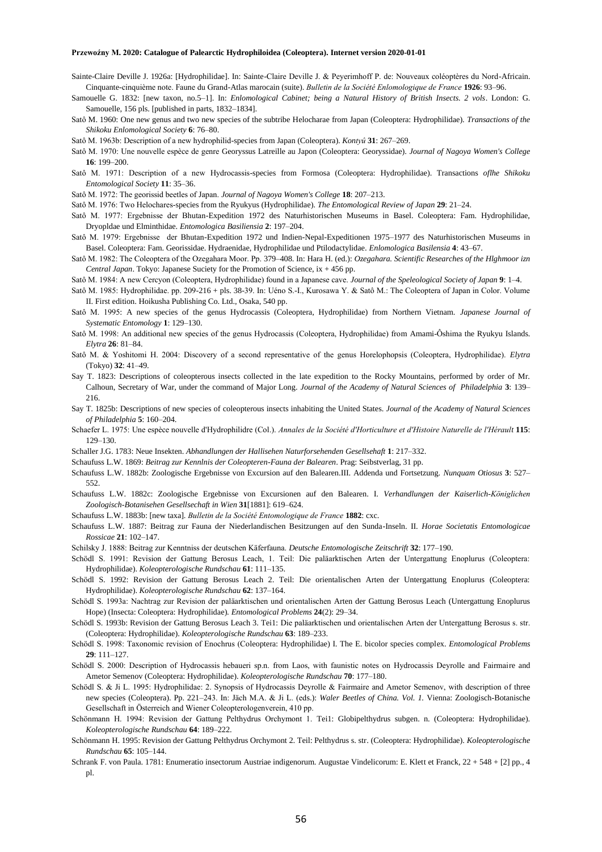- Sainte-Claire Deville J. 1926a: [Hydrophilidae]. In: Sainte-Claire Deville J. & Peyerimhoff P. de: Nouveaux coléoptères du Nord-Africain. Cinquante-cinquième note. Faune du Grand-Atlas marocain (suite). *Bulletin de la Société Enlomologique de France* **1926**: 93–96.
- Samouelle G. 1832: [new taxon, no.5–1]. In: *Enlomological Cabinet; being a Natural History of British Insects. 2 vols*. London: G. Samouelle, 156 pls. [published in parts, 1832–1834].
- Satô M. 1960: One new genus and two new species of the subtribe Helocharae from Japan (Coleoptera: Hydrophilidae). *Transactions of the Shikoku Enlomological Society* **6**: 76–80.
- Satô M. 1963b: Description of a new hydrophilid-species from Japan (Coleoptera). *Kontyû* **31**: 267–269.
- Satô M. 1970: Une nouvelle espèce de genre Georyssus Latreille au Japon (Coleoptera: Georyssidae). *Journal of Nagoya Women's College*  **16**: 199–200.
- Satô M. 1971: Description of a new Hydrocassis-species from Formosa (Coleoptera: Hydrophilidae). Transactions *oflhe Shikoku Entomological Society* **11**: 35–36.
- Satô M. 1972: The georissid beetles of Japan. *Journal of Nagoya Women's College* **18**: 207–213.

Satô M. 1976: Two Helochares-species from the Ryukyus (Hydrophilidae). *The Entomological Review of Japan* **29**: 21–24.

- Satô M. 1977: Ergebnisse der Bhutan-Expedition 1972 des Naturhistorischen Museums in Basel. Coleoptera: Fam. Hydrophilidae, Dryopldae und Elminthidae. *Entomologica Basiliensia* **2**: 197–204.
- Satô M. 1979: Ergebnisse der Bhutan-Expedition 1972 und Indien-Nepal-Expeditionen 1975–1977 des Naturhistorischen Museums in Basel. Coleoptera: Fam. Georissidae. Hydraenidae, Hydrophilidae und Ptilodactylidae. *Enlomologica Basilensia* **4**: 43–67.
- Satô M. 1982: The Coleoptera of the Ozegahara Moor. Pp. 379–408. In: Hara H. (ed.): *Ozegahara. Scientific Researches of the Hlghmoor izn Central Japan*. Tokyo: Japanese Suciety for the Promotion of Science, ix + 456 pp.

Satô M. 1984: A new Cercyon (Coleoptera, Hydrophilidae) found in a Japanese cave. *Journal of the Speleological Society of Japan* **9**: 1–4.

- Satô M. 1985: Hydrophilidae. pp. 209-216 + pls. 38-39. In: Uéno S.-I., Kurosawa Y. & Satô M.: The Coleoptera of Japan in Color. Volume II. First edition. Hoikusha Publishing Co. Ltd., Osaka, 540 pp.
- Satô M. 1995: A new species of the genus Hydrocassis (Coleoptera, Hydrophilidae) from Northern Vietnam. *Japanese Journal of Systematic Entomology* **1**: 129–130.
- Satô M. 1998: An additional new species of the genus Hydrocassis (Coleoptera, Hydrophilidae) from Amami-Ôshima the Ryukyu Islands. *Elytra* **26**: 81–84.
- Satô M. & Yoshitomi H. 2004: Discovery of a second representative of the genus Horelophopsis (Coleoptera, Hydrophilidae). *Elytra* (Tokyo) **32**: 41–49.
- Say T. 1823: Descriptions of coleopterous insects collected in the late expedition to the Rocky Mountains, performed by order of Mr. Calhoun, Secretary of War, under the command of Major Long. *Journal of the Academy of Natural Sciences of Philadelphia* **3**: 139– 216.
- Say T. 1825b: Descriptions of new species of coleopterous insects inhabiting the United States. *Journal of the Academy of Natural Sciences of Philadelphia* **5**: 160–204.
- Schaefer L. 1975: Une espèce nouvelle d'Hydrophilidre (Col.). *Annales de la Société d'Horticulture et d'Histoire Naturelle de l'Hérault* **115**: 129–130.
- Schaller J.G. 1783: Neue Insekten. *Abhandlungen der Hallisehen Naturforsehenden Gesellsehaft* **1**: 217–332.
- Schaufuss L.W. 1869: *Beitrag zur Kennlnis der Coleopteren-Fauna der Balearen*. Prag: Seibstverlag, 31 pp.
- Schaufuss L.W. 1882b: Zoologische Ergebnisse von Excursion auf den Balearen.III. Addenda und Fortsetzung. *Nunquam Otiosus* **3**: 527– 552.
- Schaufuss L.W. 1882c: Zoologische Ergebnisse von Excursionen auf den Balearen. I. *Verhandlungen der Kaiserlich-Königlichen Zoologisch-Botanisehen Gesellsechaft in Wien* **31**[1881]: 619–624.
- Schaufuss L.W. 1883b: [new taxa]. *Bulletin de la Société Entomologique de France* **1882**: cxc.
- Schaufuss L.W. 1887: Beitrag zur Fauna der Niederlandischen Besitzungen auf den Sunda-Inseln. II. *Horae Societatis Entomologicae Rossicae* **21**: 102–147.
- Schilsky J. 1888: Beitrag zur Kenntniss der deutschen Käferfauna. *Deutsche Entomologische Zeitschrift* **32**: 177–190.
- Schödl S. 1991: Revision der Gattung Berosus Leach, 1. Teil: Die paläarktischen Arten der Untergattung Enoplurus (Coleoptera: Hydrophilidae). *Koleopterologische Rundschau* **61**: 111–135.
- Schödl S. 1992: Revision der Gattung Berosus Leach 2. Teil: Die orientalischen Arten der Untergattung Enoplurus (Coleoptera: Hydrophilidae). *Koleopterologische Rundschau* **62**: 137–164.
- Schödl S. 1993a: Nachtrag zur Revision der paläarktischen und orientalischen Arten der Gattung Berosus Leach (Untergattung Enoplurus Hope) (Insecta: Coleoptera: Hydrophilidae). *Entomological Problems* **24**(2): 29–34.
- Schödl S. 1993b: Revision der Gattung Berosus Leach 3. Tei1: Die paläarktischen und orientalischen Arten der Untergattung Berosus s. str. (Coleoptera: Hydrophilidae). *Koleopterologische Rundschau* **63**: 189–233.
- Schödl S. 1998: Taxonomic revision of Enochrus (Coleoptera: Hydrophilidae) I. The E. bicolor species complex. *Entomological Problems* **29**: 111–127.
- Schödl S. 2000: Description of Hydrocassis hebaueri sp.n. from Laos, with faunistic notes on Hydrocassis Deyrolle and Fairmaire and Ametor Semenov (Coleoptera: Hydrophilidae). *Koleopterologische Rundschau* **70**: 177–180.
- Schödl S. & Ji L. 1995: Hydrophilidae: 2. Synopsis of Hydrocassis Deyrolle & Fairmaire and Ametor Semenov, with description of three new species (Coleoptera). Pp. 221–243. In: Jäch M.A. & Ji L. (eds.): *Waler Beetles of China. Vol. 1.* Vienna: Zoologisch-Botanische Gesellschaft in Österreich and Wiener Coleopterologenverein, 410 pp.
- Schönmann H. 1994: Revision der Gattung Pelthydrus Orchymont 1. Tei1: Globipelthydrus subgen. n. (Coleoptera: Hydrophilidae). *Koleopterologische Rundschau* **64**: 189–222.
- Schönmann H. 1995: Revision der Gattung Pelthydrus Orchymont 2. Teil: Pelthydrus s. str. (Coleoptera: Hydrophilidae). *Koleopterologische Rundschau* **65**: 105–144.
- Schrank F. von Paula. 1781: Enumeratio insectorum Austriae indigenorum. Augustae Vindelicorum: E. Klett et Franck, 22 + 548 + [2] pp., 4 pl.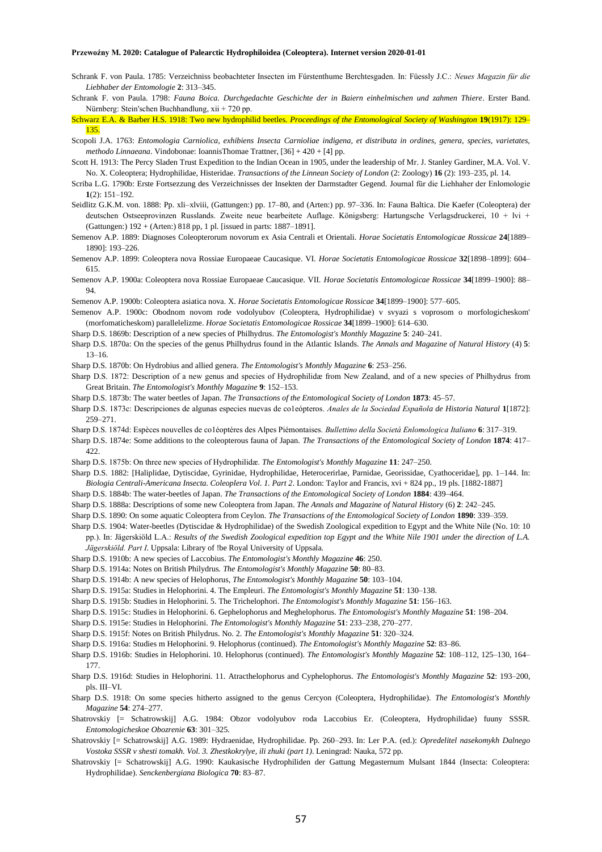- Schrank F. von Paula. 1785: Verzeichniss beobachteter Insecten im Fürstenthume Berchtesgaden. In: Füessly J.C.: *Neues Magazin für die Liebhaber der Entomologie* **2**: 313–345.
- Schrank F. von Paula. 1798: *Fauna Boica. Durchgedachte Geschichte der in Baiern einhelmischen und zahmen Thiere*. Erster Band. Nürnberg: Stein'schen Buchhandlung, xii + 720 pp.
- Schwarz E.A. & Barber H.S. 1918: Two new hydrophilid beetles. *Proceedings of the Entomological Society of Washington* **19**(1917): 129– 135.
- Scopoli J.A. 1763: *Entomologia Carniolica, exhibiens Insecta Carnioliae indigena, et distributa in ordines, genera, species, varietates, methodo Linnaeana*. Vindobonae: IoannisThomae Trattner, [36] + 420 + [4] pp.
- Scott H. 1913: The Percy Sladen Trust Expedition to the Indian Ocean in 1905, under the leadership of Mr. J. Stanley Gardiner, M.A. Vol. V. No. X. Coleoptera; Hydrophilidae, Histeridae. *Transactions of the Linnean Society of London* (2: Zoology) **16** (2): 193–235, pl. 14.
- Scriba L.G. 1790b: Erste Fortsezzung des Verzeichnisses der Insekten der Darmstadter Gegend. Journal für die Liehhaher der Enlomologie **1**(2): 151–192.
- Seidlitz G.K.M. von. 1888: Pp. xli–xlviii, (Gattungen:) pp. 17–80, and (Arten:) pp. 97–336. In: Fauna Baltica. Die Kaefer (Coleoptera) der deutschen Ostseeprovinzen Russlands. Zweite neue bearbeitete Auflage. Königsberg: Hartungsche Verlagsdruckerei, 10 + lvi + (Gattungen:) 192 + (Arten:) 818 pp, 1 pl. [issued in parts: 1887–1891].
- Semenov A.P. 1889: Diagnoses Coleopterorum novorum ex Asia Centrali et Orientali. *Horae Societatis Entomologicae Rossicae* **24**[1889– 1890]: 193–226.
- Semenov A.P. 1899: Coleoptera nova Rossiae Europaeae Caucasique. VI. *Horae Societatis Entomologicae Rossicae* **32**[1898–1899]: 604– 615.
- Semenov A.P. 1900a: Coleoptera nova Rossiae Europaeae Caucasique. VII. *Horae Societatis Entomologicae Rossicae* **34**[1899–1900]: 88– 94.
- Semenov A.P. 1900b: Coleoptera asiatica nova. X. *Horae Societatis Entomologicae Rossicae* **34**[1899–1900]: 577–605.
- Semenov A.P. 1900c: Obodnom novom rode vodolyubov (Coleoptera, Hydrophilidae) v svyazi s voprosom o morfologicheskom' (morfomaticheskom) parallelelizme. *Horae Societatis Entomologicae Rossicae* **34**[1899–1900]: 614–630.
- Sharp D.S. 1869b: Description of a new species of Philhydrus. *The Entomologist's Monthly Magazine* **5**: 240–241.
- Sharp D.S. 1870a: On the species of the genus Philhydrus found in the Atlantic Islands. *The Annals and Magazine of Natural History* (4) **5**: 13–16.
- Sharp D.S. 1870b: On Hydrobius and allied genera. *The Entomologist's Monthly Magazine* **6**: 253–256.
- Sharp D.S. 1872: Description of a new genus and species of Hydrophilidæ from New Zealand, and of a new species of Philhydrus from Great Britain. *The Entomologist's Monthly Magazine* **9**: 152–153.
- Sharp D.S. 1873b: The water beetles of Japan. *The Transactions of the Entomological Society of London* **1873**: 45–57.
- Sharp D.S. 1873c: Descripciones de algunas especies nuevas de co1eópteros. *Anales de la Sociedad Española de Historia Natural* **1**[1872]: 259–271.
- Sharp D.S. 1874d: Espèces nouvelles de co1éoptères des Alpes Piémontaises. *Bullettino della Società Enlomologica Italiano* **6**: 317–319.
- Sharp D.S. 1874e: Some additions to the coleopterous fauna of Japan. *The Transactions of the Entomological Society of London* **1874**: 417– 422.
- Sharp D.S. 1875b: On three new species of Hydrophilidæ. *The Entomologist's Monthly Magazine* **11**: 247–250.
- Sharp D.S. 1882: [Haliplidae, Dytiscidae, Gyrinidae, Hydrophilidae, Heterocerirlae, Parnidae, Georissidae, Cyathoceridae], pp. 1–144. In: *Biologia Centrali-Americana Insecta. Coleoplera Vol. 1. Part 2*. London: Taylor and Francis, xvi + 824 pp., 19 pls. [1882-1887]
- Sharp D.S. 1884b: The water-beetles of Japan. *The Transactions of the Entomological Society of London* **1884**: 439–464.
- Sharp D.S. 1888a: Descriptions of some new Coleoptera from Japan. *The Annals and Magazine of Natural History* (6) **2**: 242–245.
- Sharp D.S. 1890: On some aquatic Coleoptera from Ceylon. *The Transactions of the Entomological Society of London* **1890**: 339–359.
- Sharp D.S. 1904: Water-beetles (Dytiscidae & Hydrophilidae) of the Swedish Zoological expedition to Egypt and the White Nile (No. 10: 10 pp.). In: Jägerskiöld L.A.: *Results of the Swedish Zoological expedition top Egypt and the White Nile 1901 under the direction of L.A. Jägerskiöld. Part I*. Uppsala: Library of !be Royal University of Uppsala.
- Sharp D.S. 1910b: A new species of Laccobius. *The Entomologist's Monthly Magazine* **46**: 250.
- Sharp D.S. 1914a: Notes on British Philydrus. *The Entomologist's Monthly Magazine* **50**: 80–83.
- Sharp D.S. 1914b: A new species of Helophorus, *The Entomologist's Monthly Magazine* **50**: 103–104.
- Sharp D.S. 1915a: Studies in Helophorini. 4. The Empleuri. *The Entomologist's Monthly Magazine* **51**: 130–138.
- Sharp D.S. 1915b: Studies in Helophorini. 5. The Trichelophori. *The Entomologist's Monthly Magazine* **51**: 156–163.
- Sharp D.S. 1915c: Studies in Helophorini. 6. Gephelophorus and Meghelophorus. *The Entomologist's Monthly Magazine* **51**: 198–204.
- Sharp D.S. 1915e: Studies in Helophorini. *The Entomologist's Monthly Magazine* **51**: 233–238, 270–277.
- Sharp D.S. 1915f: Notes on British Philydrus. No. 2. *The Entomologist's Monthly Magazine* **51**: 320–324.
- Sharp D.S. 1916a: Studies m Helophorini. 9. Helophorus (continued). *The Entomologist's Monthly Magazine* **52**: 83–86.
- Sharp D.S. 1916b: Studies in Helophorini. 10. Helophorus (continued). *The Entomologist's Monthly Magazine* **52**: 108–112, 125–130, 164– 177.
- Sharp D.S. 1916d: Studies in Helophorini. 11. Atracthelophorus and Cyphelophorus. *The Entomologist's Monthly Magazine* **52**: 193–200, pls. III–VI.
- Sharp D.S. 1918: On some species hitherto assigned to the genus Cercyon (Coleoptera, Hydrophilidae). *The Entomologist's Monthly Magazine* **54**: 274–277.
- Shatrovskiy [= Schatrowskij] A.G. 1984: Obzor vodolyubov roda Laccobius Er. (Coleoptera, Hydrophilidae) fuuny SSSR. *Entomologicheskoe Obozrenie* **63**: 301–325.
- Shatrovskiy [= Schatrowskij] A.G. 1989: Hydraenidae, Hydrophilidae. Pp. 260–293. In: Ler P.A. (ed.): *Opredelitel nasekomykh Dalnego Vostoka SSSR v shesti tomakh. Vol. 3. Zhestkokrylye, ili zhuki (part 1)*. Leningrad: Nauka, 572 pp.
- Shatrovskiy [= Schatrowskij] A.G. 1990: Kaukasische Hydrophiliden der Gattung Megasternum Mulsant 1844 (Insecta: Coleoptera: Hydrophilidae). *Senckenbergiana Biologica* **70**: 83–87.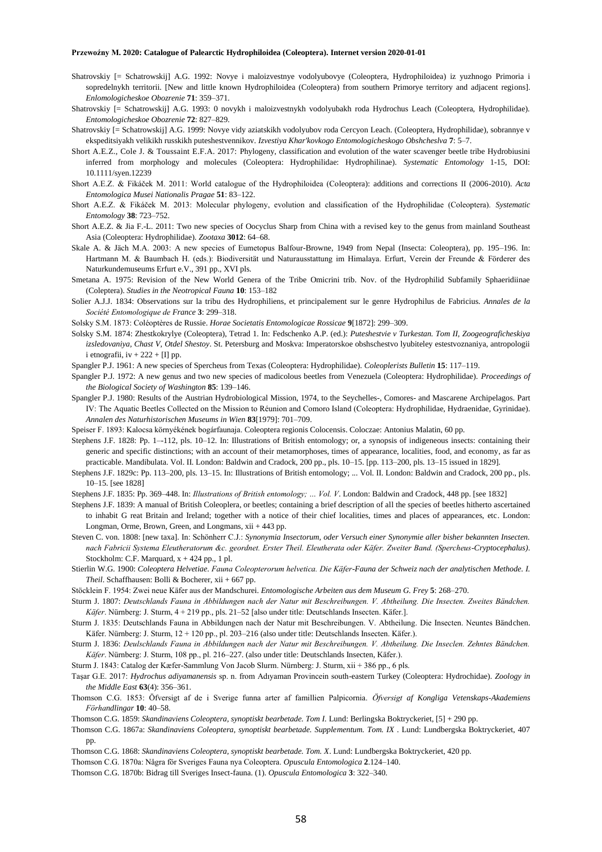- Shatrovskiy [= Schatrowskij] A.G. 1992: Novye i maloizvestnye vodolyubovye (Coleoptera, Hydrophiloidea) iz yuzhnogo Primoria i sopredelnykh territorii. [New and little known Hydrophiloidea (Coleoptera) from southern Primorye territory and adjacent regions]. *Enlomologicheskoe Obozrenie* **71**: 359–371.
- Shatrovskiy [= Schatrowskij] A.G. 1993: 0 novykh i maloizvestnykh vodolyubakh roda Hydrochus Leach (Coleoptera, Hydrophilidae). *Entomologicheskoe Obozrenie* **72**: 827–829.
- Shatrovskiy [= Schatrowskij] A.G. 1999: Novye vidy aziatskikh vodolyubov roda Cercyon Leach. (Coleoptera, Hydrophilidae), sobrannye v ekspeditsiyakh velikikh russkikh puteshestvennikov. *Izvestiya Khar'kovkogo Entomologicheskogo Obshcheslva* **7**: 5–7.
- Short A.E.Z., Cole J. & Toussaint E.F.A. 2017: Phylogeny, classification and evolution of the water scavenger beetle tribe Hydrobiusini inferred from morphology and molecules (Coleoptera: Hydrophilidae: Hydrophilinae). *Systematic Entomology* 1-15, DOI: 10.1111/syen.12239
- Short A.E.Z. & Fikáček M. 2011: World catalogue of the Hydrophiloidea (Coleoptera): additions and corrections II (2006-2010). *Acta Entomologica Musei Nationalis Pragae* **51**: 83–122.
- Short A.E.Z. & Fikáček M. 2013: Molecular phylogeny, evolution and classification of the Hydrophilidae (Coleoptera). *Systematic Entomology* **38**: 723–752.
- Short A.E.Z. & Jia F.-L. 2011: Two new species of Oocyclus Sharp from China with a revised key to the genus from mainland Southeast Asia (Coleoptera: Hydrophilidae). *Zootaxa* **3012**: 64–68.
- Skale A. & Jäch M.A. 2003: A new species of Eumetopus Balfour-Browne, 1949 from Nepal (Insecta: Coleoptera), pp. 195–196. In: Hartmann M. & Baumbach H. (eds.): Biodiversität und Naturausstattung im Himalaya. Erfurt, Verein der Freunde & Förderer des Naturkundemuseums Erfurt e.V., 391 pp., XVI pls.
- Smetana A. 1975: Revision of the New World Genera of the Tribe Omicrini trib. Nov. of the Hydrophilid Subfamily Sphaeridiinae (Coleptera). *Studies in the Neotropical Fauna* **10**: 153–182
- Solier A.J.J. 1834: Observations sur la tribu des Hydrophiliens, et principalement sur le genre Hydrophilus de Fabricius. *Annales de la Société Entomologique de France* **3**: 299–318.
- Solsky S.M. 1873: Coléoptères de Russie. *Horae Societatis Entomologicae Rossicae* **9**[1872]: 299–309.
- Solsky S.M. 1874: Zhestkokrylye (Coleoptera), Tetrad 1. In: Fedschenko A.P. (ed.): *Puteshestvie v Turkestan. Tom II, Zoogeograficheskiya izsledovaniya, Chast V, Otdel Shestoy*. St. Petersburg and Moskva: Imperatorskoe obshschestvo lyubiteley estestvoznaniya, antropologii i etnografii, iv  $+ 222 + [I]$  pp.
- Spangler P.J. 1961: A new species of Spercheus from Texas (Coleoptera: Hydrophilidae). *Coleoplerists Bulletin* **15**: 117–119.
- Spangler P.J. 1972: A new genus and two new species of madicolous beetles from Venezuela (Coleoptera: Hydrophilidae). *Proceedings of the Biological Society of Washington* **85**: 139–146.
- Spangler P.J. 1980: Results of the Austrian Hydrobiological Mission, 1974, to the Seychelles-, Comores- and Mascarene Archipelagos. Part IV: The Aquatic Beetles Collected on the Mission to Réunion and Comoro Island (Coleoptera: Hydrophilidae, Hydraenidae, Gyrinidae). *Annalen des Naturhistorischen Museums in Wien* **83**[1979]: 701–709.
- Speiser F. 1893: Kalocsa környékének bogárfaunaja. Coleoptera regionis Colocensis. Coloczae: Antonius Malatin, 60 pp.
- Stephens J.F. 1828: Pp. 1–-112, pls. 10–12. In: Illustrations of British entomology; or, a synopsis of indigeneous insects: containing their generic and specific distinctions; with an account of their metamorphoses, times of appearance, localities, food, and economy, as far as practicable. Mandibulata. Vol. II. London: Baldwin and Cradock, 200 pp., pls. 10–15. [pp. 113–200, pls. 13–15 issued in 1829].
- Stephens J.F. 1829c: Pp. 113–200, pls. 13–15. In: Illustrations of British entomology; ... Vol. II. London: Baldwin and Cradock, 200 pp., pls. 10–15. [see 1828]
- Stephens J.F. 1835: Pp. 369–448. In: *Illustrations of British entomology; … Vol. V*. London: Baldwin and Cradock, 448 pp. [see 1832]
- Stephens J.F. 1839: A manual of British Coleoplera, or beetles; containing a brief description of all the species of beetles hitherto ascertained to inhabit G reat Britain and Ireland; together with a notice of their chief localities, times and places of appearances, etc. London: Longman, Orme, Brown, Green, and Longmans, xii + 443 pp.
- Steven C. von. 1808: [new taxa]. In: Schönherr C.J.: *Synonymia Insectorum, oder Versuch einer Synonymie aller bisher bekannten Insecten. nach Fabricii Systema Eleutheratorum &c. geordnet. Erster Theil. Eleutherata oder Käfer. Zweiter Band. (Spercheus-Cryptocephalus)*. Stockholm: C.F. Marquard, x + 424 pp., 1 pl.
- Stierlin W.G. 1900: *Coleoptera Helvetiae. Fauna Coleopterorum helvetica. Die Käfer-Fauna der Schweiz nach der analytischen Methode. I. Theil*. Schaffhausen: Bolli & Bocherer, xii + 667 pp.
- Stöcklein F. 1954: Zwei neue Käfer aus der Mandschurei. *Entomologische Arbeiten aus dem Museum G. Frey* **5**: 268–270.
- Sturm J. 1807: *Deutschlands Fauna in Abbildungen nach der Natur mit Beschreibungen. V. Abtheilung. Die Insecten. Zweites Bändchen. Käfer*. Nürnberg: J. Sturm, 4 + 219 pp., pls. 21–52 [also under title: Deutschlands Insecten. Käfer.].
- Sturm J. 1835: Deutschlands Fauna in Abbildungen nach der Natur mit Beschreibungen. V. Abtheilung. Die Insecten. Neuntes Bändchen. Käfer. Nürnberg: J. Sturm, 12 + 120 pp., pl. 203–216 (also under title: Deutschlands Insecten. Käfer.).
- Sturm J. 1836: *Deulschlands Fauna in Abbildungen nach der Natur mit Beschreibungen. V. Abtheilung. Die Inseclen. Zehntes Bändchen. Käfer*. Nürnberg: J. Sturm, 108 pp., pl. 216–227. (also under title: Deutschlands Insecten, Käfer.).
- Sturm J. 1843: Catalog der Kæfer-Sammlung Von Jacob Slurm. Nürnberg: J. Sturm, xii + 386 pp., 6 pls.
- Taşar G.E. 2017: *Hydrochus adiyamanensis* sp. n. from Adıyaman Provincein south-eastern Turkey (Coleoptera: Hydrochidae). *Zoology in the Middle East* **63**(4): 356–361.
- Thomson C.G. 1853: Öfversigt af de i Sverige funna arter af famillien Palpicornia. *Öfversigt af Kongliga Vetenskaps-Akademiens Förhandlingar* **10**: 40–58.
- Thomson C.G. 1859: *Skandinaviens Coleoptera, synoptiskt bearbetade. Tom I.* Lund: Berlingska Boktryckeriet, [5] + 290 pp.
- Thomson C.G. 1867a: *Skandinaviens Coleoptera, synoptiskt bearbetade. Supplementum. Tom. IX* . Lund: Lundbergska Boktryckeriet, 407 pp.
- Thomson C.G. 1868: *Skandinaviens Coleoptera, synoptiskt bearbetade. Tom. X*. Lund: Lundbergska Boktryckeriet, 420 pp.
- Thomson C.G. 1870a: Några för Sveriges Fauna nya Coleoptera. *Opuscula Entomologica* **2**.124–140.
- Thomson C.G. 1870b: Bidrag till Sveriges Insect-fauna. (1). *Opuscula Entomologica* **3**: 322–340.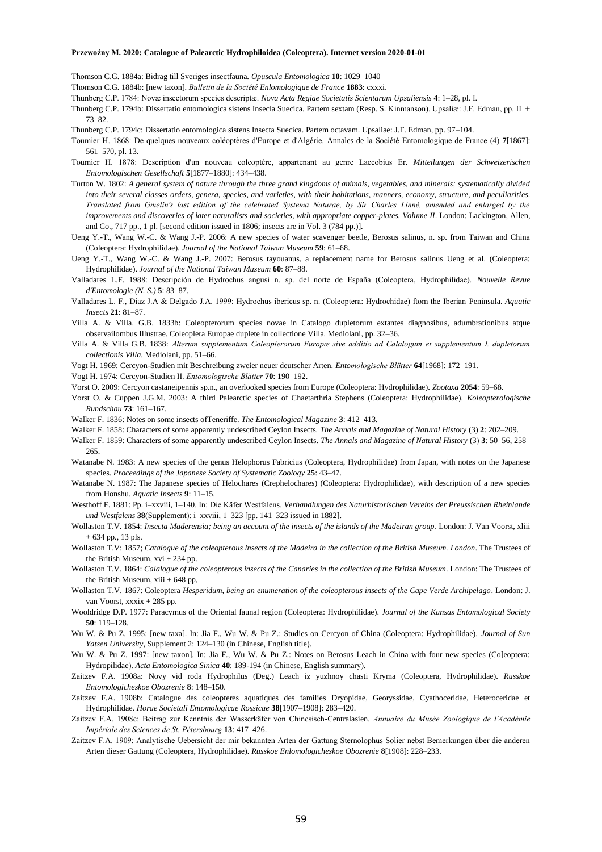Thomson C.G. 1884a: Bidrag till Sveriges insectfauna. *Opuscula Entomologica* **10**: 1029–1040

Thomson C.G. 1884b: [new taxon]. *Bulletin de la Société Enlomologique de France* **1883**: cxxxi.

- Thunberg C.P. 1784: Novæ insectorum species descriptæ. *Nova Acta Regiae Societatis Scientarum Upsaliensis* **4**: 1–28, pl. I.
- Thunberg C.P. 1794b: Dissertatio entomologica sistens Insecla Suecica. Partem sextam (Resp. S. Kinmanson). Upsaliæ: J.F. Edman, pp. II + 73–82.

Thunberg C.P. 1794c: Dissertatio entomologica sistens Insecta Suecica. Partem octavam. Upsaliae: J.F. Edman, pp. 97–104.

- Toumier H. 1868: De quelques nouveaux coléoptères d'Europe et d'Algérie. Annales de la Société Entomologique de France (4) **7**[1867]: 561–570, pl. 13.
- Toumier H. 1878: Description d'un nouveau coleoptère, appartenant au genre Laccobius Er. *Mitteilungen der Schweizerischen Entomologischen Gesellschaft* **5**[1877–1880]: 434–438.
- Turton W. 1802: *A general system of nature through the three grand kingdoms of animals, vegetables, and minerals; systematically divided into their several classes orders, genera, species, and varieties, with their habitations, manners, economy, structure, and peculiarities. Translated from Gmelin's last edition of the celebrated Systema Naturae, by Sir Charles Linné, amended and enlarged by the improvements and discoveries of later naturalists and societies, with appropriate copper-plates. Volume II*. London: Lackington, Allen, and Co., 717 pp., 1 pl. [second edition issued in 1806; insects are in Vol. 3 (784 pp.)].
- Ueng Y.-T., Wang W.-C. & Wang J.-P. 2006: A new species of water scavenger beetle, Berosus salinus, n. sp. from Taiwan and China (Coleoptera: Hydrophilidae). *Journal of the National Taiwan Museum* **59**: 61–68.
- Ueng Y.-T., Wang W.-C. & Wang J.-P. 2007: Berosus tayouanus, a replacement name for Berosus salinus Ueng et al. (Coleoptera: Hydrophilidae). *Journal of the National Taiwan Museum* **60**: 87–88.
- Valladares L.F. 1988: Descripción de Hydrochus angusi n. sp. del norte de España (Coleoptera, Hydrophilidae). *Nouvelle Revue d'Entomologie (N. S.)* **5**: 83–87.
- Valladares L. F., Díaz J.A & Delgado J.A. 1999: Hydrochus ibericus sp. n. (Coleoptera: Hydrochidae) ftom the Iberian Peninsula. *Aquatic Insects* **21**: 81–87.
- Villa A. & Villa. G.B. 1833b: Coleopterorum species novae in Catalogo dupletorum extantes diagnosibus, adumbrationibus atque observailombus Illustrae. Coleoplera Europae duplete in collectione Villa. Mediolani, pp. 32–36.
- Villa A. & Villa G.B. 1838: *Alterum supplementum Coleoplerorum Europæ sive additio ad Calalogum et supplementum I. dupletorum collectionis Villa*. Mediolani, pp. 51–66.
- Vogt H. 1969: Cercyon-Studien mit Beschreibung zweier neuer deutscher Arten. *Entomologische Blätter* **64**[1968]: 172–191.
- Vogt H. 1974: Cercyon-Studien II. *Entomologische Blätter* **70**: 190–192.
- Vorst O. 2009: Cercyon castaneipennis sp.n., an overlooked species from Europe (Coleoptera: Hydrophilidae). *Zootaxa* **2054**: 59–68.
- Vorst O. & Cuppen J.G.M. 2003: A third Palearctic species of Chaetarthria Stephens (Coleoptera: Hydrophilidae). *Koleopterologische Rundschau* **73**: 161–167.
- Walker F. 1836: Notes on some insects ofTeneriffe. *The Entomological Magazine* **3**: 412–413.
- Walker F. 1858: Characters of some apparently undescribed Ceylon Insects. *The Annals and Magazine of Natural History* (3) **2**: 202–209.
- Walker F. 1859: Characters of some apparently undescribed Ceylon Insects. *The Annals and Magazine of Natural History* (3) **3**: 50–56, 258– 265.
- Watanabe N. 1983: A new species of the genus Helophorus Fabricius (Coleoptera, Hydrophilidae) from Japan, with notes on the Japanese species. *Proceedings of the Japanese Society of Systematic Zoology* **25**: 43–47.
- Watanabe N. 1987: The Japanese species of Helochares (Crephelochares) (Coleoptera: Hydrophilidae), with description of a new species from Honshu. *Aquatic Insects* **9**: 11–15.
- Westhoff F. 1881: Pp. i–xxviii, 1–140. In: Die Käfer Westfalens. *Verhandlungen des Naturhistorischen Vereins der Preussischen Rheinlande und Westfalens* **38**(Supplement): i–xxviii, 1–323 [pp. 141–323 issued in 1882].
- Wollaston T.V. 1854: *Insecta Maderensia; being an account of the insects of the islands of the Madeiran group*. London: J. Van Voorst, xliii  $+ 634$  pp., 13 pls.
- Wollaston T.V: 1857; *Catalogue of the coleopterous lnsects of the Madeira in the collection of the British Museum. London*. The Trustees of the British Museum, xvi + 234 pp.
- Wollaston T.V. 1864: *Calalogue of the coleopterous insects of the Canaries in the collection of the British Museum*. London: The Trustees of the British Museum, xiii + 648 pp,
- Wollaston T.V. 1867: Coleoptera *Hesperidum, being an enumeration of the coleopterous insects of the Cape Verde Archipelago*. London: J. van Voorst, xxxix + 285 pp.
- Wooldridge D.P. 1977: Paracymus of the Oriental faunal region (Coleoptera: Hydrophilidae). *Journal of the Kansas Entomological Society* **50**: 119–128.
- Wu W. & Pu Z. 1995: [new taxa]. In: Jia F., Wu W. & Pu Z.: Studies on Cercyon of China (Coleoptera: Hydrophilidae). *Journal of Sun Yatsen University*, Supplement 2: 124–130 (in Chinese, English title).
- Wu W. & Pu Z. 1997: [new taxon]. In: Jia F., Wu W. & Pu Z.: Notes on Berosus Leach in China with four new species (Co]eoptera: Hydropilidae). *Acta Entomologica Sinica* **40**: 189-194 (in Chinese, English summary).
- Zaitzev F.A. 1908a: Novy vid roda Hydrophilus (Deg.) Leach iz yuzhnoy chasti Kryma (Coleoptera, Hydrophilidae). *Russkoe Entomologicheskoe Obozrenie* **8**: 148–150.
- Zaitzev F.A. 1908b: Catalogue des coleopteres aquatiques des families Dryopidae, Georyssidae, Cyathoceridae, Heteroceridae et Hydrophilidae. *Horae Societali Entomologicae Rossicae* **38**[1907–1908]: 283–420.
- Zaitzev F.A. 1908c: Beitrag zur Kenntnis der Wasserkäfer von Chinesisch-Centralasien. *Annuaire du Musée Zoologique de l'Académie Impériale des Sciences de St. Pétersbourg* **13**: 417–426.
- Zaitzev F.A. 1909: Analytische Uebersicht der mir bekannten Arten der Gattung Sternolophus Solier nebst Bemerkungen über die anderen Arten dieser Gattung (Coleoptera, Hydrophilidae). *Russkoe Enlomologicheskoe Obozrenie* **8**[1908]: 228–233.